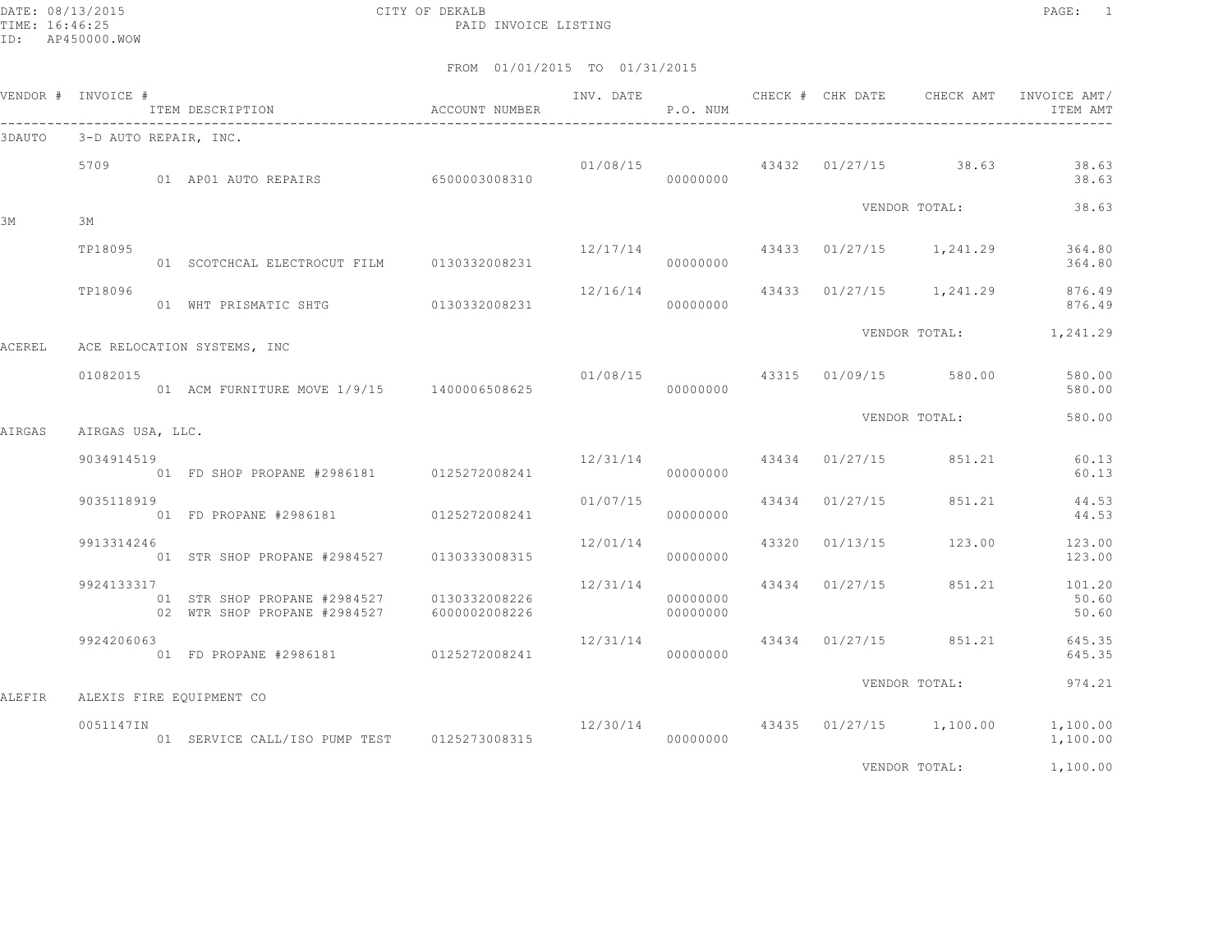DATE: 08/13/2015 CITY OF DEKALB PAGE: 1 PAID INVOICE LISTING

|               | VENDOR # INVOICE #    | ITEM DESCRIPTION <a> <a> </a> </a> <a> </a> ACCOUNT NUMBER<br>------------------------------------- | INV. DATE               | P.O. NUM             |                |                                        | CHECK # CHK DATE 6 CHECK AMT INVOICE AMT/<br>ITEM AMT     |
|---------------|-----------------------|-----------------------------------------------------------------------------------------------------|-------------------------|----------------------|----------------|----------------------------------------|-----------------------------------------------------------|
| 3DAUTO        | 3-D AUTO REPAIR, INC. |                                                                                                     |                         |                      |                |                                        |                                                           |
|               | 5709                  | 01 AP01 AUTO REPAIRS 6500003008310                                                                  |                         | 00000000             |                | $01/08/15$ $43432$ $01/27/15$ $38.63$  | 38.63<br>38.63                                            |
|               |                       |                                                                                                     |                         |                      |                | VENDOR TOTAL:                          | 38.63                                                     |
| ЗМ            | 3M                    |                                                                                                     |                         |                      |                |                                        |                                                           |
|               | TP18095               | 01 SCOTCHCAL ELECTROCUT FILM 0130332008231                                                          |                         | 00000000             |                | 12/17/14 43433 01/27/15 1,241.29       | 364.80<br>364.80                                          |
|               | TP18096               | 01 WHT PRISMATIC SHTG 0130332008231                                                                 |                         | 00000000             |                |                                        | $12/16/14$ $43433$ $01/27/15$ $1,241.29$ 876.49<br>876.49 |
| <b>ACEREL</b> |                       | ACE RELOCATION SYSTEMS, INC                                                                         |                         |                      |                |                                        | VENDOR TOTAL: 1, 241.29                                   |
|               | 01082015              |                                                                                                     |                         |                      |                | 01/08/15  43315  01/09/15  580.00      | 580.00<br>580.00                                          |
| AIRGAS        | AIRGAS USA, LLC.      |                                                                                                     |                         |                      |                | VENDOR TOTAL:                          | 580.00                                                    |
|               | 9034914519            | 01 FD SHOP PROPANE #2986181 0125272008241                                                           |                         | 00000000             |                | $12/31/14$ $43434$ $01/27/15$ $851.21$ | 60.13<br>60.13                                            |
|               | 9035118919            | 01 FD PROPANE #2986181 0125272008241                                                                | 01/07/15                | 00000000             | 43434 01/27/15 | 851.21                                 | 44.53<br>44.53                                            |
|               | 9913314246            | 01 STR SHOP PROPANE #2984527 0130333008315                                                          | 12/01/14                | 00000000             |                | 43320 01/13/15 123.00                  | 123.00<br>123.00                                          |
|               | 9924133317            | 01 STR SHOP PROPANE #2984527 0130332008226<br>02 WTR SHOP PROPANE #2984527 6000002008226            | 12/31/14 43434 01/27/15 | 00000000<br>00000000 |                | 851.21                                 | 101.20<br>50.60<br>50.60                                  |
|               | 9924206063            | 01 FD PROPANE #2986181 0125272008241                                                                |                         | 00000000             |                |                                        | $12/31/14$ 43434 01/27/15 851.21 645.35<br>645.35         |
|               |                       |                                                                                                     |                         |                      |                | VENDOR TOTAL:                          | 974.21                                                    |
| ALEFIR        |                       | ALEXIS FIRE EQUIPMENT CO                                                                            |                         |                      |                |                                        |                                                           |
|               | 0051147IN             | 01 SERVICE CALL/ISO PUMP TEST 0125273008315                                                         |                         | 00000000             |                | 12/30/14 43435 01/27/15 1,100.00       | 1,100.00<br>1,100.00                                      |
|               |                       |                                                                                                     |                         |                      |                | VENDOR TOTAL:                          | 1,100.00                                                  |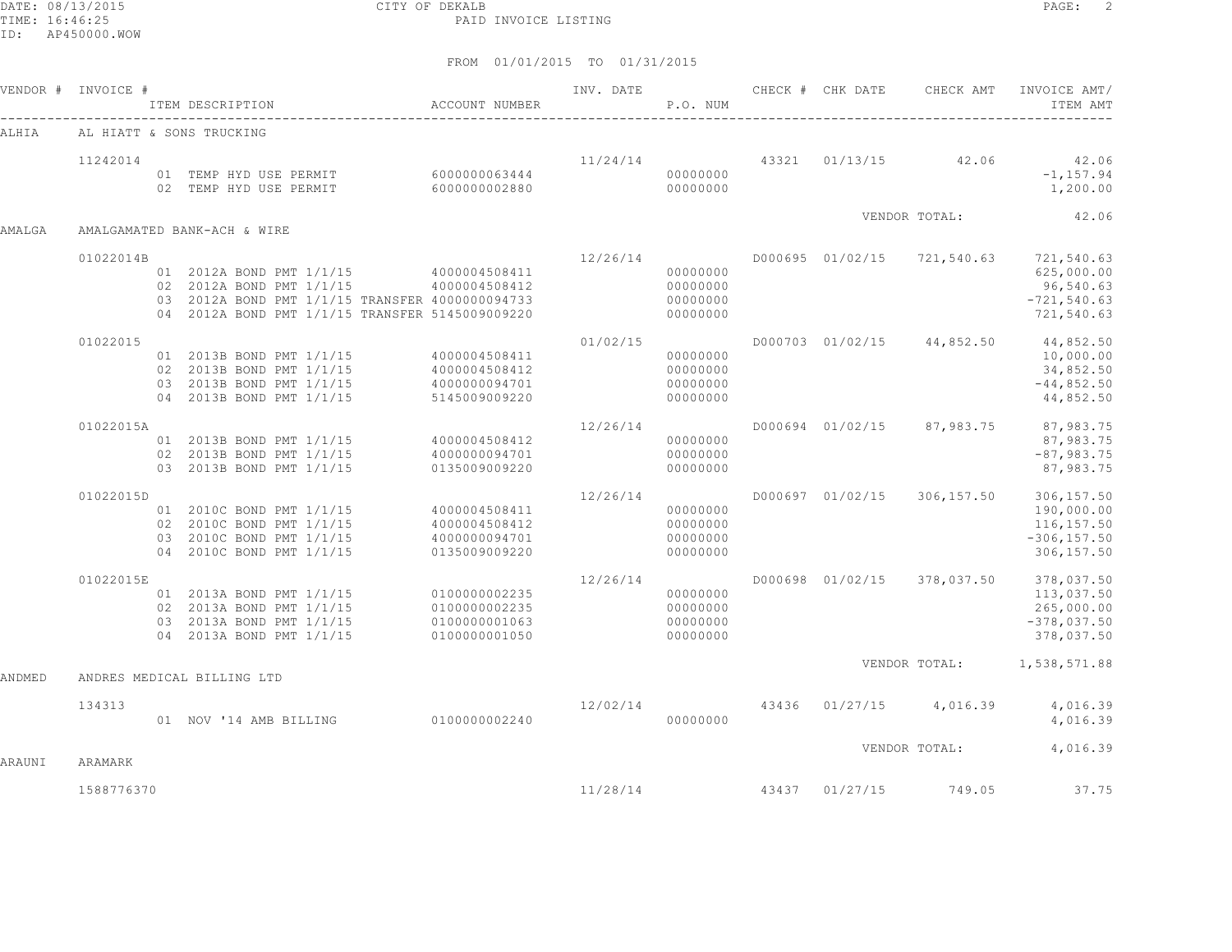DATE: 08/13/2015 CITY OF DEKALB PAGE: 2 PAID INVOICE LISTING

ID: AP450000.WOW

|        |            |                                                                                                                                                                                        |                                                     |          |                                                 |  |                       | INV. DATE 6 1999 CHECK # CHK DATE 6 CHECK AMT INVOICE AMT<br>ITEM AMT                              |
|--------|------------|----------------------------------------------------------------------------------------------------------------------------------------------------------------------------------------|-----------------------------------------------------|----------|-------------------------------------------------|--|-----------------------|----------------------------------------------------------------------------------------------------|
| ALHIA  |            | AL HIATT & SONS TRUCKING                                                                                                                                                               |                                                     |          |                                                 |  |                       |                                                                                                    |
|        | 11242014   | $\begin{array}{cccc} 01 & \text{TEMP HYD USE PERMIT} & 6000000063444 & 11/24/14 & 000000000 \\ 02 & \text{TEMP HYD USE PERMIT} & 6000000002880 & 000000000 \\ \end{array}$             |                                                     |          |                                                 |  |                       | $11/24/14$ $43321$ $01/13/15$ $42.06$ $42.06$<br>$-1, 157.94$<br>1,200.00                          |
| AMALGA |            | AMALGAMATED BANK-ACH & WIRE                                                                                                                                                            |                                                     |          |                                                 |  | VENDOR TOTAL:         | 42.06                                                                                              |
|        | 01022014B  |                                                                                                                                                                                        |                                                     | 12/26/14 |                                                 |  |                       | D000695 01/02/15 721,540.63 721,540.63                                                             |
|        |            | 01 2012A BOND PMT 1/1/15 4000004508411<br>02 2012A BOND PMT 1/1/15 4000004508412<br>03 2012A BOND PMT 1/1/15 TRANSFER 4000000094733<br>04 2012A BOND PMT 1/1/15 TRANSFER 5145009009220 |                                                     | 00000000 | 00000000<br>00000000<br>00000000                |  |                       | 625,000.00<br>96,540.63<br>$-721, 540.63$<br>721,540.63                                            |
|        | 01022015   | 01  2013B  BOND  PMT  1/1/15  4000004508411<br>02 2013B BOND PMT $1/1/15$ 4000004508412<br>03 2013B BOND PMT 1/1/15 4000000094701<br>04 2013B BOND PMT 1/1/15                          | 5145009009220                                       | 01/02/15 | 00000000<br>00000000<br>00000000<br>00000000    |  |                       | D000703 01/02/15 44,852.50 44,852.50<br>10,000.00<br>34,852.50<br>$-44,852.50$<br>44,852.50        |
|        | 01022015A  | 01 2013B BOND PMT 1/1/15 4000004508412<br>-- 2013B BOND PMT 1/1/15 4000000094701<br>03 2013B BOND PMT 1/1/15                                                                           | 0135009009220                                       | 12/26/14 | $000000000$ $000000000$<br>00000000<br>00000000 |  |                       | D000694 01/02/15 87,983.75 87,983.75<br>87,983.75<br>$-87,983.75$<br>87,983.75                     |
|        | 01022015D  | 01 2010C BOND PMT 1/1/15 4000004508411<br>02 2010C BOND PMT $1/1/15$ 4000004508412<br>03 2010C BOND PMT $1/1/15$ 4000000094701<br>04 2010C BOND PMT 1/1/15                             | 0135009009220                                       | 12/26/14 | 00000000<br>00000000<br>00000000<br>00000000    |  |                       | D000697 01/02/15 306,157.50 306,157.50<br>190,000.00<br>116,157.50<br>$-306, 157.50$<br>306,157.50 |
|        | 01022015E  | 01 2013A BOND PMT 1/1/15 0100000002235<br>02 2013A BOND PMT 1/1/15<br>03 2013A BOND PMT 1/1/15<br>04 2013A BOND PMT 1/1/15                                                             | 0100000002235<br>01000000002233<br>0100000001050    | 12/26/14 | 00000000<br>00000000                            |  |                       | D000698 01/02/15 378,037.50 378,037.50<br>113,037.50<br>265,000.00<br>$-378,037.50$<br>378,037.50  |
| ANDMED |            | ANDRES MEDICAL BILLING LTD                                                                                                                                                             |                                                     |          |                                                 |  |                       | VENDOR TOTAL: 1,538,571.88                                                                         |
|        | 134313     | 01 NOV '14 AMB BILLING 0100000002240                                                                                                                                                   | $12/02/14$ $43436$ $01/27/15$ $4,016.39$ $4,016.39$ | 00000000 |                                                 |  |                       | 4,016.39                                                                                           |
| ARAUNI | ARAMARK    |                                                                                                                                                                                        |                                                     |          |                                                 |  |                       | VENDOR TOTAL: 4,016.39                                                                             |
|        | 1588776370 |                                                                                                                                                                                        |                                                     | 11/28/14 |                                                 |  | 43437 01/27/15 749.05 | 37.75                                                                                              |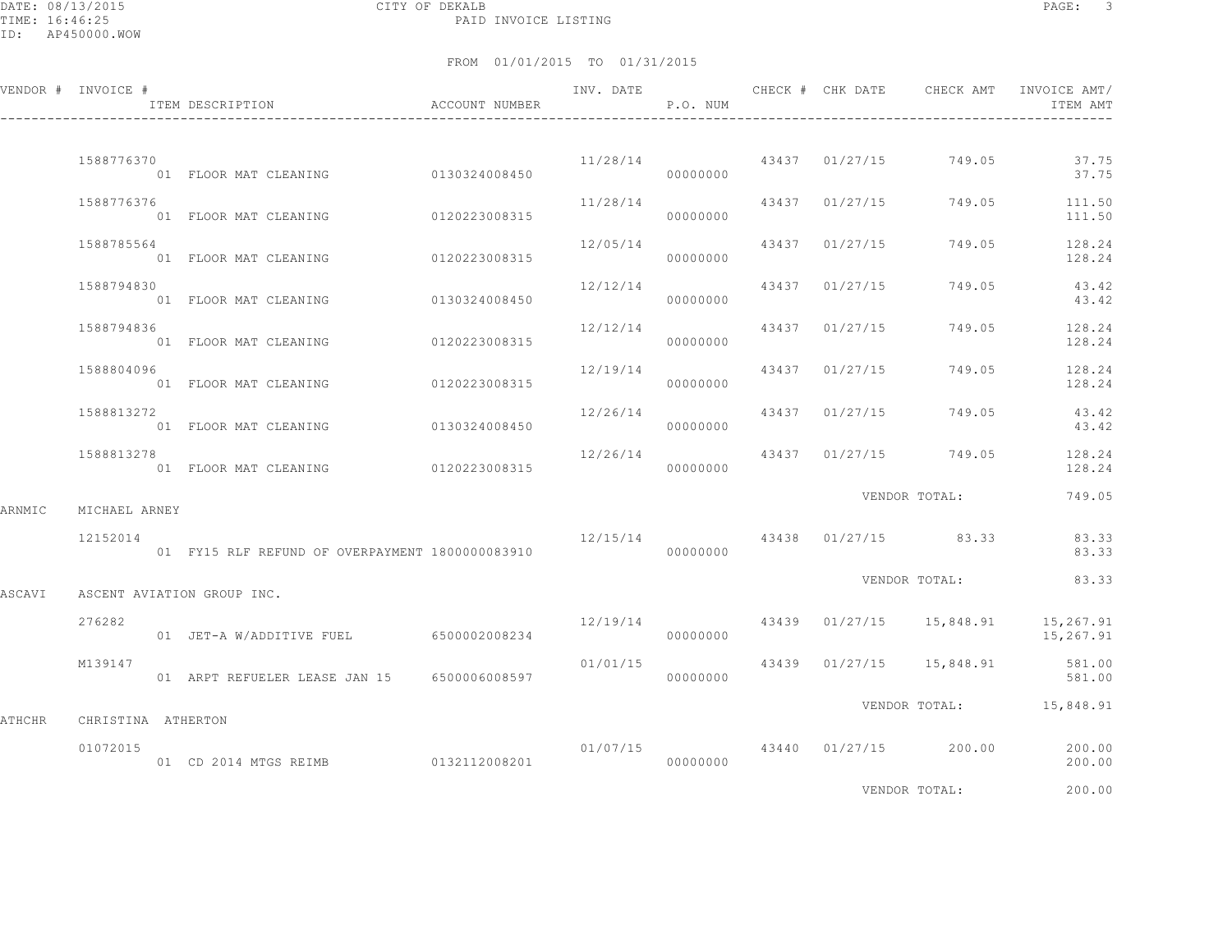DATE: 08/13/2015 CITY OF DEKALB PAGE: 3 PAID INVOICE LISTING

|        | VENDOR # INVOICE # | ACCOUNT NUMBER<br>ITEM DESCRIPTION                |          | P.O. NUM |                |                                        | ITEM AMT                                                           |
|--------|--------------------|---------------------------------------------------|----------|----------|----------------|----------------------------------------|--------------------------------------------------------------------|
|        | 1588776370         | 01 FLOOR MAT CLEANING 0130324008450               |          | 00000000 |                | $11/28/14$ $43437$ $01/27/15$ $749.05$ | 37.75<br>37.75                                                     |
|        | 1588776376         | 01 FLOOR MAT CLEANING 0120223008315               | 11/28/14 | 00000000 | 43437 01/27/15 |                                        | 749.05 111.50<br>111.50                                            |
|        | 1588785564         | 01 FLOOR MAT CLEANING 0120223008315               | 12/05/14 | 00000000 | 43437 01/27/15 |                                        | 749.05 128.24<br>128.24                                            |
|        | 1588794830         | 01 FLOOR MAT CLEANING 0130324008450               | 12/12/14 | 00000000 | 43437 01/27/15 | 749.05                                 | 43.42<br>43.42                                                     |
|        | 1588794836         | 01 FLOOR MAT CLEANING 0120223008315               | 12/12/14 | 00000000 | 43437 01/27/15 | 749.05                                 | 128.24<br>128.24                                                   |
|        | 1588804096         | 01 FLOOR MAT CLEANING 0120223008315               | 12/19/14 | 00000000 | 43437 01/27/15 | 749.05                                 | 128.24<br>128.24                                                   |
|        | 1588813272         | 01 FLOOR MAT CLEANING 0130324008450               | 12/26/14 | 00000000 |                | 43437 01/27/15 749.05                  | 43.42<br>43.42                                                     |
|        | 1588813278         | 01 FLOOR MAT CLEANING 0120223008315               | 12/26/14 | 00000000 |                |                                        | 43437 01/27/15 749.05 128.24<br>128.24                             |
| ARNMIC | MICHAEL ARNEY      |                                                   |          |          |                | VENDOR TOTAL:                          | 749.05                                                             |
|        | 12152014           | 01 FY15 RLF REFUND OF OVERPAYMENT 1800000083910   | 00000000 |          |                | 12/15/14 43438 01/27/15 83.33          | 83.33<br>83.33                                                     |
| ASCAVI |                    | ASCENT AVIATION GROUP INC.                        |          |          |                |                                        | VENDOR TOTAL: 83.33                                                |
|        | 276282             | 01 JET-A W/ADDITIVE FUEL 6500002008234 0000000000 |          |          |                |                                        | $12/19/14$ $43439$ $01/27/15$ $15,848.91$ $15,267.91$<br>15,267.91 |
|        | M139147            | 01 ARPT REFUELER LEASE JAN 15 6500006008597       | 01/01/15 | 00000000 |                | 43439 01/27/15 15,848.91               | 581.00<br>581.00                                                   |
| ATHCHR | CHRISTINA ATHERTON |                                                   |          |          |                |                                        | VENDOR TOTAL: 15,848.91                                            |
|        | 01072015           |                                                   |          |          |                | 01/07/15 43440 01/27/15 200.00         | 200.00<br>200.00                                                   |
|        |                    |                                                   |          |          |                | VENDOR TOTAL:                          | 200.00                                                             |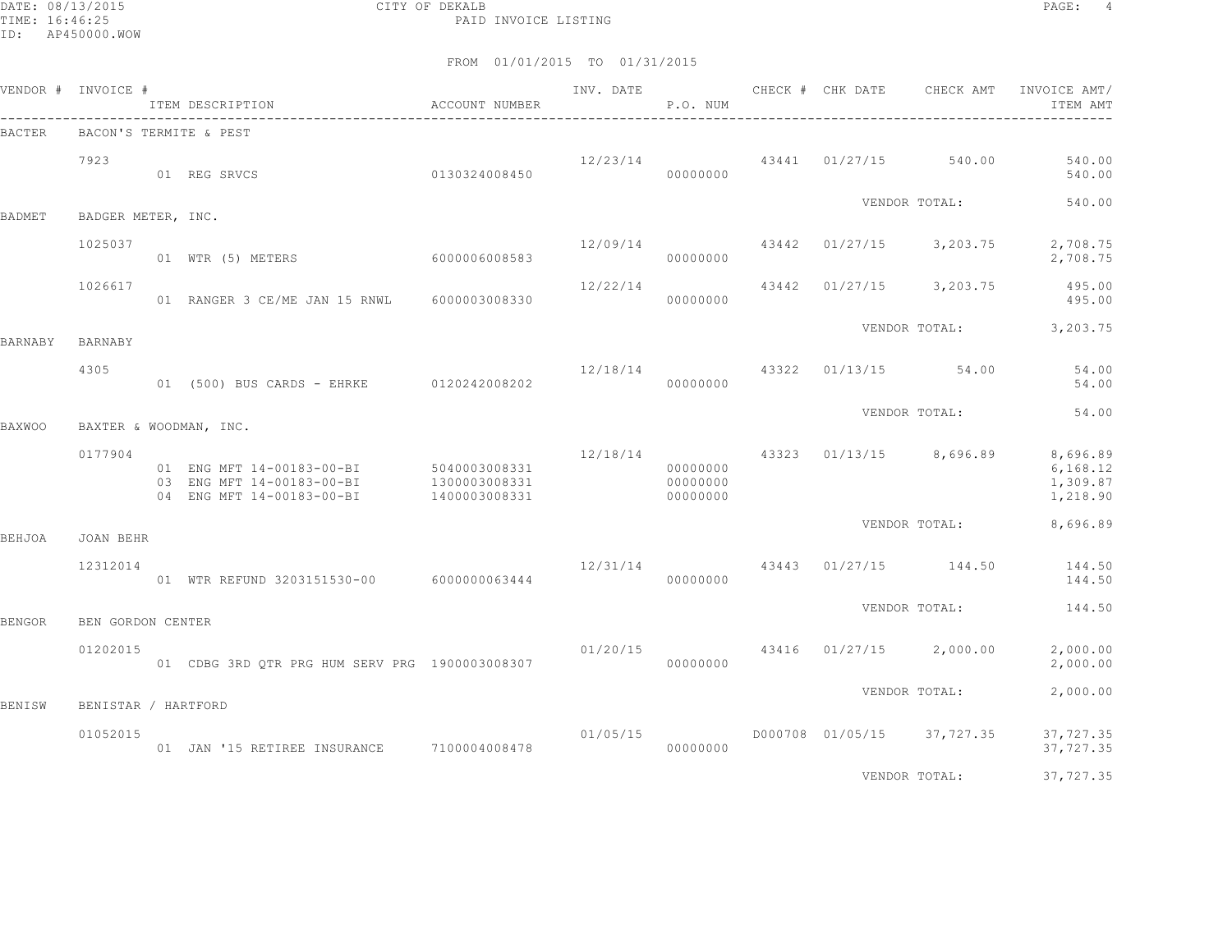DATE: 08/13/2015 CITY OF DEKALB PAGE: 4 PAID INVOICE LISTING

|         | VENDOR # INVOICE #  | ITEM DESCRIPTION<br>------------------------------------                            | ACCOUNT NUMBER                                  | INV. DATE | P.O. NUM                         |       | CHECK # CHK DATE | CHECK AMT             | INVOICE AMT/<br>ITEM AMT                      |
|---------|---------------------|-------------------------------------------------------------------------------------|-------------------------------------------------|-----------|----------------------------------|-------|------------------|-----------------------|-----------------------------------------------|
| BACTER  |                     | BACON'S TERMITE & PEST                                                              |                                                 |           |                                  |       |                  |                       |                                               |
|         | 7923                | 01 REG SRVCS                                                                        | 0130324008450                                   | 12/23/14  | 00000000                         | 43441 | 01/27/15         | 540.00                | 540.00<br>540.00                              |
| BADMET  | BADGER METER, INC.  |                                                                                     |                                                 |           |                                  |       |                  | VENDOR TOTAL:         | 540.00                                        |
|         | 1025037             | 60000006008583<br>01 WTR (5) METERS                                                 |                                                 | 12/09/14  | 00000000                         | 43442 | 01/27/15         | 3,203.75              | 2,708.75<br>2,708.75                          |
|         | 1026617             | 01 RANGER 3 CE/ME JAN 15 RNWL 6000003008330                                         |                                                 | 12/22/14  | 00000000                         | 43442 | 01/27/15         | 3,203.75              | 495.00<br>495.00                              |
| BARNABY | BARNABY             |                                                                                     |                                                 |           |                                  |       |                  | VENDOR TOTAL:         | 3,203.75                                      |
|         | 4305                | 01 (500) BUS CARDS - EHRKE                                                          | 0120242008202                                   | 12/18/14  | 00000000                         | 43322 |                  | $01/13/15$ 54.00      | 54.00<br>54.00                                |
| BAXWOO  |                     | BAXTER & WOODMAN, INC.                                                              |                                                 |           |                                  |       |                  | VENDOR TOTAL:         | 54.00                                         |
|         | 0177904             | 01 ENG MFT 14-00183-00-BI<br>03 ENG MFT 14-00183-00-BI<br>04 ENG MFT 14-00183-00-BI | 5040003008331<br>1300003008331<br>1400003008331 | 12/18/14  | 00000000<br>00000000<br>00000000 | 43323 |                  | $01/13/15$ 8,696.89   | 8,696.89<br>6, 168.12<br>1,309.87<br>1,218.90 |
| BEHJOA  | JOAN BEHR           |                                                                                     |                                                 |           |                                  |       |                  | VENDOR TOTAL:         | 8,696.89                                      |
|         | 12312014            | 01 WTR REFUND 3203151530-00 6000000063444                                           |                                                 | 12/31/14  | 00000000                         |       |                  | 43443 01/27/15 144.50 | 144.50<br>144.50                              |
| BENGOR  | BEN GORDON CENTER   |                                                                                     |                                                 |           |                                  |       |                  | VENDOR TOTAL:         | 144.50                                        |
|         | 01202015            | 01 CDBG 3RD QTR PRG HUM SERV PRG 1900003008307                                      |                                                 | 01/20/15  | 00000000                         |       | 43416 01/27/15   | 2,000.00              | 2,000.00<br>2,000.00                          |
| BENISW  | BENISTAR / HARTFORD |                                                                                     |                                                 |           |                                  |       |                  | VENDOR TOTAL:         | 2,000.00                                      |
|         | 01052015            | 01 JAN '15 RETIREE INSURANCE                                                        | 7100004008478                                   | 01/05/15  | 00000000                         |       | D000708 01/05/15 | 37,727.35             | 37,727.35<br>37,727.35                        |
|         |                     |                                                                                     |                                                 |           |                                  |       |                  | VENDOR TOTAL:         | 37,727.35                                     |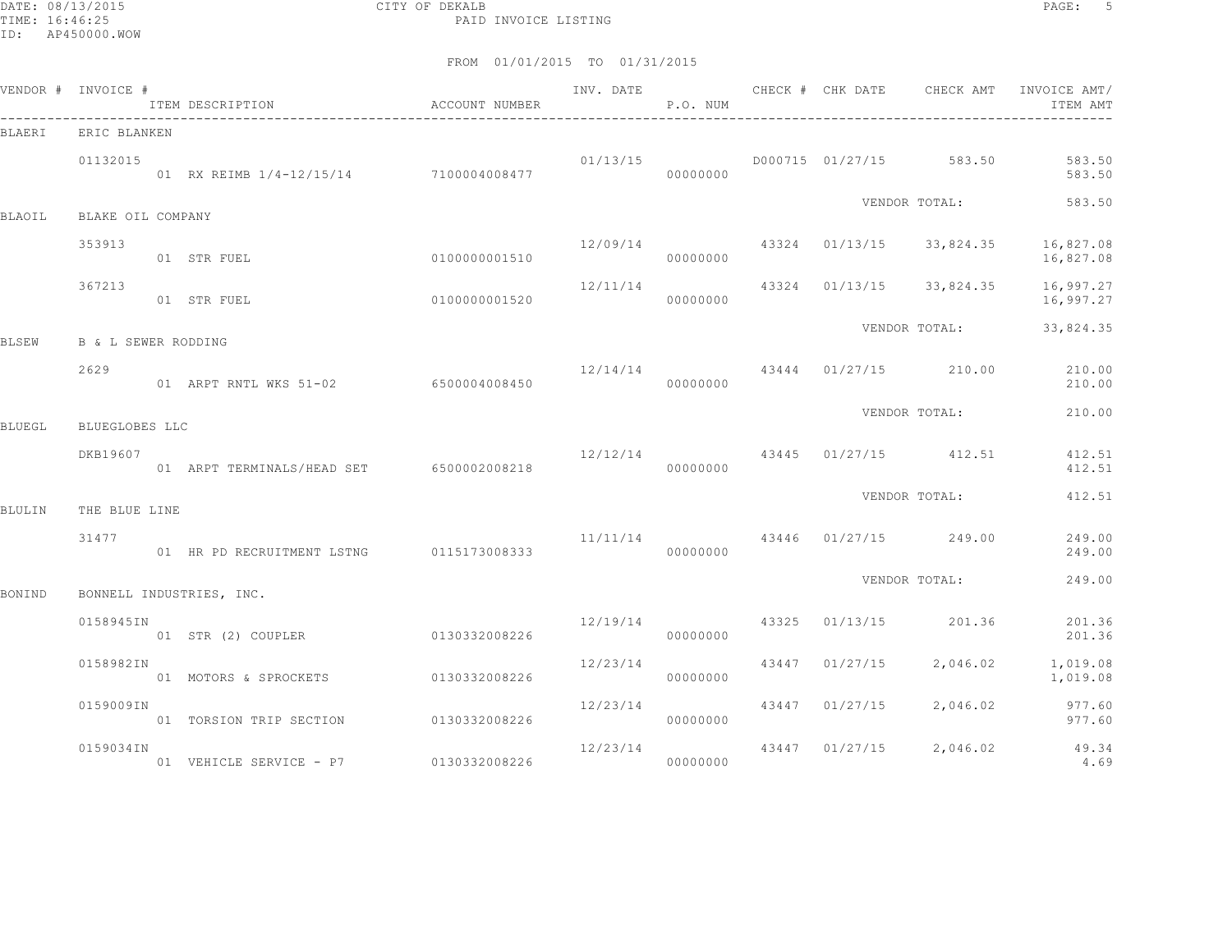DATE: 08/13/2015 CITY OF DEKALB PAGE: 5 PAID INVOICE LISTING

| VENDOR # INVOICE # |                                | ITEM DESCRIPTION                         | ACCOUNT NUMBER | INV. DATE        | P.O. NUM |       | CHECK # CHK DATE | CHECK AMT                              | INVOICE AMT/<br>ITEM AMT |
|--------------------|--------------------------------|------------------------------------------|----------------|------------------|----------|-------|------------------|----------------------------------------|--------------------------|
| <b>BLAERI</b>      | ERIC BLANKEN                   |                                          |                |                  |          |       |                  |                                        |                          |
|                    | 01132015                       | 01 RX REIMB 1/4-12/15/14 7100004008477   |                | 01/13/15         | 00000000 |       | D000715 01/27/15 | 583.50                                 | 583.50<br>583.50         |
| BLAOIL             | BLAKE OIL COMPANY              |                                          |                |                  |          |       |                  | VENDOR TOTAL:                          | 583.50                   |
|                    | 353913                         | 01 STR FUEL                              | 0100000001510  | 12/09/14         | 00000000 |       | 43324 01/13/15   | 33,824.35                              | 16,827.08<br>16,827.08   |
|                    | 367213                         | 01 STR FUEL                              | 0100000001520  | 12/11/14         | 00000000 | 43324 | 01/13/15         | 33,824.35                              | 16,997.27<br>16,997.27   |
| <b>BLSEW</b>       | <b>B &amp; L SEWER RODDING</b> |                                          |                |                  |          |       |                  | VENDOR TOTAL:                          | 33,824.35                |
|                    | 2629                           | 01 ARPT RNTL WKS 51-02 6500004008450     |                | 12/14/14         | 00000000 |       |                  | 43444 01/27/15 210.00                  | 210.00<br>210.00         |
| <b>BLUEGL</b>      | BLUEGLOBES LLC                 |                                          |                |                  |          |       |                  | VENDOR TOTAL:                          | 210.00                   |
|                    | DKB19607                       | 01 ARPT TERMINALS/HEAD SET 6500002008218 |                | $12/12/14$ 43445 | 00000000 |       |                  | $01/27/15$ 412.51                      | 412.51<br>412.51         |
| <b>BLULIN</b>      | THE BLUE LINE                  |                                          |                |                  |          |       |                  | VENDOR TOTAL:                          | 412.51                   |
|                    | 31477                          | 01 HR PD RECRUITMENT LSTNG 0115173008333 |                |                  | 00000000 |       |                  | $11/11/14$ $43446$ $01/27/15$ $249.00$ | 249.00<br>249.00         |
| BONIND             |                                | BONNELL INDUSTRIES, INC.                 |                |                  |          |       |                  | VENDOR TOTAL:                          | 249.00                   |
|                    | 0158945IN                      | 01 STR (2) COUPLER                       | 0130332008226  | 12/19/14         | 00000000 | 43325 | 01/13/15         | 201.36                                 | 201.36<br>201.36         |
|                    | 0158982IN                      | 01 MOTORS & SPROCKETS                    | 0130332008226  | 12/23/14         | 00000000 | 43447 | 01/27/15         | 2,046.02                               | 1,019.08<br>1,019.08     |
|                    | 0159009IN                      | 01 TORSION TRIP SECTION                  | 0130332008226  | 12/23/14         | 00000000 | 43447 | 01/27/15         | 2,046.02                               | 977.60<br>977.60         |
|                    | 0159034IN                      | 01 VEHICLE SERVICE - P7                  | 0130332008226  | 12/23/14         | 00000000 | 43447 | 01/27/15         | 2,046.02                               | 49.34<br>4.69            |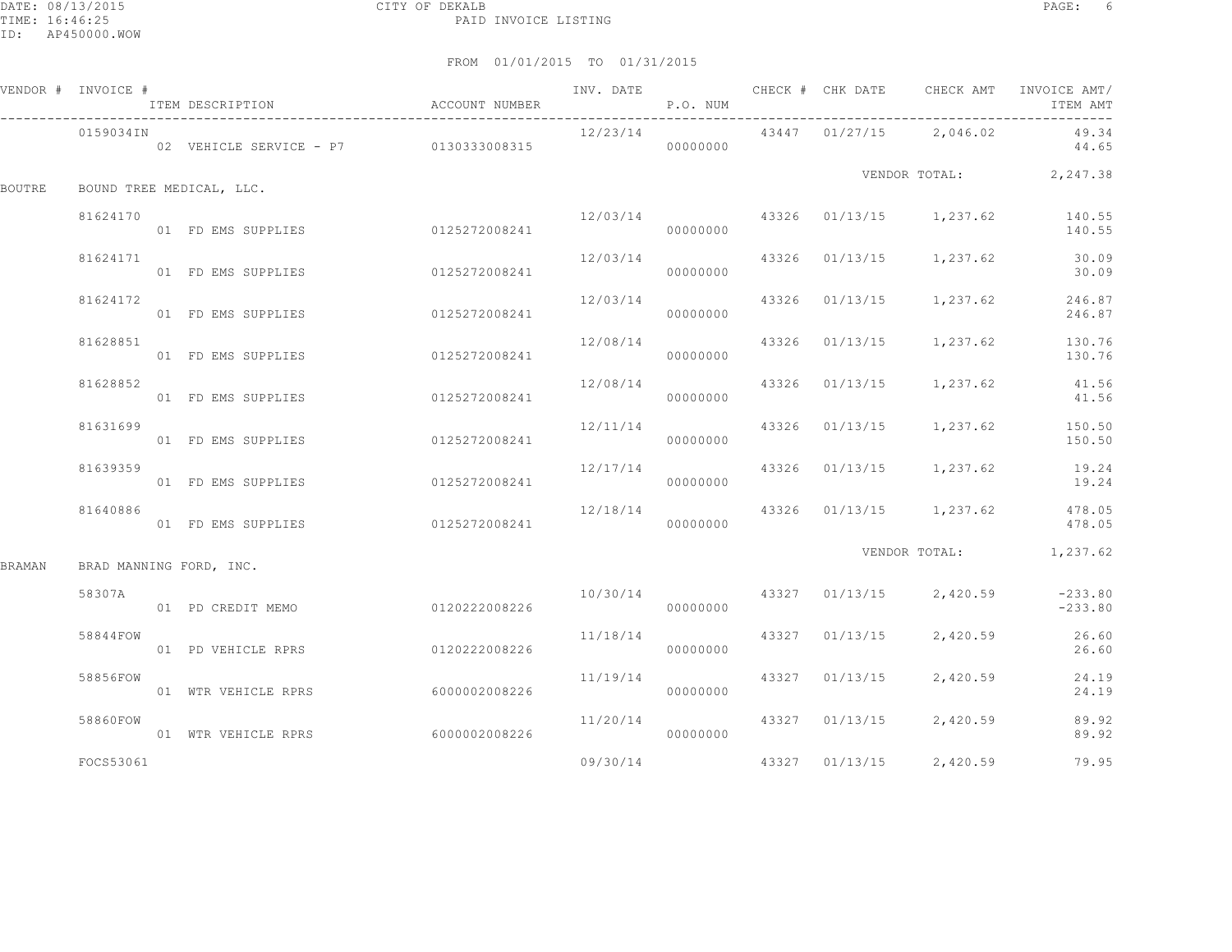|        | VENDOR # INVOICE #      | ITEM DESCRIPTION                      | ACCOUNT NUMBER |          | P.O. NUM |                |                                          | INV. DATE 6 1999 CHECK # CHK DATE 6 CHECK AMT INVOICE AMT<br>ITEM AMT |
|--------|-------------------------|---------------------------------------|----------------|----------|----------|----------------|------------------------------------------|-----------------------------------------------------------------------|
|        | 0159034IN               | 02 VEHICLE SERVICE - P7 0130333008315 |                | 12/23/14 | 00000000 |                | 43447  01/27/15  2,046.02                | 49.34<br>44.65                                                        |
| BOUTRE |                         | BOUND TREE MEDICAL, LLC.              |                |          |          |                |                                          | VENDOR TOTAL: 2,247.38                                                |
|        | 81624170                | 01 FD EMS SUPPLIES                    | 0125272008241  |          | 00000000 |                |                                          | $12/03/14$ $43326$ $01/13/15$ $1,237.62$ $140.55$<br>140.55           |
|        | 81624171                | 01 FD EMS SUPPLIES                    | 0125272008241  | 12/03/14 | 00000000 |                | 43326 01/13/15 1,237.62                  | 30.09<br>30.09                                                        |
|        | 81624172                | 01 FD EMS SUPPLIES                    | 0125272008241  | 12/03/14 | 00000000 |                | 43326 01/13/15 1,237.62                  | 246.87<br>246.87                                                      |
|        | 81628851                | 01 FD EMS SUPPLIES                    | 0125272008241  |          | 00000000 |                | 12/08/14 43326 01/13/15 1,237.62         | 130.76<br>130.76                                                      |
|        | 81628852                | 01 FD EMS SUPPLIES                    | 0125272008241  | 12/08/14 | 00000000 |                | 43326 01/13/15 1,237.62                  | 41.56<br>41.56                                                        |
|        | 81631699                | 01 FD EMS SUPPLIES                    | 0125272008241  | 12/11/14 | 00000000 |                |                                          | 43326 01/13/15 1,237.62 150.50<br>150.50                              |
|        | 81639359                | 01 FD EMS SUPPLIES                    | 0125272008241  | 12/17/14 | 00000000 |                | 43326 01/13/15 1,237.62                  | 19.24<br>19.24                                                        |
|        | 81640886                | 01 FD EMS SUPPLIES                    | 0125272008241  |          | 00000000 |                |                                          | $12/18/14$ $43326$ $01/13/15$ $1,237.62$ $478.05$<br>478.05           |
| BRAMAN | BRAD MANNING FORD, INC. |                                       |                |          |          |                |                                          | VENDOR TOTAL: 1,237.62                                                |
|        | 58307A                  | 01 PD CREDIT MEMO                     | 0120222008226  |          | 00000000 |                | $10/30/14$ $43327$ $01/13/15$ $2,420.59$ | $-233.80$<br>$-233.80$                                                |
|        | 58844FOW                | 01 PD VEHICLE RPRS                    | 0120222008226  | 11/18/14 | 00000000 | 43327 01/13/15 |                                          | 2,420.59 26.60<br>26.60                                               |
|        | 58856FOW                | 01 WTR VEHICLE RPRS                   | 6000002008226  | 11/19/14 | 00000000 | 43327 01/13/15 | 2,420.59                                 | 24.19<br>24.19                                                        |
|        | 58860FOW                | 01 WTR VEHICLE RPRS                   | 6000002008226  | 11/20/14 | 00000000 |                | 43327 01/13/15 2,420.59                  | 89.92<br>89.92                                                        |
|        | FOCS53061               |                                       |                | 09/30/14 |          | 43327 01/13/15 | 2,420.59                                 | 79.95                                                                 |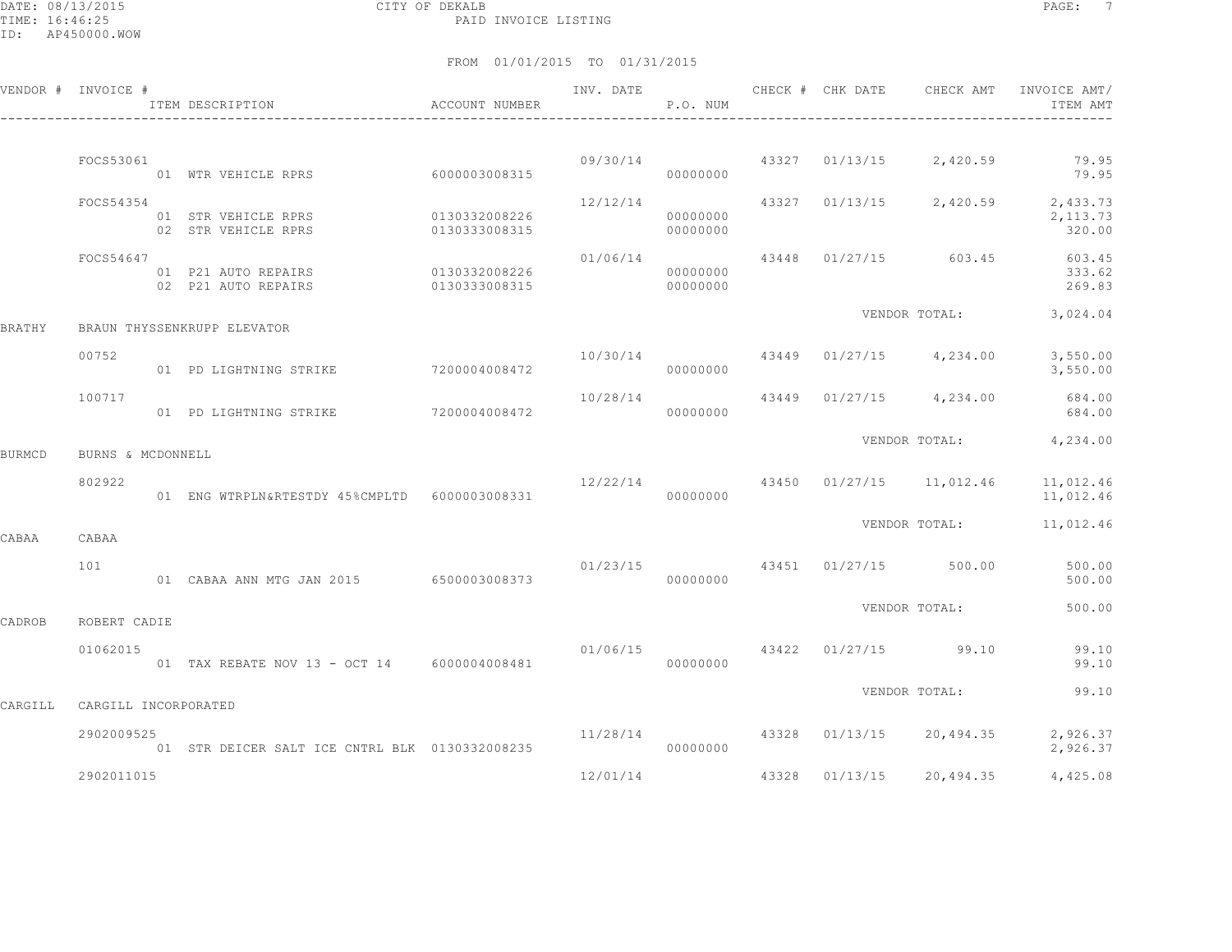DATE: 08/13/2015 CITY OF DEKALB PAGE: 7 PAID INVOICE LISTING

|         | VENDOR # INVOICE #   | ACCOUNT NUMBER<br>ITEM DESCRIPTION<br>---------------------------------- |                                | INV. DATE | P.O. NUM             | CHECK # CHK DATE | CHECK AMT                              | INVOICE AMT/<br>ITEM AMT                               |
|---------|----------------------|--------------------------------------------------------------------------|--------------------------------|-----------|----------------------|------------------|----------------------------------------|--------------------------------------------------------|
|         | FOCS53061            |                                                                          |                                | 09/30/14  |                      |                  | 43327 01/13/15 2,420.59                | 79.95                                                  |
|         |                      | 01 WTR VEHICLE RPRS                                                      | 60000003008315                 |           | 00000000             |                  |                                        | 79.95                                                  |
|         | FOCS54354            | 01 STR VEHICLE RPRS<br>02 STR VEHICLE RPRS                               | 0130332008226<br>0130333008315 | 12/12/14  | 00000000<br>00000000 |                  |                                        | 43327 01/13/15 2,420.59 2,433.73<br>2,113.73<br>320.00 |
|         | FOCS54647            | 01 P21 AUTO REPAIRS<br>02 P21 AUTO REPAIRS                               | 0130332008226<br>0130333008315 | 01/06/14  | 00000000<br>00000000 |                  |                                        | 43448 01/27/15 603.45 603.45<br>333.62<br>269.83       |
| BRATHY  |                      | BRAUN THYSSENKRUPP ELEVATOR                                              |                                |           |                      |                  | VENDOR TOTAL:                          | 3,024.04                                               |
|         | 00752                | 01 PD LIGHTNING STRIKE                                                   | 7200004008472                  | 10/30/14  | 00000000             |                  | 43449 01/27/15 4,234.00                | 3,550.00<br>3,550.00                                   |
|         | 100717               | 01 PD LIGHTNING STRIKE                                                   | 7200004008472                  | 10/28/14  | 00000000             |                  | 43449 01/27/15 4,234.00                | 684.00<br>684.00                                       |
| BURMCD  | BURNS & MCDONNELL    |                                                                          |                                |           |                      |                  |                                        | VENDOR TOTAL: 4,234.00                                 |
|         | 802922               | 01 ENG WTRPLN&RTESTDY 45%CMPLTD 6000003008331                            |                                |           | 00000000             |                  | $12/22/14$ 43450 01/27/15 11,012.46    | 11,012.46<br>11,012.46                                 |
| CABAA   | CABAA                |                                                                          |                                |           |                      |                  | VENDOR TOTAL:                          | 11,012.46                                              |
|         | 101                  | 01 CABAA ANN MTG JAN 2015 6500003008373                                  |                                | 00000000  |                      |                  | $01/23/15$ $43451$ $01/27/15$ $500.00$ | 500.00<br>500.00                                       |
| CADROB  | ROBERT CADIE         |                                                                          |                                |           |                      |                  | VENDOR TOTAL:                          | 500.00                                                 |
|         | 01062015             | 01 TAX REBATE NOV 13 - OCT 14 6000004008481                              |                                | 01/06/15  | 00000000             |                  | 43422 01/27/15 99.10                   | 99.10<br>99.10                                         |
|         |                      |                                                                          |                                |           |                      |                  | VENDOR TOTAL:                          | 99.10                                                  |
| CARGILL | CARGILL INCORPORATED |                                                                          |                                |           |                      |                  |                                        |                                                        |
|         | 2902009525           | 01 STR DEICER SALT ICE CNTRL BLK 0130332008235                           |                                | 11/28/14  | 00000000             | 43328 01/13/15   | 20,494.35                              | 2,926.37<br>2,926.37                                   |
|         | 2902011015           |                                                                          |                                | 12/01/14  |                      |                  | 43328 01/13/15 20,494.35               | 4,425.08                                               |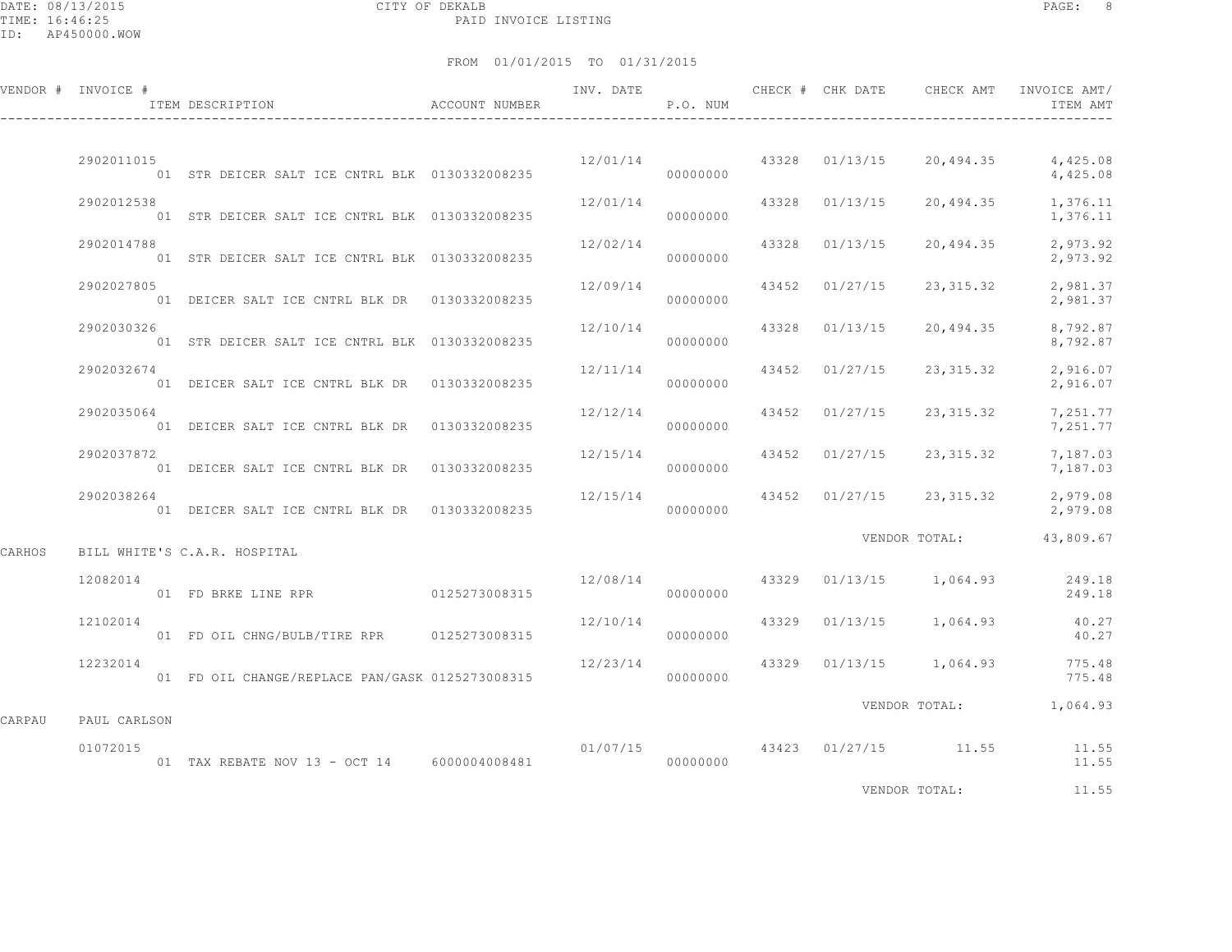DATE: 08/13/2015 CITY OF DEKALB PAGE: 8 PAID INVOICE LISTING

FROM 01/01/2015 TO 01/31/2015

|        | VENDOR # INVOICE # | ITEM DESCRIPTION                                | ACCOUNT NUMBER |                      | P.O. NUM |                | INV. DATE 6 CHECK # CHK DATE CHECK AMT INVOICE AMT/ | ITEM AMT                                                                                                                                                                                                                       |
|--------|--------------------|-------------------------------------------------|----------------|----------------------|----------|----------------|-----------------------------------------------------|--------------------------------------------------------------------------------------------------------------------------------------------------------------------------------------------------------------------------------|
|        | 2902011015         | 01 STR DEICER SALT ICE CNTRL BLK 0130332008235  |                | 000000000            |          |                | $12/01/14$ 43328 01/13/15 20,494.35                 | 4,425.08<br>4,425.08                                                                                                                                                                                                           |
|        | 2902012538         | 01 STR DEICER SALT ICE CNTRL BLK 0130332008235  |                | 12/01/14             | 00000000 |                | 43328 01/13/15 20,494.35 1,376.11                   | 1,376.11                                                                                                                                                                                                                       |
|        | 2902014788         | 01 STR DEICER SALT ICE CNTRL BLK 0130332008235  |                | 12/02/14             | 00000000 | 43328 01/13/15 |                                                     | 20,494.35 2,973.92<br>2,973.92                                                                                                                                                                                                 |
|        | 2902027805         | 01 DEICER SALT ICE CNTRL BLK DR 0130332008235   |                | 12/09/14             | 00000000 | 43452 01/27/15 | 23,315.32                                           | 2,981.37<br>2,981.37                                                                                                                                                                                                           |
|        | 2902030326         | 01 STR DEICER SALT ICE CNTRL BLK 0130332008235  |                | 12/10/14             | 00000000 | 43328 01/13/15 | 20,494.35                                           | 8,792.87<br>8,792.87                                                                                                                                                                                                           |
|        | 2902032674         | 01 DEICER SALT ICE CNTRL BLK DR 0130332008235   |                | 12/11/14             | 00000000 | 43452 01/27/15 | 23,315.32                                           | 2,916.07<br>2,916.07                                                                                                                                                                                                           |
|        | 2902035064         | 01 DEICER SALT ICE CNTRL BLK DR 0130332008235   |                | 12/12/14             | 00000000 |                | 43452 01/27/15 23,315.32                            | 7,251.77<br>7,251.77                                                                                                                                                                                                           |
|        | 2902037872         | 01 DEICER SALT ICE CNTRL BLK DR 0130332008235   |                | 12/15/14             | 00000000 | 43452 01/27/15 | 23,315.32                                           | 7,187.03<br>7,187.03                                                                                                                                                                                                           |
|        | 2902038264         | 01 DEICER SALT ICE CNTRL BLK DR 0130332008235   |                |                      | 00000000 |                | $12/15/14$ 43452 01/27/15 23,315.32                 | 2,979.08<br>2,979.08                                                                                                                                                                                                           |
| CARHOS |                    | BILL WHITE'S C.A.R. HOSPITAL                    |                |                      |          |                | VENDOR TOTAL:                                       | 43,809.67                                                                                                                                                                                                                      |
|        | 12082014           |                                                 |                |                      | 00000000 |                | 12/08/14 43329 01/13/15 1,064.93                    | 249.18<br>249.18                                                                                                                                                                                                               |
|        | 12102014           | 01 FD OIL CHNG/BULB/TIRE RPR 0125273008315      |                | 12/10/14             | 00000000 |                | 43329 01/13/15 1,064.93                             | 40.27<br>40.27                                                                                                                                                                                                                 |
|        | 12232014           | 01 FD OIL CHANGE/REPLACE PAN/GASK 0125273008315 |                | 12/23/14<br>00000000 |          |                | 43329 01/13/15 1,064.93 775.48                      | 775.48                                                                                                                                                                                                                         |
| CARPAU | PAUL CARLSON       |                                                 |                |                      |          |                | VENDOR TOTAL: 1,064.93                              |                                                                                                                                                                                                                                |
|        | 01072015           | 01 TAX REBATE NOV 13 - OCT 14 6000004008481     |                |                      | 00000000 |                | $01/07/15$ $43423$ $01/27/15$ $11.55$               | 11.55<br>11.55                                                                                                                                                                                                                 |
|        |                    |                                                 |                |                      |          |                | IIDIDOD MOMET                                       | and the contract of the contract of the contract of the contract of the contract of the contract of the contract of the contract of the contract of the contract of the contract of the contract of the contract of the contra |

VENDOR TOTAL: 11.55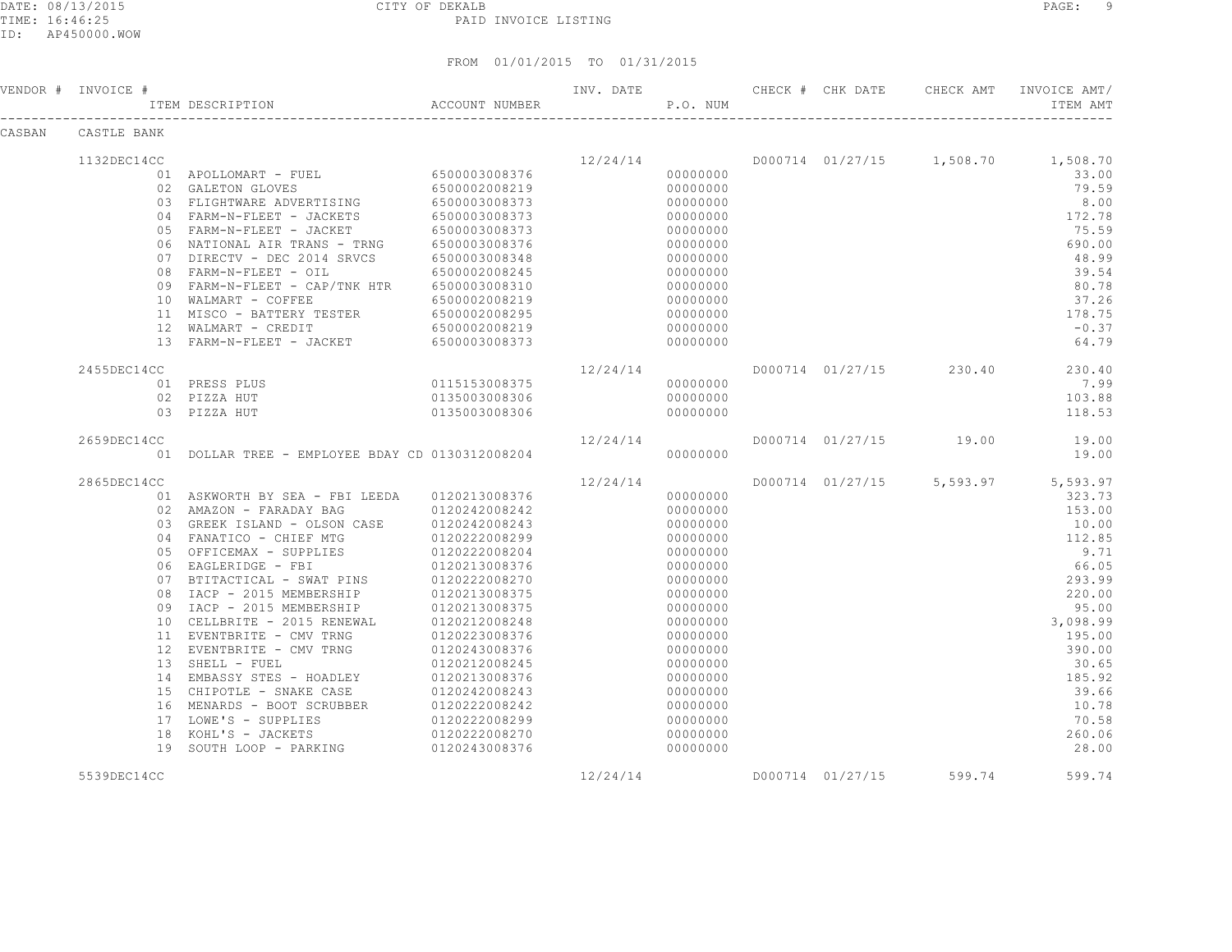DATE: 08/13/2015 CITY OF DEKALB PAGE: 9 PAID INVOICE LISTING

ID: AP450000.WOW

|        | VENDOR # INVOICE # | ITEM DESCRIPTION                                                                                                                                                                                                                                                 | ACCOUNT NUMBER                 | INV. DATE              | P.O. NUM             | CHECK # CHK DATE |                         | CHECK AMT INVOICE AMT/<br>ITEM AMT                    |
|--------|--------------------|------------------------------------------------------------------------------------------------------------------------------------------------------------------------------------------------------------------------------------------------------------------|--------------------------------|------------------------|----------------------|------------------|-------------------------|-------------------------------------------------------|
| CASBAN | CASTLE BANK        |                                                                                                                                                                                                                                                                  |                                |                        |                      |                  |                         |                                                       |
|        | 1132DEC14CC        |                                                                                                                                                                                                                                                                  |                                |                        |                      |                  |                         | $12/24/14$ $D000714$ $01/27/15$ $1,508.70$ $1,508.70$ |
|        |                    | 01 APOLLOMART - FUEL 6500003008376                                                                                                                                                                                                                               |                                |                        | 00000000             |                  |                         | 33.00                                                 |
|        |                    | 02 GALETON GLOVES                                                                                                                                                                                                                                                | 6500002008219                  |                        | 00000000             |                  |                         | 79.59                                                 |
|        |                    | 02 GALEION GLOVEO<br>03 FLIGHTWARE ADVERTISING 6500003008373<br>04 FARM-N-FLEET - JACKETS 6500003008373                                                                                                                                                          |                                |                        | 00000000             |                  |                         | 8.00                                                  |
|        |                    |                                                                                                                                                                                                                                                                  |                                |                        | 00000000             |                  |                         | 172.78                                                |
|        |                    |                                                                                                                                                                                                                                                                  |                                |                        | 00000000             |                  |                         | 75.59                                                 |
|        |                    |                                                                                                                                                                                                                                                                  |                                |                        | 00000000             |                  |                         | 690.00                                                |
|        |                    |                                                                                                                                                                                                                                                                  |                                |                        | 00000000             |                  |                         | 48.99                                                 |
|        |                    | 07 DIRECTV - DEC 2014 SRVCS 6500003008348<br>08 FARM-N-FLEET - OIL 6500002008245                                                                                                                                                                                 |                                |                        | 00000000             |                  |                         | 39.54                                                 |
|        |                    | 09 FARM-N-FLEET - CAP/TNK HTR 6500003008310                                                                                                                                                                                                                      |                                |                        | 00000000             |                  |                         | 80.78                                                 |
|        |                    | 10 WALMART - COFFEE 6500002008219<br>11 MISCO - BATTERY TESTER 6500002008295<br>12 WALMART - CREDIT 6500002008219                                                                                                                                                |                                |                        | 00000000             |                  |                         | 37.26                                                 |
|        |                    |                                                                                                                                                                                                                                                                  |                                |                        | 00000000             |                  |                         | 178.75                                                |
|        |                    |                                                                                                                                                                                                                                                                  |                                |                        | 00000000             |                  |                         | $-0.37$                                               |
|        |                    | 13 FARM-N-FLEET - JACKET 6500003008373                                                                                                                                                                                                                           |                                |                        | 00000000             |                  |                         | 64.79                                                 |
|        | 2455DEC14CC        |                                                                                                                                                                                                                                                                  |                                | 12/24/14               |                      |                  |                         | D000714 01/27/15 230.40 230.40                        |
|        |                    | 01 PRESS PLUS 0115153008375                                                                                                                                                                                                                                      |                                |                        | 00000000             |                  |                         | 7.99                                                  |
|        |                    | 02 PIZZA HUT                                                                                                                                                                                                                                                     | 0135003008306<br>0135003008306 |                        | 00000000             |                  |                         | 103.88                                                |
|        |                    | 03 PIZZA HUT                                                                                                                                                                                                                                                     |                                |                        | 00000000             |                  |                         | 118.53                                                |
|        | 2659DEC14CC        |                                                                                                                                                                                                                                                                  |                                | 12/24/14               |                      |                  |                         | D000714 01/27/15 19.00 19.00                          |
|        |                    | 01 DOLLAR TREE - EMPLOYEE BDAY CD 0130312008204                                                                                                                                                                                                                  |                                |                        | 00000000             |                  |                         | 19.00                                                 |
|        | 2865DEC14CC        |                                                                                                                                                                                                                                                                  |                                | $12/24/14$<br>00000000 |                      |                  |                         | D000714 01/27/15 5,593.97 5,593.97                    |
|        |                    | 01 ASKWORTH BY SEA - FBI LEEDA   0120213008376                                                                                                                                                                                                                   |                                |                        | 00000000             |                  |                         | 323.73                                                |
|        |                    |                                                                                                                                                                                                                                                                  |                                |                        | 00000000             |                  |                         | 153.00                                                |
|        |                    |                                                                                                                                                                                                                                                                  |                                |                        | 00000000             |                  |                         | 10.00                                                 |
|        |                    |                                                                                                                                                                                                                                                                  |                                |                        | 00000000             |                  |                         | 112.85                                                |
|        |                    |                                                                                                                                                                                                                                                                  |                                |                        | 00000000             |                  |                         | 9.71                                                  |
|        |                    |                                                                                                                                                                                                                                                                  |                                |                        | 00000000             |                  |                         | 66.05                                                 |
|        |                    |                                                                                                                                                                                                                                                                  |                                |                        | 00000000             |                  |                         | 293.99                                                |
|        |                    | 03 GREEK ISLAND - OLSON CASE 6120222008299<br>05 OFFICEMAX - SUPPLIES 6120222008299<br>06 EAGLERIDGE - FBI 6120222008204<br>07 BTITACTICAL - SWAT PINS 0120213008376<br>07 BTITACTICAL - SWAT PINS 0120213008375<br>08 IACP - 2015 MEMBE                         |                                |                        | 00000000             |                  |                         | 220.00                                                |
|        |                    |                                                                                                                                                                                                                                                                  |                                |                        | 00000000             |                  |                         | 95.00                                                 |
|        |                    |                                                                                                                                                                                                                                                                  |                                |                        | 00000000             |                  |                         | 3,098.99                                              |
|        |                    |                                                                                                                                                                                                                                                                  |                                |                        | 00000000             |                  |                         | 195.00                                                |
|        |                    |                                                                                                                                                                                                                                                                  |                                |                        | 00000000             |                  |                         | 390.00                                                |
|        |                    |                                                                                                                                                                                                                                                                  |                                |                        | 00000000             |                  |                         | 30.65                                                 |
|        |                    |                                                                                                                                                                                                                                                                  |                                |                        | 00000000             |                  |                         | 185.92                                                |
|        |                    |                                                                                                                                                                                                                                                                  |                                |                        | 00000000             |                  |                         | 39.66                                                 |
|        |                    |                                                                                                                                                                                                                                                                  |                                |                        | 00000000             |                  |                         | 10.78                                                 |
|        |                    |                                                                                                                                                                                                                                                                  |                                |                        | 00000000             |                  |                         | 70.58                                                 |
|        |                    | 12<br>12<br>2VENTBEITE - CMV TRNG<br>13<br>SHELL - FUEL<br>13<br>EMBASSY STES - HOADLEY<br>13<br>CHIPOTLE - SNAKE CASE<br>15<br>CHIPOTLE - SNAKE CASE<br>16<br>MENARDS - BOOT SCRUBBER<br>16<br>MENARDS - BOOT SCRUBBER<br>120222008242<br>17<br>LOWE'S - SUPPLI |                                |                        | 00000000<br>00000000 |                  |                         | 260.06<br>28.00                                       |
|        |                    |                                                                                                                                                                                                                                                                  |                                |                        |                      |                  |                         |                                                       |
|        | 5539DEC14CC        |                                                                                                                                                                                                                                                                  |                                | 12/24/14               |                      |                  | D000714 01/27/15 599.74 | 599.74                                                |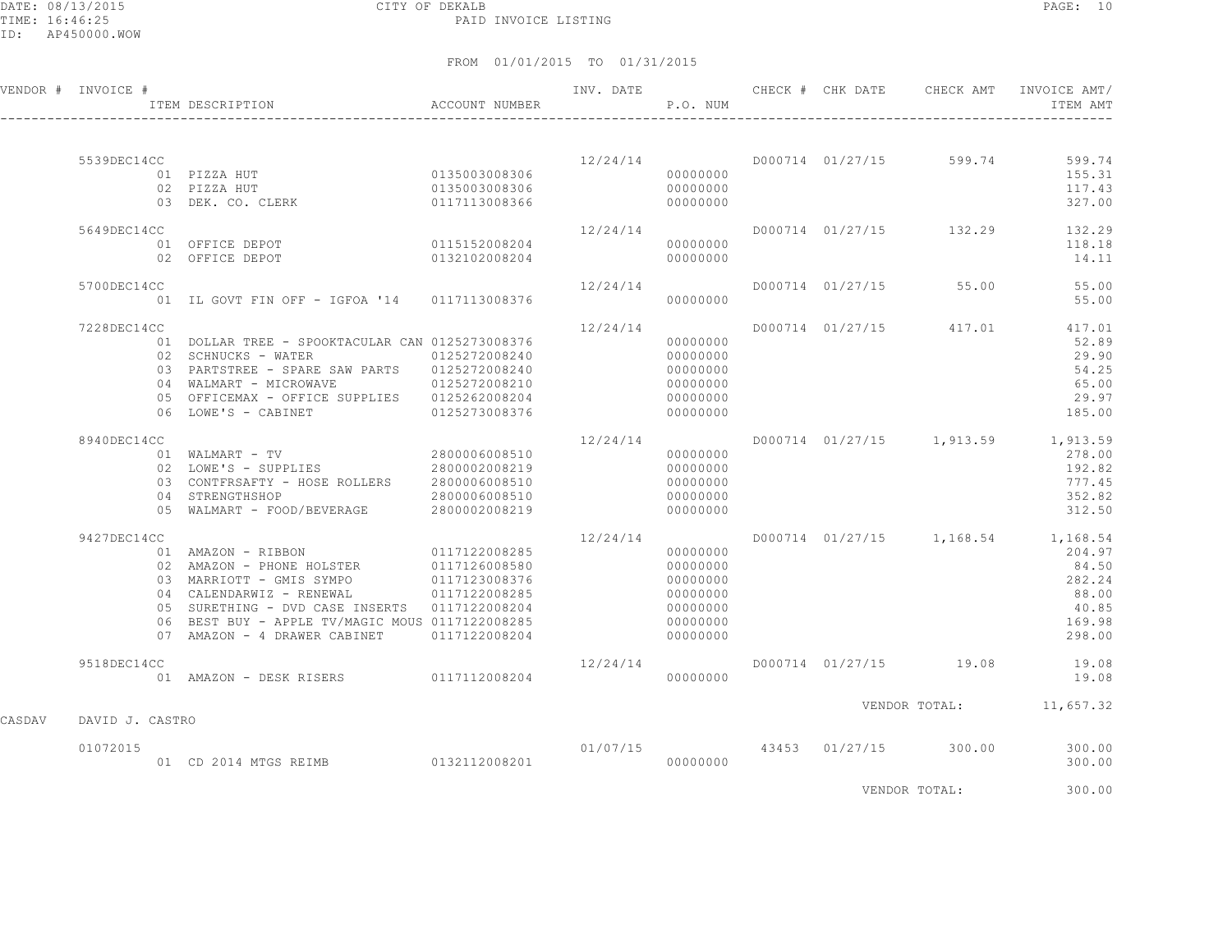DATE: 08/13/2015 CITY OF DEKALB PAGE: 10 PAID INVOICE LISTING

FROM 01/01/2015 TO 01/31/2015

|        | VENDOR # INVOICE # | ACCOUNT NUMBER<br>ITEM DESCRIPTION                |               |                           | P.O. NUM |  | INV. DATE CHECK # CHK DATE CHECK AMT | INVOICE AMT/<br>ITEM AMT |
|--------|--------------------|---------------------------------------------------|---------------|---------------------------|----------|--|--------------------------------------|--------------------------|
|        |                    |                                                   |               |                           |          |  |                                      |                          |
|        | 5539DEC14CC        |                                                   |               |                           |          |  | $12/24/14$ D000714 01/27/15 599.74   | 599.74                   |
|        |                    |                                                   |               |                           | 00000000 |  |                                      | 155.31                   |
|        |                    | 02 PIZZA HUT                                      | 0135003008306 |                           | 00000000 |  |                                      | 117.43                   |
|        |                    | 03 DEK. CO. CLERK                                 | 0117113008366 |                           | 00000000 |  |                                      | 327.00                   |
|        | 5649DEC14CC        |                                                   |               | 12/24/14                  |          |  | D000714 01/27/15 132.29              | 132.29                   |
|        |                    | 01 OFFICE DEPOT                                   | 0115152008204 |                           | 00000000 |  |                                      | 118.18                   |
|        |                    | 02 OFFICE DEPOT                                   | 0132102008204 |                           | 00000000 |  |                                      | 14.11                    |
|        | 5700DEC14CC        |                                                   |               | 12/24/14                  |          |  | D000714 01/27/15 55.00               | 55.00                    |
|        |                    | 01 IL GOVT FIN OFF - IGFOA '14 0117113008376      |               |                           | 00000000 |  |                                      | 55.00                    |
|        |                    |                                                   |               |                           |          |  |                                      |                          |
|        | 7228DEC14CC        |                                                   |               | 12/24/14                  |          |  | D000714 01/27/15 417.01              | 417.01                   |
|        |                    | 01 DOLLAR TREE - SPOOKTACULAR CAN 0125273008376   |               |                           | 00000000 |  |                                      | 52.89                    |
|        |                    | 02 SCHNUCKS - WATER                               | 0125272008240 |                           | 00000000 |  |                                      | 29.90                    |
|        |                    | 03 PARTSTREE - SPARE SAW PARTS 0125272008240      |               |                           | 00000000 |  |                                      | 54.25                    |
|        |                    | 04 WALMART - MICROWAVE 0125272008210              |               |                           | 00000000 |  |                                      | 65.00                    |
|        |                    | 05 OFFICEMAX - OFFICE SUPPLIES 0125262008204      |               |                           | 00000000 |  |                                      | 29.97                    |
|        |                    | 06 LOWE'S - CABINET                               | 0125273008376 |                           | 00000000 |  |                                      | 185.00                   |
|        | 8940DEC14CC        |                                                   |               | 12/24/14                  |          |  | D000714 01/27/15 1,913.59 1,913.59   |                          |
|        |                    |                                                   |               |                           | 00000000 |  |                                      | 278.00                   |
|        |                    | 02 LOWE'S - SUPPLIES 2800002008219                |               |                           | 00000000 |  |                                      | 192.82                   |
|        |                    | 03    CONTFRSAFTY - HOSE ROLLERS    2800006008510 |               |                           | 00000000 |  |                                      | 777.45                   |
|        |                    |                                                   |               |                           | 00000000 |  |                                      | 352.82                   |
|        |                    |                                                   |               |                           | 00000000 |  |                                      | 312.50                   |
|        | 9427DEC14CC        |                                                   |               | 12/24/14                  |          |  | D000714 01/27/15 1,168.54 1,168.54   |                          |
|        |                    |                                                   |               |                           | 00000000 |  |                                      | 204.97                   |
|        |                    |                                                   |               |                           | 00000000 |  |                                      | 84.50                    |
|        |                    | 03 MARRIOTT - GMIS SYMPO 0117123008376            |               |                           | 00000000 |  |                                      | 282.24                   |
|        |                    | 04 CALENDARWIZ - RENEWAL                          | 0117122008285 |                           | 00000000 |  |                                      | 88.00                    |
|        |                    | 05 SURETHING - DVD CASE INSERTS 0117122008204     |               |                           | 00000000 |  |                                      | 40.85                    |
|        |                    | 06 BEST BUY - APPLE TV/MAGIC MOUS 0117122008285   |               |                           | 00000000 |  |                                      | 169.98                   |
|        |                    | 07 AMAZON - 4 DRAWER CABINET 0117122008204        |               |                           | 00000000 |  |                                      | 298.00                   |
|        | 9518DEC14CC        |                                                   |               | 12/24/14                  |          |  | D000714 01/27/15 19.08 19.08         |                          |
|        |                    | 01 AMAZON - DESK RISERS 0117112008204             |               |                           | 00000000 |  |                                      | 19.08                    |
|        |                    |                                                   |               |                           |          |  | VENDOR TOTAL: 11,657.32              |                          |
| CASDAV | DAVID J. CASTRO    |                                                   |               |                           |          |  |                                      |                          |
|        | 01072015           |                                                   |               | $01/07/15$ 43453 01/27/15 |          |  | 300.00                               | 300.00                   |
|        |                    | 01 CD 2014 MTGS REIMB 0132112008201               |               |                           | 00000000 |  |                                      | 300.00                   |
|        |                    |                                                   |               |                           |          |  |                                      |                          |

VENDOR TOTAL: 300.00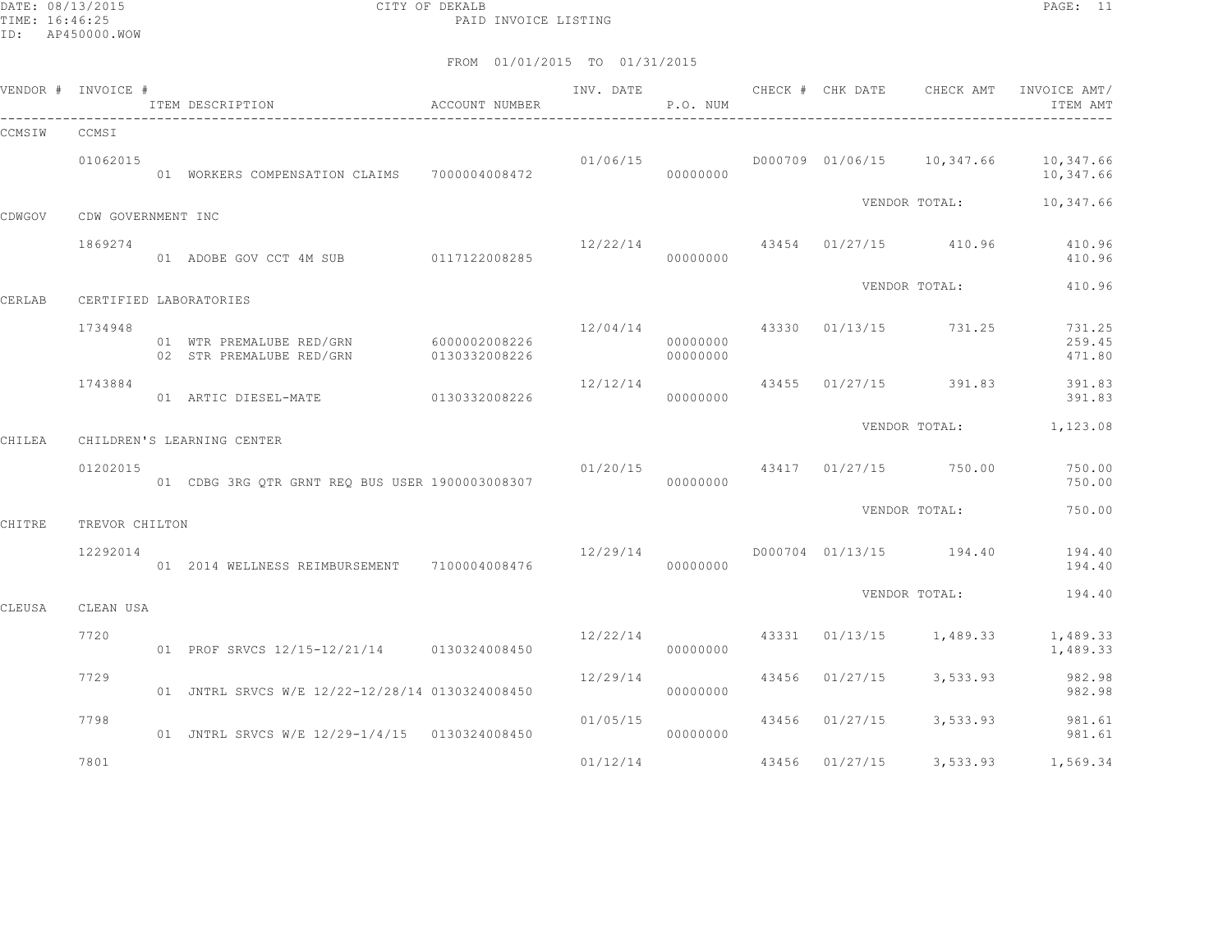DATE: 08/13/2015 CITY OF DEKALB PAGE: 11 PAID INVOICE LISTING

|        | VENDOR # INVOICE # | ITEM DESCRIPTION<br>$\hfill$<br>ACCOUNT NUMBER                     |               | INV. DATE                              | P.O. NUM             |                                |                                    | ITEM AMT                                                             |
|--------|--------------------|--------------------------------------------------------------------|---------------|----------------------------------------|----------------------|--------------------------------|------------------------------------|----------------------------------------------------------------------|
| CCMSIW | CCMSI              |                                                                    |               |                                        |                      |                                |                                    |                                                                      |
|        | 01062015           | 01 WORKERS COMPENSATION CLAIMS 7000004008472                       |               |                                        | 00000000             |                                |                                    | $01/06/15$ $0000709$ $01/06/15$ $10,347.66$ $10,347.66$<br>10,347.66 |
| CDWGOV | CDW GOVERNMENT INC |                                                                    |               |                                        |                      |                                | VENDOR TOTAL:                      | 10,347.66                                                            |
|        |                    |                                                                    |               |                                        |                      |                                |                                    |                                                                      |
|        | 1869274            | 01 ADOBE GOV CCT 4M SUB 0117122008285                              |               | 00000000                               |                      |                                | $12/22/14$ 43454 01/27/15 410.96   | 410.96<br>410.96                                                     |
| CERLAB |                    | CERTIFIED LABORATORIES                                             |               |                                        |                      |                                | VENDOR TOTAL:                      | 410.96                                                               |
|        |                    |                                                                    |               |                                        |                      |                                |                                    |                                                                      |
|        | 1734948            | 01 WTR PREMALUBE RED/GRN 6000002008226<br>02 STR PREMALUBE RED/GRN | 0130332008226 |                                        | 00000000<br>00000000 | 12/04/14 43330 01/13/15 731.25 |                                    | 731.25<br>259.45<br>471.80                                           |
|        | 1743884            |                                                                    |               | 12/12/14                               | 00000000             |                                | 43455 01/27/15 391.83              | 391.83<br>391.83                                                     |
|        |                    |                                                                    |               |                                        |                      |                                |                                    | VENDOR TOTAL: 1,123.08                                               |
| CHILEA |                    | CHILDREN'S LEARNING CENTER                                         |               |                                        |                      |                                |                                    |                                                                      |
|        | 01202015           | 01 CDBG 3RG OTR GRNT REO BUS USER 1900003008307                    |               | $01/20/15$ $43417$ $01/27/15$ $750.00$ | 00000000             |                                |                                    | 750.00<br>750.00                                                     |
| CHITRE | TREVOR CHILTON     |                                                                    |               |                                        |                      |                                | VENDOR TOTAL:                      | 750.00                                                               |
|        |                    |                                                                    |               |                                        |                      |                                |                                    |                                                                      |
|        | 12292014           | 01  2014  WELLNESS REIMBURSEMENT  7100004008476                    |               | 12/29/14                               | 00000000             |                                | D000704 01/13/15 194.40            | 194.40<br>194.40                                                     |
| CLEUSA | CLEAN USA          |                                                                    |               |                                        |                      |                                | VENDOR TOTAL:                      | 194.40                                                               |
|        | 7720               |                                                                    |               |                                        |                      |                                | $12/22/14$ 43331 01/13/15 1,489.33 | 1,489.33                                                             |
|        |                    | 01 PROF SRVCS 12/15-12/21/14 0130324008450                         |               |                                        | 00000000             |                                |                                    | 1,489.33                                                             |
|        | 7729               | 01 JNTRL SRVCS W/E 12/22-12/28/14 0130324008450                    |               | 12/29/14                               | 00000000             |                                | 43456 01/27/15 3,533.93            | 982.98<br>982.98                                                     |
|        | 7798               | 01 JNTRL SRVCS W/E 12/29-1/4/15 0130324008450                      |               | 01/05/15                               | 00000000             |                                |                                    | 43456 01/27/15 3,533.93 981.61<br>981.61                             |
|        | 7801               |                                                                    |               | 01/12/14                               |                      |                                |                                    | 43456 01/27/15 3,533.93 1,569.34                                     |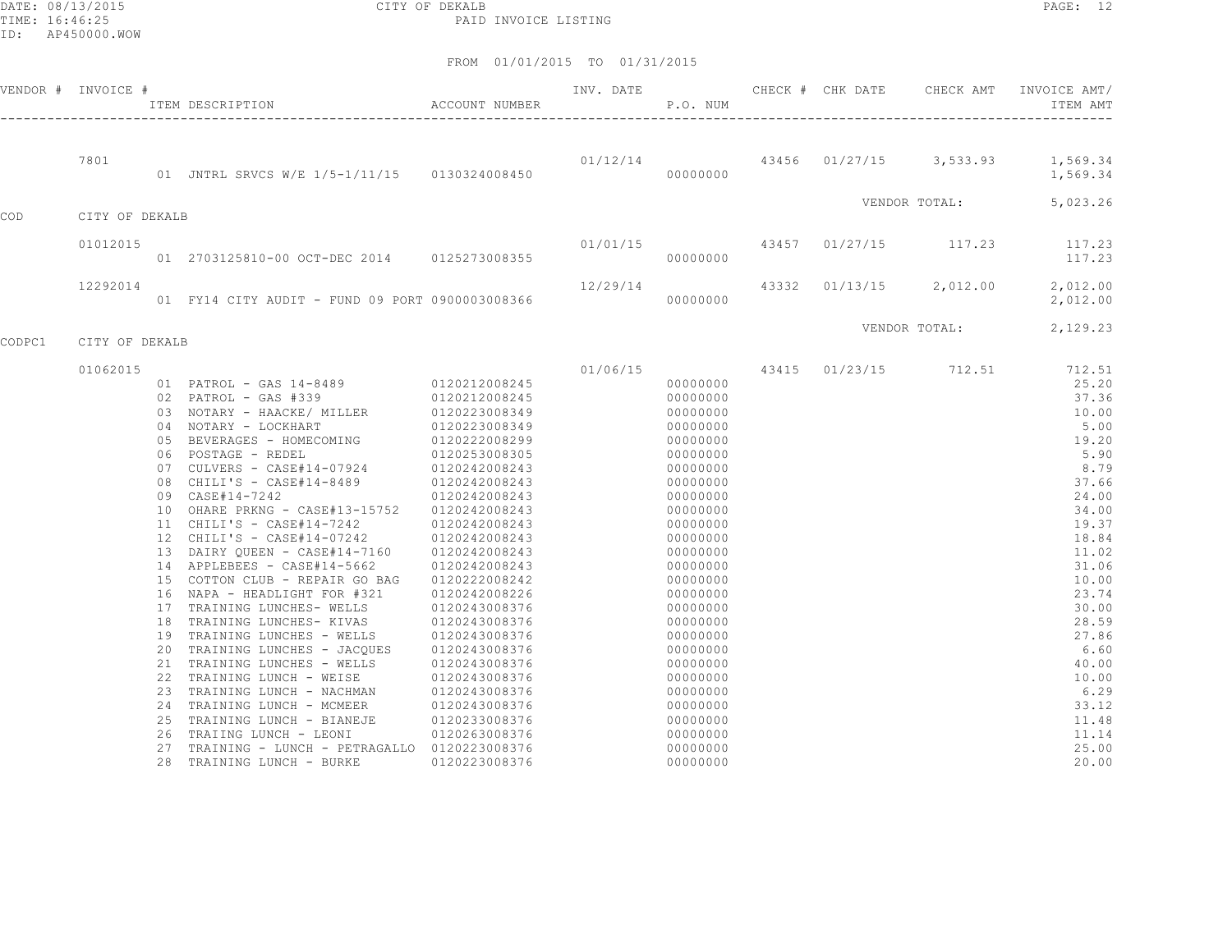DATE: 08/13/2015 CITY OF DEKALB PAGE: 12 PAID INVOICE LISTING

|        | VENDOR # INVOICE # | ITEM DESCRIPTION ACCOUNT NUMBER                                                                                                                          |                                                     | P.O. NUM |                      |  | INV. DATE 6 CHECK # CHK DATE CHECK AMT INVOICE AMT/<br>ITEM AMT |
|--------|--------------------|----------------------------------------------------------------------------------------------------------------------------------------------------------|-----------------------------------------------------|----------|----------------------|--|-----------------------------------------------------------------|
|        |                    |                                                                                                                                                          |                                                     |          |                      |  |                                                                 |
|        | 7801               | 01 JNTRL SRVCS W/E 1/5-1/11/15  0130324008450  000000000  00000000                                                                                       | $01/12/14$ $43456$ $01/27/15$ $3,533.93$ $1,569.34$ |          |                      |  | 1,569.34                                                        |
| COD    | CITY OF DEKALB     |                                                                                                                                                          |                                                     |          |                      |  | VENDOR TOTAL: 5,023.26                                          |
|        |                    |                                                                                                                                                          |                                                     |          |                      |  |                                                                 |
|        | 01012015           | $01/01/15$ $01 2703125810-00 0CT-DEC 2014$ $0125273008355$ $01/01/15$ $000000000$ $000000000$                                                            |                                                     |          |                      |  |                                                                 |
|        | 12292014           | 01 FY14 CITY AUDIT - FUND 09 PORT 0900003008366                                                                                                          |                                                     |          | 00000000             |  | $12/29/14$ $43332$ $01/13/15$ $2,012.00$ $2,012.00$<br>2,012.00 |
|        |                    |                                                                                                                                                          |                                                     |          |                      |  |                                                                 |
| CODPC1 | CITY OF DEKALB     |                                                                                                                                                          |                                                     |          |                      |  | VENDOR TOTAL: 2,129.23                                          |
|        | 01062015           |                                                                                                                                                          |                                                     |          |                      |  | $01/06/15$ $43415$ $01/23/15$ $712.51$ $712.51$                 |
|        |                    | 01 PATROL - GAS 14-8489<br>02 PATROL - GAS #339<br>0120212008245<br>03 NOTARY - HAACKE/ MILLER<br>0120223008349<br>04 NOTARY - LOCKHART<br>0120223008349 |                                                     |          | 00000000             |  | 25.20                                                           |
|        |                    |                                                                                                                                                          |                                                     |          | 00000000             |  | 37.36                                                           |
|        |                    |                                                                                                                                                          |                                                     |          | 00000000             |  | 10.00                                                           |
|        |                    |                                                                                                                                                          |                                                     |          | 00000000             |  | 5.00                                                            |
|        |                    | 04 NOIANI DOORRAMING 0120222008299<br>05 BEVERAGES – HOMECOMING 0120222008299<br>06 POSTAGE – REDEL 0120253008305                                        |                                                     |          | 00000000             |  | 19.20                                                           |
|        |                    |                                                                                                                                                          |                                                     |          | 00000000<br>00000000 |  | 5.90<br>8.79                                                    |
|        |                    | 07 CULVERS - CASE#14-07924 0120242008243<br>08 CHILI'S - CASE#14-8489 0120242008243                                                                      |                                                     |          | 00000000             |  | 37.66                                                           |
|        |                    | 09 CASE#14-7242                                                                                                                                          | 0120242008243                                       |          | 00000000             |  | 24.00                                                           |
|        |                    | 10 OHARE PRKNG - CASE#13-15752 0120242008243                                                                                                             |                                                     |          | 00000000             |  | 34.00                                                           |
|        |                    |                                                                                                                                                          |                                                     |          | 00000000             |  | 19.37                                                           |
|        |                    | $11 \quad CHILI'S - CABE#14-7242 \qquad 0120242008243$ $12 \quad CHILI'S - CABE#14-07242 \qquad 0120242008243$                                           |                                                     |          | 00000000             |  | 18.84                                                           |
|        |                    | 13 DAIRY QUEEN - CASE#14-7160 0120242008243                                                                                                              |                                                     |          | 00000000             |  | 11.02                                                           |
|        |                    | 14 APPLEBEES - CASE#14-5662                                                                                                                              | 0120242008243                                       |          | 00000000             |  | 31.06                                                           |
|        |                    | 15 COTTON CLUB - REPAIR GO BAG                                                                                                                           | 0120222008242                                       |          | 00000000             |  | 10.00                                                           |
|        |                    | 16 NAPA - HEADLIGHT FOR #321                                                                                                                             | 0120242008226                                       |          | 00000000             |  | 23.74                                                           |
|        |                    |                                                                                                                                                          |                                                     |          | 00000000             |  | 30.00                                                           |
|        |                    | 17 TRAINING LUNCHES- WELLS 0120243008376<br>18 TRAINING LUNCHES- KIVAS 0120243008376                                                                     |                                                     |          | 00000000             |  | 28.59                                                           |
|        |                    | 19 TRAINING LUNCHES - WELLS 0120243008376                                                                                                                |                                                     |          | 00000000             |  | 27.86                                                           |
|        |                    | 20 TRAINING LUNCHES - JACQUES 0120243008376                                                                                                              |                                                     |          | 00000000             |  | 6.60                                                            |
|        |                    | 21 TRAINING LUNCHES - WELLS                                                                                                                              | 0120243008376<br>0120243008376                      |          | 00000000             |  | 40.00                                                           |
|        |                    | 22 TRAINING LUNCH - WEISE                                                                                                                                | 0120243008376                                       |          | 00000000             |  | 10.00                                                           |
|        |                    |                                                                                                                                                          |                                                     |          | 00000000             |  | 6.29                                                            |
|        |                    |                                                                                                                                                          |                                                     |          | 00000000             |  | 33.12                                                           |
|        |                    | 25 TRAINING LUNCH - BIANEJE                                                                                                                              | 0120233008376                                       |          | 00000000             |  | 11.48                                                           |
|        |                    | 26 TRAIING LUNCH - LEONI                                                                                                                                 | 0120263008376                                       |          | 00000000             |  | 11.14                                                           |
|        |                    | 27 TRAINING - LUNCH - PETRAGALLO 0120223008376                                                                                                           |                                                     |          | 00000000             |  | 25.00                                                           |
|        |                    | 28 TRAINING LUNCH - BURKE                                                                                                                                | 0120223008376                                       |          | 00000000             |  | 20.00                                                           |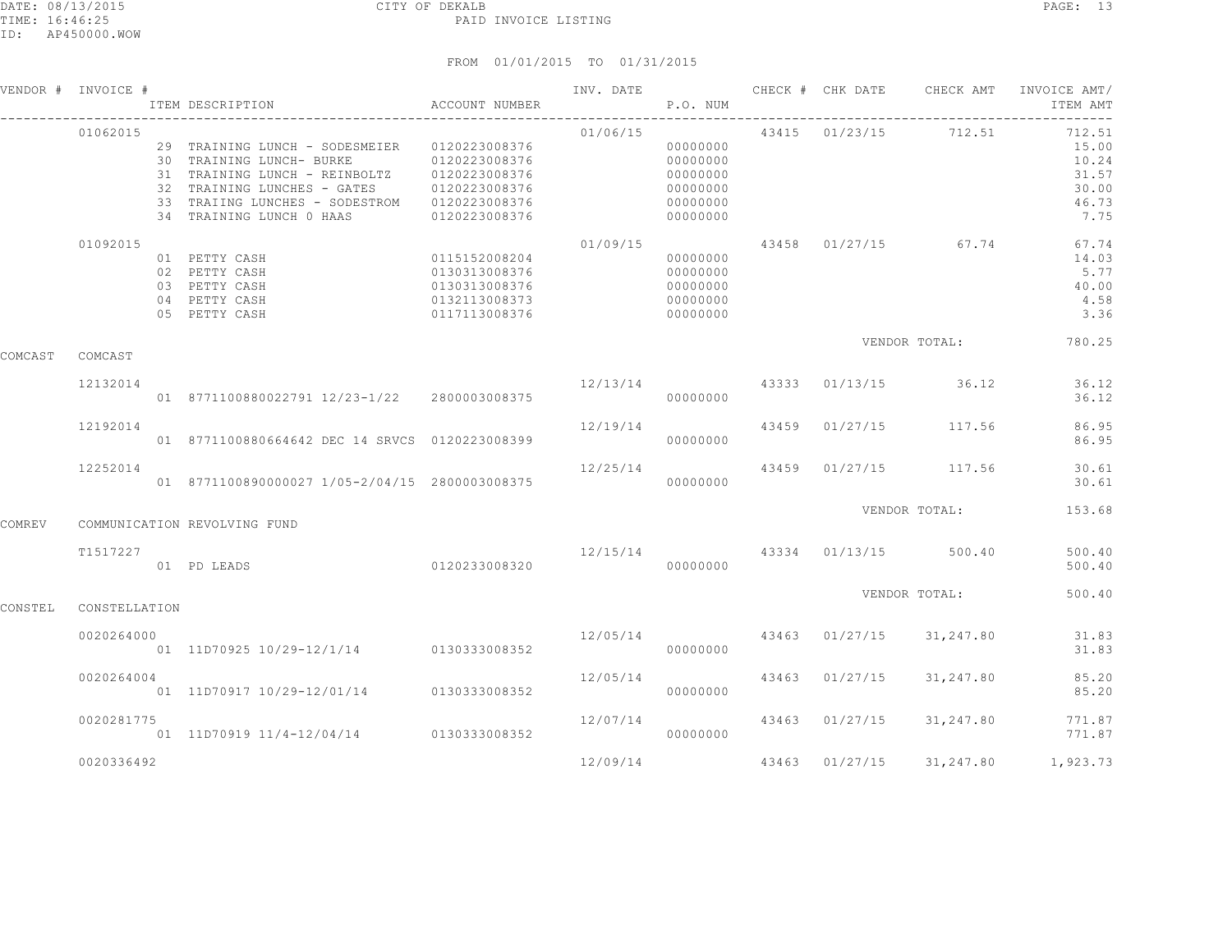|         | VENDOR # INVOICE # | ITEM DESCRIPTION                                                                                                                                                                                                     | ACCOUNT NUMBER                                                                    | INV. DATE      | P.O. NUM                                                             |       |                | CHECK # CHK DATE CHECK AMT | INVOICE AMT/<br>ITEM AMT                                    |
|---------|--------------------|----------------------------------------------------------------------------------------------------------------------------------------------------------------------------------------------------------------------|-----------------------------------------------------------------------------------|----------------|----------------------------------------------------------------------|-------|----------------|----------------------------|-------------------------------------------------------------|
|         | 01062015           | 29 TRAINING LUNCH - SODESMEIER 0120223008376<br>30 TRAINING LUNCH- BURKE<br>31 TRAINING LUNCH - REINBOLTZ<br>32 TRAINING LUNCHES - GATES 0120223008376<br>33 TRAIING LUNCHES - SODESTROM<br>34 TRAINING LUNCH 0 HAAS | 0120223008376<br>0120223008376<br>0120223008376<br>0120223008376                  | 01/06/15       | 00000000<br>00000000<br>00000000<br>00000000<br>00000000<br>00000000 |       |                | 43415 01/23/15 712.51      | 712.51<br>15.00<br>10.24<br>31.57<br>30.00<br>46.73<br>7.75 |
|         | 01092015           | 01 PETTY CASH<br>02 PETTY CASH<br>03 PETTY CASH<br>04 PETTY CASH<br>05 PETTY CASH                                                                                                                                    | 0115152008204<br>0130313008376<br>0130313008376<br>0132113008373<br>0117113008376 | 01/09/15       | 00000000<br>00000000<br>00000000<br>00000000<br>00000000             |       |                | 43458 01/27/15 67.74       | 67.74<br>14.03<br>5.77<br>40.00<br>4.58<br>3.36             |
| COMCAST | COMCAST            |                                                                                                                                                                                                                      |                                                                                   |                |                                                                      |       |                | VENDOR TOTAL:              | 780.25                                                      |
|         | 12132014           | 01 8771100880022791 12/23-1/22 2800003008375                                                                                                                                                                         |                                                                                   | 12/13/14 43333 | 00000000                                                             |       |                | $01/13/15$ 36.12           | 36.12<br>36.12                                              |
|         | 12192014           | 01 8771100880664642 DEC 14 SRVCS 0120223008399                                                                                                                                                                       |                                                                                   | 12/19/14       | 00000000                                                             | 43459 |                | $01/27/15$ 117.56          | 86.95<br>86.95                                              |
|         | 12252014           | 01 8771100890000027 1/05-2/04/15 2800003008375                                                                                                                                                                       |                                                                                   | 12/25/14       | 00000000                                                             | 43459 |                | 01/27/15 117.56            | 30.61<br>30.61                                              |
| COMREV  |                    | COMMUNICATION REVOLVING FUND                                                                                                                                                                                         |                                                                                   |                |                                                                      |       |                | VENDOR TOTAL:              | 153.68                                                      |
|         | T1517227           | 01 PD LEADS                                                                                                                                                                                                          | 0120233008320                                                                     | 12/15/14       | 00000000                                                             |       | 43334 01/13/15 | 500.40                     | 500.40<br>500.40                                            |
| CONSTEL | CONSTELLATION      |                                                                                                                                                                                                                      |                                                                                   |                |                                                                      |       |                | VENDOR TOTAL:              | 500.40                                                      |
|         | 0020264000         | 01 11D70925 10/29-12/1/14 0130333008352                                                                                                                                                                              |                                                                                   | 12/05/14       | 00000000                                                             |       | 43463 01/27/15 | 31,247.80                  | 31.83<br>31.83                                              |
|         | 0020264004         | 01 11D70917 10/29-12/01/14 0130333008352                                                                                                                                                                             |                                                                                   | 12/05/14       | 00000000                                                             | 43463 | 01/27/15       | 31,247.80                  | 85.20<br>85.20                                              |
|         | 0020281775         | 01 11D70919 11/4-12/04/14 0130333008352                                                                                                                                                                              |                                                                                   | 12/07/14       | 00000000                                                             |       | 43463 01/27/15 | 31,247.80                  | 771.87<br>771.87                                            |
|         | 0020336492         |                                                                                                                                                                                                                      |                                                                                   | 12/09/14       |                                                                      |       | 43463 01/27/15 | 31,247.80                  | 1,923.73                                                    |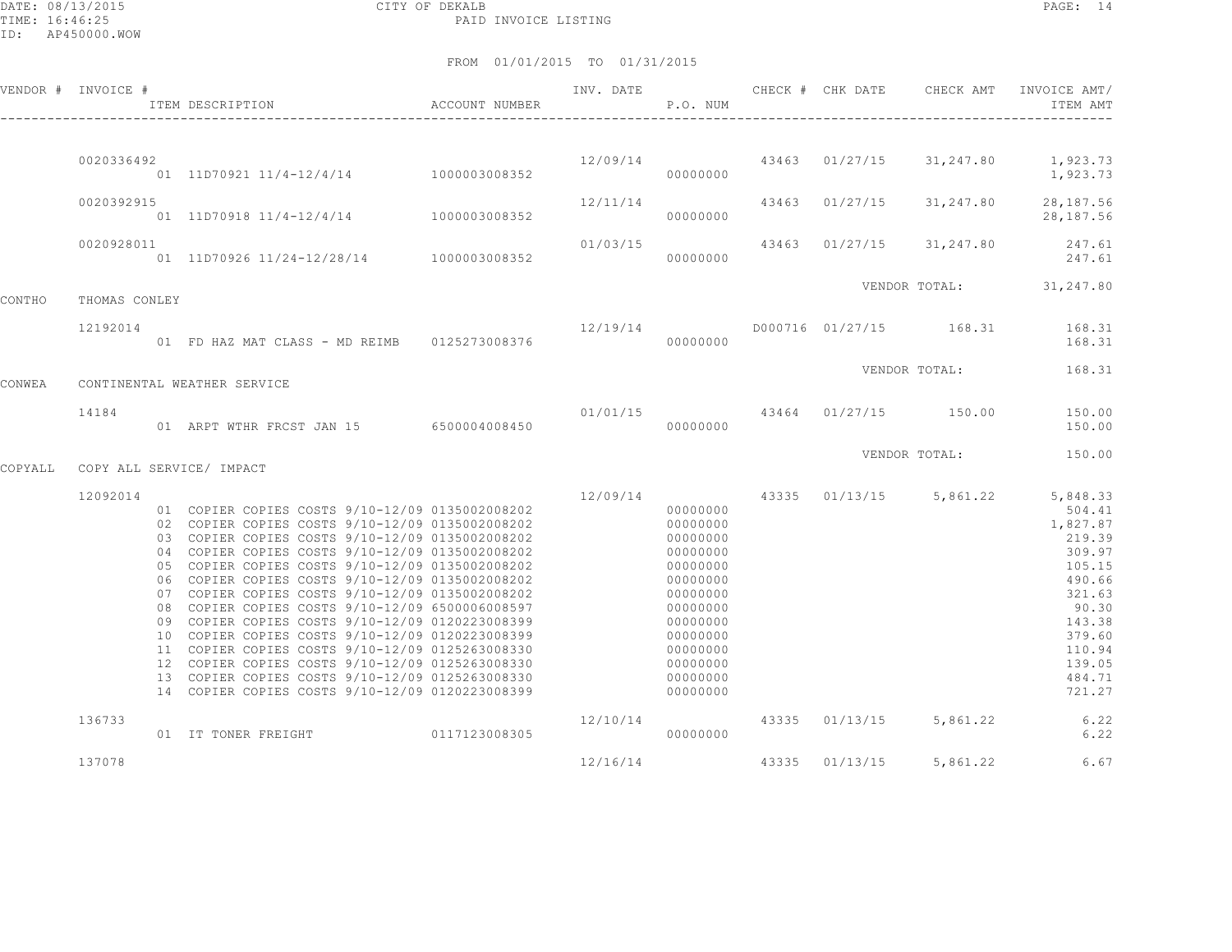DATE: 08/13/2015 CITY OF DEKALB PAGE: 14 PAID INVOICE LISTING

|         | VENDOR # INVOICE # | ACCOUNT NUMBER<br>ITEM DESCRIPTION                                                                                                                                                                                                                                                                                                                                                                                                                                                                                                                                                                                                                                                                                                     |                                                      | INV. DATE<br>P.O. NUM |                                                                                                                                                                        |  | CHECK # CHK DATE CHECK AMT | INVOICE AMT/<br>ITEM AMT                                                                                                                                                               |
|---------|--------------------|----------------------------------------------------------------------------------------------------------------------------------------------------------------------------------------------------------------------------------------------------------------------------------------------------------------------------------------------------------------------------------------------------------------------------------------------------------------------------------------------------------------------------------------------------------------------------------------------------------------------------------------------------------------------------------------------------------------------------------------|------------------------------------------------------|-----------------------|------------------------------------------------------------------------------------------------------------------------------------------------------------------------|--|----------------------------|----------------------------------------------------------------------------------------------------------------------------------------------------------------------------------------|
|         | 0020336492         | 01 11D70921 11/4-12/4/14 1000003008352                                                                                                                                                                                                                                                                                                                                                                                                                                                                                                                                                                                                                                                                                                 | $12/09/14$ $43463$ $01/27/15$ $31,247.80$ $1,923.73$ |                       | 00000000                                                                                                                                                               |  |                            | 1,923.73                                                                                                                                                                               |
|         | 0020392915         | 01 11D70918 11/4-12/4/14 1000003008352                                                                                                                                                                                                                                                                                                                                                                                                                                                                                                                                                                                                                                                                                                 |                                                      | 12/11/14              | 00000000                                                                                                                                                               |  |                            | 43463 01/27/15 31,247.80 28,187.56<br>28,187.56                                                                                                                                        |
|         | 0020928011         |                                                                                                                                                                                                                                                                                                                                                                                                                                                                                                                                                                                                                                                                                                                                        |                                                      |                       |                                                                                                                                                                        |  |                            | 247.61<br>247.61                                                                                                                                                                       |
| CONTHO  | THOMAS CONLEY      |                                                                                                                                                                                                                                                                                                                                                                                                                                                                                                                                                                                                                                                                                                                                        |                                                      |                       |                                                                                                                                                                        |  |                            | VENDOR TOTAL: 31,247.80                                                                                                                                                                |
|         | 12192014           | 01 FD HAZ MAT CLASS - MD REIMB 0125273008376                                                                                                                                                                                                                                                                                                                                                                                                                                                                                                                                                                                                                                                                                           |                                                      |                       | 00000000                                                                                                                                                               |  |                            | 168.31                                                                                                                                                                                 |
| CONWEA  |                    | CONTINENTAL WEATHER SERVICE                                                                                                                                                                                                                                                                                                                                                                                                                                                                                                                                                                                                                                                                                                            |                                                      |                       |                                                                                                                                                                        |  |                            | VENDOR TOTAL: 168.31                                                                                                                                                                   |
|         | 14184              | 01 ARPT WTHR FRCST JAN 15 6500004008450                                                                                                                                                                                                                                                                                                                                                                                                                                                                                                                                                                                                                                                                                                |                                                      | 00000000              |                                                                                                                                                                        |  |                            | $01/01/15$ $43464$ $01/27/15$ $150.00$ $150.00$<br>150.00                                                                                                                              |
| COPYALL |                    | COPY ALL SERVICE/ IMPACT                                                                                                                                                                                                                                                                                                                                                                                                                                                                                                                                                                                                                                                                                                               |                                                      |                       |                                                                                                                                                                        |  |                            | VENDOR TOTAL: 150.00                                                                                                                                                                   |
|         | 12092014           | 01 COPIER COPIES COSTS 9/10-12/09 0135002008202<br>02 COPIER COPIES COSTS 9/10-12/09 0135002008202<br>03 COPIER COPIES COSTS 9/10-12/09 0135002008202<br>04 COPIER COPIES COSTS 9/10-12/09 0135002008202<br>05 COPIER COPIES COSTS 9/10-12/09 0135002008202<br>06 COPIER COPIES COSTS 9/10-12/09 0135002008202<br>07 COPIER COPIES COSTS 9/10-12/09 0135002008202<br>08 COPIER COPIES COSTS 9/10-12/09 6500006008597<br>09 COPIER COPIES COSTS 9/10-12/09 0120223008399<br>10 COPIER COPIES COSTS 9/10-12/09 0120223008399<br>11 COPIER COPIES COSTS 9/10-12/09 0125263008330<br>12 COPIER COPIES COSTS 9/10-12/09 0125263008330<br>13 COPIER COPIES COSTS 9/10-12/09 0125263008330<br>14 COPIER COPIES COSTS 9/10-12/09 0120223008399 |                                                      |                       | 00000000<br>$00000000$<br>00000000<br>00000000<br>00000000<br>00000000<br>00000000<br>00000000<br>00000000<br>00000000<br>00000000<br>00000000<br>00000000<br>00000000 |  |                            | 12/09/14 43335 01/13/15 5,861.22 5,848.33<br>504.41<br>1,827.87<br>219.39<br>309.97<br>105.15<br>490.66<br>321.63<br>90.30<br>143.38<br>379.60<br>110.94<br>139.05<br>484.71<br>721.27 |
|         | 136733             | 01 IT TONER FREIGHT                                                                                                                                                                                                                                                                                                                                                                                                                                                                                                                                                                                                                                                                                                                    | 0117123008305                                        | 12/10/14              | 00000000                                                                                                                                                               |  |                            | 43335 01/13/15 5,861.22 6.22<br>6.22                                                                                                                                                   |
|         | 137078             |                                                                                                                                                                                                                                                                                                                                                                                                                                                                                                                                                                                                                                                                                                                                        |                                                      | 12/16/14              |                                                                                                                                                                        |  |                            | 43335 01/13/15 5,861.22 6.67                                                                                                                                                           |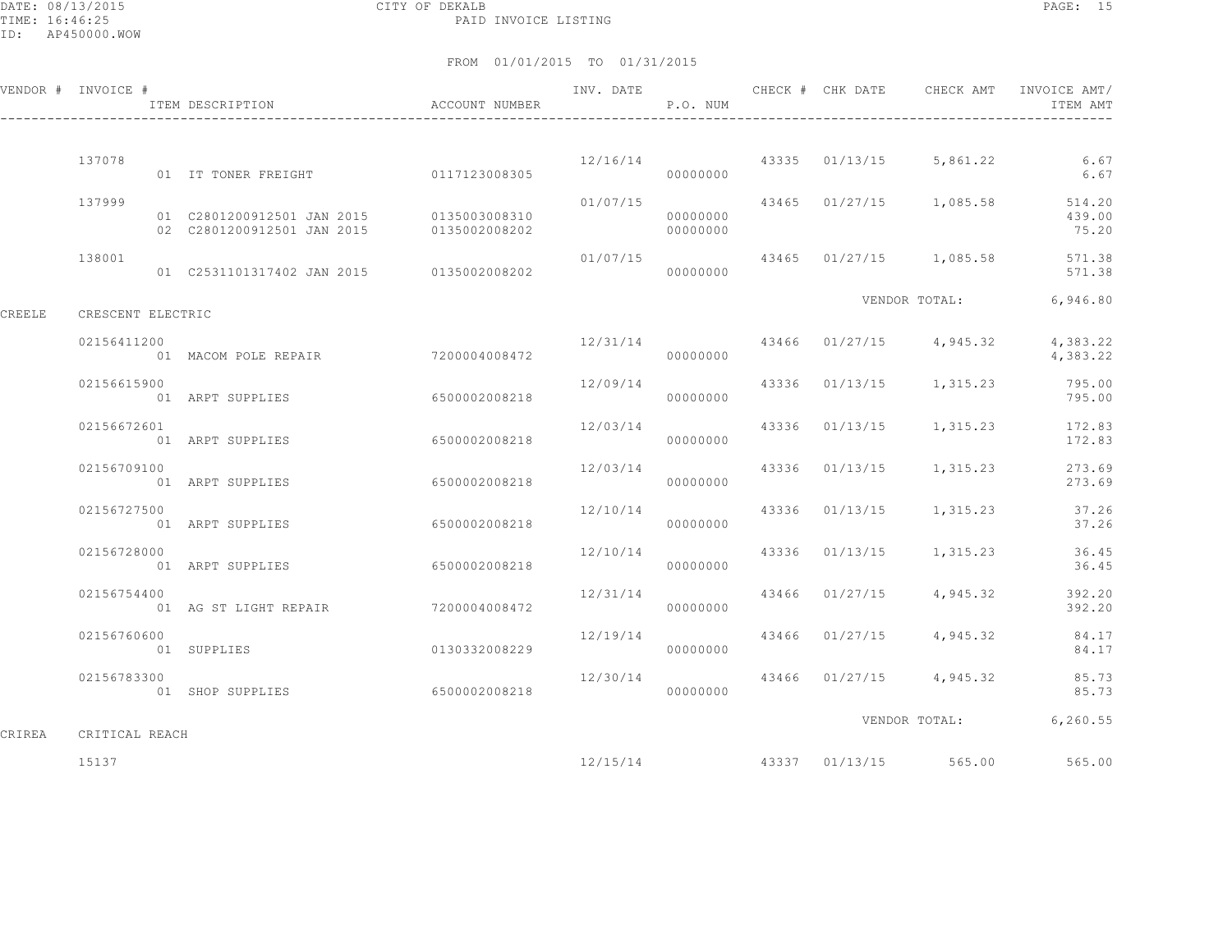DATE: 08/13/2015 CITY OF DEKALB PAGE: 15 PAID INVOICE LISTING

|        | VENDOR # INVOICE # | ITEM DESCRIPTION                    | ACCOUNT NUMBER |                       | P.O. NUM |  |                                    | ITEM AMT                                                       |
|--------|--------------------|-------------------------------------|----------------|-----------------------|----------|--|------------------------------------|----------------------------------------------------------------|
|        |                    |                                     |                |                       |          |  |                                    |                                                                |
|        | 137078             | 01 IT TONER FREIGHT 0117123008305   |                |                       | 00000000 |  | $12/16/14$ 43335 01/13/15 5,861.22 | 6.67<br>6.67                                                   |
|        | 137999             |                                     | 0135002008202  | 000000000             | 00000000 |  |                                    | $01/07/15$ 43465 $01/27/15$ 1,085.58 514.20<br>439.00<br>75.20 |
|        | 138001             |                                     |                |                       | 00000000 |  |                                    | 01/07/15 43465 01/27/15 1,085.58 571.38<br>571.38              |
| CREELE | CRESCENT ELECTRIC  |                                     |                |                       |          |  | VENDOR TOTAL:                      | 6,946.80                                                       |
|        | 02156411200        | 01 MACOM POLE REPAIR 7200004008472  |                |                       | 00000000 |  | $12/31/14$ 43466 01/27/15 4,945.32 | 4,383.22<br>4,383.22                                           |
|        | 02156615900        | 01 ARPT SUPPLIES 6500002008218      |                | 12/09/14<br>00000000  |          |  | 43336 01/13/15 1,315.23            | 795.00<br>795.00                                               |
|        | 02156672601        | 01 ARPT SUPPLIES                    | 6500002008218  | 12/03/14              | 00000000 |  | 43336 01/13/15 1,315.23            | 172.83<br>172.83                                               |
|        | 02156709100        | 01 ARPT SUPPLIES                    | 6500002008218  | 12/03/14              | 00000000 |  | 43336 01/13/15 1,315.23            | 273.69<br>273.69                                               |
|        | 02156727500        | 01 ARPT SUPPLIES                    | 6500002008218  | 000000000             |          |  | $12/10/14$ 43336 01/13/15 1,315.23 | 37.26<br>37.26                                                 |
|        | 02156728000        | 01 ARPT SUPPLIES                    | 6500002008218  | 12/10/14              | 00000000 |  | 43336 01/13/15 1,315.23            | 36.45<br>36.45                                                 |
|        | 02156754400        | 01 AG ST LIGHT REPAIR 7200004008472 |                | 12/31/14<br>000000000 |          |  | 43466 01/27/15 4,945.32            | 392.20<br>392.20                                               |
|        | 02156760600        | 01 SUPPLIES                         | 0130332008229  |                       | 00000000 |  | $12/19/14$ 43466 01/27/15 4,945.32 | 84.17<br>84.17                                                 |
|        | 02156783300        | 01 SHOP SUPPLIES 6500002008218      |                | 12/30/14              | 00000000 |  | 43466 01/27/15 4,945.32            | 85.73<br>85.73                                                 |
| CRIREA | CRITICAL REACH     |                                     |                |                       |          |  |                                    | VENDOR TOTAL: 6,260.55                                         |
|        | 15137              |                                     |                |                       |          |  | 12/15/14 43337 01/13/15 565.00     | 565.00                                                         |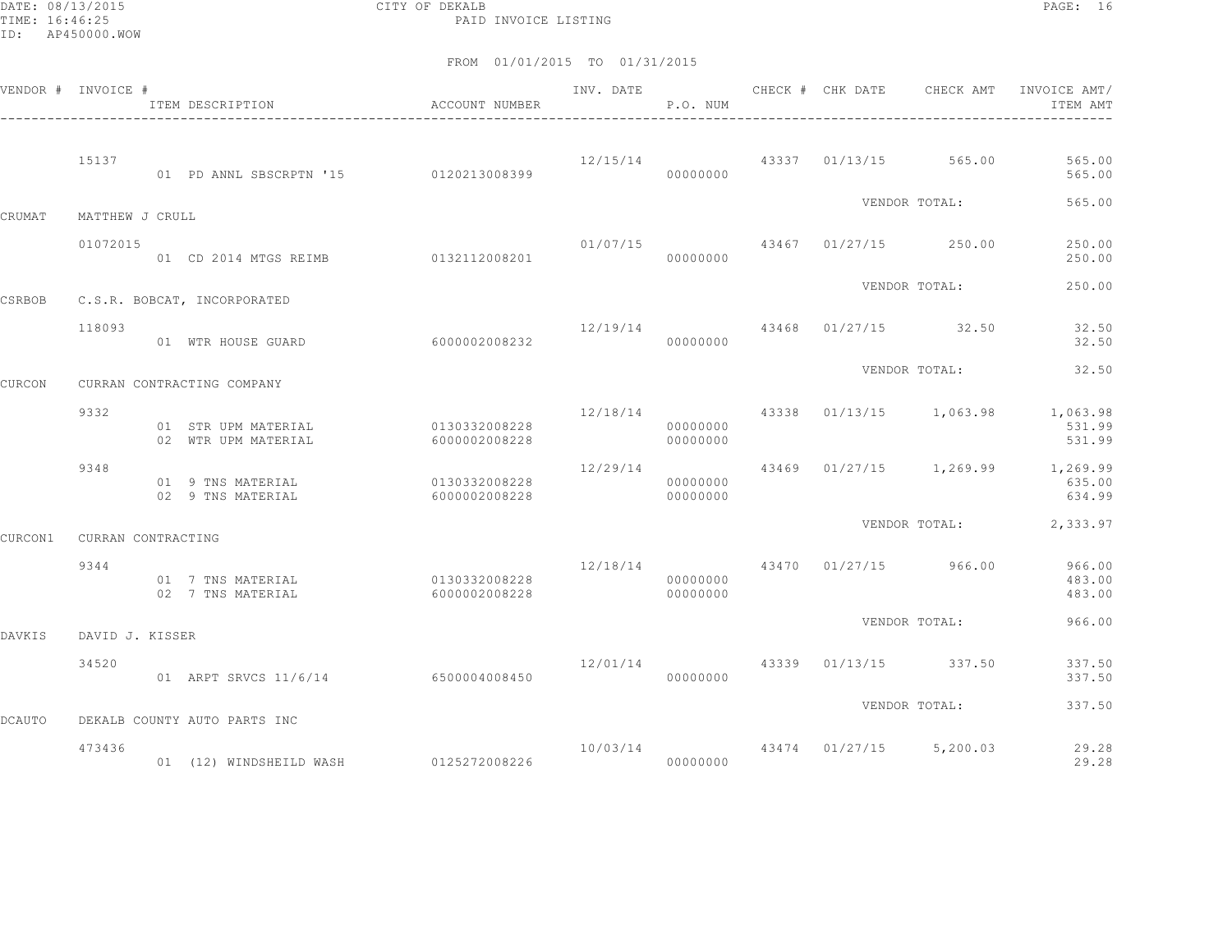DATE: 08/13/2015 CITY OF DEKALB PAGE: 16 PAID INVOICE LISTING

|               | VENDOR # INVOICE # | ITEM DESCRIPTION                                  | ACCOUNT NUMBER<br>---------------------- | INV. DATE               | P.O. NUM             |       | CHECK # CHK DATE | CHECK AMT                                | INVOICE AMT/<br>ITEM AMT                             |
|---------------|--------------------|---------------------------------------------------|------------------------------------------|-------------------------|----------------------|-------|------------------|------------------------------------------|------------------------------------------------------|
|               | 15137              | 01 PD ANNL SBSCRPTN '15 0120213008399             |                                          | 12/15/14                | 00000000             |       |                  | 43337 01/13/15 565.00                    | 565.00<br>565.00                                     |
| CRUMAT        | MATTHEW J CRULL    |                                                   |                                          |                         |                      |       |                  | VENDOR TOTAL:                            | 565.00                                               |
|               | 01072015           | 01 CD 2014 MTGS REIMB 0132112008201               |                                          |                         | 01/07/15<br>00000000 |       |                  | 43467 01/27/15 250.00                    | 250.00<br>250.00                                     |
|               |                    |                                                   |                                          |                         |                      |       |                  | VENDOR TOTAL:                            | 250.00                                               |
| CSRBOB        | 118093             | C.S.R. BOBCAT, INCORPORATED<br>01 WTR HOUSE GUARD | 6000002008232                            | 12/19/14                | 00000000             |       |                  | 43468 01/27/15 32.50                     | 32.50<br>32.50                                       |
|               |                    |                                                   |                                          |                         |                      |       |                  | VENDOR TOTAL:                            | 32.50                                                |
| CURCON        |                    | CURRAN CONTRACTING COMPANY                        |                                          |                         |                      |       |                  |                                          |                                                      |
|               | 9332               | 01 STR UPM MATERIAL<br>02 WTR UPM MATERIAL        | 0130332008228<br>6000002008228           |                         | 00000000<br>00000000 |       |                  | $12/18/14$ $43338$ $01/13/15$ $1,063.98$ | 1,063.98<br>531.99<br>531.99                         |
|               | 9348               | 01 9 TNS MATERIAL<br>02 9 TNS MATERIAL            | 0130332008228<br>6000002008228           | 12/29/14                | 00000000<br>00000000 |       |                  |                                          | 43469 01/27/15 1,269.99 1,269.99<br>635.00<br>634.99 |
| CURCON1       | CURRAN CONTRACTING |                                                   |                                          |                         |                      |       |                  | VENDOR TOTAL:                            | 2,333.97                                             |
|               | 9344               | 01 7 TNS MATERIAL<br>02 7 TNS MATERIAL            | 0130332008228<br>6000002008228           |                         | 00000000<br>00000000 |       |                  | 12/18/14 43470 01/27/15 966.00           | 966.00<br>483.00<br>483.00                           |
|               |                    |                                                   |                                          |                         |                      |       |                  | VENDOR TOTAL:                            | 966.00                                               |
| DAVKIS        | DAVID J. KISSER    |                                                   |                                          |                         |                      |       |                  |                                          |                                                      |
|               | 34520              | 01 ARPT SRVCS 11/6/14 6500004008450               |                                          | 12/01/14                | 00000000             | 43339 |                  | $01/13/15$ 337.50                        | 337.50<br>337.50                                     |
| <b>DCAUTO</b> |                    | DEKALB COUNTY AUTO PARTS INC                      |                                          |                         |                      |       |                  | VENDOR TOTAL:                            | 337.50                                               |
|               | 473436             | 01 (12) WINDSHEILD WASH 0125272008226             |                                          | 10/03/14 43474 01/27/15 | 00000000             |       |                  | 5,200.03                                 | 29.28<br>29.28                                       |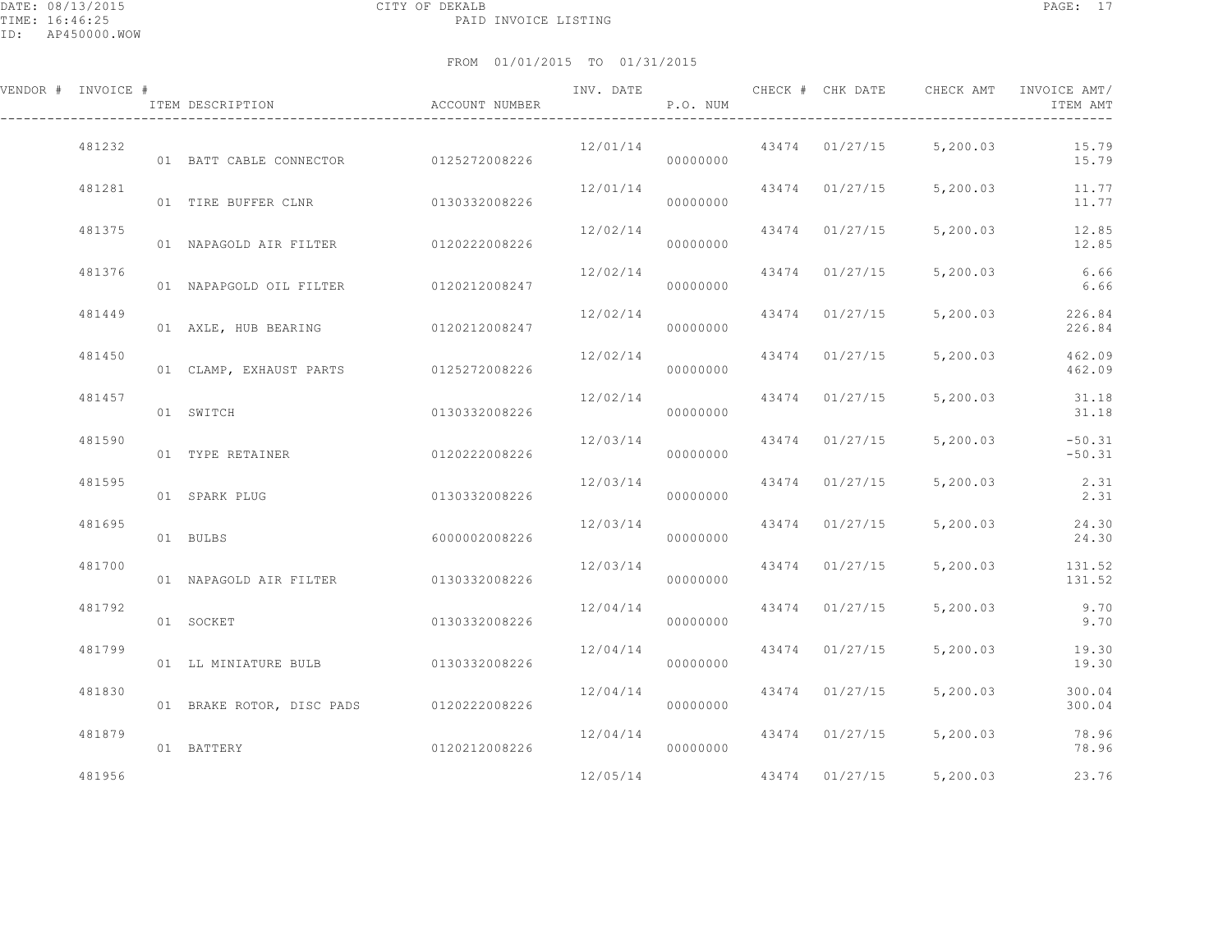| VENDOR # INVOICE # | ITEM DESCRIPTION                        | ACCOUNT NUMBER | INV. DATE | P.O. NUM |                | CHECK # CHK DATE CHECK AMT | INVOICE AMT/<br>ITEM AMT |
|--------------------|-----------------------------------------|----------------|-----------|----------|----------------|----------------------------|--------------------------|
| 481232             | 01 BATT CABLE CONNECTOR 0125272008226   |                | 12/01/14  | 00000000 |                | 43474 01/27/15 5,200.03    | 15.79<br>15.79           |
| 481281             | 01 TIRE BUFFER CLNR 0130332008226       |                | 12/01/14  | 00000000 | 43474 01/27/15 | 5,200.03                   | 11.77<br>11.77           |
| 481375             | 01 NAPAGOLD AIR FILTER 0120222008226    |                | 12/02/14  | 00000000 | 43474 01/27/15 | 5,200.03                   | 12.85<br>12.85           |
| 481376             | 01 NAPAPGOLD OIL FILTER 0120212008247   |                | 12/02/14  | 00000000 | 43474 01/27/15 | 5,200.03                   | 6.66<br>6.66             |
| 481449             | 01 AXLE, HUB BEARING 0120212008247      |                | 12/02/14  | 00000000 | 43474 01/27/15 | 5,200.03                   | 226.84<br>226.84         |
| 481450             | 01 CLAMP, EXHAUST PARTS 0125272008226   |                | 12/02/14  | 00000000 | 43474 01/27/15 | 5,200.03                   | 462.09<br>462.09         |
| 481457             | 01 SWITCH                               | 0130332008226  | 12/02/14  | 00000000 | 43474 01/27/15 | 5,200.03                   | 31.18<br>31.18           |
| 481590             | 01 TYPE RETAINER                        | 0120222008226  | 12/03/14  | 00000000 | 43474 01/27/15 | 5,200.03                   | $-50.31$<br>$-50.31$     |
| 481595             | 01 SPARK PLUG                           | 0130332008226  | 12/03/14  | 00000000 | 43474 01/27/15 | 5,200.03                   | 2.31<br>2.31             |
| 481695             | 01 BULBS                                | 6000002008226  | 12/03/14  | 00000000 | 43474 01/27/15 | 5,200.03                   | 24.30<br>24.30           |
| 481700             | 01 NAPAGOLD AIR FILTER 0130332008226    |                | 12/03/14  | 00000000 | 43474 01/27/15 | 5,200.03                   | 131.52<br>131.52         |
| 481792             | 01 SOCKET                               | 0130332008226  | 12/04/14  | 00000000 | 43474 01/27/15 | 5,200.03                   | 9.70<br>9.70             |
| 481799             | 01 LL MINIATURE BULB 0130332008226      |                | 12/04/14  | 00000000 | 43474 01/27/15 | 5,200.03                   | 19.30<br>19.30           |
| 481830             | 01 BRAKE ROTOR, DISC PADS 0120222008226 |                | 12/04/14  | 00000000 | 43474 01/27/15 | 5,200.03                   | 300.04<br>300.04         |
| 481879             | 01 BATTERY                              | 0120212008226  | 12/04/14  | 00000000 | 43474 01/27/15 | 5,200.03                   | 78.96<br>78.96           |
| 481956             |                                         |                | 12/05/14  |          |                | 43474 01/27/15 5,200.03    | 23.76                    |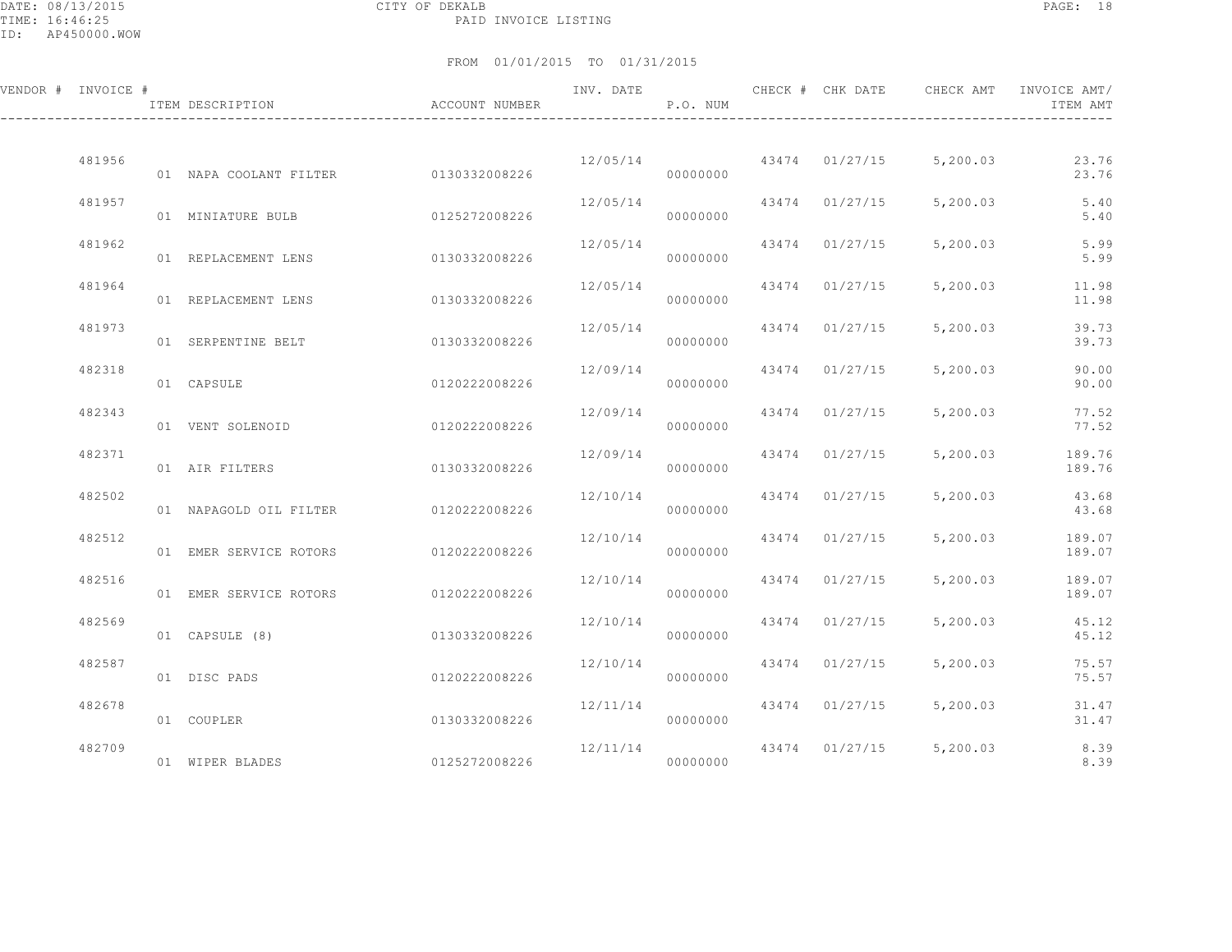DATE: 08/13/2015 CITY OF DEKALB PAGE: 18 PAID INVOICE LISTING

| VENDOR # INVOICE # | ITEM DESCRIPTION                     | ACCOUNT NUMBER | INV. DATE | P.O. NUM | CHECK # CHK DATE | CHECK AMT               | INVOICE AMT/<br>ITEM AMT |
|--------------------|--------------------------------------|----------------|-----------|----------|------------------|-------------------------|--------------------------|
| 481956             | 01 NAPA COOLANT FILTER 0130332008226 |                | 12/05/14  | 00000000 |                  | 43474 01/27/15 5,200.03 | 23.76<br>23.76           |
| 481957             | 01 MINIATURE BULB                    | 0125272008226  | 12/05/14  | 00000000 | 43474 01/27/15   | 5,200.03                | 5.40<br>5.40             |
| 481962             | 01 REPLACEMENT LENS                  | 0130332008226  | 12/05/14  | 00000000 | 43474 01/27/15   | 5,200.03                | 5.99<br>5.99             |
| 481964             | 01 REPLACEMENT LENS                  | 0130332008226  | 12/05/14  | 00000000 | 43474 01/27/15   | 5,200.03                | 11.98<br>11.98           |
| 481973             | 01 SERPENTINE BELT                   | 0130332008226  | 12/05/14  | 00000000 | 43474 01/27/15   | 5,200.03                | 39.73<br>39.73           |
| 482318             | 01 CAPSULE                           | 0120222008226  | 12/09/14  | 00000000 | 43474 01/27/15   | 5,200.03                | 90.00<br>90.00           |
| 482343             | 01 VENT SOLENOID                     | 0120222008226  | 12/09/14  | 00000000 | 43474 01/27/15   | 5,200.03                | 77.52<br>77.52           |
| 482371             | 01 AIR FILTERS                       | 0130332008226  | 12/09/14  | 00000000 | 43474 01/27/15   | 5,200.03                | 189.76<br>189.76         |
| 482502             | 01 NAPAGOLD OIL FILTER 0120222008226 |                | 12/10/14  | 00000000 | 43474 01/27/15   | 5,200.03                | 43.68<br>43.68           |
| 482512             | 01 EMER SERVICE ROTORS               | 0120222008226  | 12/10/14  | 00000000 | 43474 01/27/15   | 5,200.03                | 189.07<br>189.07         |
| 482516             | 01 EMER SERVICE ROTORS               | 0120222008226  | 12/10/14  | 00000000 | 43474 01/27/15   | 5,200.03                | 189.07<br>189.07         |
| 482569             | 01 CAPSULE (8)                       | 0130332008226  | 12/10/14  | 00000000 | 43474 01/27/15   | 5,200.03                | 45.12<br>45.12           |
| 482587             | 01 DISC PADS                         | 0120222008226  | 12/10/14  | 00000000 | 43474 01/27/15   | 5,200.03                | 75.57<br>75.57           |
| 482678             | 01 COUPLER                           | 0130332008226  | 12/11/14  | 00000000 | 43474 01/27/15   | 5,200.03                | 31.47<br>31.47           |
| 482709             | 01 WIPER BLADES                      | 0125272008226  | 12/11/14  | 00000000 |                  | 43474 01/27/15 5,200.03 | 8.39<br>8.39             |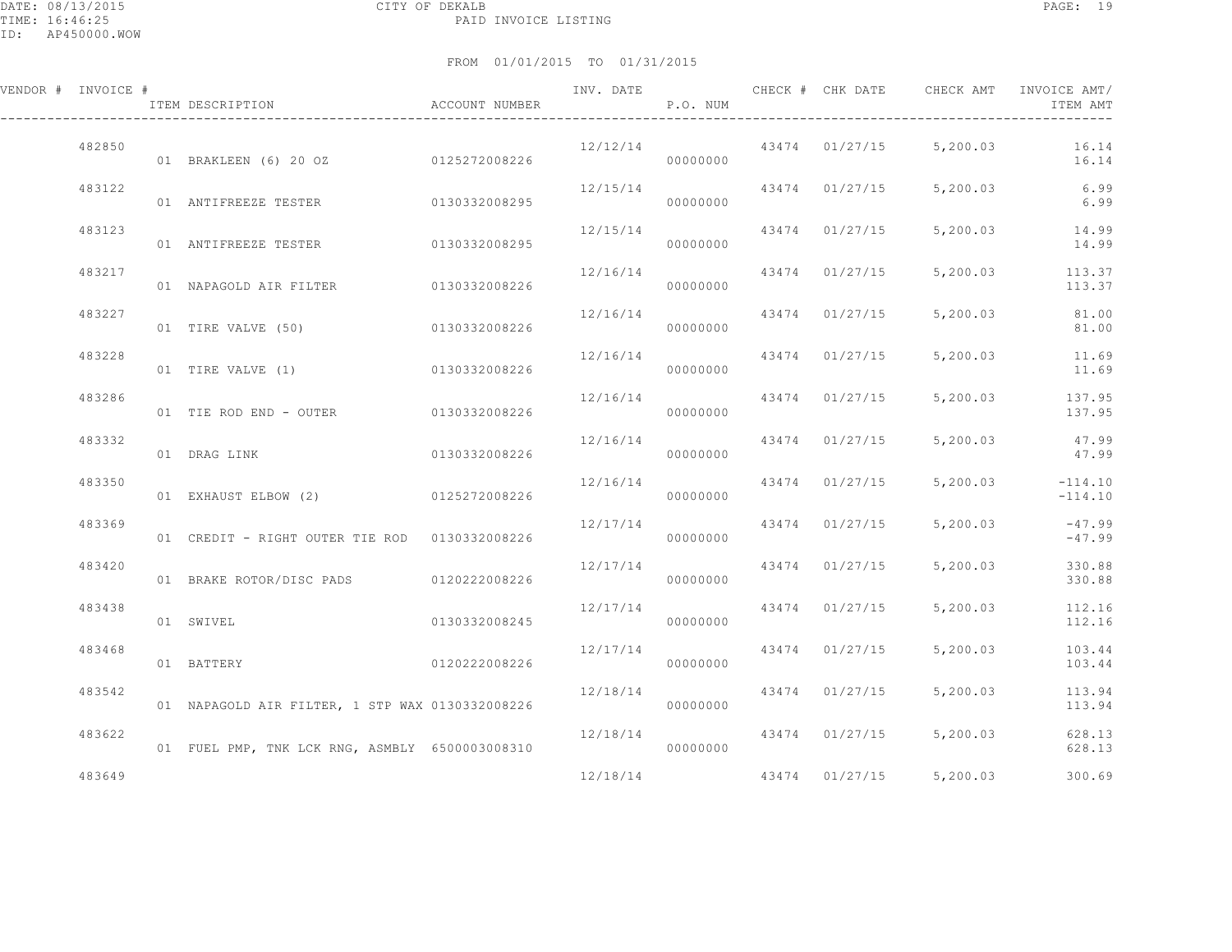| VENDOR # INVOICE # | ITEM DESCRIPTION                                | ACCOUNT NUMBER |                      | P.O. NUM |                |                         | INVOICE AMT/<br>ITEM AMT |
|--------------------|-------------------------------------------------|----------------|----------------------|----------|----------------|-------------------------|--------------------------|
| 482850             | 01 BRAKLEEN (6) 20 OZ 0125272008226             |                | 12/12/14             | 00000000 |                | 43474 01/27/15 5,200.03 | 16.14<br>16.14           |
| 483122             | 01 ANTIFREEZE TESTER 0130332008295              |                | 12/15/14             | 00000000 | 43474 01/27/15 |                         | 5,200.03 6.99<br>6.99    |
| 483123             | 01 ANTIFREEZE TESTER                            | 0130332008295  | 12/15/14             | 00000000 | 43474 01/27/15 | 5,200.03                | 14.99<br>14.99           |
| 483217             | 01 NAPAGOLD AIR FILTER 0130332008226            |                | 12/16/14             | 00000000 | 43474 01/27/15 | 5,200.03                | 113.37<br>113.37         |
| 483227             | 01 TIRE VALVE (50)                              | 0130332008226  | 12/16/14             | 00000000 | 43474 01/27/15 | 5,200.03                | 81.00<br>81.00           |
| 483228             | 01 TIRE VALVE (1) 0130332008226                 |                | 12/16/14             | 00000000 | 43474 01/27/15 | 5,200.03                | 11.69<br>11.69           |
| 483286             | 01 TIE ROD END - OUTER 0130332008226            |                | 12/16/14             | 00000000 | 43474 01/27/15 | 5,200.03                | 137.95<br>137.95         |
| 483332             | 01 DRAG LINK                                    | 0130332008226  | 12/16/14             | 00000000 | 43474 01/27/15 | 5,200.03                | 47.99<br>47.99           |
| 483350             | 01 EXHAUST ELBOW (2) 0125272008226              |                | 12/16/14             | 00000000 | 43474 01/27/15 | 5,200.03                | $-114.10$<br>$-114.10$   |
| 483369             | 01 CREDIT - RIGHT OUTER TIE ROD 0130332008226   |                | 12/17/14             | 00000000 | 43474 01/27/15 | 5,200.03                | $-47.99$<br>$-47.99$     |
| 483420             | 01 BRAKE ROTOR/DISC PADS 0120222008226          |                | 12/17/14             | 00000000 | 43474 01/27/15 | 5,200.03                | 330.88<br>330.88         |
| 483438             | 01 SWIVEL                                       | 0130332008245  | 12/17/14             | 00000000 | 43474 01/27/15 | 5,200.03                | 112.16<br>112.16         |
| 483468             | 01 BATTERY                                      | 0120222008226  | 12/17/14             | 00000000 | 43474 01/27/15 | 5,200.03                | 103.44<br>103.44         |
| 483542             | 01 NAPAGOLD AIR FILTER, 1 STP WAX 0130332008226 |                | 12/18/14             | 00000000 | 43474 01/27/15 | 5,200.03                | 113.94<br>113.94         |
| 483622             | 01 FUEL PMP, TNK LCK RNG, ASMBLY 6500003008310  |                | 12/18/14<br>00000000 |          |                | 43474 01/27/15 5,200.03 | 628.13<br>628.13         |
| 483649             |                                                 |                | 12/18/14             |          | 43474 01/27/15 | 5,200.03                | 300.69                   |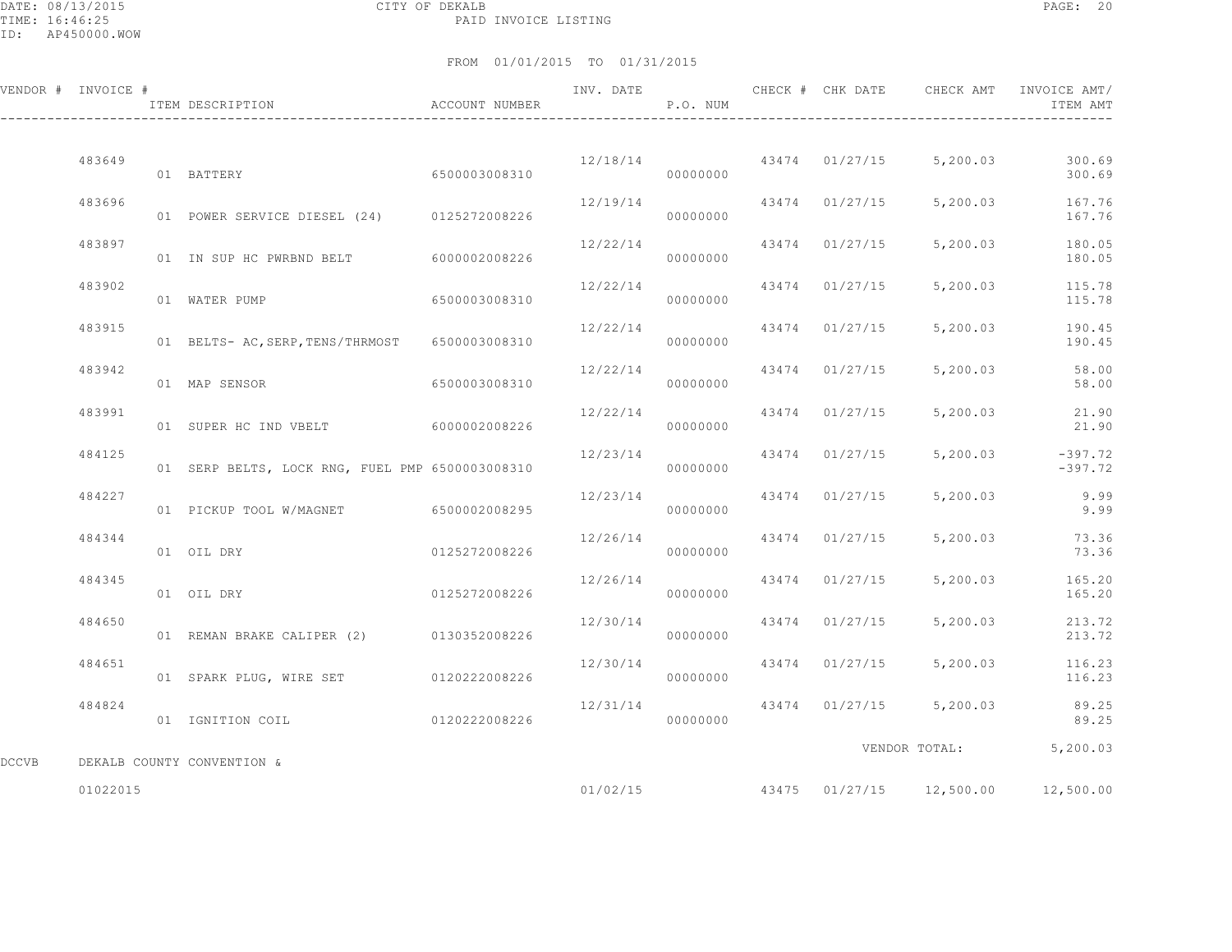DATE: 08/13/2015 CITY OF DEKALB PAGE: 20 PAID INVOICE LISTING

|       | VENDOR # INVOICE # | ITEM DESCRIPTION                                | ACCOUNT NUMBER | INV. DATE | P.O. NUM |       | CHECK # CHK DATE | CHECK AMT                                 | INVOICE AMT/<br>ITEM AMT |
|-------|--------------------|-------------------------------------------------|----------------|-----------|----------|-------|------------------|-------------------------------------------|--------------------------|
|       | 483649             | 01 BATTERY                                      | 6500003008310  |           | 00000000 |       |                  | $12/18/14$ $43474$ $01/27/15$ $5,200.03$  | 300.69<br>300.69         |
|       | 483696             | 01 POWER SERVICE DIESEL (24) 0125272008226      |                | 12/19/14  | 00000000 |       | 43474 01/27/15   | 5,200.03                                  | 167.76<br>167.76         |
|       | 483897             | 01 IN SUP HC PWRBND BELT 6000002008226          |                | 12/22/14  | 00000000 |       | 43474 01/27/15   | 5,200.03                                  | 180.05<br>180.05         |
|       | 483902             | 01 WATER PUMP                                   | 6500003008310  | 12/22/14  | 00000000 | 43474 | 01/27/15         | 5,200.03                                  | 115.78<br>115.78         |
|       | 483915             | 01 BELTS- AC, SERP, TENS/THRMOST                | 6500003008310  | 12/22/14  | 00000000 |       | 43474 01/27/15   | 5,200.03                                  | 190.45<br>190.45         |
|       | 483942             | 01 MAP SENSOR                                   | 6500003008310  | 12/22/14  | 00000000 | 43474 | 01/27/15         | 5,200.03                                  | 58.00<br>58.00           |
|       | 483991             | 01 SUPER HC IND VBELT 6000002008226             |                | 12/22/14  | 00000000 | 43474 | 01/27/15         | 5,200.03                                  | 21.90<br>21.90           |
|       | 484125             | 01 SERP BELTS, LOCK RNG, FUEL PMP 6500003008310 |                | 12/23/14  | 00000000 |       | 43474 01/27/15   | 5,200.03                                  | $-397.72$<br>$-397.72$   |
|       | 484227             | 01 PICKUP TOOL W/MAGNET 6500002008295           |                | 12/23/14  | 00000000 |       | 43474 01/27/15   | 5,200.03                                  | 9.99<br>9.99             |
|       | 484344             | 01 OIL DRY                                      | 0125272008226  | 12/26/14  | 00000000 |       | 43474 01/27/15   | 5,200.03                                  | 73.36<br>73.36           |
|       | 484345             | 01 OIL DRY                                      | 0125272008226  | 12/26/14  | 00000000 |       | 43474 01/27/15   | 5,200.03                                  | 165.20<br>165.20         |
|       | 484650             | 01 REMAN BRAKE CALIPER (2) 0130352008226        |                | 12/30/14  | 00000000 |       | 43474 01/27/15   | 5,200.03                                  | 213.72<br>213.72         |
|       | 484651             | 01 SPARK PLUG, WIRE SET 0120222008226           |                | 12/30/14  | 00000000 | 43474 | 01/27/15         | 5,200.03                                  | 116.23<br>116.23         |
|       | 484824             | 01 IGNITION COIL                                | 0120222008226  | 12/31/14  | 00000000 |       |                  | 43474 01/27/15 5,200.03                   | 89.25<br>89.25           |
| DCCVB |                    | DEKALB COUNTY CONVENTION &                      |                |           |          |       |                  |                                           | VENDOR TOTAL: 5,200.03   |
|       | 01022015           |                                                 |                |           |          |       |                  | $01/02/15$ $43475$ $01/27/15$ $12,500.00$ | 12,500.00                |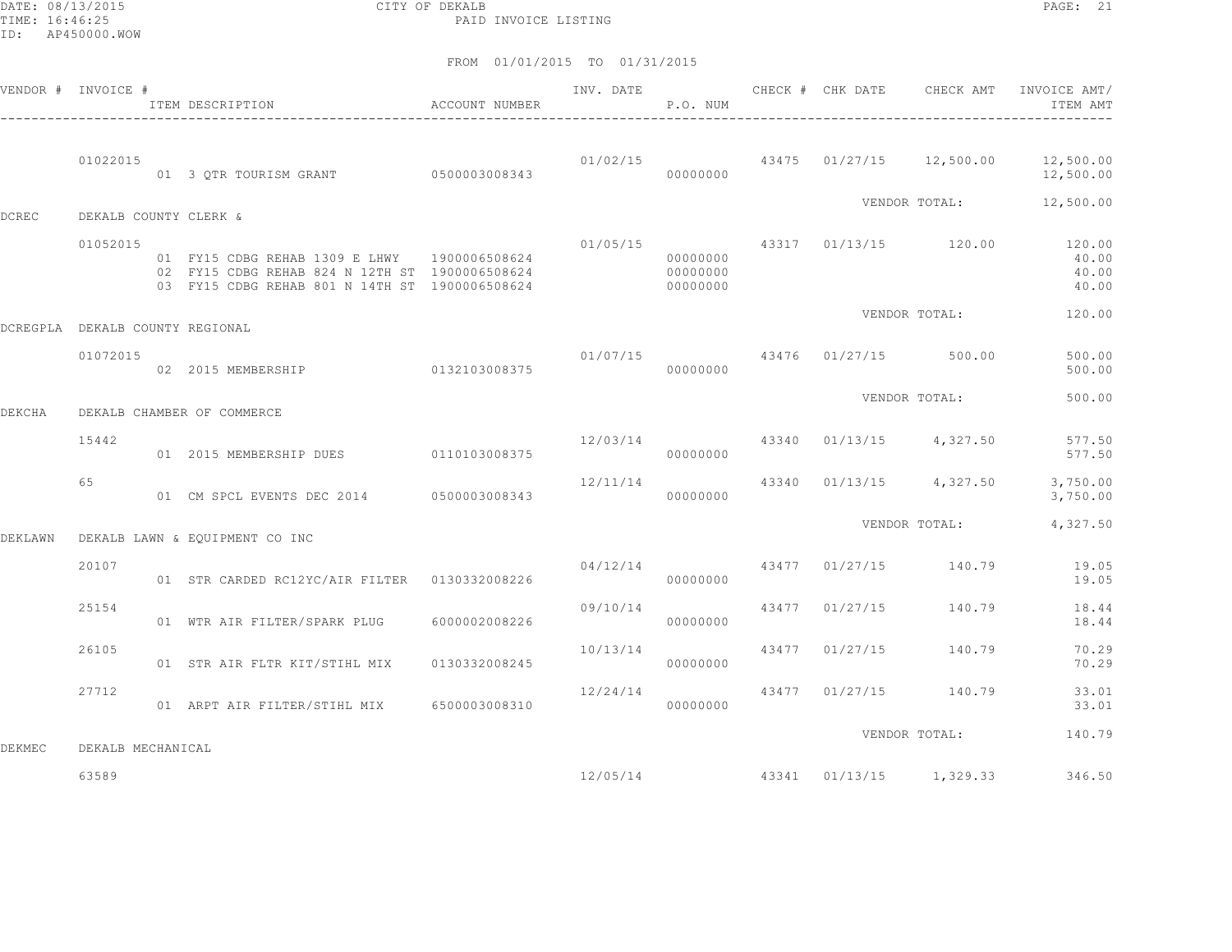DATE: 08/13/2015 CITY OF DEKALB PAGE: 21 PAID INVOICE LISTING

|               | VENDOR # INVOICE #              | ITEM DESCRIPTION                                                                                                                                 | ACCOUNT NUMBER |                | P.O. NUM                         |                |                                  | INV. DATE 6 CHECK # CHK DATE CHECK AMT INVOICE AMT/<br>ITEM AMT    |
|---------------|---------------------------------|--------------------------------------------------------------------------------------------------------------------------------------------------|----------------|----------------|----------------------------------|----------------|----------------------------------|--------------------------------------------------------------------|
|               | 01022015                        | 01 3 QTR TOURISM GRANT 0500003008343                                                                                                             |                |                | 00000000                         |                |                                  | $01/02/15$ $43475$ $01/27/15$ $12,500.00$ $12,500.00$<br>12,500.00 |
| <b>DCREC</b>  | DEKALB COUNTY CLERK &           |                                                                                                                                                  |                |                |                                  |                | VENDOR TOTAL:                    | 12,500.00                                                          |
|               | 01052015                        | 01 FY15 CDBG REHAB 1309 E LHWY 1900006508624<br>02 FY15 CDBG REHAB 824 N 12TH ST 1900006508624<br>03 FY15 CDBG REHAB 801 N 14TH ST 1900006508624 |                |                | 00000000<br>00000000<br>00000000 |                | $01/05/15$ 43317 01/13/15 120.00 | 120.00<br>40.00<br>40.00<br>40.00                                  |
|               | DCREGPLA DEKALB COUNTY REGIONAL |                                                                                                                                                  |                |                |                                  |                | VENDOR TOTAL:                    | 120.00                                                             |
|               | 01072015                        | 02 2015 MEMBERSHIP 0132103008375                                                                                                                 |                | 01/07/15       | 00000000                         |                | 43476 01/27/15 500.00            | 500.00<br>500.00                                                   |
| <b>DEKCHA</b> |                                 | DEKALB CHAMBER OF COMMERCE                                                                                                                       |                |                |                                  |                | VENDOR TOTAL:                    | 500.00                                                             |
|               | 15442                           | 01  2015 MEMBERSHIP DUES   0110103008375                                                                                                         |                | 12/03/14 43340 | 00000000                         |                | $01/13/15$ 4,327.50              | 577.50<br>577.50                                                   |
|               | 65                              | 01 CM SPCL EVENTS DEC 2014 0500003008343                                                                                                         |                | 12/11/14       | 00000000                         |                | 43340 01/13/15 4,327.50          | 3,750.00<br>3,750.00                                               |
| DEKLAWN       |                                 | DEKALB LAWN & EQUIPMENT CO INC                                                                                                                   |                |                |                                  |                | VENDOR TOTAL:                    | 4,327.50                                                           |
|               | 20107                           | 01 STR CARDED RC12YC/AIR FILTER   0130332008226                                                                                                  |                | 04/12/14       | 00000000                         |                | 43477 01/27/15 140.79            | 19.05<br>19.05                                                     |
|               | 25154                           | 01 WTR AIR FILTER/SPARK PLUG                                                                                                                     | 6000002008226  | 09/10/14       | 00000000                         | 43477 01/27/15 | 140.79                           | 18.44<br>18.44                                                     |
|               | 26105                           | 01 STR AIR FLTR KIT/STIHL MIX                                                                                                                    | 0130332008245  | 10/13/14       | 00000000                         | 43477 01/27/15 | 140.79                           | 70.29<br>70.29                                                     |
|               | 27712                           | 01 ARPT AIR FILTER/STIHL MIX 6500003008310                                                                                                       |                | 12/24/14       | 00000000                         | 43477 01/27/15 | 140.79                           | 33.01<br>33.01                                                     |
| <b>DEKMEC</b> | DEKALB MECHANICAL               |                                                                                                                                                  |                |                |                                  |                | VENDOR TOTAL:                    | 140.79                                                             |
|               | 63589                           |                                                                                                                                                  |                | 12/05/14       |                                  |                | 43341 01/13/15 1,329.33          | 346.50                                                             |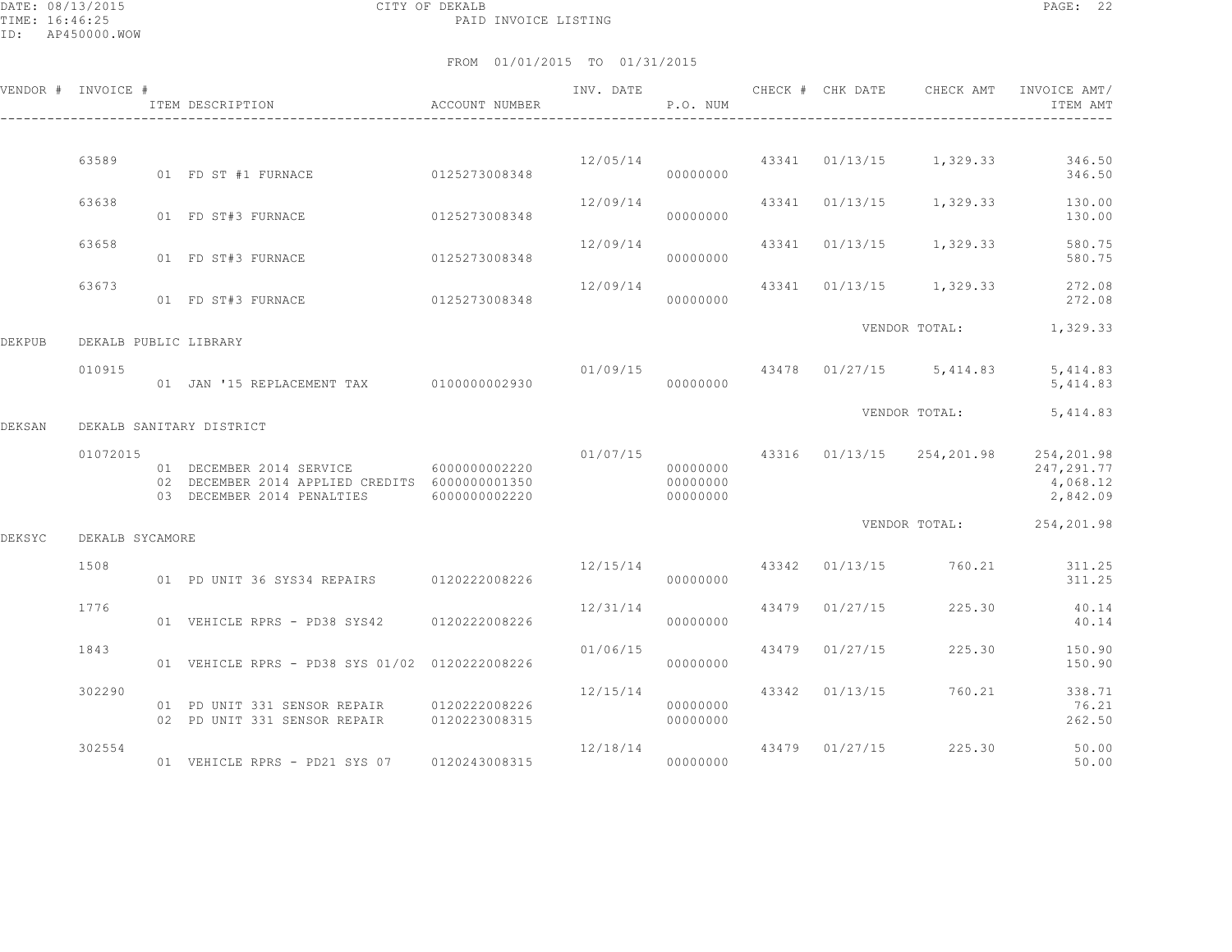|        | VENDOR # INVOICE #    | ITEM DESCRIPTION                                                                                                       | ACCOUNT NUMBER | INV. DATE      | P.O. NUM                         |       |          | CHECK # CHK DATE CHECK AMT               | INVOICE AMT/<br>ITEM AMT                          |
|--------|-----------------------|------------------------------------------------------------------------------------------------------------------------|----------------|----------------|----------------------------------|-------|----------|------------------------------------------|---------------------------------------------------|
|        |                       |                                                                                                                        |                |                |                                  |       |          |                                          |                                                   |
|        | 63589                 | 01 FD ST #1 FURNACE                                                                                                    | 0125273008348  |                | 00000000                         |       |          | $12/05/14$ $43341$ $01/13/15$ $1,329.33$ | 346.50<br>346.50                                  |
|        | 63638                 | 01 FD ST#3 FURNACE                                                                                                     | 0125273008348  | 12/09/14       | 00000000                         |       |          | 43341 01/13/15 1,329.33                  | 130.00<br>130.00                                  |
|        | 63658                 | 01 FD ST#3 FURNACE                                                                                                     | 0125273008348  | 12/09/14       | 00000000                         |       |          | 43341 01/13/15 1,329.33                  | 580.75<br>580.75                                  |
|        | 63673                 | 01 FD ST#3 FURNACE                                                                                                     | 0125273008348  | 12/09/14       | 00000000                         |       |          | 43341 01/13/15 1,329.33                  | 272.08<br>272.08                                  |
| DEKPUB | DEKALB PUBLIC LIBRARY |                                                                                                                        |                |                |                                  |       |          | VENDOR TOTAL:                            | 1,329.33                                          |
|        | 010915                | 01 JAN '15 REPLACEMENT TAX 0100000002930                                                                               |                |                | 00000000                         |       |          | $01/09/15$ $43478$ $01/27/15$ $5,414.83$ | 5, 414.83<br>5, 414.83                            |
| DEKSAN |                       | DEKALB SANITARY DISTRICT                                                                                               |                |                |                                  |       |          | VENDOR TOTAL:                            | 5, 414.83                                         |
|        | 01072015              | 01 DECEMBER 2014 SERVICE 6000000002220<br>02 DECEMBER 2014 APPLIED CREDITS 6000000001350<br>03 DECEMBER 2014 PENALTIES | 6000000002220  |                | 00000000<br>00000000<br>00000000 |       |          | $01/07/15$ 43316 01/13/15 254,201.98     | 254,201.98<br>247, 291.77<br>4,068.12<br>2,842.09 |
| DEKSYC | DEKALB SYCAMORE       |                                                                                                                        |                |                |                                  |       |          |                                          | VENDOR TOTAL: 254,201.98                          |
|        | 1508                  | 01 PD UNIT 36 SYS34 REPAIRS 0120222008226                                                                              |                | 12/15/14 43342 | 00000000                         |       |          | 01/13/15 760.21                          | 311.25<br>311.25                                  |
|        | 1776                  | 01 VEHICLE RPRS - PD38 SYS42 0120222008226                                                                             |                | 12/31/14       | 00000000                         | 43479 | 01/27/15 | 225.30                                   | 40.14<br>40.14                                    |
|        | 1843                  | 01 VEHICLE RPRS - PD38 SYS 01/02 0120222008226                                                                         |                | 01/06/15       | 00000000                         | 43479 | 01/27/15 | 225.30                                   | 150.90<br>150.90                                  |
|        | 302290                | 01 PD UNIT 331 SENSOR REPAIR 0120222008226<br>02 PD UNIT 331 SENSOR REPAIR                                             | 0120223008315  | 12/15/14       | 00000000<br>00000000             | 43342 | 01/13/15 | 760.21                                   | 338.71<br>76.21<br>262.50                         |
|        | 302554                | 01 VEHICLE RPRS - PD21 SYS 07                                                                                          | 0120243008315  | 12/18/14       | 00000000                         | 43479 | 01/27/15 | 225.30                                   | 50.00<br>50.00                                    |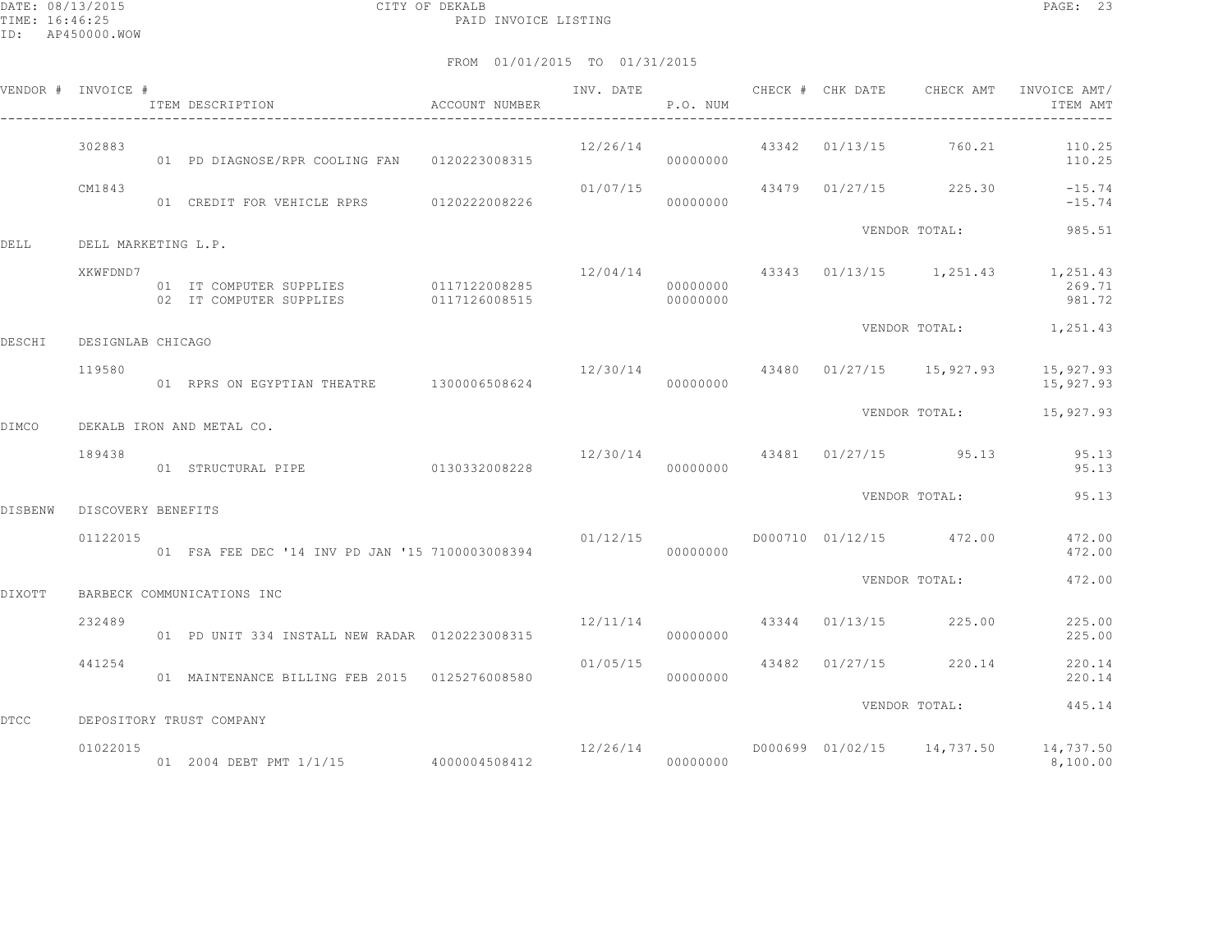DATE: 08/13/2015 CITY OF DEKALB PAGE: 23 PAID INVOICE LISTING

|                | VENDOR # INVOICE #  | ITEM DESCRIPTION                                                 | ACCOUNT NUMBER | INV. DATE | P.O. NUM             | CHECK # CHK DATE | CHECK AMT                                | INVOICE AMT/<br>ITEM AMT                         |
|----------------|---------------------|------------------------------------------------------------------|----------------|-----------|----------------------|------------------|------------------------------------------|--------------------------------------------------|
|                | 302883              | 01 PD DIAGNOSE/RPR COOLING FAN 0120223008315                     |                | 12/26/14  | 00000000             | 43342 01/13/15   | 760.21                                   | 110.25<br>110.25                                 |
|                | CM1843              | 01 CREDIT FOR VEHICLE RPRS 0120222008226                         |                | 01/07/15  | 00000000             |                  | 43479 01/27/15 225.30                    | $-15.74$<br>$-15.74$                             |
| DELL           | DELL MARKETING L.P. |                                                                  |                |           |                      |                  | VENDOR TOTAL:                            | 985.51                                           |
|                | XKWFDND7            | 01 IT COMPUTER SUPPLIES 0117122008285<br>02 IT COMPUTER SUPPLIES | 0117126008515  |           | 00000000<br>00000000 |                  | $12/04/14$ $43343$ $01/13/15$ $1,251.43$ | 1,251.43<br>269.71<br>981.72                     |
| DESCHI         | DESIGNLAB CHICAGO   |                                                                  |                |           |                      |                  |                                          | VENDOR TOTAL: 1,251.43                           |
|                | 119580              | 01 RPRS ON EGYPTIAN THEATRE 1300006508624                        |                | 12/30/14  | 00000000             |                  | 43480 01/27/15 15,927.93                 | 15,927.93<br>15,927.93                           |
| DIMCO          |                     | DEKALB IRON AND METAL CO.                                        |                |           |                      |                  |                                          | VENDOR TOTAL: 15,927.93                          |
|                | 189438              | 01 STRUCTURAL PIPE                                               | 0130332008228  |           | 00000000             |                  | $12/30/14$ $43481$ $01/27/15$ 95.13      | 95.13<br>95.13                                   |
| <b>DISBENW</b> | DISCOVERY BENEFITS  |                                                                  |                |           |                      |                  | VENDOR TOTAL:                            | 95.13                                            |
|                | 01122015            | 01 FSA FEE DEC '14 INV PD JAN '15 7100003008394                  |                | 01/12/15  | 00000000             |                  | D000710 01/12/15 472.00                  | 472.00<br>472.00                                 |
| DIXOTT         |                     | BARBECK COMMUNICATIONS INC                                       |                |           |                      |                  | VENDOR TOTAL:                            | 472.00                                           |
|                | 232489              | 01 PD UNIT 334 INSTALL NEW RADAR 0120223008315                   |                | 12/11/14  | 00000000             |                  | 43344 01/13/15 225.00                    | 225.00<br>225.00                                 |
|                | 441254              | 01 MAINTENANCE BILLING FEB 2015 0125276008580                    |                | 01/05/15  | 00000000             | 43482 01/27/15   | 220.14                                   | 220.14<br>220.14                                 |
| <b>DTCC</b>    |                     | DEPOSITORY TRUST COMPANY                                         |                |           |                      |                  | VENDOR TOTAL:                            | 445.14                                           |
|                | 01022015            | 01 2004 DEBT PMT 1/1/15 4000004508412                            |                | 12/26/14  | 00000000             |                  |                                          | D000699 01/02/15 14,737.50 14,737.50<br>8,100.00 |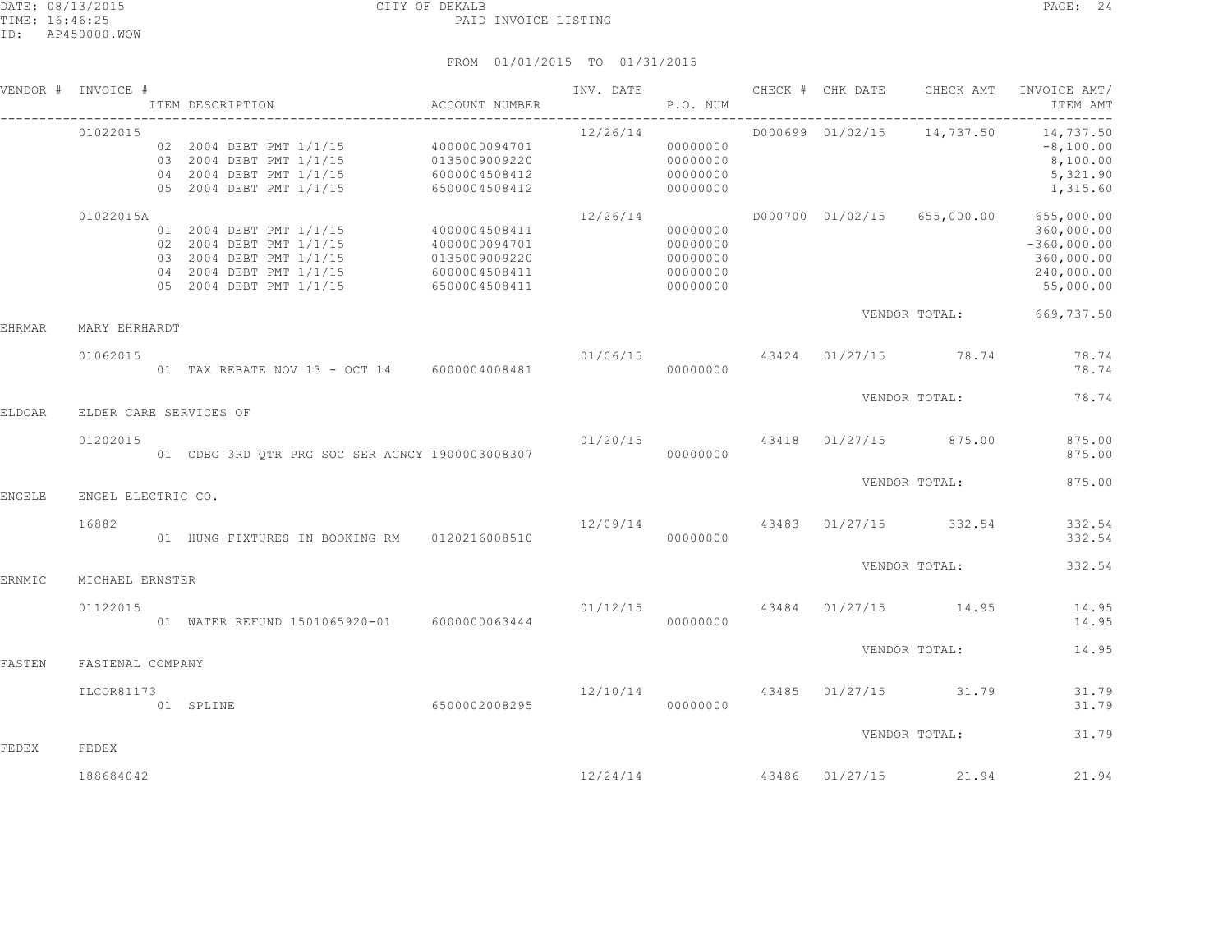| VENDOR #      | INVOICE #          | ITEM DESCRIPTION                                                                                                                    | ACCOUNT NUMBER                                                                    | INV. DATE | P.O. NUM                                                 |                  | CHECK # CHK DATE CHECK AMT             | INVOICE AMT/<br>ITEM AMT                                                                      |
|---------------|--------------------|-------------------------------------------------------------------------------------------------------------------------------------|-----------------------------------------------------------------------------------|-----------|----------------------------------------------------------|------------------|----------------------------------------|-----------------------------------------------------------------------------------------------|
|               | 01022015           | 02 2004 DEBT PMT 1/1/15 4000000094701<br>03 2004 DEBT PMT 1/1/15<br>04 2004 DEBT PMT 1/1/15<br>05 2004 DEBT PMT 1/1/15              | 0135009009220<br>6000004508412<br>6500004508412                                   | 12/26/14  | 00000000<br>00000000<br>00000000<br>00000000             |                  | D000699 01/02/15 14,737.50             | 14,737.50<br>$-8,100.00$<br>8,100.00<br>5,321.90<br>1,315.60                                  |
|               | 01022015A          | 01 2004 DEBT PMT 1/1/15<br>02 2004 DEBT PMT 1/1/15<br>03 2004 DEBT PMT 1/1/15<br>04 2004 DEBT PMT 1/1/15<br>05 2004 DEBT PMT 1/1/15 | 4000004508411<br>4000000094701<br>0135009009220<br>6000004508411<br>6500004508411 | 12/26/14  | 00000000<br>00000000<br>00000000<br>00000000<br>00000000 | D000700 01/02/15 |                                        | 655,000.00 655,000.00<br>360,000.00<br>$-360,000.00$<br>360,000.00<br>240,000.00<br>55,000.00 |
| <b>EHRMAR</b> | MARY EHRHARDT      |                                                                                                                                     |                                                                                   |           |                                                          |                  |                                        | VENDOR TOTAL: 669,737.50                                                                      |
|               | 01062015           | 01 TAX REBATE NOV 13 - OCT 14 6000004008481                                                                                         |                                                                                   |           | 00000000                                                 |                  | $01/06/15$ 43424 01/27/15 78.74        | 78.74<br>78.74                                                                                |
| <b>ELDCAR</b> |                    | ELDER CARE SERVICES OF                                                                                                              |                                                                                   |           |                                                          |                  | VENDOR TOTAL:                          | 78.74                                                                                         |
|               | 01202015           | 01 CDBG 3RD QTR PRG SOC SER AGNCY 1900003008307                                                                                     |                                                                                   |           | 00000000                                                 |                  | $01/20/15$ $43418$ $01/27/15$ $875.00$ | 875.00<br>875.00                                                                              |
| <b>ENGELE</b> | ENGEL ELECTRIC CO. |                                                                                                                                     |                                                                                   |           |                                                          |                  | VENDOR TOTAL:                          | 875.00                                                                                        |
|               | 16882              | 01 HUNG FIXTURES IN BOOKING RM 0120216008510                                                                                        |                                                                                   |           | 00000000                                                 |                  | $12/09/14$ $43483$ $01/27/15$ $332.54$ | 332.54<br>332.54                                                                              |
| ERNMIC        | MICHAEL ERNSTER    |                                                                                                                                     |                                                                                   |           |                                                          |                  | VENDOR TOTAL:                          | 332.54                                                                                        |
|               | 01122015           | 01 WATER REFUND 1501065920-01 6000000063444                                                                                         |                                                                                   | 01/12/15  | 00000000                                                 |                  | 43484 01/27/15 14.95                   | 14.95<br>14.95                                                                                |
| FASTEN        | FASTENAL COMPANY   |                                                                                                                                     |                                                                                   |           |                                                          |                  | VENDOR TOTAL:                          | 14.95                                                                                         |
|               | ILCOR81173         | 6500002008295<br>01 SPLINE                                                                                                          |                                                                                   | 12/10/14  | 00000000                                                 |                  | 43485 01/27/15 31.79                   | 31.79<br>31.79                                                                                |
| FEDEX         | FEDEX              |                                                                                                                                     |                                                                                   |           |                                                          |                  | VENDOR TOTAL:                          | 31.79                                                                                         |
|               | 188684042          |                                                                                                                                     |                                                                                   |           |                                                          |                  | $12/24/14$ $43486$ $01/27/15$ $21.94$  | 21.94                                                                                         |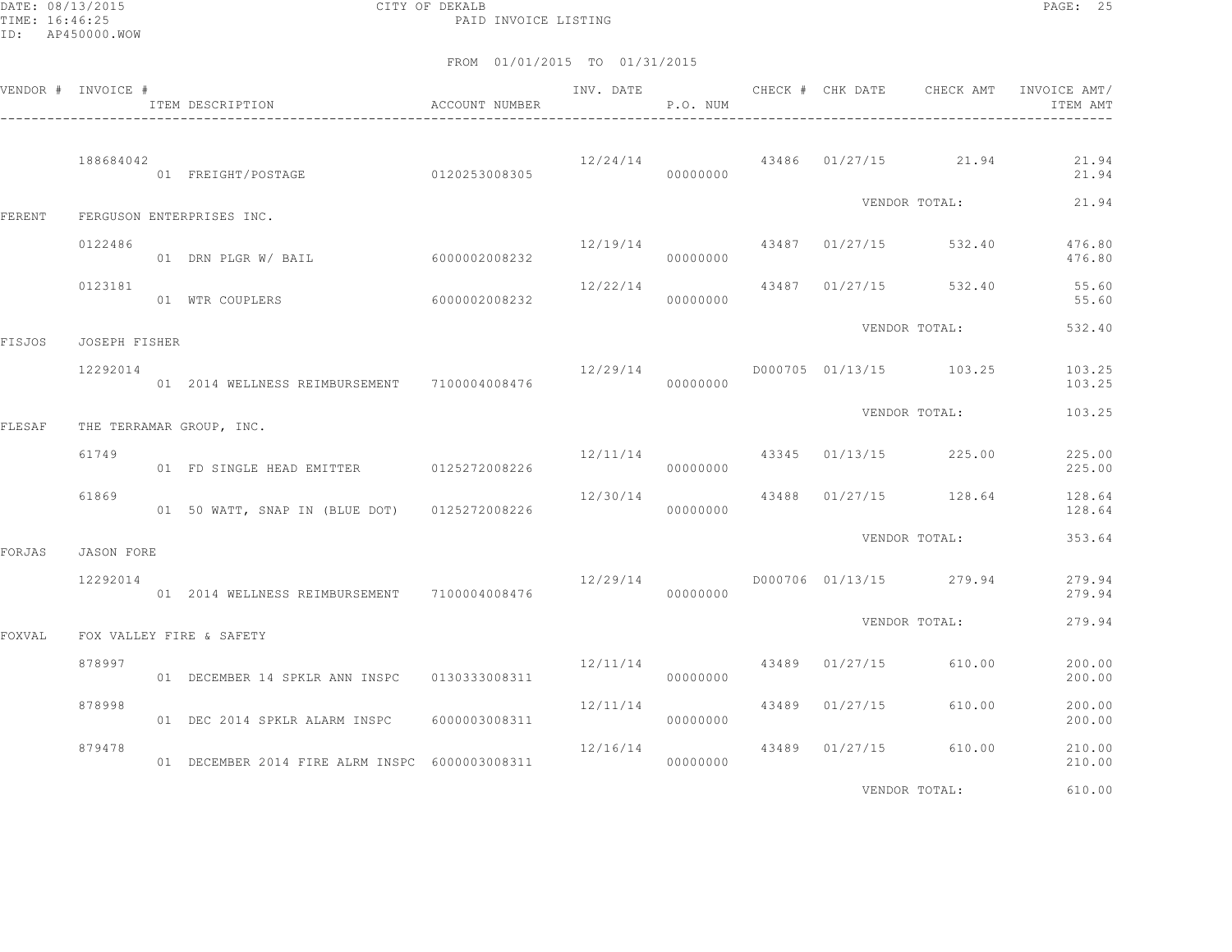DATE: 08/13/2015 CITY OF DEKALB PAGE: 25 PAID INVOICE LISTING

|        | VENDOR # INVOICE # | ITEM DESCRIPTION                                | ACCOUNT NUMBER |                                      | P.O. NUM |                |                                        | ITEM AMT         |
|--------|--------------------|-------------------------------------------------|----------------|--------------------------------------|----------|----------------|----------------------------------------|------------------|
|        | 188684042          | 01 FREIGHT/POSTAGE 0120253008305                |                |                                      | 00000000 |                | $12/24/14$ 43486 01/27/15 21.94        | 21.94<br>21.94   |
| FERENT |                    | FERGUSON ENTERPRISES INC.                       |                |                                      |          |                | VENDOR TOTAL:                          | 21.94            |
|        | 0122486            | 01 DRN PLGR W/ BAIL 6000002008232               |                |                                      | 00000000 |                | $12/19/14$ $43487$ $01/27/15$ $532.40$ | 476.80<br>476.80 |
|        | 0123181            | 01 WTR COUPLERS                                 | 6000002008232  | 12/22/14                             | 00000000 |                | 43487 01/27/15 532.40                  | 55.60<br>55.60   |
| FISJOS | JOSEPH FISHER      |                                                 |                |                                      |          |                | VENDOR TOTAL:                          | 532.40           |
|        | 12292014           | 01  2014  WELLNESS REIMBURSEMENT  7100004008476 |                |                                      | 00000000 |                |                                        | 103.25<br>103.25 |
| FLESAF |                    | THE TERRAMAR GROUP, INC.                        |                |                                      |          |                | VENDOR TOTAL:                          | 103.25           |
|        | 61749              | 01 FD SINGLE HEAD EMITTER 0125272008226         |                | $12/11/14$ $43345$ $01/13/15$ 225.00 | 00000000 |                |                                        | 225.00<br>225.00 |
|        | 61869              | 01 50 WATT, SNAP IN (BLUE DOT) 0125272008226    |                | 12/30/14                             | 00000000 |                | 43488 01/27/15 128.64                  | 128.64<br>128.64 |
| FORJAS | JASON FORE         |                                                 |                |                                      |          |                | VENDOR TOTAL:                          | 353.64           |
|        | 12292014           | 01  2014  WELLNESS REIMBURSEMENT  7100004008476 |                |                                      | 00000000 |                | $12/29/14$ D000706 01/13/15 279.94     | 279.94<br>279.94 |
| FOXVAL |                    | FOX VALLEY FIRE & SAFETY                        |                |                                      |          |                | VENDOR TOTAL:                          | 279.94           |
|        | 878997             | 01 DECEMBER 14 SPKLR ANN INSPC 0130333008311    |                | 12/11/14                             | 00000000 | 43489 01/27/15 | 610.00                                 | 200.00<br>200.00 |
|        | 878998             | 01 DEC 2014 SPKLR ALARM INSPC 6000003008311     |                | 12/11/14                             | 00000000 | 43489 01/27/15 | 610.00                                 | 200.00<br>200.00 |
|        | 879478             | 01 DECEMBER 2014 FIRE ALRM INSPC 6000003008311  |                | 12/16/14                             | 00000000 | 43489 01/27/15 | 610.00                                 | 210.00<br>210.00 |
|        |                    |                                                 |                |                                      |          |                | VENDOR TOTAL:                          | 610.00           |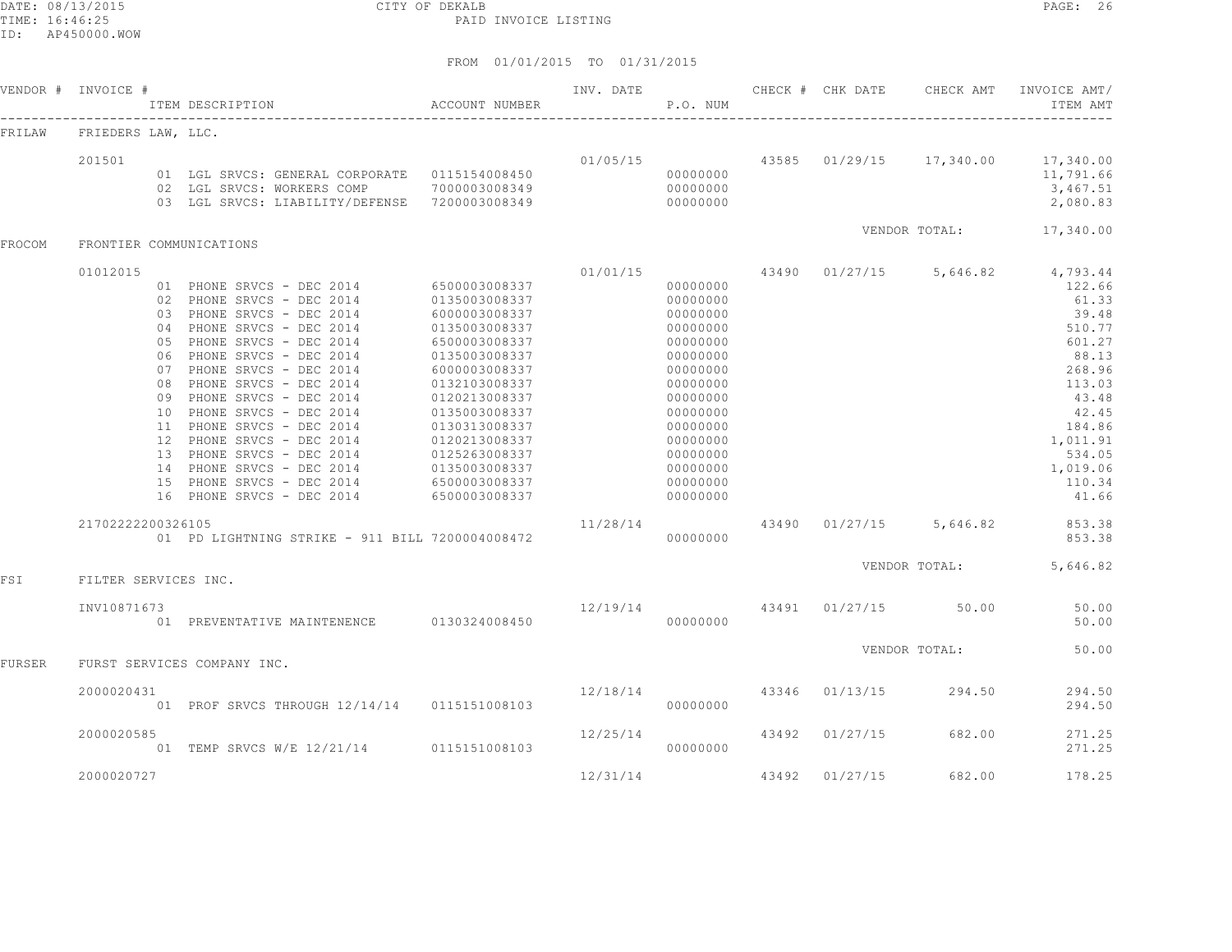DATE: 08/13/2015 CITY OF DEKALB PAGE: 26 PAID INVOICE LISTING

| VENDOR # | INVOICE #            |                            | ITEM DESCRIPTION                                                                                                                                                                                                                                                                                                                                                                                                                                              | ACCOUNT NUMBER                                                                                                                                                                                                                                                               | INV. DATE | P.O. NUM                                                                                                                                                                                     |       | CHECK # CHK DATE | CHECK AMT     | INVOICE AMT/<br>ITEM AMT                                                                                                                                               |
|----------|----------------------|----------------------------|---------------------------------------------------------------------------------------------------------------------------------------------------------------------------------------------------------------------------------------------------------------------------------------------------------------------------------------------------------------------------------------------------------------------------------------------------------------|------------------------------------------------------------------------------------------------------------------------------------------------------------------------------------------------------------------------------------------------------------------------------|-----------|----------------------------------------------------------------------------------------------------------------------------------------------------------------------------------------------|-------|------------------|---------------|------------------------------------------------------------------------------------------------------------------------------------------------------------------------|
| FRILAW   | FRIEDERS LAW, LLC.   |                            |                                                                                                                                                                                                                                                                                                                                                                                                                                                               |                                                                                                                                                                                                                                                                              |           |                                                                                                                                                                                              |       |                  |               |                                                                                                                                                                        |
|          | 201501               |                            | 01 LGL SRVCS: GENERAL CORPORATE  0115154008450<br>02 LGL SRVCS: WORKERS COMP<br>03 LGL SRVCS: LIABILITY/DEFENSE                                                                                                                                                                                                                                                                                                                                               | 7000003008349<br>7200003008349                                                                                                                                                                                                                                               | 01/05/15  | 00000000<br>00000000<br>00000000                                                                                                                                                             |       | 43585 01/29/15   | 17,340.00     | 17,340.00<br>11,791.66<br>3,467.51<br>2,080.83                                                                                                                         |
| FROCOM   |                      |                            | FRONTIER COMMUNICATIONS                                                                                                                                                                                                                                                                                                                                                                                                                                       |                                                                                                                                                                                                                                                                              |           |                                                                                                                                                                                              |       |                  | VENDOR TOTAL: | 17,340.00                                                                                                                                                              |
|          | 01012015             | 05<br>06<br>07<br>08<br>09 | 01 PHONE SRVCS - DEC 2014<br>02 PHONE SRVCS - DEC 2014<br>03 PHONE SRVCS - DEC 2014<br>04 PHONE SRVCS - DEC 2014<br>PHONE SRVCS - DEC 2014<br>PHONE SRVCS - DEC 2014<br>PHONE SRVCS - DEC 2014<br>PHONE SRVCS - DEC 2014<br>PHONE SRVCS - DEC 2014<br>10 PHONE SRVCS - DEC 2014<br>11 PHONE SRVCS - DEC 2014<br>12 PHONE SRVCS - DEC 2014<br>13 PHONE SRVCS - DEC 2014<br>14 PHONE SRVCS - DEC 2014<br>15 PHONE SRVCS - DEC 2014<br>16 PHONE SRVCS - DEC 2014 | 6500003008337<br>0135003008337<br>6000003008337<br>0135003008337<br>6500003008337<br>0135003008337<br>6000003008337<br>0132103008337<br>0120213008337<br>0135003008337<br>0130313008337<br>0120213008337<br>0125263008337<br>0135003008337<br>6500003008337<br>6500003008337 | 01/01/15  | 00000000<br>00000000<br>00000000<br>00000000<br>00000000<br>00000000<br>00000000<br>00000000<br>00000000<br>00000000<br>00000000<br>00000000<br>00000000<br>00000000<br>00000000<br>00000000 | 43490 | 01/27/15         | 5,646.82      | 4,793.44<br>122.66<br>61.33<br>39.48<br>510.77<br>601.27<br>88.13<br>268.96<br>113.03<br>43.48<br>42.45<br>184.86<br>1,011.91<br>534.05<br>1,019.06<br>110.34<br>41.66 |
|          | 21702222200326105    |                            | 01 PD LIGHTNING STRIKE - 911 BILL 7200004008472                                                                                                                                                                                                                                                                                                                                                                                                               |                                                                                                                                                                                                                                                                              | 11/28/14  | 00000000                                                                                                                                                                                     | 43490 | 01/27/15         | 5,646.82      | 853.38<br>853.38                                                                                                                                                       |
| FSI      | FILTER SERVICES INC. |                            |                                                                                                                                                                                                                                                                                                                                                                                                                                                               |                                                                                                                                                                                                                                                                              |           |                                                                                                                                                                                              |       |                  | VENDOR TOTAL: | 5,646.82                                                                                                                                                               |
|          | INV10871673          |                            | 01 PREVENTATIVE MAINTENENCE 0130324008450                                                                                                                                                                                                                                                                                                                                                                                                                     |                                                                                                                                                                                                                                                                              | 12/19/14  | 00000000                                                                                                                                                                                     | 43491 | 01/27/15         | 50.00         | 50.00<br>50.00                                                                                                                                                         |
| FURSER   |                      |                            | FURST SERVICES COMPANY INC.                                                                                                                                                                                                                                                                                                                                                                                                                                   |                                                                                                                                                                                                                                                                              |           |                                                                                                                                                                                              |       |                  | VENDOR TOTAL: | 50.00                                                                                                                                                                  |
|          | 2000020431           |                            | 01 PROF SRVCS THROUGH 12/14/14 0115151008103                                                                                                                                                                                                                                                                                                                                                                                                                  |                                                                                                                                                                                                                                                                              | 12/18/14  | 00000000                                                                                                                                                                                     | 43346 | 01/13/15         | 294.50        | 294.50<br>294.50                                                                                                                                                       |
|          | 2000020585           |                            | 01 TEMP SRVCS W/E 12/21/14 0115151008103                                                                                                                                                                                                                                                                                                                                                                                                                      |                                                                                                                                                                                                                                                                              | 12/25/14  | 00000000                                                                                                                                                                                     | 43492 | 01/27/15         | 682.00        | 271.25<br>271.25                                                                                                                                                       |
|          | 2000020727           |                            |                                                                                                                                                                                                                                                                                                                                                                                                                                                               |                                                                                                                                                                                                                                                                              | 12/31/14  |                                                                                                                                                                                              | 43492 | 01/27/15         | 682.00        | 178.25                                                                                                                                                                 |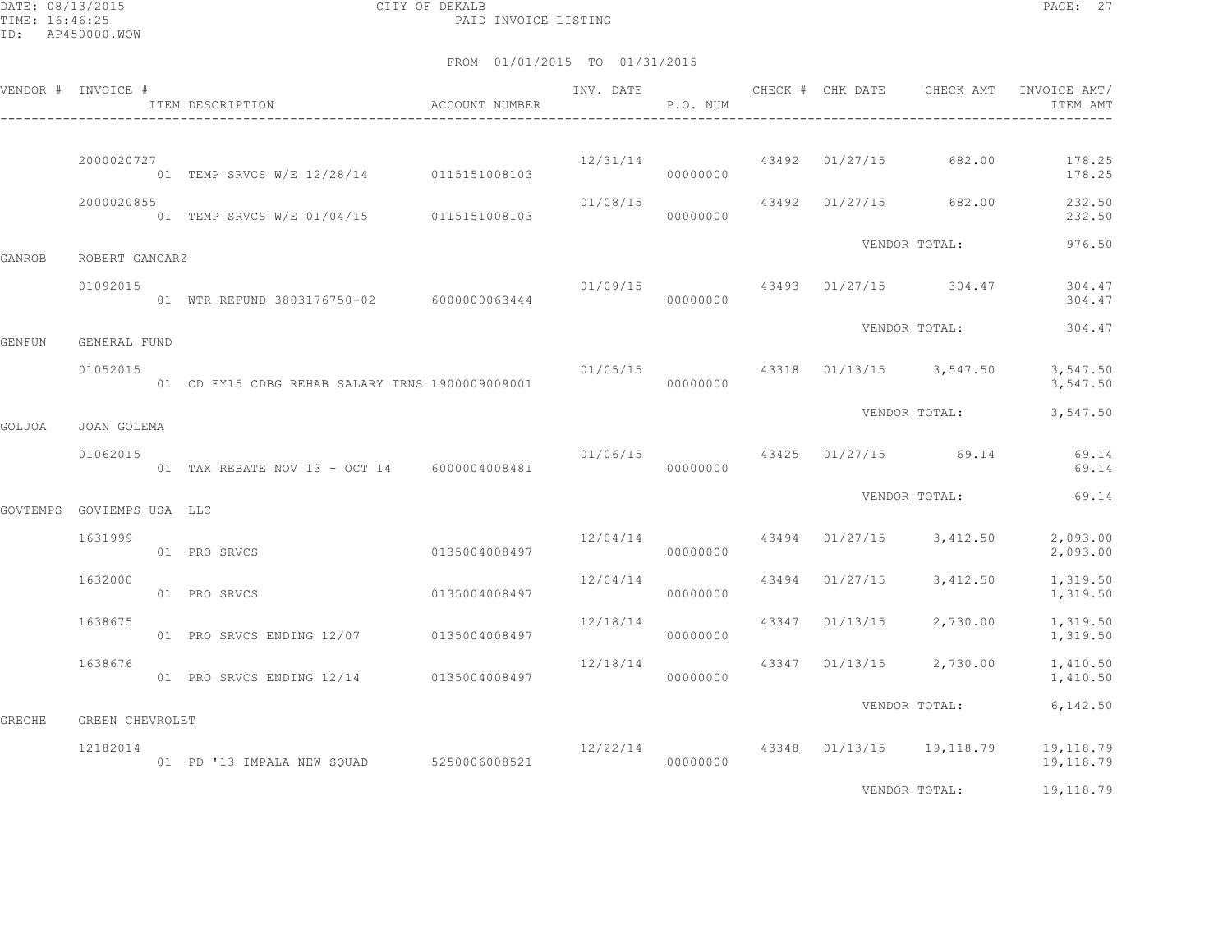DATE: 08/13/2015 CITY OF DEKALB PAGE: 27 PAID INVOICE LISTING

|               | VENDOR # INVOICE #        | ITEM DESCRIPTION                                | ACCOUNT NUMBER | INV. DATE      | P.O. NUM |       | CHECK # CHK DATE | CHECK AMT                           | INVOICE AMT/<br>ITEM AMT |
|---------------|---------------------------|-------------------------------------------------|----------------|----------------|----------|-------|------------------|-------------------------------------|--------------------------|
|               | 2000020727                | 01 TEMP SRVCS W/E 12/28/14 0115151008103        |                | 12/31/14       | 00000000 |       | 43492 01/27/15   | 682.00                              | 178.25<br>178.25         |
|               | 2000020855                | 01 TEMP SRVCS W/E 01/04/15 0115151008103        |                | 01/08/15       | 00000000 |       |                  | 43492 01/27/15 682.00               | 232.50<br>232.50         |
| GANROB        | ROBERT GANCARZ            |                                                 |                |                |          |       |                  | VENDOR TOTAL:                       | 976.50                   |
|               | 01092015                  | 01 WTR REFUND 3803176750-02 6000000063444       |                | 01/09/15       | 00000000 |       |                  | 43493 01/27/15 304.47               | 304.47<br>304.47         |
| <b>GENFUN</b> | GENERAL FUND              |                                                 |                |                |          |       |                  | VENDOR TOTAL:                       | 304.47                   |
|               | 01052015                  | 01 CD FY15 CDBG REHAB SALARY TRNS 1900009009001 |                | 01/05/15 43318 | 00000000 |       |                  | $01/13/15$ 3,547.50                 | 3,547.50<br>3,547.50     |
| GOLJOA        | JOAN GOLEMA               |                                                 |                |                |          |       |                  | VENDOR TOTAL:                       | 3,547.50                 |
|               | 01062015                  | 01 TAX REBATE NOV 13 - OCT 14 6000004008481     |                | 01/06/15       | 00000000 |       |                  | 43425 01/27/15 69.14                | 69.14<br>69.14           |
|               | GOVTEMPS GOVTEMPS USA LLC |                                                 |                |                |          |       |                  | VENDOR TOTAL:                       | 69.14                    |
|               | 1631999                   | 0135004008497<br>01 PRO SRVCS                   |                | 12/04/14       | 00000000 | 43494 | 01/27/15         | 3,412.50                            | 2,093.00<br>2,093.00     |
|               | 1632000                   | 01 PRO SRVCS                                    | 0135004008497  | 12/04/14       | 00000000 | 43494 | 01/27/15         | 3,412.50                            | 1,319.50<br>1,319.50     |
|               | 1638675                   | 01 PRO SRVCS ENDING 12/07 0135004008497         |                | 12/18/14       | 00000000 | 43347 | 01/13/15         | 2,730.00                            | 1,319.50<br>1,319.50     |
|               | 1638676                   | 01 PRO SRVCS ENDING 12/14 0135004008497         |                | 12/18/14       | 00000000 |       | 43347 01/13/15   | 2,730.00                            | 1,410.50<br>1,410.50     |
| <b>GRECHE</b> | GREEN CHEVROLET           |                                                 |                |                |          |       |                  | VENDOR TOTAL:                       | 6,142.50                 |
|               | 12182014                  | 01 PD '13 IMPALA NEW SQUAD 5250006008521        |                |                | 00000000 |       |                  | $12/22/14$ 43348 01/13/15 19,118.79 | 19,118.79<br>19,118.79   |
|               |                           |                                                 |                |                |          |       |                  | VENDOR TOTAL:                       | 19,118.79                |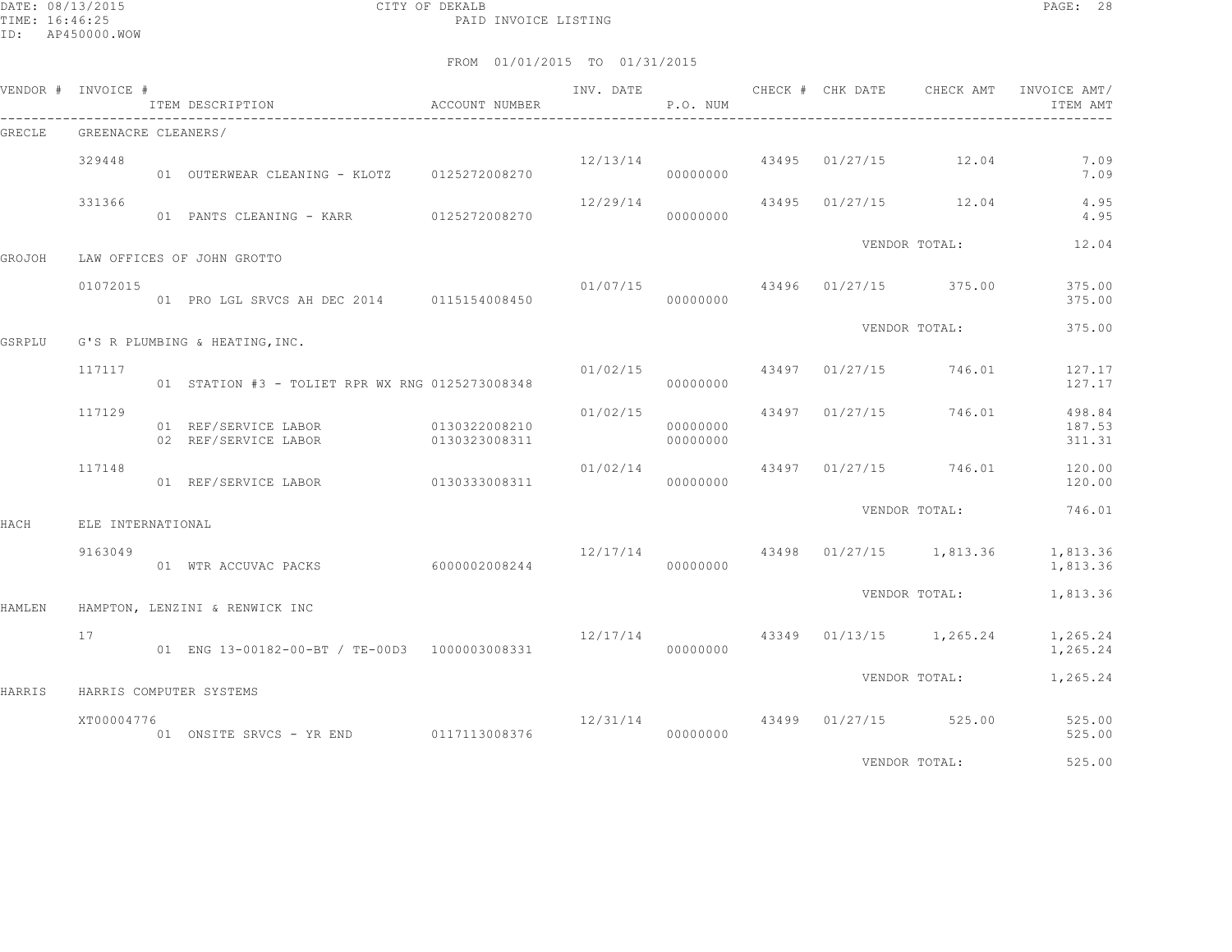DATE: 08/13/2015 CITY OF DEKALB PAGE: 28 PAID INVOICE LISTING

|        | VENDOR # INVOICE #  | ITEM DESCRIPTION                                | ACCOUNT NUMBER                 |          | P.O. NUM             |                |                                          | INVOICE AMT/<br>ITEM AMT   |
|--------|---------------------|-------------------------------------------------|--------------------------------|----------|----------------------|----------------|------------------------------------------|----------------------------|
| GRECLE | GREENACRE CLEANERS/ |                                                 |                                |          |                      |                |                                          |                            |
|        | 329448              | 01 OUTERWEAR CLEANING - KLOTZ 0125272008270     |                                | 12/13/14 | 00000000             | 43495 01/27/15 | 12.04                                    | 7.09<br>7.09               |
|        | 331366              | 01 PANTS CLEANING - KARR 0125272008270          |                                | 12/29/14 | 00000000             |                | 43495 01/27/15 12.04                     | 4.95<br>4.95               |
| GROJOH |                     | LAW OFFICES OF JOHN GROTTO                      |                                |          |                      |                | VENDOR TOTAL:                            | 12.04                      |
|        | 01072015            | 01 PRO LGL SRVCS AH DEC 2014 0115154008450      |                                |          | 00000000             |                | $01/07/15$ 43496 01/27/15 375.00         | 375.00<br>375.00           |
| GSRPLU |                     | G'S R PLUMBING & HEATING, INC.                  |                                |          |                      |                | VENDOR TOTAL:                            | 375.00                     |
|        | 117117              | 01 STATION #3 - TOLIET RPR WX RNG 0125273008348 |                                | 01/02/15 | 00000000             |                | 43497 01/27/15 746.01                    | 127.17<br>127.17           |
|        | 117129              | 01 REF/SERVICE LABOR<br>02 REF/SERVICE LABOR    | 0130322008210<br>0130323008311 | 01/02/15 | 00000000<br>00000000 |                | 43497 01/27/15 746.01                    | 498.84<br>187.53<br>311.31 |
|        | 117148              | 01 REF/SERVICE LABOR                            | 0130333008311                  | 01/02/14 | 00000000             |                | 43497 01/27/15 746.01                    | 120.00<br>120.00           |
| HACH   | ELE INTERNATIONAL   |                                                 |                                |          |                      |                | VENDOR TOTAL:                            | 746.01                     |
|        | 9163049             | 01 WTR ACCUVAC PACKS 6000002008244              |                                |          | 00000000             |                | $12/17/14$ $43498$ $01/27/15$ $1,813.36$ | 1,813.36<br>1,813.36       |
| HAMLEN |                     | HAMPTON, LENZINI & RENWICK INC                  |                                |          |                      |                | VENDOR TOTAL:                            | 1,813.36                   |
|        | 17                  | 01 ENG 13-00182-00-BT / TE-00D3 1000003008331   |                                |          | 00000000             |                | $12/17/14$ 43349 01/13/15 1,265.24       | 1,265.24<br>1,265.24       |
| HARRIS |                     | HARRIS COMPUTER SYSTEMS                         |                                |          |                      |                | VENDOR TOTAL:                            | 1,265.24                   |
|        | XT00004776          | 01 ONSITE SRVCS - YR END 0117113008376          |                                | 12/31/14 | 00000000             |                | 43499 01/27/15 525.00                    | 525.00<br>525.00           |
|        |                     |                                                 |                                |          |                      |                | VENDOR TOTAL:                            | 525.00                     |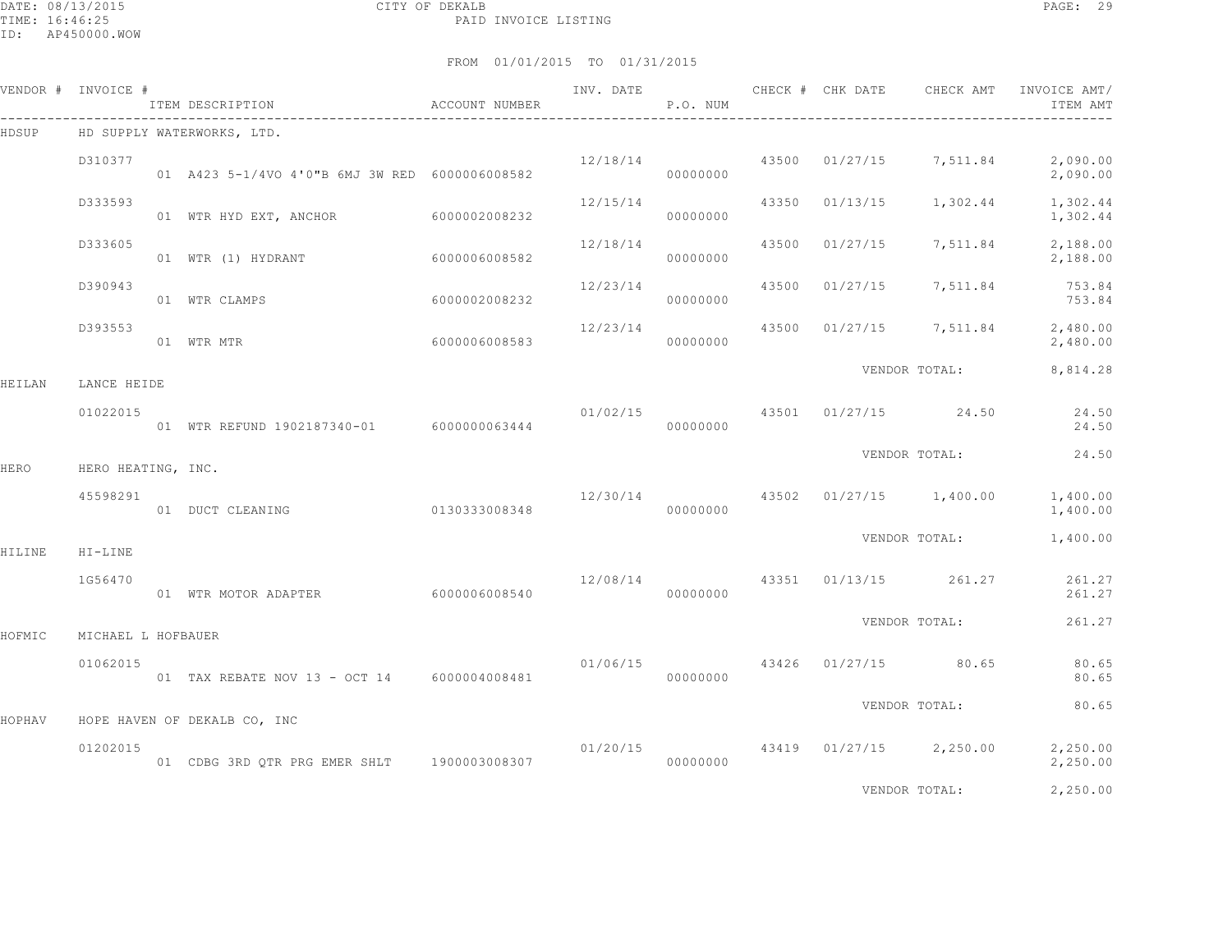DATE: 08/13/2015 CITY OF DEKALB PAGE: 29 PAID INVOICE LISTING

|        | VENDOR # INVOICE # | ITEM DESCRIPTION                               | ACCOUNT NUMBER | INV. DATE | P.O. NUM |       |          | CHECK # CHK DATE CHECK AMT             | INVOICE AMT/<br>ITEM AMT              |
|--------|--------------------|------------------------------------------------|----------------|-----------|----------|-------|----------|----------------------------------------|---------------------------------------|
| HDSUP  |                    | HD SUPPLY WATERWORKS, LTD.                     |                |           |          |       |          |                                        |                                       |
|        | D310377            | 01 A423 5-1/4VO 4'0"B 6MJ 3W RED 6000006008582 |                | 12/18/14  | 00000000 |       |          | 43500 01/27/15 7,511.84                | 2,090.00<br>2,090.00                  |
|        | D333593            | 01 WTR HYD EXT, ANCHOR                         | 6000002008232  | 12/15/14  | 00000000 | 43350 | 01/13/15 | 1,302.44                               | 1,302.44<br>1,302.44                  |
|        | D333605            | 01 WTR (1) HYDRANT                             | 6000006008582  | 12/18/14  | 00000000 | 43500 | 01/27/15 | 7,511.84                               | 2,188.00<br>2,188.00                  |
|        | D390943            | 01 WTR CLAMPS                                  | 6000002008232  | 12/23/14  | 00000000 | 43500 |          |                                        | $01/27/15$ 7, 511.84 753.84<br>753.84 |
|        | D393553            | 6000006008583<br>01 WTR MTR                    |                | 12/23/14  | 00000000 | 43500 |          | $01/27/15$ 7,511.84                    | 2,480.00<br>2,480.00                  |
| HEILAN | LANCE HEIDE        |                                                |                |           |          |       |          | VENDOR TOTAL:                          | 8,814.28                              |
|        | 01022015           | 01 WTR REFUND 1902187340-01 6000000063444      |                |           | 00000000 |       |          | $01/02/15$ 43501 $01/27/15$ 24.50      | 24.50<br>24.50                        |
| HERO   | HERO HEATING, INC. |                                                |                |           |          |       |          | VENDOR TOTAL:                          | 24.50                                 |
|        | 45598291           | 01 DUCT CLEANING                               | 0130333008348  | 12/30/14  | 00000000 |       |          | 43502 01/27/15 1,400.00                | 1,400.00<br>1,400.00                  |
| HILINE | HI-LINE            |                                                |                |           |          |       |          | VENDOR TOTAL:                          | 1,400.00                              |
|        | 1G56470            | 01 WTR MOTOR ADAPTER                           | 6000006008540  |           | 00000000 |       |          | $12/08/14$ $43351$ $01/13/15$ $261.27$ | 261.27<br>261.27                      |
| HOFMIC | MICHAEL L HOFBAUER |                                                |                |           |          |       |          | VENDOR TOTAL:                          | 261.27                                |
|        | 01062015           | 01 TAX REBATE NOV 13 - OCT 14 6000004008481    |                |           | 00000000 |       |          | $01/06/15$ $43426$ $01/27/15$ 80.65    | 80.65<br>80.65                        |
|        |                    |                                                |                |           |          |       |          | VENDOR TOTAL:                          | 80.65                                 |
| HOPHAV | 01202015           | HOPE HAVEN OF DEKALB CO, INC                   |                | 01/20/15  |          |       |          | 43419 01/27/15 2,250.00                | 2,250.00                              |
|        |                    | 01 CDBG 3RD QTR PRG EMER SHLT 1900003008307    |                |           | 00000000 |       |          |                                        | 2,250.00                              |
|        |                    |                                                |                |           |          |       |          | VENDOR TOTAL:                          | 2,250.00                              |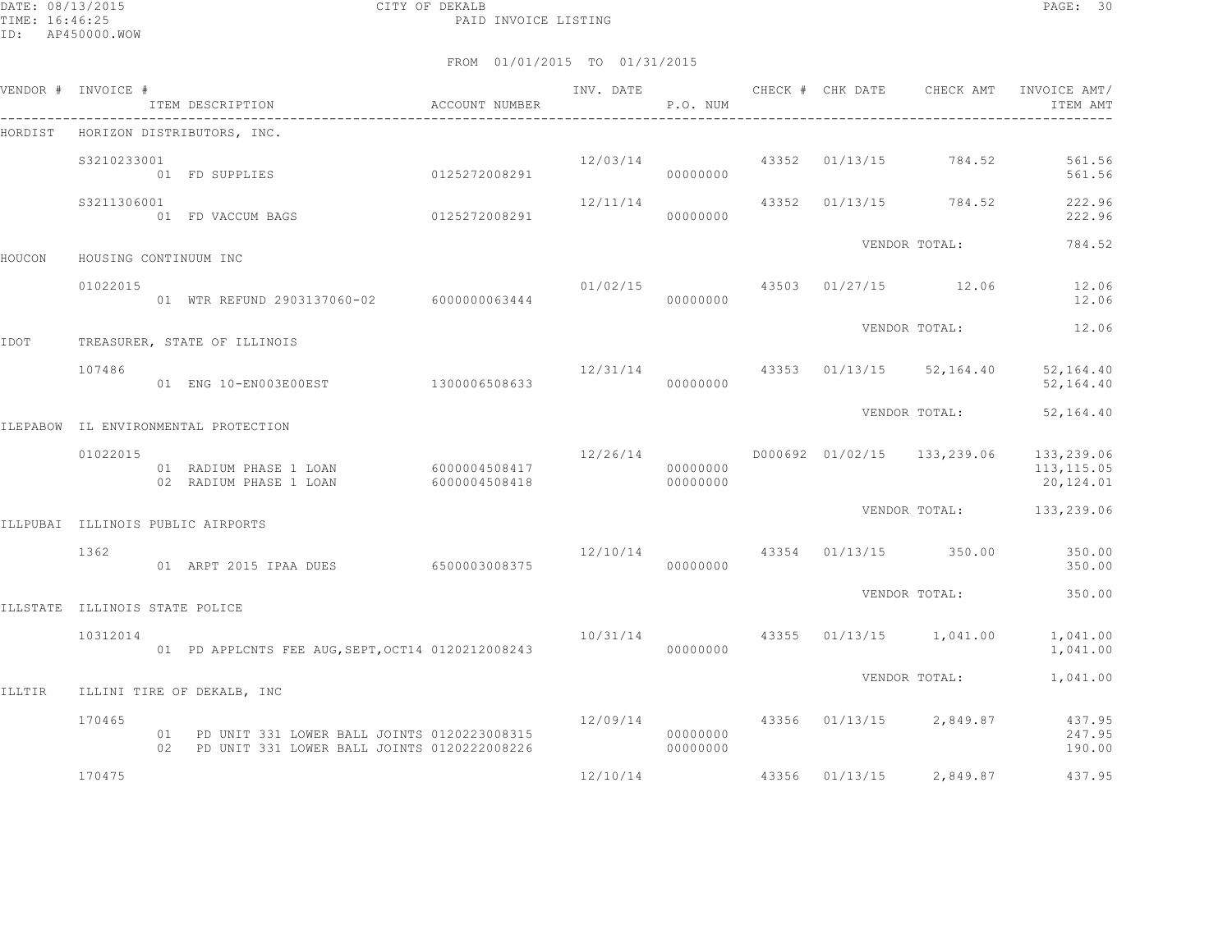DATE: 08/13/2015 CITY OF DEKALB PAGE: 30 PAID INVOICE LISTING

|        | VENDOR # INVOICE #             | ITEM DESCRIPTION                                                                                 | ACCOUNT NUMBER                 |          | P.O. NUM             |  | INV. DATE 6 CHECK # CHK DATE CHECK AMT INVOICE AMT/ | ITEM AMT                              |
|--------|--------------------------------|--------------------------------------------------------------------------------------------------|--------------------------------|----------|----------------------|--|-----------------------------------------------------|---------------------------------------|
|        |                                | HORDIST HORIZON DISTRIBUTORS, INC.                                                               |                                |          |                      |  |                                                     |                                       |
|        | S3210233001                    | 01 FD SUPPLIES                                                                                   | 0125272008291                  |          | 00000000             |  | $12/03/14$ 43352 01/13/15 784.52                    | 561.56<br>561.56                      |
|        | S3211306001                    | 01 FD VACCUM BAGS                                                                                | 0125272008291                  | 12/11/14 | 00000000             |  | 43352 01/13/15 784.52                               | 222.96<br>222.96                      |
| HOUCON | HOUSING CONTINUUM INC          |                                                                                                  |                                |          |                      |  | VENDOR TOTAL:                                       | 784.52                                |
|        | 01022015                       | 01 WTR REFUND 2903137060-02 6000000063444                                                        |                                | 00000000 |                      |  | $01/02/15$ $43503$ $01/27/15$ $12.06$               | 12.06<br>12.06                        |
| IDOT   |                                | TREASURER, STATE OF ILLINOIS                                                                     |                                |          |                      |  | VENDOR TOTAL:                                       | 12.06                                 |
|        | 107486                         | 01 ENG 10-EN003E00EST 1300006508633                                                              |                                |          | 00000000             |  | 12/31/14 43353 01/13/15 52,164.40                   | 52,164.40<br>52,164.40                |
|        |                                | ILEPABOW IL ENVIRONMENTAL PROTECTION                                                             |                                |          |                      |  | VENDOR TOTAL:                                       | 52,164.40                             |
|        | 01022015                       | 01 RADIUM PHASE 1 LOAN<br>02 RADIUM PHASE 1 LOAN                                                 | 6000004508417<br>6000004508418 | 12/26/14 | 00000000<br>00000000 |  | D000692 01/02/15 133,239.06                         | 133,239.06<br>113,115.05<br>20,124.01 |
|        |                                | ILLPUBAI ILLINOIS PUBLIC AIRPORTS                                                                |                                |          |                      |  | VENDOR TOTAL: 133,239.06                            |                                       |
|        | 1362                           | 01 ARPT 2015 IPAA DUES                                                                           | 6500003008375                  | 00000000 |                      |  | 12/10/14 43354 01/13/15 350.00                      | 350.00<br>350.00                      |
|        | ILLSTATE ILLINOIS STATE POLICE |                                                                                                  |                                |          |                      |  | VENDOR TOTAL:                                       | 350.00                                |
|        | 10312014                       | 01 PD APPLCNTS FEE AUG, SEPT, OCT14 0120212008243                                                |                                |          | 00000000             |  | 10/31/14 43355 01/13/15 1,041.00                    | 1,041.00<br>1,041.00                  |
| ILLTIR |                                | ILLINI TIRE OF DEKALB, INC                                                                       |                                |          |                      |  | VENDOR TOTAL: 1,041.00                              |                                       |
|        | 170465                         | 01 PD UNIT 331 LOWER BALL JOINTS 0120223008315<br>02 PD UNIT 331 LOWER BALL JOINTS 0120222008226 |                                |          | 00000000<br>00000000 |  | 12/09/14 43356 01/13/15 2,849.87                    | 437.95<br>247.95<br>190.00            |
|        | 170475                         |                                                                                                  |                                |          |                      |  | $12/10/14$ 43356 01/13/15 2,849.87                  | 437.95                                |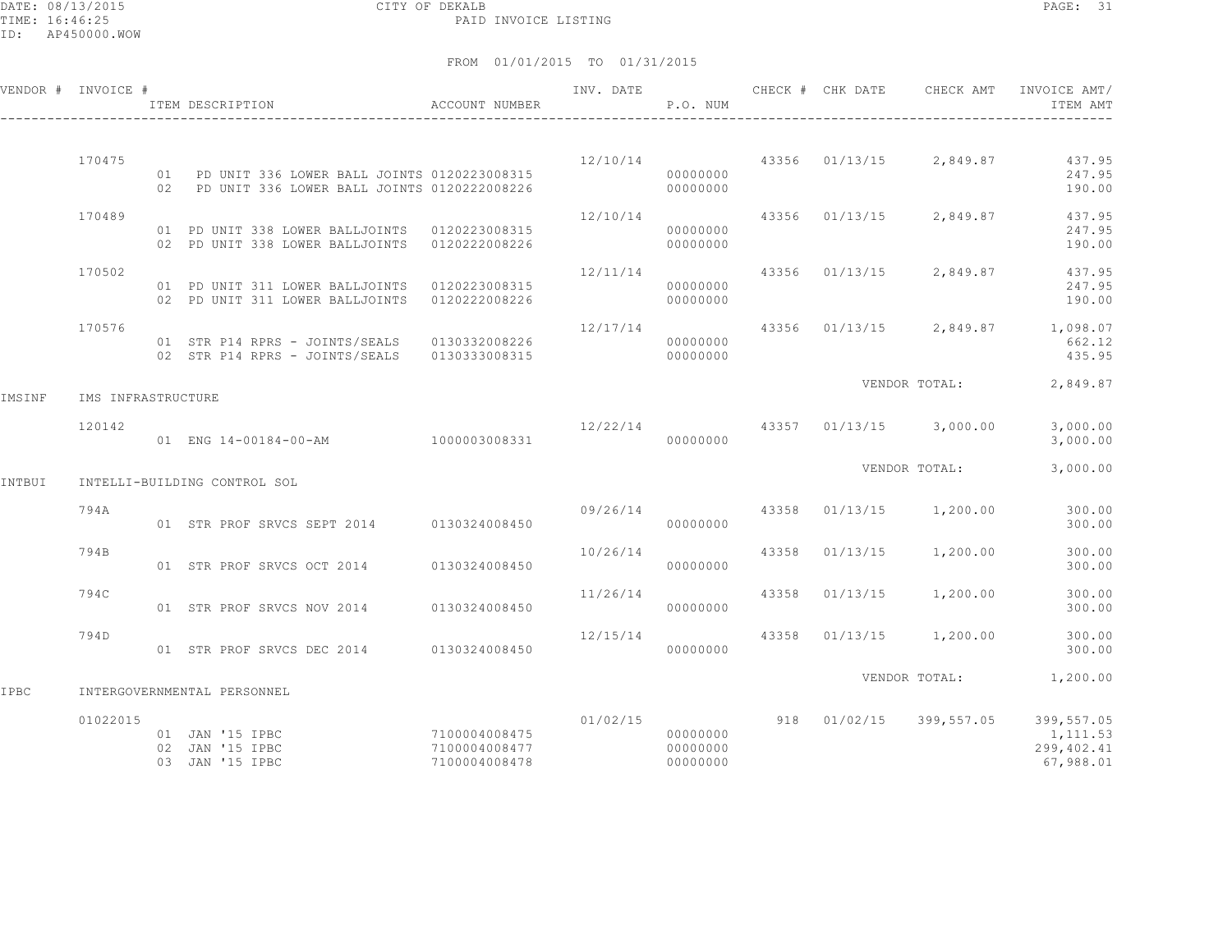DATE: 08/13/2015 CITY OF DEKALB PAGE: 31 PAID INVOICE LISTING

ID: AP450000.WOW

|        | VENDOR # INVOICE # | ITEM DESCRIPTION                                                                                 | ACCOUNT NUMBER                                  | INV. DATE        | P.O. NUM                         |  |                                    | CHECK # CHK DATE CHECK AMT INVOICE AMT/<br>ITEM AMT                       |
|--------|--------------------|--------------------------------------------------------------------------------------------------|-------------------------------------------------|------------------|----------------------------------|--|------------------------------------|---------------------------------------------------------------------------|
|        | 170475             | 01 PD UNIT 336 LOWER BALL JOINTS 0120223008315<br>02 PD UNIT 336 LOWER BALL JOINTS 0120222008226 |                                                 |                  | 00000000<br>00000000             |  | $12/10/14$ 43356 01/13/15 2,849.87 | 437.95<br>247.95<br>190.00                                                |
|        | 170489             | 01 PD UNIT 338 LOWER BALLJOINTS 0120223008315<br>02 PD UNIT 338 LOWER BALLJOINTS 0120222008226   |                                                 | 12/10/14         | 00000000<br>00000000             |  | 43356 01/13/15 2,849.87            | 437.95<br>247.95<br>190.00                                                |
|        | 170502             | 01 PD UNIT 311 LOWER BALLJOINTS 0120223008315<br>02 PD UNIT 311 LOWER BALLJOINTS 0120222008226   |                                                 | 12/11/14         | 00000000<br>00000000             |  | 43356 01/13/15 2,849.87            | 437.95<br>247.95<br>190.00                                                |
|        | 170576             | 01 STR P14 RPRS - JOINTS/SEALS 0130332008226<br>02 STR P14 RPRS - JOINTS/SEALS 0130333008315     |                                                 | 12/17/14         | 00000000<br>00000000             |  |                                    | 43356 01/13/15 2,849.87 1,098.07<br>662.12<br>435.95                      |
| IMSINF | IMS INFRASTRUCTURE |                                                                                                  |                                                 |                  |                                  |  |                                    | VENDOR TOTAL: 2,849.87                                                    |
|        | 120142             | 01 ENG 14-00184-00-AM 1000003008331                                                              |                                                 |                  | 00000000                         |  | 12/22/14 43357 01/13/15 3,000.00   | 3,000.00<br>3,000.00                                                      |
| INTBUI |                    | INTELLI-BUILDING CONTROL SOL                                                                     |                                                 |                  |                                  |  | VENDOR TOTAL:                      | 3,000.00                                                                  |
|        | 794A               | 01 STR PROF SRVCS SEPT 2014 0130324008450                                                        |                                                 | 09/26/14 43358   | 00000000                         |  | $01/13/15$ 1,200.00                | 300.00<br>300.00                                                          |
|        | 794B               | 01 STR PROF SRVCS OCT 2014 0130324008450                                                         |                                                 | 10/26/14         | 00000000                         |  | 43358 01/13/15 1,200.00            | 300.00<br>300.00                                                          |
|        | 794C               | 01 STR PROF SRVCS NOV 2014                                                                       | 0130324008450                                   | 11/26/14         | 00000000                         |  | 43358 01/13/15 1,200.00            | 300.00<br>300.00                                                          |
|        | 794D               | 01 STR PROF SRVCS DEC 2014 0130324008450                                                         |                                                 | $12/15/14$ 43358 | 00000000                         |  | $01/13/15$ 1,200.00                | 300.00<br>300.00                                                          |
| IPBC   |                    | INTERGOVERNMENTAL PERSONNEL                                                                      |                                                 |                  |                                  |  |                                    | VENDOR TOTAL: 1,200.00                                                    |
|        | 01022015           | 01 JAN '15 IPBC<br>02 JAN '15 IPBC<br>03 JAN '15 IPBC                                            | 7100004008475<br>7100004008477<br>7100004008478 | 01/02/15         | 00000000<br>00000000<br>00000000 |  |                                    | 918 01/02/15 399,557.05 399,557.05<br>1,111.53<br>299,402.41<br>67,988.01 |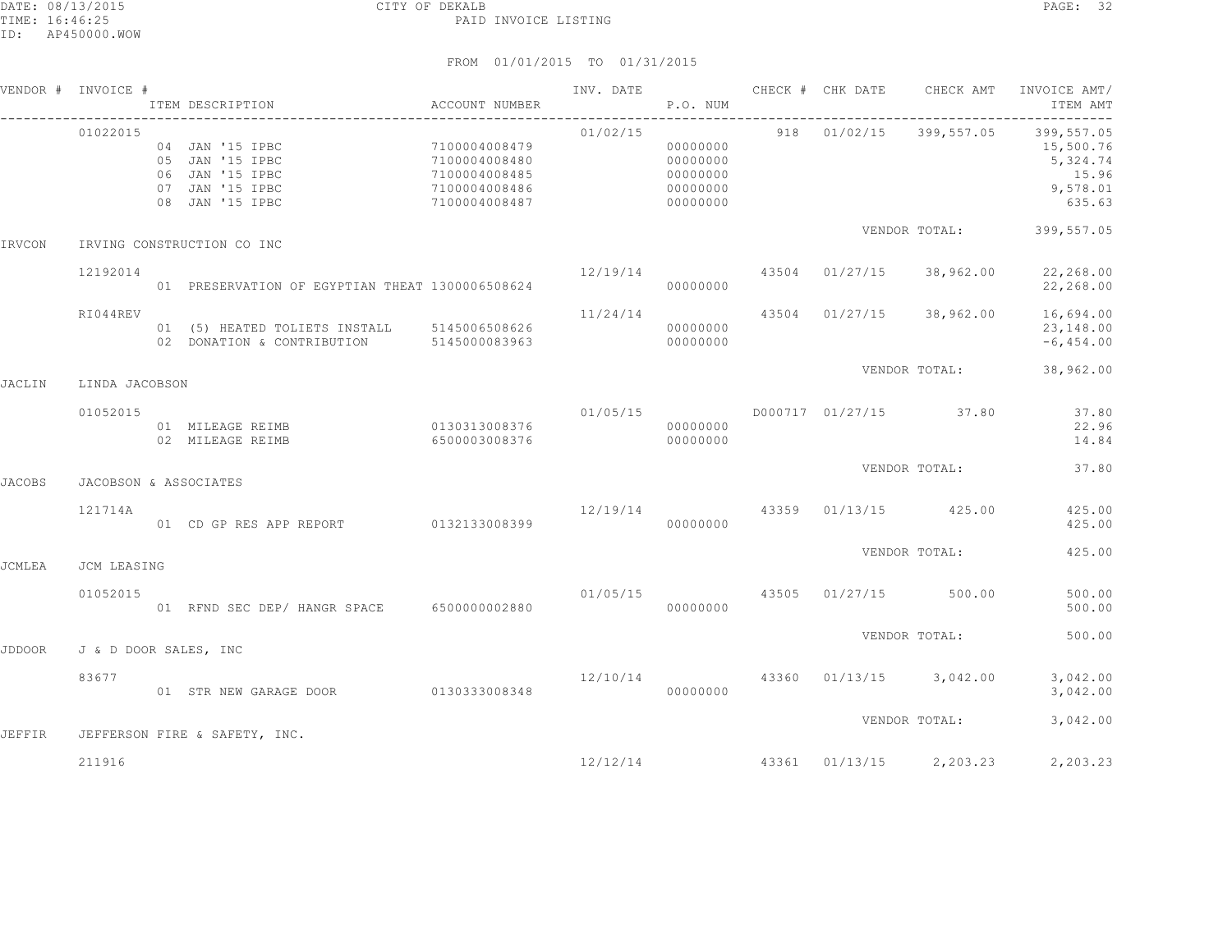|               | VENDOR # INVOICE #    | ACCOUNT NUMBER<br>ITEM DESCRIPTION                                                          |                                                                                   | INV. DATE                            | P.O. NUM                                                 |  | CHECK # CHK DATE CHECK AMT         | INVOICE AMT/<br>ITEM AMT                                                                      |
|---------------|-----------------------|---------------------------------------------------------------------------------------------|-----------------------------------------------------------------------------------|--------------------------------------|----------------------------------------------------------|--|------------------------------------|-----------------------------------------------------------------------------------------------|
|               | 01022015              | 04 JAN '15 IPBC<br>05 JAN '15 IPBC<br>06 JAN '15 IPBC<br>07 JAN '15 IPBC<br>08 JAN '15 IPBC | 7100004008479<br>7100004008480<br>7100004008485<br>7100004008486<br>7100004008487 | 01/02/15                             | 00000000<br>00000000<br>00000000<br>00000000<br>00000000 |  |                                    | 918  01/02/15  399,557.05  399,557.05<br>15,500.76<br>5,324.74<br>15.96<br>9,578.01<br>635.63 |
| IRVCON        |                       | IRVING CONSTRUCTION CO INC                                                                  |                                                                                   |                                      |                                                          |  |                                    | VENDOR TOTAL: 399,557.05                                                                      |
|               | 12192014              | 01 PRESERVATION OF EGYPTIAN THEAT 1300006508624                                             |                                                                                   | $12/19/14$ 43504 01/27/15            | 00000000                                                 |  |                                    | 38,962.00 22,268.00<br>22,268.00                                                              |
|               | RI044REV              | 01 (5) HEATED TOLIETS INSTALL 5145006508626<br>02 DONATION & CONTRIBUTION 5145000083963     |                                                                                   |                                      | 00000000<br>00000000                                     |  |                                    | $11/24/14$ 43504 01/27/15 38,962.00 16,694.00<br>23,148.00<br>$-6, 454.00$                    |
| <b>JACLIN</b> | LINDA JACOBSON        |                                                                                             |                                                                                   |                                      |                                                          |  |                                    | VENDOR TOTAL: 38,962.00                                                                       |
|               | 01052015              |                                                                                             | 6500003008376                                                                     | 01/05/15                             | 000000000                                                |  | D000717 01/27/15 37.80             | 37.80<br>22.96<br>14.84                                                                       |
| <b>JACOBS</b> | JACOBSON & ASSOCIATES |                                                                                             |                                                                                   |                                      |                                                          |  | VENDOR TOTAL:                      | 37.80                                                                                         |
|               | 121714A               | 01 CD GP RES APP REPORT 0132133008399                                                       | 12/19/14 43359 01/13/15 425.00                                                    |                                      | 00000000                                                 |  |                                    | 425.00<br>425.00                                                                              |
| <b>JCMLEA</b> | JCM LEASING           |                                                                                             |                                                                                   |                                      |                                                          |  | VENDOR TOTAL:                      | 425.00                                                                                        |
|               | 01052015              | 01 RFND SEC DEP/ HANGR SPACE 6500000002880                                                  |                                                                                   | $01/05/15$ $43505$ $01/27/15$ 500.00 | 00000000                                                 |  |                                    | 500.00<br>500.00                                                                              |
| <b>JDDOOR</b> | J & D DOOR SALES, INC |                                                                                             |                                                                                   |                                      |                                                          |  | VENDOR TOTAL:                      | 500.00                                                                                        |
|               | 83677                 | 01 STR NEW GARAGE DOOR 0130333008348                                                        |                                                                                   |                                      | 00000000                                                 |  | 12/10/14 43360 01/13/15 3,042.00   | 3,042.00<br>3,042.00                                                                          |
| <b>JEFFIR</b> |                       | JEFFERSON FIRE & SAFETY, INC.                                                               |                                                                                   |                                      |                                                          |  | VENDOR TOTAL:                      | 3,042.00                                                                                      |
|               | 211916                |                                                                                             |                                                                                   |                                      |                                                          |  | $12/12/14$ 43361 01/13/15 2,203.23 | 2,203.23                                                                                      |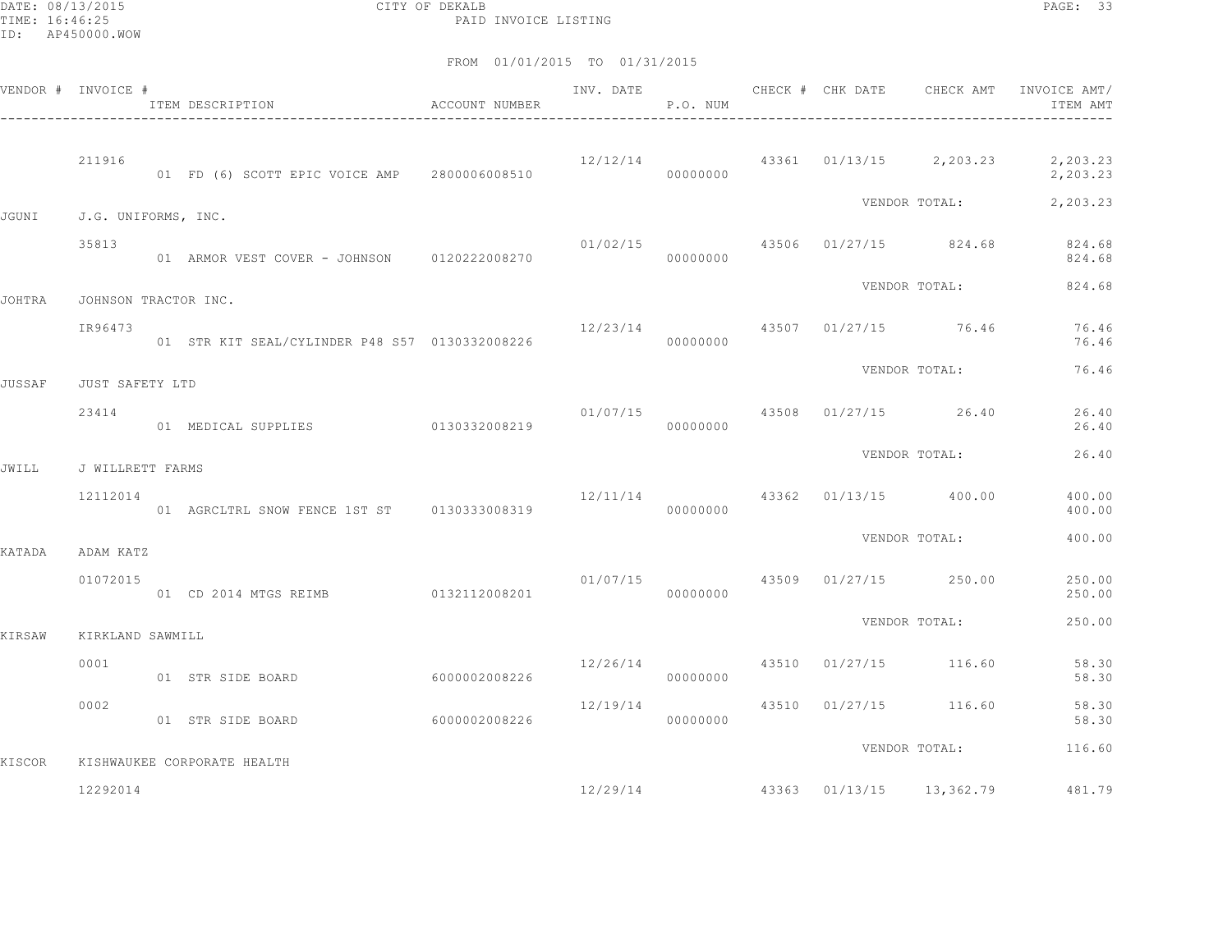DATE: 08/13/2015 CITY OF DEKALB PAGE: 33 PAID INVOICE LISTING

| VENDOR # INVOICE # |                      | ACCOUNT NUMBER<br>ITEM DESCRIPTION             |                |          | P.O. NUM |  |                                       | INV. DATE 6 CHECK # CHK DATE CHECK AMT INVOICE AMT/<br>ITEM AMT |
|--------------------|----------------------|------------------------------------------------|----------------|----------|----------|--|---------------------------------------|-----------------------------------------------------------------|
|                    | 211916               | 01 FD (6) SCOTT EPIC VOICE AMP 2800006008510   |                |          | 00000000 |  |                                       | $12/12/14$ $43361$ $01/13/15$ $2,203.23$ $2,203.23$<br>2,203.23 |
| JGUNI              | J.G. UNIFORMS, INC.  |                                                |                |          |          |  | VENDOR TOTAL:                         | 2,203.23                                                        |
|                    | 35813                | 01 ARMOR VEST COVER - JOHNSON 0120222008270    |                | 01/02/15 | 00000000 |  |                                       | 43506 01/27/15 824.68 824.68<br>824.68                          |
| JOHTRA             | JOHNSON TRACTOR INC. |                                                |                |          |          |  | VENDOR TOTAL:                         | 824.68                                                          |
|                    | IR96473              | 01 STR KIT SEAL/CYLINDER P48 S57 0130332008226 |                |          | 00000000 |  | $12/23/14$ $43507$ $01/27/15$ $76.46$ | 76.46<br>76.46                                                  |
| JUSSAF             | JUST SAFETY LTD      |                                                |                |          |          |  | VENDOR TOTAL:                         | 76.46                                                           |
|                    | 23414                | 01 MEDICAL SUPPLIES 0130332008219              |                |          | 00000000 |  | 01/07/15 43508 01/27/15 26.40         | 26.40<br>26.40                                                  |
| JWILL              | J WILLRETT FARMS     |                                                |                |          |          |  | VENDOR TOTAL:                         | 26.40                                                           |
|                    | 12112014             | 01 AGRCLTRL SNOW FENCE 1ST ST 0130333008319    |                | 12/11/14 | 00000000 |  | 43362 01/13/15 400.00                 | 400.00<br>400.00                                                |
| KATADA             | ADAM KATZ            |                                                |                |          |          |  | VENDOR TOTAL:                         | 400.00                                                          |
|                    | 01072015             |                                                |                |          | 00000000 |  | $01/07/15$ 43509 01/27/15 250.00      | 250.00<br>250.00                                                |
| KIRSAW             | KIRKLAND SAWMILL     |                                                |                |          |          |  | VENDOR TOTAL:                         | 250.00                                                          |
|                    | 0001                 | 01 STR SIDE BOARD                              | 60000002008226 | 12/26/14 | 00000000 |  | 43510 01/27/15 116.60                 | 58.30<br>58.30                                                  |
|                    | 0002                 | 01 STR SIDE BOARD                              | 60000002008226 | 12/19/14 | 00000000 |  | 43510 01/27/15 116.60                 | 58.30<br>58.30                                                  |
| KISCOR             |                      | KISHWAUKEE CORPORATE HEALTH                    |                |          |          |  | VENDOR TOTAL:                         | 116.60                                                          |
|                    | 12292014             |                                                |                |          |          |  | 12/29/14 43363 01/13/15 13,362.79     | 481.79                                                          |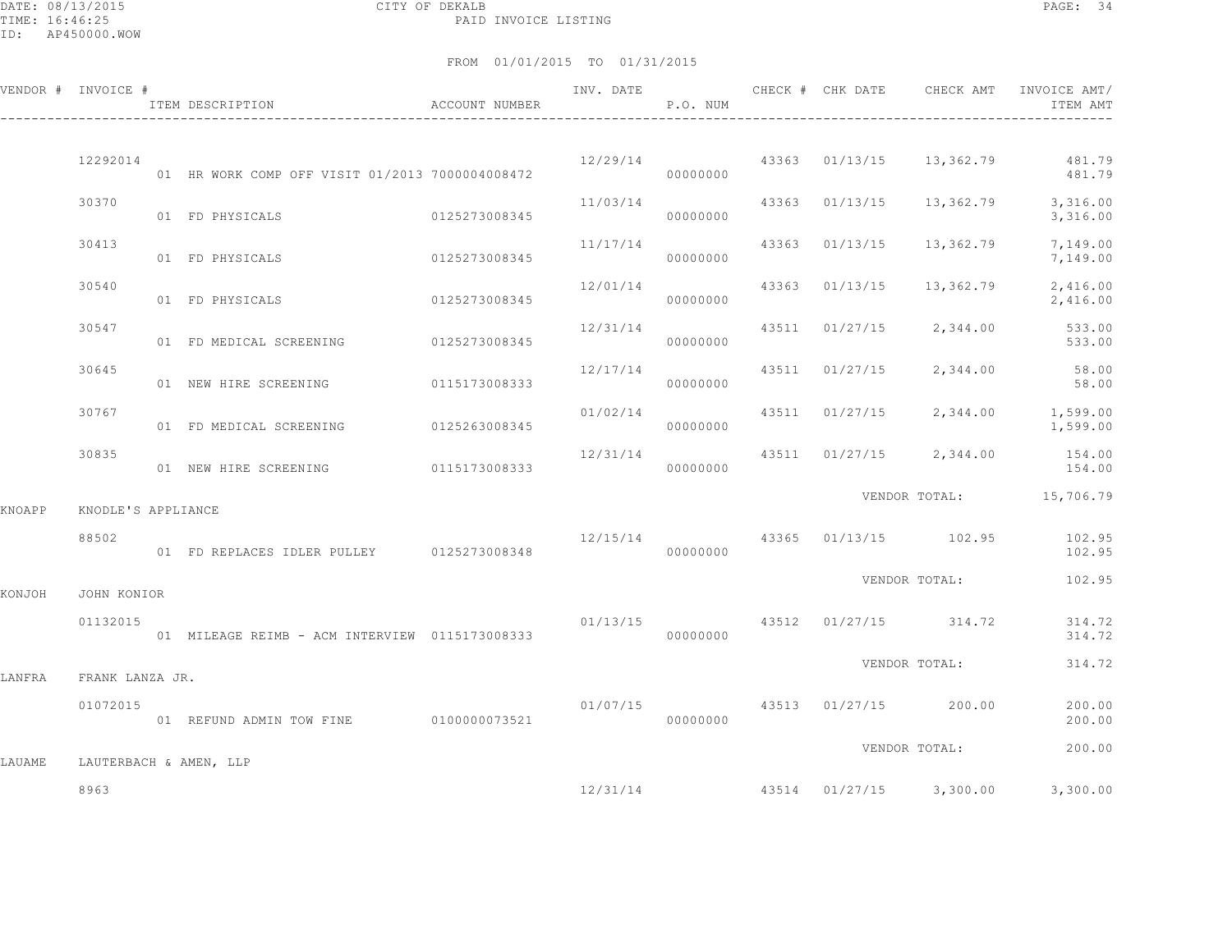DATE: 08/13/2015 CITY OF DEKALB PAGE: 34 PAID INVOICE LISTING

|        | VENDOR # INVOICE # | ITEM DESCRIPTION                                | ACCOUNT NUMBER | INV. DATE | P.O. NUM |       | CHECK # CHK DATE | CHECK AMT               | INVOICE AMT/<br>ITEM AMT                            |
|--------|--------------------|-------------------------------------------------|----------------|-----------|----------|-------|------------------|-------------------------|-----------------------------------------------------|
|        | 12292014           | 01 HR WORK COMP OFF VISIT 01/2013 7000004008472 |                | 12/29/14  | 00000000 |       | 43363 01/13/15   |                         | 13,362.79 481.79<br>481.79                          |
|        | 30370              | 01 FD PHYSICALS                                 | 0125273008345  | 11/03/14  | 00000000 |       | 43363 01/13/15   | 13,362.79               | 3,316.00<br>3,316.00                                |
|        | 30413              | 01 FD PHYSICALS                                 | 0125273008345  | 11/17/14  | 00000000 |       | 43363 01/13/15   | 13,362.79               | 7,149.00<br>7,149.00                                |
|        | 30540              | 01 FD PHYSICALS                                 | 0125273008345  | 12/01/14  | 00000000 |       | 43363 01/13/15   | 13,362.79               | 2,416.00<br>2,416.00                                |
|        | 30547              | 01 FD MEDICAL SCREENING 0125273008345           |                | 12/31/14  | 00000000 |       | 43511 01/27/15   | 2,344.00                | 533.00<br>533.00                                    |
|        | 30645              | 01 NEW HIRE SCREENING                           | 0115173008333  | 12/17/14  | 00000000 | 43511 | 01/27/15         | 2,344.00                | 58.00<br>58.00                                      |
|        | 30767              | 01 FD MEDICAL SCREENING                         | 0125263008345  | 01/02/14  | 00000000 |       | 43511 01/27/15   | 2,344.00                | 1,599.00<br>1,599.00                                |
|        | 30835              | 01 NEW HIRE SCREENING 0115173008333             |                | 12/31/14  | 00000000 |       |                  | 43511 01/27/15 2,344.00 | 154.00<br>154.00                                    |
| KNOAPP | KNODLE'S APPLIANCE |                                                 |                |           |          |       |                  |                         | VENDOR TOTAL: 15,706.79                             |
|        | 88502              | 01 FD REPLACES IDLER PULLEY 0125273008348       |                | 12/15/14  | 00000000 |       |                  | 43365 01/13/15 102.95   | 102.95<br>102.95                                    |
| KONJOH | JOHN KONIOR        |                                                 |                |           |          |       |                  | VENDOR TOTAL:           | 102.95                                              |
|        | 01132015           | 01 MILEAGE REIMB - ACM INTERVIEW 0115173008333  |                | 01/13/15  | 00000000 |       |                  | 43512 01/27/15 314.72   | 314.72<br>314.72                                    |
| LANFRA | FRANK LANZA JR.    |                                                 |                |           |          |       |                  | VENDOR TOTAL:           | 314.72                                              |
|        | 01072015           | 01 REFUND ADMIN TOW FINE 0100000073521          |                | 01/07/15  | 00000000 |       | 43513 01/27/15   | 200.00                  | 200.00<br>200.00                                    |
| LAUAME |                    | LAUTERBACH & AMEN, LLP                          |                |           |          |       |                  | VENDOR TOTAL:           | 200.00                                              |
|        | 8963               |                                                 |                |           |          |       |                  |                         | $12/31/14$ $43514$ $01/27/15$ $3,300.00$ $3,300.00$ |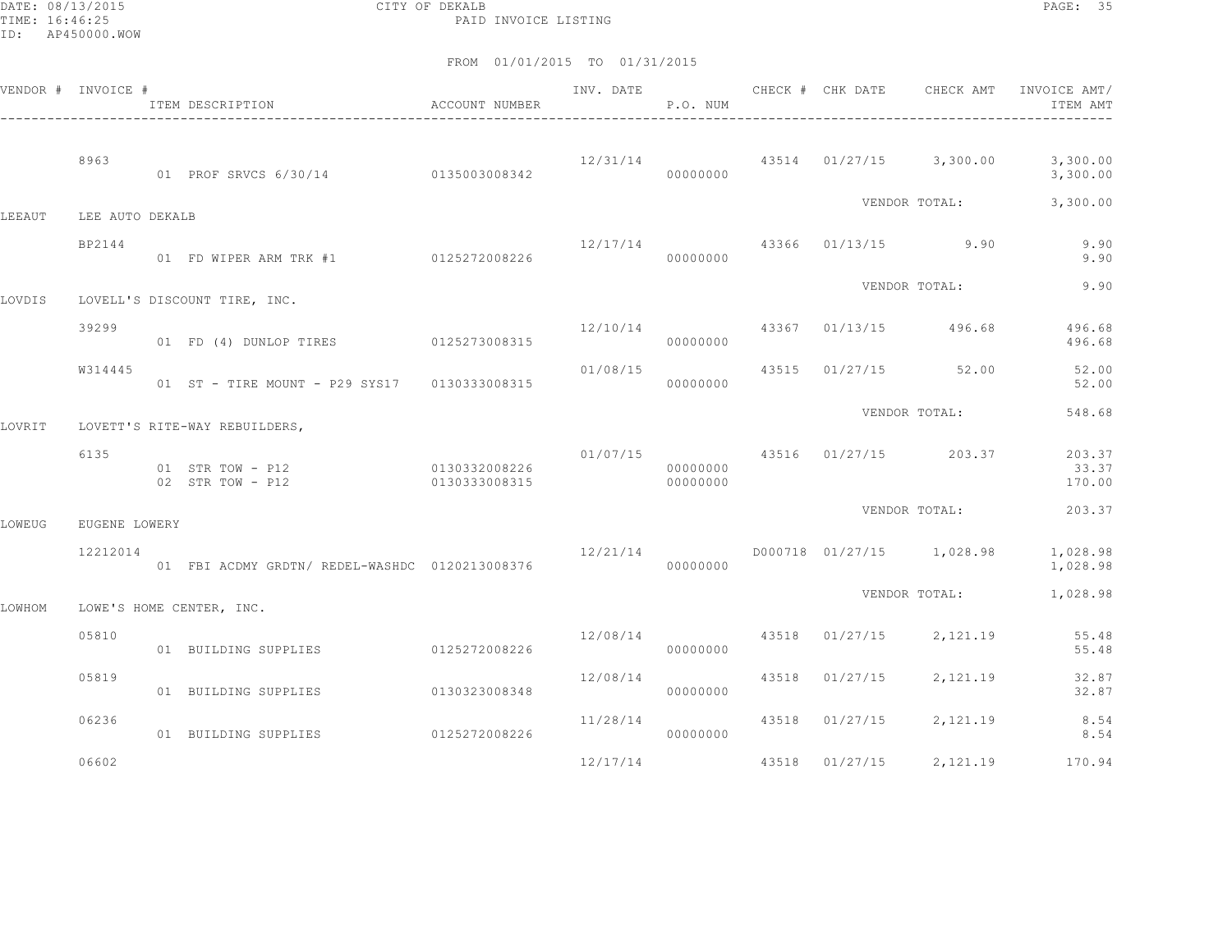DATE: 08/13/2015 CITY OF DEKALB PAGE: 35 PAID INVOICE LISTING

|        | VENDOR # INVOICE # | ITEM DESCRIPTION<br>$\hfill$<br>ACCOUNT NUMBER<br>------------------------ |                                |                                | P.O. NUM             |       |                |                                  | INV. DATE 6 1999 CHECK # CHK DATE 6 CHECK AMT INVOICE AMT<br>ITEM AMT |
|--------|--------------------|----------------------------------------------------------------------------|--------------------------------|--------------------------------|----------------------|-------|----------------|----------------------------------|-----------------------------------------------------------------------|
|        | 8963               | 01 PROF SRVCS 6/30/14 0135003008342                                        |                                |                                | 00000000             |       |                |                                  | $12/31/14$ $43514$ $01/27/15$ $3,300.00$ $3,300.00$<br>3,300.00       |
| LEEAUT | LEE AUTO DEKALB    |                                                                            |                                |                                |                      |       |                | VENDOR TOTAL:                    | 3,300.00                                                              |
|        | BP2144             | 01 FD WIPER ARM TRK #1 0125272008226                                       |                                | $12/17/14$ 43366 01/13/15 9.90 | 00000000             |       |                |                                  | 9.90<br>9.90                                                          |
| LOVDIS |                    | LOVELL'S DISCOUNT TIRE, INC.                                               |                                |                                |                      |       |                | VENDOR TOTAL:                    | 9.90                                                                  |
|        | 39299              | 01 FD (4) DUNLOP TIRES 0125273008315                                       |                                |                                | 00000000             |       |                | $12/10/14$ 43367 01/13/15 496.68 | 496.68<br>496.68                                                      |
|        | W314445            | 01 ST - TIRE MOUNT - P29 SYS17 0130333008315                               |                                | 01/08/15                       | 00000000             |       |                | 43515 01/27/15 52.00             | 52.00<br>52.00                                                        |
| LOVRIT |                    | LOVETT'S RITE-WAY REBUILDERS,                                              |                                |                                |                      |       |                | VENDOR TOTAL:                    | 548.68                                                                |
|        | 6135               | 01 STR TOW - P12<br>02 STR TOW - P12                                       | 0130332008226<br>0130333008315 |                                | 00000000<br>00000000 |       |                | $01/07/15$ 43516 01/27/15 203.37 | 203.37<br>33.37<br>170.00                                             |
| LOWEUG | EUGENE LOWERY      |                                                                            |                                |                                |                      |       |                | VENDOR TOTAL:                    | 203.37                                                                |
|        | 12212014           | 01 FBI ACDMY GRDTN/ REDEL-WASHDC 0120213008376                             |                                | 12/21/14                       | 00000000             |       |                | D000718 01/27/15 1,028.98        | 1,028.98<br>1,028.98                                                  |
| LOWHOM |                    | LOWE'S HOME CENTER, INC.                                                   |                                |                                |                      |       |                | VENDOR TOTAL:                    | 1,028.98                                                              |
|        | 05810              | 01 BUILDING SUPPLIES                                                       | 0125272008226                  |                                | 00000000             |       |                | 12/08/14 43518 01/27/15 2,121.19 | 55.48<br>55.48                                                        |
|        | 05819              | 01 BUILDING SUPPLIES                                                       | 0130323008348                  | 12/08/14                       | 00000000             |       | 43518 01/27/15 | 2,121.19                         | 32.87<br>32.87                                                        |
|        | 06236              | 01 BUILDING SUPPLIES                                                       | 0125272008226                  | 11/28/14                       | 00000000             |       |                |                                  | 43518 01/27/15 2,121.19 8.54<br>8.54                                  |
|        | 06602              |                                                                            |                                | 12/17/14                       |                      | 43518 | 01/27/15       | 2,121.19                         | 170.94                                                                |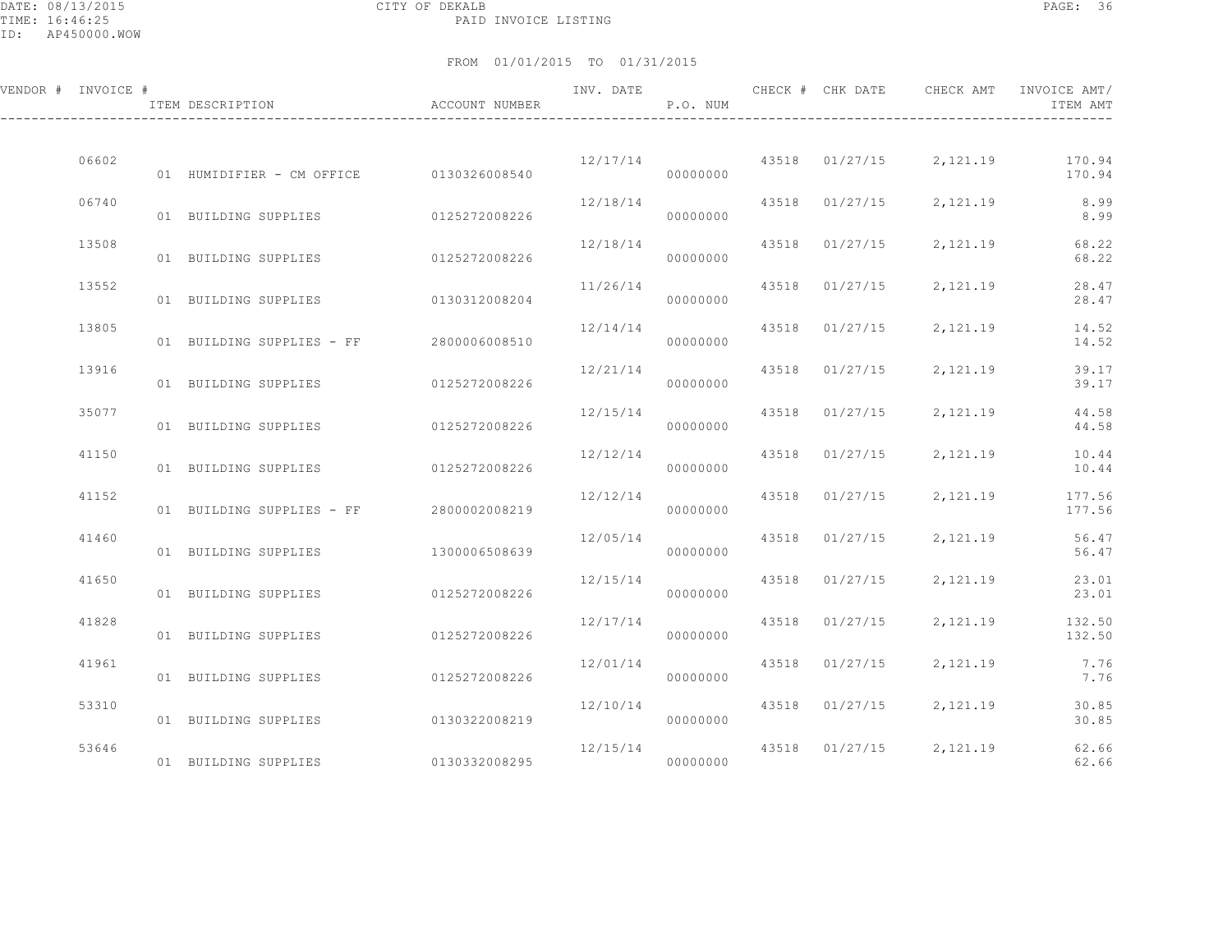DATE: 08/13/2015 CITY OF DEKALB PAGE: 36 PAID INVOICE LISTING

| VENDOR # INVOICE # | ITEM DESCRIPTION THE BOOT ACCOUNT NUMBER |               | INV. DATE | P.O. NUM |       | CHECK # CHK DATE |                         | CHECK AMT INVOICE AMT/<br>ITEM AMT       |
|--------------------|------------------------------------------|---------------|-----------|----------|-------|------------------|-------------------------|------------------------------------------|
| 06602              | 01 HUMIDIFIER - CM OFFICE 0130326008540  |               | 12/17/14  | 00000000 |       |                  |                         | 43518 01/27/15 2,121.19 170.94<br>170.94 |
| 06740              | 01 BUILDING SUPPLIES                     | 0125272008226 | 12/18/14  | 00000000 |       | 43518 01/27/15   |                         | 2, 121.19 8.99<br>8.99                   |
| 13508              | 01 BUILDING SUPPLIES                     | 0125272008226 | 12/18/14  | 00000000 | 43518 | 01/27/15         | 2,121.19                | 68.22<br>68.22                           |
| 13552              | 01 BUILDING SUPPLIES                     | 0130312008204 | 11/26/14  | 00000000 |       | 43518 01/27/15   | 2, 121.19               | 28.47<br>28.47                           |
| 13805              | 01 BUILDING SUPPLIES - FF 2800006008510  |               | 12/14/14  | 00000000 |       | 43518 01/27/15   | 2,121.19                | 14.52<br>14.52                           |
| 13916              | 01 BUILDING SUPPLIES                     | 0125272008226 | 12/21/14  | 00000000 |       | 43518 01/27/15   | 2,121.19                | 39.17<br>39.17                           |
| 35077              | 01 BUILDING SUPPLIES                     | 0125272008226 | 12/15/14  | 00000000 |       | 43518 01/27/15   | 2,121.19                | 44.58<br>44.58                           |
| 41150              | 01 BUILDING SUPPLIES                     | 0125272008226 | 12/12/14  | 00000000 |       | 43518 01/27/15   | 2,121.19                | 10.44<br>10.44                           |
| 41152              | 01 BUILDING SUPPLIES - FF 2800002008219  |               | 12/12/14  | 00000000 |       | 43518 01/27/15   | 2, 121.19               | 177.56<br>177.56                         |
| 41460              | 01 BUILDING SUPPLIES                     | 1300006508639 | 12/05/14  | 00000000 |       |                  | 43518 01/27/15 2,121.19 | 56.47<br>56.47                           |
| 41650              | 01 BUILDING SUPPLIES                     | 0125272008226 | 12/15/14  | 00000000 | 43518 | 01/27/15         | 2, 121, 19              | 23.01<br>23.01                           |
| 41828              | 01 BUILDING SUPPLIES                     | 0125272008226 | 12/17/14  | 00000000 |       | 43518 01/27/15   | 2,121.19                | 132.50<br>132.50                         |
| 41961              | 01 BUILDING SUPPLIES                     | 0125272008226 | 12/01/14  | 00000000 |       | 43518 01/27/15   | 2, 121.19               | 7.76<br>7.76                             |
| 53310              | 01 BUILDING SUPPLIES                     | 0130322008219 | 12/10/14  | 00000000 |       | 43518 01/27/15   | 2,121.19                | 30.85<br>30.85                           |
| 53646              | 01 BUILDING SUPPLIES 0130332008295       |               | 12/15/14  | 00000000 |       |                  | 43518 01/27/15 2,121.19 | 62.66<br>62.66                           |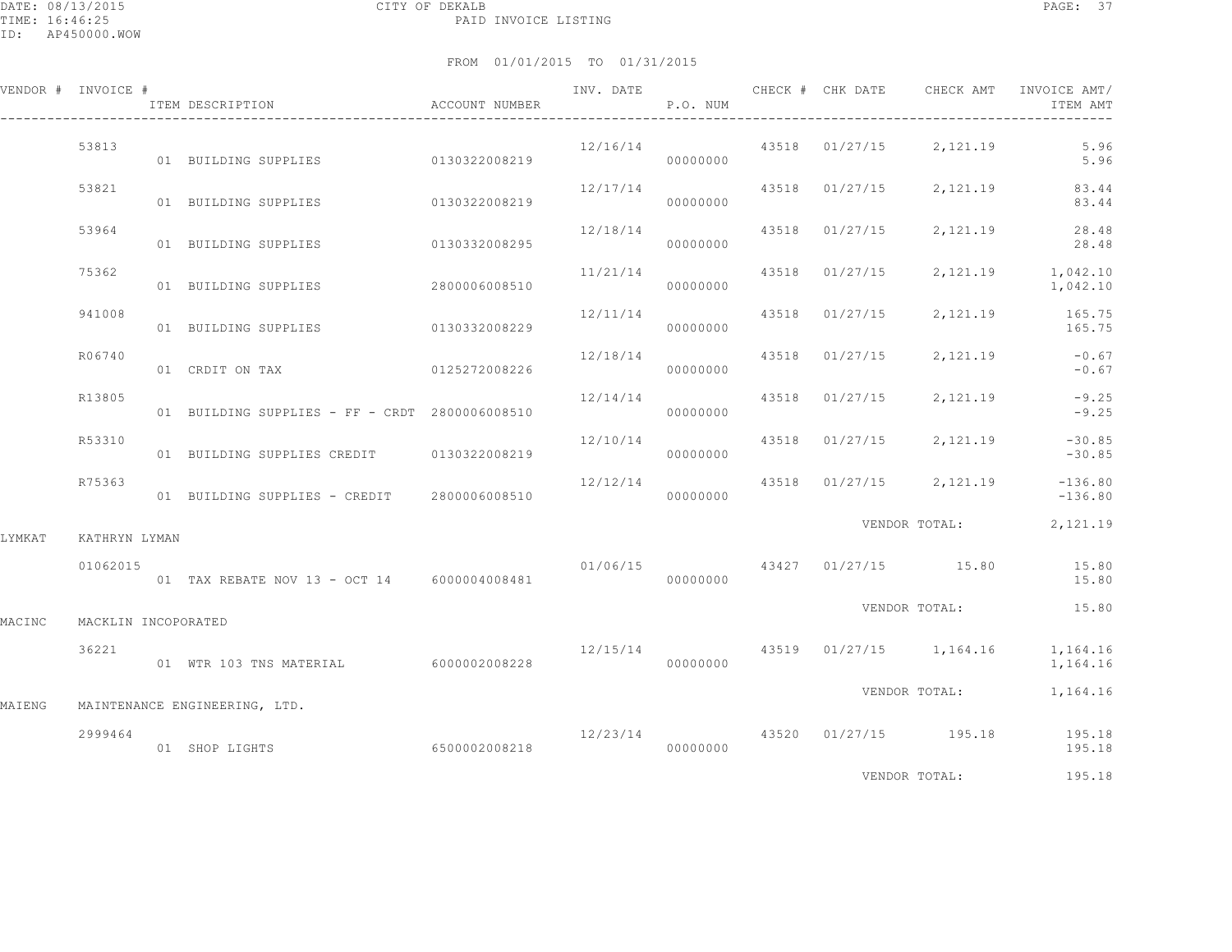# FROM 01/01/2015 TO 01/31/2015

|        | VENDOR # INVOICE #  | ITEM DESCRIPTION                                        | ACCOUNT NUMBER | INV. DATE | P.O. NUM |  | CHECK # CHK DATE CHECK AMT         | INVOICE AMT/<br>ITEM AMT                                        |
|--------|---------------------|---------------------------------------------------------|----------------|-----------|----------|--|------------------------------------|-----------------------------------------------------------------|
|        | 53813               | 01 BUILDING SUPPLIES 0130322008219                      |                | 12/16/14  | 00000000 |  | 43518 01/27/15 2,121.19            | 5.96<br>5.96                                                    |
|        | 53821               | 01 BUILDING SUPPLIES                                    | 0130322008219  | 12/17/14  | 00000000 |  | 43518 01/27/15 2,121.19            | 83.44<br>83.44                                                  |
|        | 53964               | 01 BUILDING SUPPLIES 0130332008295                      |                |           | 00000000 |  | $12/18/14$ 43518 01/27/15 2,121.19 | 28.48<br>28.48                                                  |
|        | 75362               | 01 BUILDING SUPPLIES 2800006008510                      |                | 11/21/14  | 00000000 |  |                                    | 43518 01/27/15 2,121.19 1,042.10<br>1,042.10                    |
|        | 941008              | 01 BUILDING SUPPLIES 0130332008229                      |                | 12/11/14  | 00000000 |  |                                    | 43518 01/27/15 2,121.19 165.75<br>165.75                        |
|        | R06740              | 01 CRDIT ON TAX                                         | 0125272008226  |           | 00000000 |  |                                    | $12/18/14$ $43518$ $01/27/15$ $2,121.19$ $-0.67$<br>$-0.67$     |
|        | R13805              | 01 BUILDING SUPPLIES - FF - CRDT 2800006008510          |                | 12/14/14  | 00000000 |  | 43518 01/27/15 2,121.19            | $-9.25$<br>$-9.25$                                              |
|        | R53310              | 01 BUILDING SUPPLIES CREDIT 0130322008219               |                | 12/10/14  | 00000000 |  | 43518 01/27/15 2,121.19            | $-30.85$<br>$-30.85$                                            |
|        | R75363              | 01 BUILDING SUPPLIES - CREDIT 2800006008510             |                |           | 00000000 |  |                                    | $12/12/14$ $43518$ $01/27/15$ $2,121.19$ $-136.80$<br>$-136.80$ |
| LYMKAT | KATHRYN LYMAN       |                                                         |                |           |          |  |                                    | VENDOR TOTAL: 2,121.19                                          |
|        | 01062015            | 01 TAX REBATE NOV 13 - OCT 14 6000004008481 00000000000 |                |           |          |  |                                    | $01/06/15$ $43427$ $01/27/15$ $15.80$ $15.80$<br>15.80          |
| MACINC | MACKLIN INCOPORATED |                                                         |                |           |          |  | VENDOR TOTAL:                      | 15.80                                                           |
|        | 36221               | 01 WTR 103 TNS MATERIAL 6000002008228                   |                |           | 00000000 |  | $12/15/14$ 43519 01/27/15 1,164.16 | 1,164.16<br>1,164.16                                            |
| MAIENG |                     | MAINTENANCE ENGINEERING, LTD.                           |                |           |          |  | VENDOR TOTAL:                      | 1,164.16                                                        |
|        | 2999464             | 6500002008218<br>01 SHOP LIGHTS                         |                | 00000000  |          |  |                                    | $12/23/14$ $43520$ $01/27/15$ $195.18$ $195.18$<br>195.18       |

VENDOR TOTAL: 195.18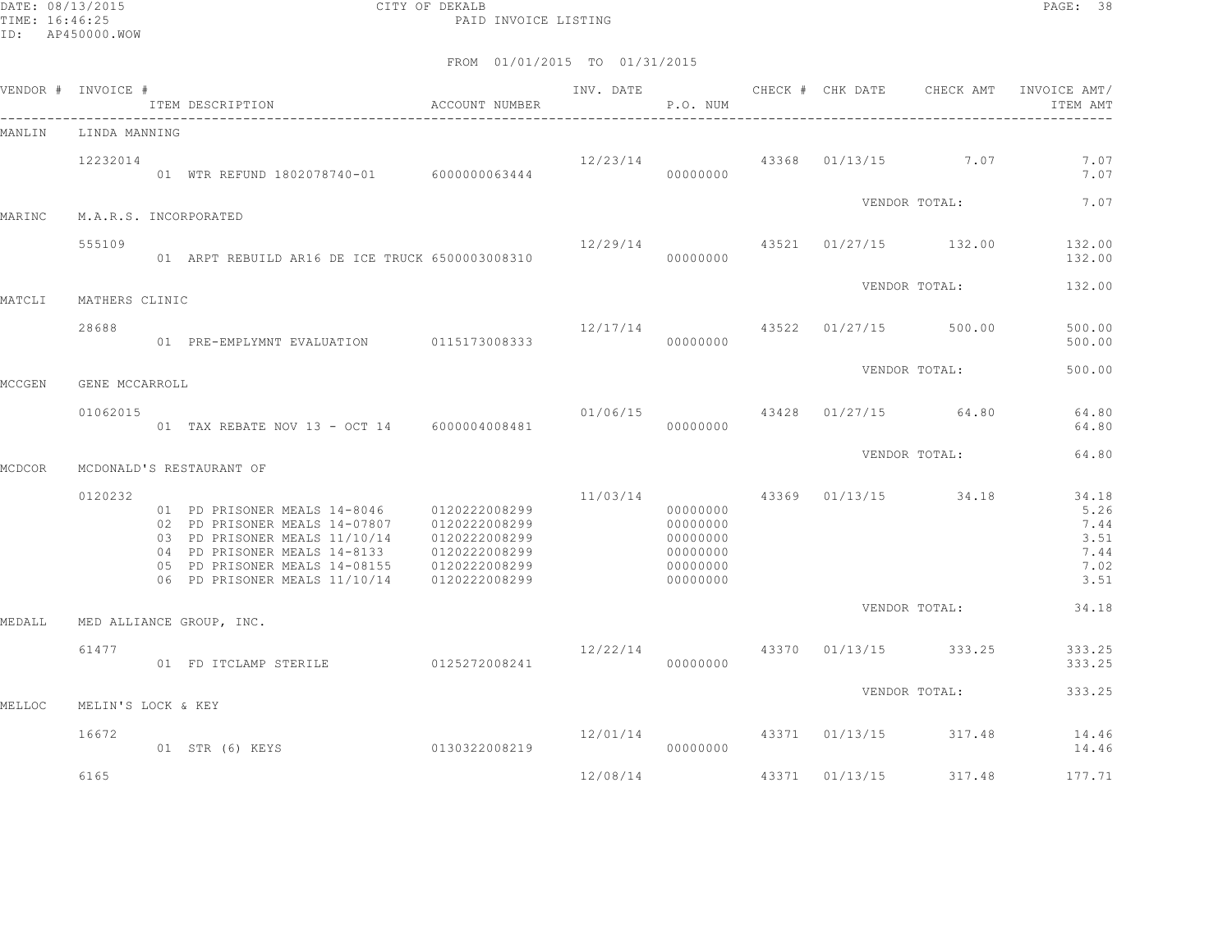DATE: 08/13/2015 CITY OF DEKALB PAGE: 38 PAID INVOICE LISTING

| VENDOR # INVOICE # |                    | ITEM DESCRIPTION                                                                                                                                                                                                             | ACCOUNT NUMBER                                                   | INV. DATE | P.O. NUM                                                             |       | CHECK # CHK DATE | CHECK AMT             | INVOICE AMT/<br>ITEM AMT                              |
|--------------------|--------------------|------------------------------------------------------------------------------------------------------------------------------------------------------------------------------------------------------------------------------|------------------------------------------------------------------|-----------|----------------------------------------------------------------------|-------|------------------|-----------------------|-------------------------------------------------------|
| MANLIN             | LINDA MANNING      |                                                                                                                                                                                                                              |                                                                  |           |                                                                      |       |                  |                       |                                                       |
|                    | 12232014           | 01 WTR REFUND 1802078740-01 6000000063444                                                                                                                                                                                    |                                                                  | 12/23/14  | 00000000                                                             |       |                  | 43368 01/13/15 7.07   | 7.07<br>7.07                                          |
| MARINC             |                    | M.A.R.S. INCORPORATED                                                                                                                                                                                                        |                                                                  |           |                                                                      |       |                  | VENDOR TOTAL:         | 7.07                                                  |
|                    | 555109             | 01 ARPT REBUILD AR16 DE ICE TRUCK 6500003008310                                                                                                                                                                              |                                                                  | 12/29/14  | 00000000                                                             |       |                  | 43521 01/27/15 132.00 | 132.00<br>132.00                                      |
| MATCLI             | MATHERS CLINIC     |                                                                                                                                                                                                                              |                                                                  |           |                                                                      |       |                  | VENDOR TOTAL:         | 132.00                                                |
|                    | 28688              | 01 PRE-EMPLYMNT EVALUATION 0115173008333                                                                                                                                                                                     |                                                                  | 12/17/14  | 00000000                                                             |       | 43522 01/27/15   | 500.00                | 500.00<br>500.00                                      |
| MCCGEN             | GENE MCCARROLL     |                                                                                                                                                                                                                              |                                                                  |           |                                                                      |       |                  | VENDOR TOTAL:         | 500.00                                                |
|                    | 01062015           | 01 TAX REBATE NOV 13 - OCT 14 6000004008481                                                                                                                                                                                  |                                                                  | 01/06/15  | 00000000                                                             |       |                  | 43428 01/27/15 64.80  | 64.80<br>64.80                                        |
| MCDCOR             |                    | MCDONALD'S RESTAURANT OF                                                                                                                                                                                                     |                                                                  |           |                                                                      |       |                  | VENDOR TOTAL:         | 64.80                                                 |
|                    | 0120232            | 01 PD PRISONER MEALS 14-8046 0120222008299<br>02 PD PRISONER MEALS 14-07807 0120222008299<br>03 PD PRISONER MEALS 11/10/14<br>04 PD PRISONER MEALS 14-8133<br>05 PD PRISONER MEALS 14-08155<br>06 PD PRISONER MEALS 11/10/14 | 0120222008299<br>0120222008299<br>0120222008299<br>0120222008299 | 11/03/14  | 00000000<br>00000000<br>00000000<br>00000000<br>00000000<br>00000000 |       |                  | 43369 01/13/15 34.18  | 34.18<br>5.26<br>7.44<br>3.51<br>7.44<br>7.02<br>3.51 |
| MEDALL             |                    | MED ALLIANCE GROUP, INC.                                                                                                                                                                                                     |                                                                  |           |                                                                      |       |                  | VENDOR TOTAL:         | 34.18                                                 |
|                    | 61477              | 01 FD ITCLAMP STERILE 0125272008241                                                                                                                                                                                          |                                                                  | 12/22/14  | 00000000                                                             |       |                  | 43370 01/13/15 333.25 | 333.25<br>333.25                                      |
| MELLOC             | MELIN'S LOCK & KEY |                                                                                                                                                                                                                              |                                                                  |           |                                                                      |       |                  | VENDOR TOTAL:         | 333.25                                                |
|                    | 16672              | 0130322008219<br>01 STR (6) KEYS                                                                                                                                                                                             |                                                                  | 12/01/14  | 00000000                                                             |       |                  | 43371 01/13/15 317.48 | 14.46<br>14.46                                        |
|                    | 6165               |                                                                                                                                                                                                                              |                                                                  | 12/08/14  |                                                                      | 43371 | 01/13/15         | 317.48                | 177.71                                                |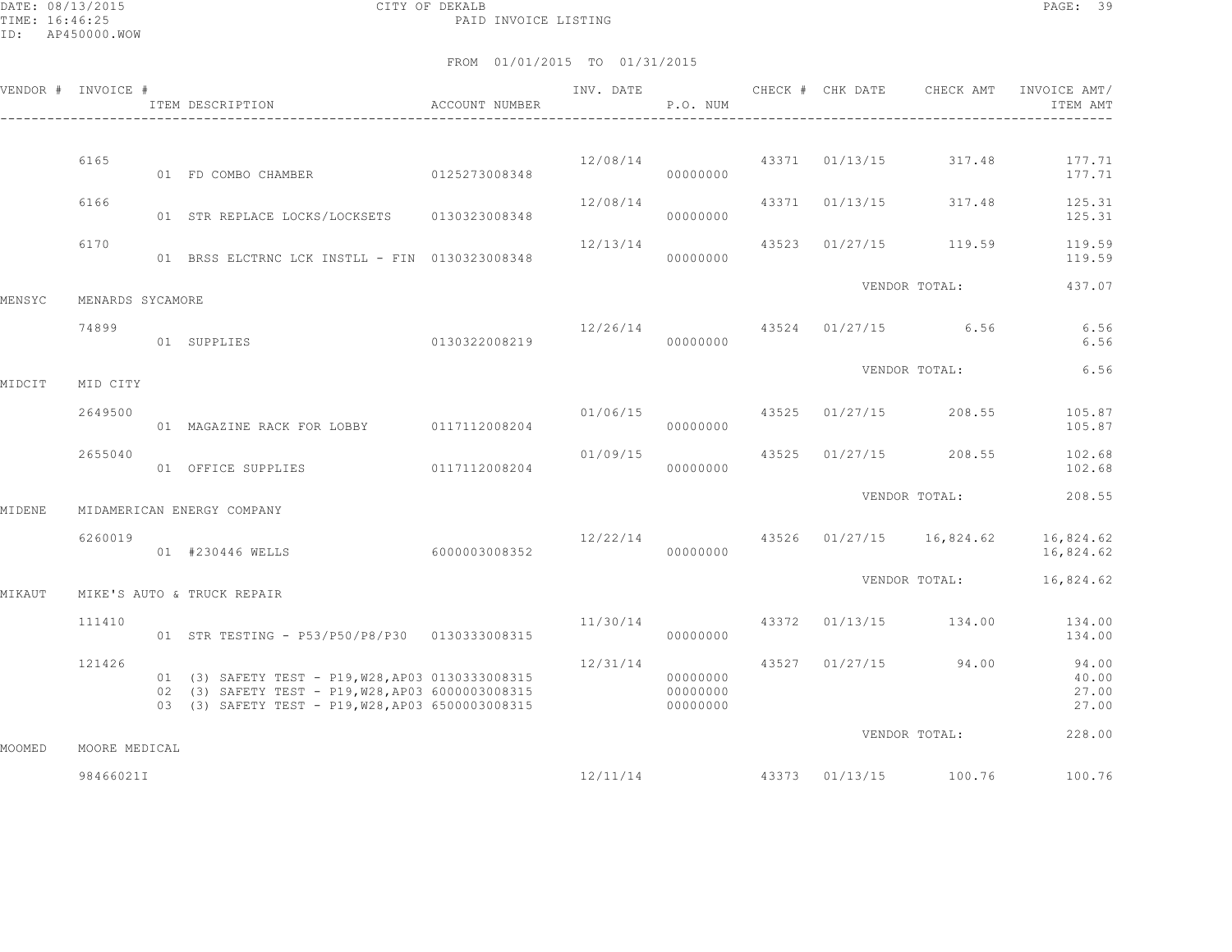DATE: 08/13/2015 CITY OF DEKALB PAGE: 39 PAID INVOICE LISTING

|        | VENDOR # INVOICE # | ACCOUNT NUMBER<br>ITEM DESCRIPTION                                                                                                                          |               | INV. DATE | P.O. NUM                         | CHECK # CHK DATE | CHECK AMT                          | INVOICE AMT/<br>ITEM AMT         |
|--------|--------------------|-------------------------------------------------------------------------------------------------------------------------------------------------------------|---------------|-----------|----------------------------------|------------------|------------------------------------|----------------------------------|
|        |                    |                                                                                                                                                             |               |           |                                  |                  |                                    |                                  |
|        | 6165               | 01 FD COMBO CHAMBER 0125273008348                                                                                                                           |               | 12/08/14  | 00000000                         | 43371 01/13/15   | 317.48                             | 177.71<br>177.71                 |
|        | 6166               | 01 STR REPLACE LOCKS/LOCKSETS 0130323008348                                                                                                                 |               | 12/08/14  | 00000000                         | 43371 01/13/15   | 317.48                             | 125.31<br>125.31                 |
|        | 6170               | 01 BRSS ELCTRNC LCK INSTLL - FIN 0130323008348                                                                                                              |               | 12/13/14  | 00000000                         |                  | 43523 01/27/15 119.59              | 119.59<br>119.59                 |
| MENSYC | MENARDS SYCAMORE   |                                                                                                                                                             |               |           |                                  |                  | VENDOR TOTAL:                      | 437.07                           |
|        | 74899              | 0130322008219<br>01 SUPPLIES                                                                                                                                |               |           | 00000000                         |                  | $12/26/14$ $43524$ $01/27/15$ 6.56 | 6.56<br>6.56                     |
| MIDCIT | MID CITY           |                                                                                                                                                             |               |           |                                  |                  | VENDOR TOTAL:                      | 6.56                             |
|        |                    |                                                                                                                                                             |               |           |                                  |                  |                                    |                                  |
|        | 2649500            | 01 MAGAZINE RACK FOR LOBBY 0117112008204                                                                                                                    |               | 01/06/15  | 00000000                         |                  | 43525 01/27/15 208.55              | 105.87<br>105.87                 |
|        | 2655040            | 01 OFFICE SUPPLIES                                                                                                                                          | 0117112008204 | 01/09/15  | 00000000                         |                  | 43525 01/27/15 208.55              | 102.68<br>102.68                 |
| MIDENE |                    | MIDAMERICAN ENERGY COMPANY                                                                                                                                  |               |           |                                  |                  | VENDOR TOTAL:                      | 208.55                           |
|        |                    |                                                                                                                                                             |               |           |                                  |                  |                                    |                                  |
|        | 6260019            | 01 #230446 WELLS                                                                                                                                            | 6000003008352 | 12/22/14  | 00000000                         |                  | 43526 01/27/15 16,824.62           | 16,824.62<br>16,824.62           |
| MIKAUT |                    | MIKE'S AUTO & TRUCK REPAIR                                                                                                                                  |               |           |                                  |                  | VENDOR TOTAL:                      | 16,824.62                        |
|        | 111410             | 01 STR TESTING - P53/P50/P8/P30 0130333008315                                                                                                               |               | 11/30/14  | 00000000                         |                  | 43372 01/13/15 134.00              | 134.00<br>134.00                 |
|        | 121426             | 01 (3) SAFETY TEST - P19, W28, AP03 0130333008315<br>02 (3) SAFETY TEST - P19, W28, AP03 6000003008315<br>03 (3) SAFETY TEST - P19, W28, AP03 6500003008315 |               | 12/31/14  | 00000000<br>00000000<br>00000000 |                  | 43527 01/27/15 94.00               | 94.00<br>40.00<br>27.00<br>27.00 |
|        |                    |                                                                                                                                                             |               |           |                                  |                  | VENDOR TOTAL:                      | 228.00                           |
| MOOMED | MOORE MEDICAL      |                                                                                                                                                             |               |           |                                  |                  |                                    |                                  |
|        | 98466021I          |                                                                                                                                                             |               | 12/11/14  |                                  |                  | 43373 01/13/15 100.76              | 100.76                           |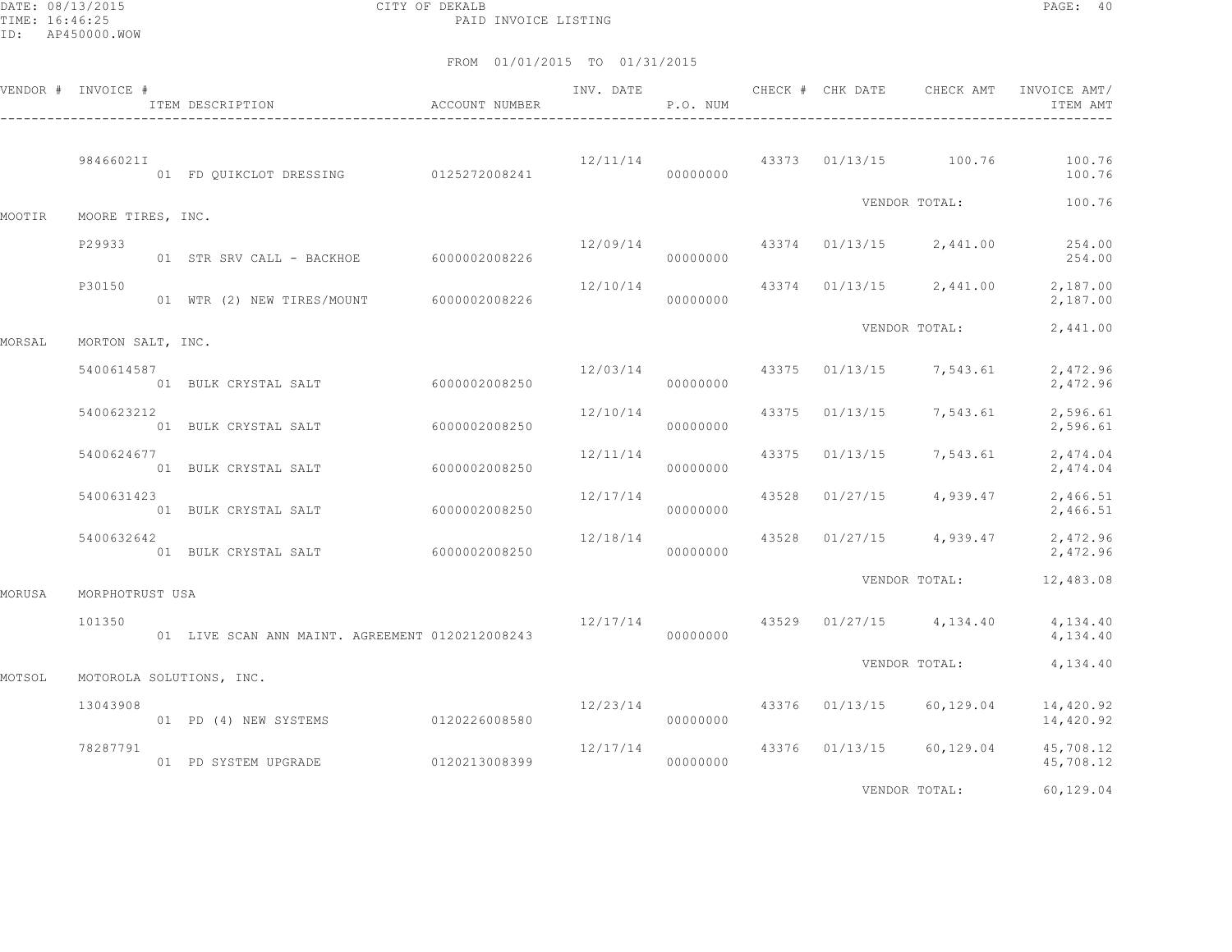DATE: 08/13/2015 CITY OF DEKALB PAGE: 40 PAID INVOICE LISTING

|        | VENDOR # INVOICE # | ACCOUNT NUMBER<br>ITEM DESCRIPTION              |                                    |          | P.O. NUM |  |                                          | INVOICE AMT/<br>ITEM AMT                                    |
|--------|--------------------|-------------------------------------------------|------------------------------------|----------|----------|--|------------------------------------------|-------------------------------------------------------------|
|        | 98466021I          | 01 FD QUIKCLOT DRESSING 0125272008241           |                                    |          | 00000000 |  | $12/11/14$ $43373$ $01/13/15$ $100.76$   | 100.76<br>100.76                                            |
| MOOTIR | MOORE TIRES, INC.  |                                                 |                                    |          |          |  |                                          | VENDOR TOTAL: 100.76                                        |
|        | P29933             | 01 STR SRV CALL - BACKHOE 6000002008226         |                                    |          | 00000000 |  |                                          | $12/09/14$ $43374$ $01/13/15$ $2,441.00$ $254.00$<br>254.00 |
|        | P30150             | 01 WTR (2) NEW TIRES/MOUNT 6000002008226        |                                    | 12/10/14 | 00000000 |  | 43374 01/13/15 2,441.00                  | 2,187.00<br>2,187.00                                        |
| MORSAL | MORTON SALT, INC.  |                                                 |                                    |          |          |  | VENDOR TOTAL:                            | 2,441.00                                                    |
|        | 5400614587         |                                                 |                                    |          | 00000000 |  | $12/03/14$ $43375$ $01/13/15$ $7,543.61$ | 2,472.96<br>2,472.96                                        |
|        | 5400623212         | 01 BULK CRYSTAL SALT 6000002008250              |                                    | 12/10/14 | 00000000 |  | 43375 01/13/15 7,543.61                  | 2,596.61<br>2,596.61                                        |
|        | 5400624677         | 01 BULK CRYSTAL SALT 6000002008250              |                                    | 12/11/14 | 00000000 |  | 43375 01/13/15 7,543.61                  | 2,474.04<br>2,474.04                                        |
|        | 5400631423         | 01 BULK CRYSTAL SALT 6000002008250              |                                    | 12/17/14 | 00000000 |  | 43528 01/27/15 4,939.47                  | 2,466.51<br>2,466.51                                        |
|        | 5400632642         | 01 BULK CRYSTAL SALT 6000002008250              |                                    | 12/18/14 | 00000000 |  | 43528 01/27/15 4,939.47                  | 2,472.96<br>2,472.96                                        |
| MORUSA | MORPHOTRUST USA    |                                                 |                                    |          |          |  | VENDOR TOTAL:                            | 12,483.08                                                   |
|        | 101350             | 01 LIVE SCAN ANN MAINT. AGREEMENT 0120212008243 | $12/17/14$ 43529 01/27/15 4,134.40 |          | 00000000 |  |                                          | 4,134.40<br>4,134.40                                        |
| MOTSOL |                    | MOTOROLA SOLUTIONS, INC.                        |                                    |          |          |  | VENDOR TOTAL:                            | 4,134.40                                                    |
|        | 13043908           | 01 PD (4) NEW SYSTEMS 0120226008580             |                                    |          | 00000000 |  | $12/23/14$ 43376 01/13/15 60,129.04      | 14,420.92<br>14,420.92                                      |
|        | 78287791           | 01 PD SYSTEM UPGRADE 0120213008399              |                                    | 12/17/14 | 00000000 |  | 43376 01/13/15 60,129.04                 | 45,708.12<br>45,708.12                                      |
|        |                    |                                                 |                                    |          |          |  | VENDOR TOTAL:                            | 60,129.04                                                   |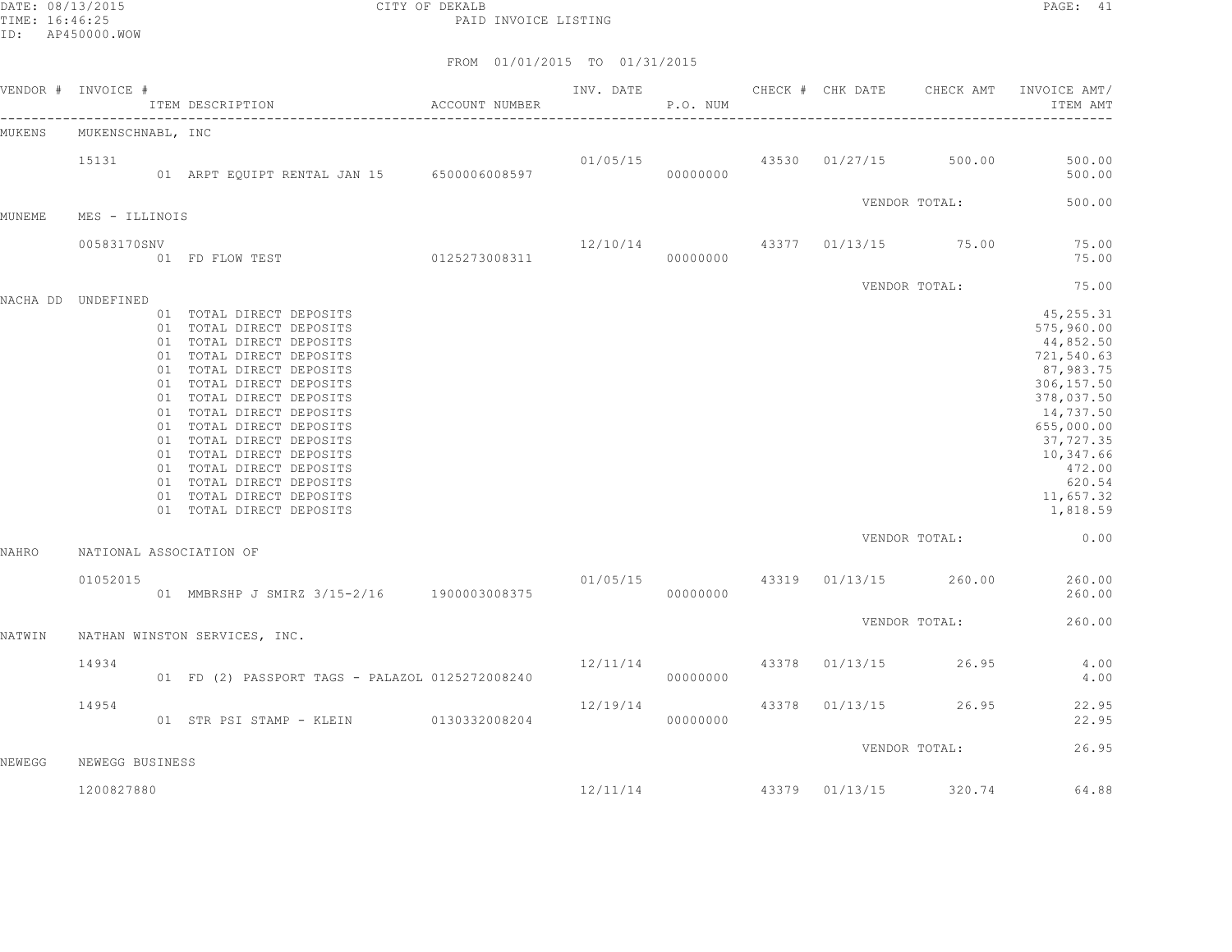DATE: 08/13/2015 CITY OF DEKALB PAGE: 41 PAID INVOICE LISTING

|              | VENDOR # INVOICE # | ITEM DESCRIPTION                                                                                                                                                                                                                                                                                                                                                                                                                 | ACCOUNT NUMBER | INV. DATE | P.O. NUM | CHECK # CHK DATE | CHECK AMT                              | INVOICE AMT/<br>ITEM AMT                                                                                                                                                                       |
|--------------|--------------------|----------------------------------------------------------------------------------------------------------------------------------------------------------------------------------------------------------------------------------------------------------------------------------------------------------------------------------------------------------------------------------------------------------------------------------|----------------|-----------|----------|------------------|----------------------------------------|------------------------------------------------------------------------------------------------------------------------------------------------------------------------------------------------|
| MUKENS       | MUKENSCHNABL, INC  |                                                                                                                                                                                                                                                                                                                                                                                                                                  |                |           |          |                  |                                        |                                                                                                                                                                                                |
|              | 15131              | 01 ARPT EQUIPT RENTAL JAN 15 6500006008597                                                                                                                                                                                                                                                                                                                                                                                       |                |           | 00000000 |                  | $01/05/15$ $43530$ $01/27/15$ $500.00$ | 500.00<br>500.00                                                                                                                                                                               |
| MUNEME       | MES - ILLINOIS     |                                                                                                                                                                                                                                                                                                                                                                                                                                  |                |           |          |                  | VENDOR TOTAL:                          | 500.00                                                                                                                                                                                         |
|              | 00583170SNV        | 01 FD FLOW TEST 0125273008311                                                                                                                                                                                                                                                                                                                                                                                                    |                |           | 00000000 |                  | $12/10/14$ 43377 01/13/15 75.00        | 75.00<br>75.00                                                                                                                                                                                 |
|              | NACHA DD UNDEFINED |                                                                                                                                                                                                                                                                                                                                                                                                                                  |                |           |          |                  | VENDOR TOTAL:                          | 75.00                                                                                                                                                                                          |
|              |                    | 01 TOTAL DIRECT DEPOSITS<br>01 TOTAL DIRECT DEPOSITS<br>01 TOTAL DIRECT DEPOSITS<br>01 TOTAL DIRECT DEPOSITS<br>01 TOTAL DIRECT DEPOSITS<br>01 TOTAL DIRECT DEPOSITS<br>01 TOTAL DIRECT DEPOSITS<br>01 TOTAL DIRECT DEPOSITS<br>01 TOTAL DIRECT DEPOSITS<br>01 TOTAL DIRECT DEPOSITS<br>01 TOTAL DIRECT DEPOSITS<br>01 TOTAL DIRECT DEPOSITS<br>01 TOTAL DIRECT DEPOSITS<br>01 TOTAL DIRECT DEPOSITS<br>01 TOTAL DIRECT DEPOSITS |                |           |          |                  |                                        | 45, 255.31<br>575,960.00<br>44,852.50<br>721,540.63<br>87,983.75<br>306,157.50<br>378,037.50<br>14,737.50<br>655,000.00<br>37,727.35<br>10,347.66<br>472.00<br>620.54<br>11,657.32<br>1,818.59 |
| <b>NAHRO</b> |                    | NATIONAL ASSOCIATION OF                                                                                                                                                                                                                                                                                                                                                                                                          |                |           |          |                  | VENDOR TOTAL:                          | 0.00                                                                                                                                                                                           |
|              | 01052015           | 01 MMBRSHP J SMIRZ 3/15-2/16 1900003008375                                                                                                                                                                                                                                                                                                                                                                                       |                |           | 00000000 |                  | $01/05/15$ 43319 $01/13/15$ 260.00     | 260.00<br>260.00                                                                                                                                                                               |
| NATWIN       |                    | NATHAN WINSTON SERVICES, INC.                                                                                                                                                                                                                                                                                                                                                                                                    |                |           |          |                  | VENDOR TOTAL:                          | 260.00                                                                                                                                                                                         |
|              | 14934              | 01 FD (2) PASSPORT TAGS - PALAZOL 0125272008240                                                                                                                                                                                                                                                                                                                                                                                  |                | 12/11/14  | 00000000 | 43378 01/13/15   | 26.95                                  | 4.00<br>4.00                                                                                                                                                                                   |
|              | 14954              | 01 STR PSI STAMP - KLEIN 0130332008204                                                                                                                                                                                                                                                                                                                                                                                           |                | 12/19/14  | 00000000 | 43378 01/13/15   | 26.95                                  | 22.95<br>22.95                                                                                                                                                                                 |
| NEWEGG       | NEWEGG BUSINESS    |                                                                                                                                                                                                                                                                                                                                                                                                                                  |                |           |          |                  | VENDOR TOTAL:                          | 26.95                                                                                                                                                                                          |
|              | 1200827880         |                                                                                                                                                                                                                                                                                                                                                                                                                                  |                | 12/11/14  |          | 43379 01/13/15   | 320.74                                 | 64.88                                                                                                                                                                                          |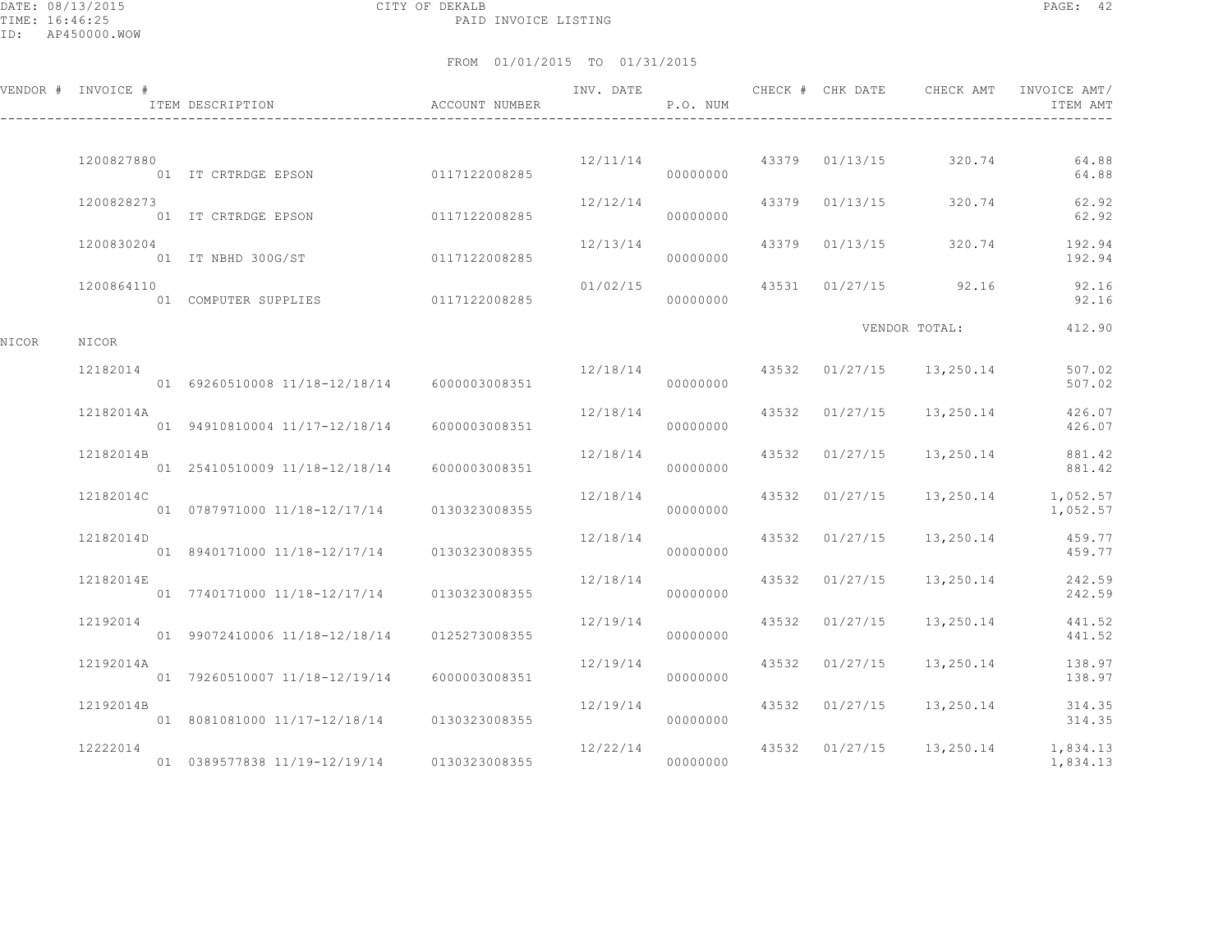DATE: 08/13/2015 CITY OF DEKALB PAGE: 42 PAID INVOICE LISTING

|       | VENDOR # INVOICE # | ITEM DESCRIPTION                            | ACCOUNT NUMBER | INV. DATE | P.O. NUM |                | CHECK # CHK DATE CHECK AMT | INVOICE AMT/<br>ITEM AMT |
|-------|--------------------|---------------------------------------------|----------------|-----------|----------|----------------|----------------------------|--------------------------|
|       |                    |                                             |                |           |          |                |                            |                          |
|       | 1200827880         | 01 IT CRTRDGE EPSON 0117122008285           |                | 12/11/14  | 00000000 | 43379 01/13/15 | 320.74                     | 64.88<br>64.88           |
|       | 1200828273         | 01 IT CRTRDGE EPSON                         | 0117122008285  | 12/12/14  | 00000000 | 43379 01/13/15 | 320.74                     | 62.92<br>62.92           |
|       | 1200830204         | 01 IT NBHD 300G/ST                          | 0117122008285  | 12/13/14  | 00000000 | 43379 01/13/15 | 320.74                     | 192.94<br>192.94         |
|       | 1200864110         | 01 COMPUTER SUPPLIES 0117122008285          |                | 01/02/15  | 00000000 |                | 43531 01/27/15 92.16       | 92.16<br>92.16           |
| NICOR | NICOR              |                                             |                |           |          |                | VENDOR TOTAL:              | 412.90                   |
|       | 12182014           |                                             |                | 12/18/14  |          |                | 43532 01/27/15 13,250.14   | 507.02                   |
|       |                    | 01 69260510008 11/18-12/18/14 6000003008351 |                |           | 00000000 |                |                            | 507.02                   |
|       | 12182014A          | 01 94910810004 11/17-12/18/14               | 6000003008351  | 12/18/14  | 00000000 | 43532 01/27/15 | 13,250.14                  | 426.07<br>426.07         |
|       | 12182014B          | 01 25410510009 11/18-12/18/14               | 6000003008351  | 12/18/14  | 00000000 | 43532 01/27/15 | 13,250.14                  | 881.42<br>881.42         |
|       | 12182014C          | 01 0787971000 11/18-12/17/14 0130323008355  |                | 12/18/14  | 00000000 | 43532 01/27/15 | 13,250.14                  | 1,052.57<br>1,052.57     |
|       | 12182014D          | 01 8940171000 11/18-12/17/14 0130323008355  |                | 12/18/14  | 00000000 | 43532 01/27/15 | 13,250.14                  | 459.77<br>459.77         |
|       | 12182014E          | 01 7740171000 11/18-12/17/14                | 0130323008355  | 12/18/14  | 00000000 | 43532 01/27/15 | 13,250.14                  | 242.59<br>242.59         |
|       | 12192014           | 01 99072410006 11/18-12/18/14               | 0125273008355  | 12/19/14  | 00000000 | 43532 01/27/15 | 13,250.14                  | 441.52<br>441.52         |
|       | 12192014A          | 01 79260510007 11/18-12/19/14               | 6000003008351  | 12/19/14  | 00000000 | 43532 01/27/15 | 13,250.14                  | 138.97<br>138.97         |
|       | 12192014B          | 01 8081081000 11/17-12/18/14                | 0130323008355  | 12/19/14  | 00000000 | 43532 01/27/15 | 13, 250. 14                | 314.35<br>314.35         |
|       | 12222014           | 01 0389577838 11/19-12/19/14                | 0130323008355  | 12/22/14  | 00000000 | 43532 01/27/15 | 13,250.14                  | 1,834.13<br>1,834.13     |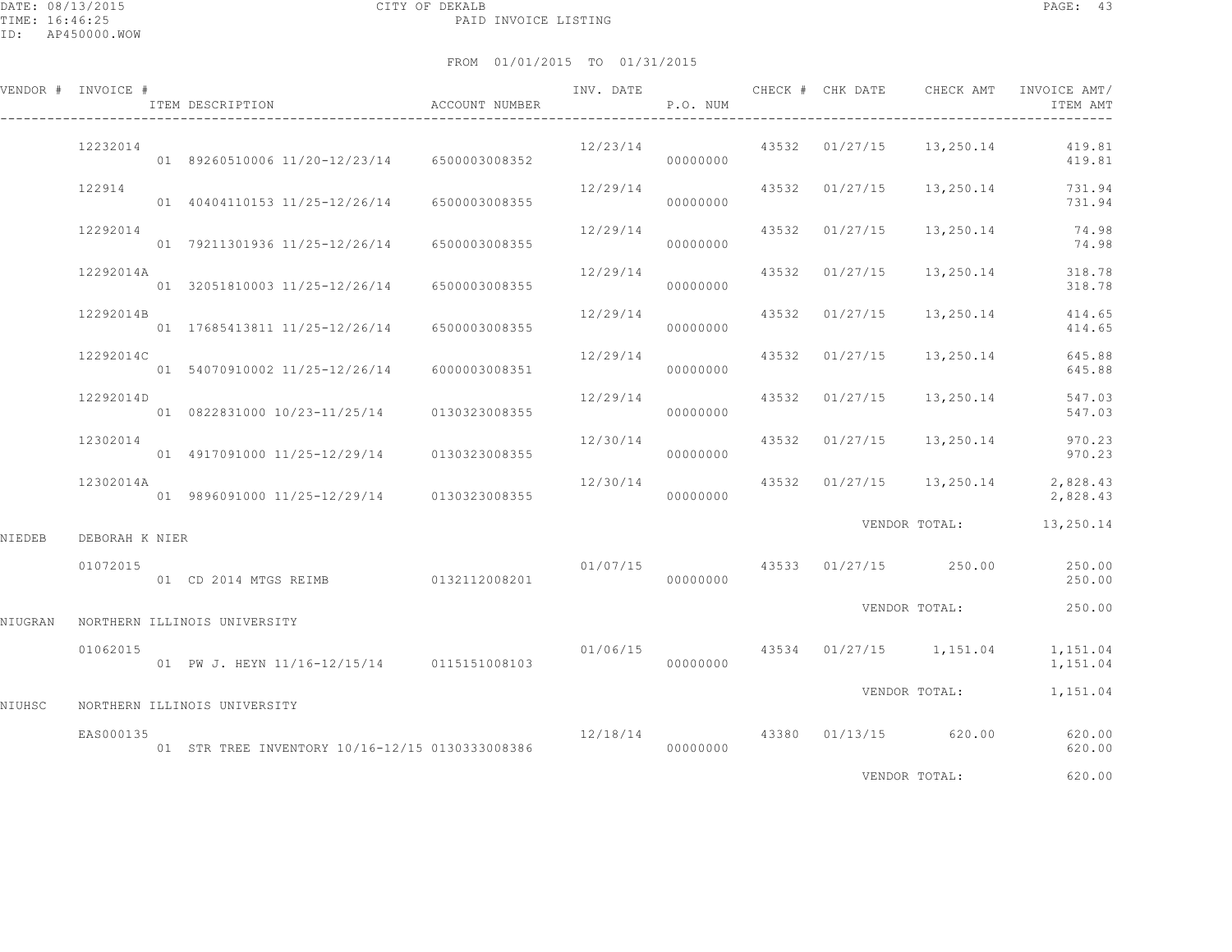|         | VENDOR # INVOICE # | ITEM DESCRIPTION                                | ACCOUNT NUMBER | INV. DATE            | P.O. NUM |       |                | CHECK # CHK DATE CHECK AMT | INVOICE AMT/<br>ITEM AMT |
|---------|--------------------|-------------------------------------------------|----------------|----------------------|----------|-------|----------------|----------------------------|--------------------------|
|         | 12232014           | 01 89260510006 11/20-12/23/14 6500003008352     |                | 12/23/14             | 00000000 |       |                | 43532 01/27/15 13,250.14   | 419.81<br>419.81         |
|         | 122914             | 01 40404110153 11/25-12/26/14 6500003008355     |                | 12/29/14             | 00000000 |       | 43532 01/27/15 | 13,250.14                  | 731.94<br>731.94         |
|         | 12292014           | 01 79211301936 11/25-12/26/14 6500003008355     |                | 12/29/14             | 00000000 | 43532 | 01/27/15       | 13,250.14                  | 74.98<br>74.98           |
|         | 12292014A          | 01 32051810003 11/25-12/26/14                   | 6500003008355  | 12/29/14             | 00000000 | 43532 | 01/27/15       | 13,250.14                  | 318.78<br>318.78         |
|         | 12292014B          | 01 17685413811 11/25-12/26/14                   | 6500003008355  | 12/29/14             | 00000000 |       | 43532 01/27/15 | 13,250.14                  | 414.65<br>414.65         |
|         | 12292014C          | 01 54070910002 11/25-12/26/14                   | 6000003008351  | 12/29/14             | 00000000 |       | 43532 01/27/15 | 13,250.14                  | 645.88<br>645.88         |
|         | 12292014D          | 01 0822831000 10/23-11/25/14 0130323008355      |                | 12/29/14             | 00000000 | 43532 | 01/27/15       | 13,250.14                  | 547.03<br>547.03         |
|         | 12302014           | 01 4917091000 11/25-12/29/14 0130323008355      |                | 12/30/14             | 00000000 |       | 43532 01/27/15 | 13,250.14                  | 970.23<br>970.23         |
|         | 12302014A          | 01 9896091000 11/25-12/29/14 0130323008355      |                | 12/30/14             | 00000000 |       |                | 43532 01/27/15 13,250.14   | 2,828.43<br>2,828.43     |
| NIEDEB  | DEBORAH K NIER     |                                                 |                |                      |          |       |                | VENDOR TOTAL:              | 13,250.14                |
|         | 01072015           | 01 CD 2014 MTGS REIMB 0132112008201             |                | 01/07/15<br>00000000 |          |       |                | 43533 01/27/15 250.00      | 250.00<br>250.00         |
| NIUGRAN |                    | NORTHERN ILLINOIS UNIVERSITY                    |                |                      |          |       |                | VENDOR TOTAL:              | 250.00                   |
|         | 01062015           | 01 PW J. HEYN 11/16-12/15/14 0115151008103      |                | 01/06/15             | 00000000 |       |                | 43534 01/27/15 1,151.04    | 1,151.04<br>1,151.04     |
| NIUHSC  |                    | NORTHERN ILLINOIS UNIVERSITY                    |                |                      |          |       |                | VENDOR TOTAL:              | 1,151.04                 |
|         | EAS000135          | 01 STR TREE INVENTORY 10/16-12/15 0130333008386 |                | 12/18/14             | 00000000 |       |                | 43380 01/13/15 620.00      | 620.00<br>620.00         |
|         |                    |                                                 |                |                      |          |       |                | VENDOR TOTAL:              | 620.00                   |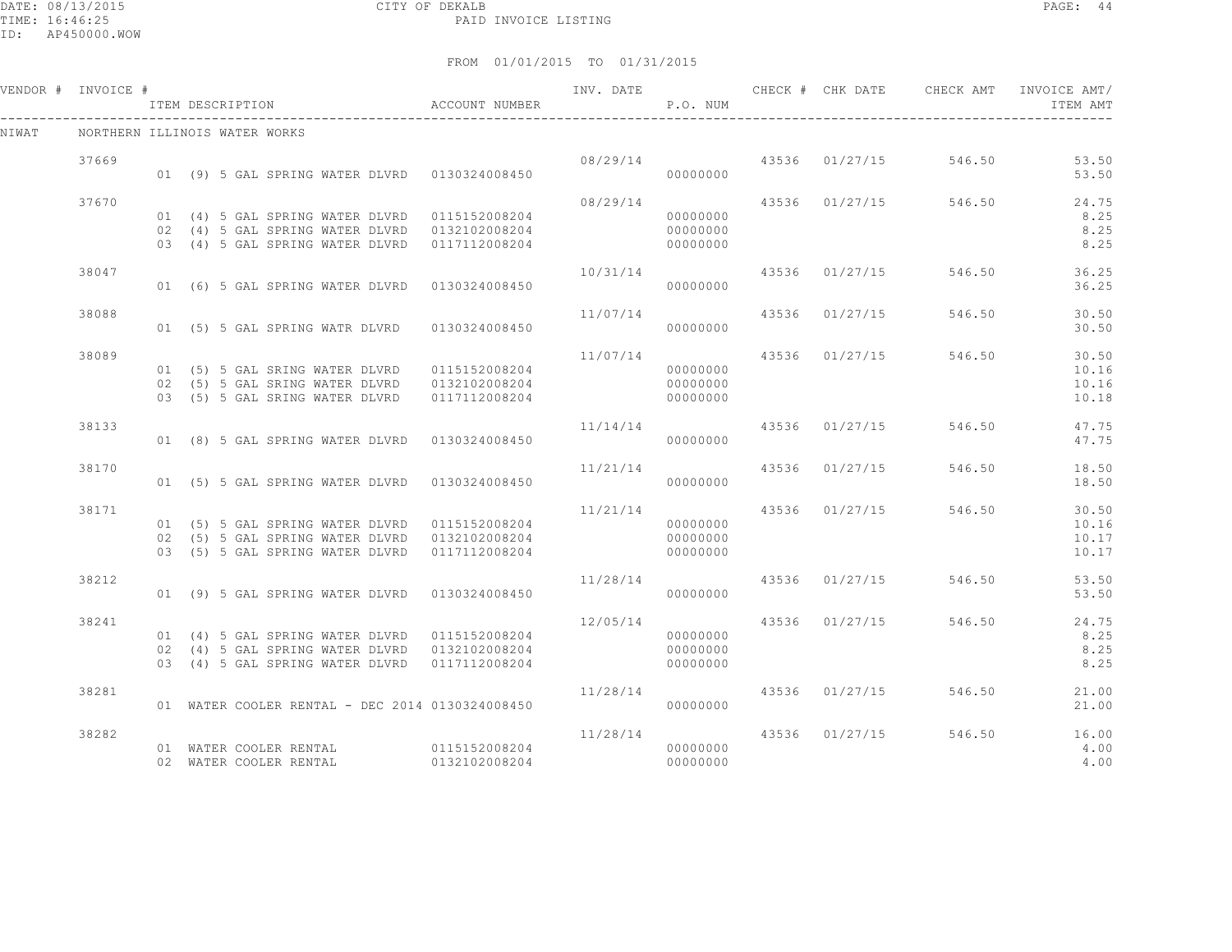DATE: 08/13/2015 CITY OF DEKALB PAGE: 44 PAID INVOICE LISTING

ID: AP450000.WOW

|       | VENDOR # INVOICE #<br>ITEM DESCRIPTION |  |                        |                                | ACCOUNT NUMBER                                  | INV. DATE               | P.O. NUM  |                |                                | ITEM AMT |
|-------|----------------------------------------|--|------------------------|--------------------------------|-------------------------------------------------|-------------------------|-----------|----------------|--------------------------------|----------|
| NIWAT | NORTHERN ILLINOIS WATER WORKS          |  |                        |                                |                                                 |                         |           |                |                                |          |
|       | 37669                                  |  |                        |                                |                                                 |                         |           |                | 08/29/14 43536 01/27/15 546.50 | 53.50    |
|       |                                        |  |                        |                                | 01 (9) 5 GAL SPRING WATER DLVRD 0130324008450   |                         | 000000000 |                |                                | 53.50    |
|       | 37670                                  |  |                        |                                |                                                 |                         |           |                | 08/29/14 43536 01/27/15 546.50 | 24.75    |
|       |                                        |  |                        |                                |                                                 |                         | 00000000  |                |                                | 8.25     |
|       |                                        |  |                        |                                |                                                 |                         | 00000000  |                |                                | 8.25     |
|       |                                        |  |                        |                                | 03 (4) 5 GAL SPRING WATER DLVRD 0117112008204   |                         | 00000000  |                |                                | 8.25     |
|       | 38047                                  |  |                        |                                |                                                 | 10/31/14                |           |                | 43536 01/27/15 546.50          | 36.25    |
|       |                                        |  |                        |                                | 01 (6) 5 GAL SPRING WATER DLVRD 0130324008450   |                         | 00000000  |                |                                | 36.25    |
|       | 38088                                  |  |                        |                                |                                                 | 11/07/14                |           | 43536 01/27/15 | 546.50                         | 30.50    |
|       |                                        |  |                        |                                | 01 (5) 5 GAL SPRING WATR DLVRD 0130324008450    |                         | 00000000  |                |                                | 30.50    |
|       | 38089                                  |  |                        |                                |                                                 | 11/07/14                |           |                | 43536 01/27/15 546.50          | 30.50    |
|       |                                        |  |                        |                                |                                                 |                         | 00000000  |                |                                | 10.16    |
|       |                                        |  |                        | 02 (5) 5 GAL SRING WATER DLVRD | 0132102008204                                   |                         | 00000000  |                |                                | 10.16    |
|       |                                        |  |                        | 03 (5) 5 GAL SRING WATER DLVRD | 0117112008204                                   |                         | 00000000  |                |                                | 10.18    |
|       | 38133                                  |  |                        |                                |                                                 | 11/14/14                |           | 43536 01/27/15 | 546.50                         | 47.75    |
|       |                                        |  |                        |                                | 01 (8) 5 GAL SPRING WATER DLVRD 0130324008450   |                         | 00000000  |                |                                | 47.75    |
|       | 38170                                  |  |                        |                                |                                                 | 11/21/14 43536 01/27/15 |           |                | 546.50                         | 18.50    |
|       |                                        |  |                        |                                | 01 (5) 5 GAL SPRING WATER DLVRD 0130324008450   |                         | 00000000  |                |                                | 18.50    |
|       | 38171                                  |  |                        |                                |                                                 | 11/21/14 43536 01/27/15 |           |                | 546.50                         | 30.50    |
|       |                                        |  |                        |                                | 01 (5) 5 GAL SPRING WATER DLVRD 0115152008204   |                         | 00000000  |                |                                | 10.16    |
|       |                                        |  |                        |                                | 02 (5) 5 GAL SPRING WATER DLVRD 0132102008204   |                         | 00000000  |                |                                | 10.17    |
|       |                                        |  |                        |                                | 03 (5) 5 GAL SPRING WATER DLVRD 0117112008204   |                         | 00000000  |                |                                | 10.17    |
|       | 38212                                  |  |                        |                                |                                                 | 11/28/14 43536 01/27/15 |           |                | 546.50                         | 53.50    |
|       |                                        |  |                        |                                | 01 (9) 5 GAL SPRING WATER DLVRD 0130324008450   |                         | 00000000  |                |                                | 53.50    |
|       | 38241                                  |  |                        |                                |                                                 | 12/05/14                |           | 43536 01/27/15 | 546.50                         | 24.75    |
|       |                                        |  |                        |                                | 01 (4) 5 GAL SPRING WATER DLVRD 0115152008204   |                         | 00000000  |                |                                | 8.25     |
|       |                                        |  |                        |                                | 02 (4) 5 GAL SPRING WATER DLVRD 0132102008204   |                         | 00000000  |                |                                | 8.25     |
|       |                                        |  |                        |                                | 03 (4) 5 GAL SPRING WATER DLVRD 0117112008204   |                         | 00000000  |                |                                | 8.25     |
|       | 38281                                  |  |                        |                                |                                                 | 11/28/14 43536 01/27/15 |           |                | 546.50                         | 21.00    |
|       |                                        |  |                        |                                | 01 WATER COOLER RENTAL - DEC 2014 0130324008450 |                         | 00000000  |                |                                | 21.00    |
|       | 38282                                  |  |                        |                                |                                                 | 11/28/14                |           |                | 43536 01/27/15 546.50          | 16.00    |
|       |                                        |  | 01 WATER COOLER RENTAL |                                | 0115152008204                                   |                         | 00000000  |                |                                | 4.00     |
|       |                                        |  | 02 WATER COOLER RENTAL |                                | 0132102008204                                   | 00000000                |           |                |                                | 4.00     |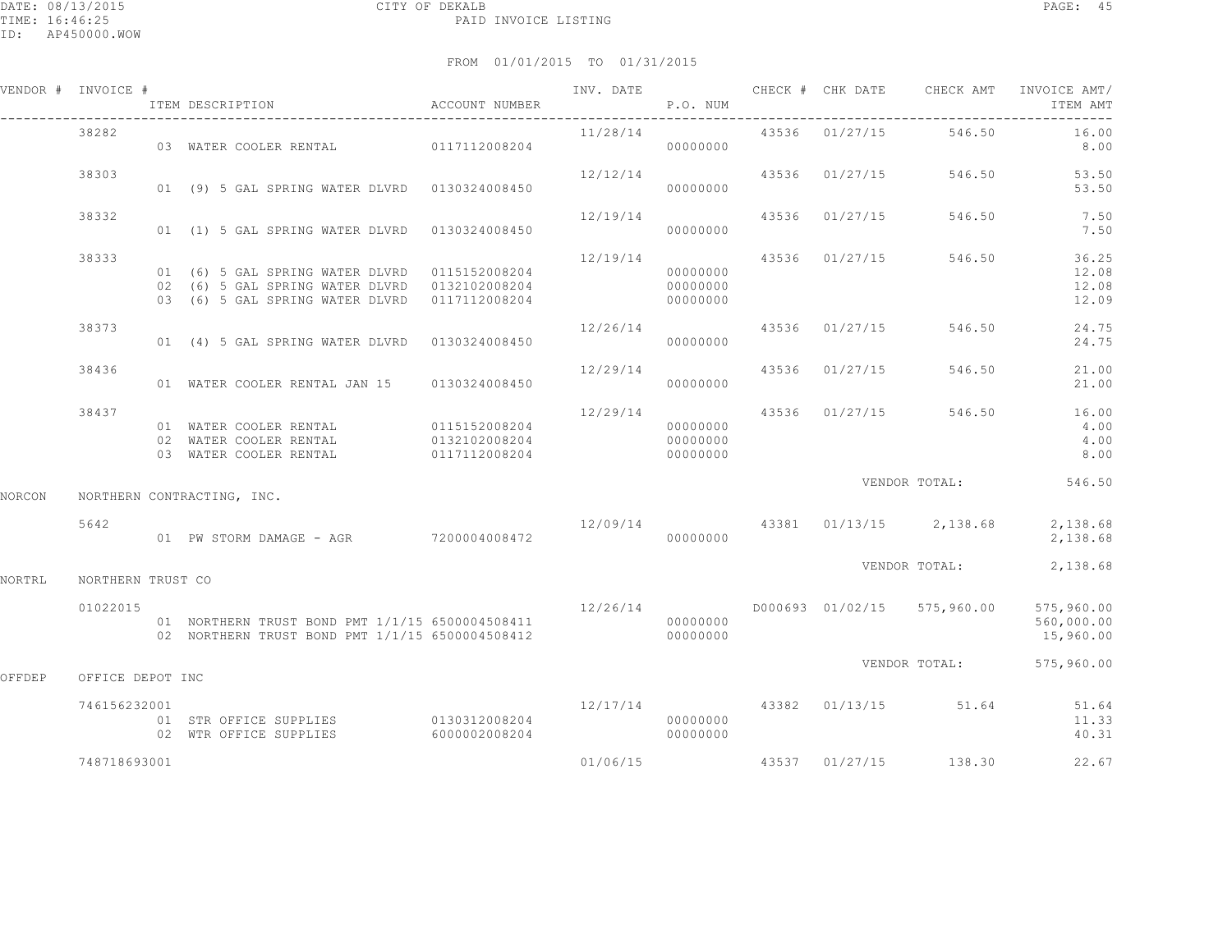|        | VENDOR # INVOICE # | ITEM DESCRIPTION                                                                                                                                | ACCOUNT NUMBER                                  | INV. DATE | P.O. NUM                         |       | CHECK # CHK DATE | CHECK AMT                                | INVOICE AMT/<br>ITEM AMT              |
|--------|--------------------|-------------------------------------------------------------------------------------------------------------------------------------------------|-------------------------------------------------|-----------|----------------------------------|-------|------------------|------------------------------------------|---------------------------------------|
|        | 38282              | 03 WATER COOLER RENTAL 0117112008204                                                                                                            |                                                 | 11/28/14  | 00000000                         |       | 43536 01/27/15   | 546.50                                   | 16.00<br>8.00                         |
|        | 38303              | 01 (9) 5 GAL SPRING WATER DLVRD 0130324008450                                                                                                   |                                                 | 12/12/14  | 00000000                         |       | 43536 01/27/15   | 546.50                                   | 53.50<br>53.50                        |
|        | 38332              | 01 (1) 5 GAL SPRING WATER DLVRD 0130324008450                                                                                                   |                                                 | 12/19/14  | 00000000                         | 43536 | 01/27/15         | 546.50                                   | 7.50<br>7.50                          |
|        | 38333              | 01 (6) 5 GAL SPRING WATER DLVRD 0115152008204<br>02 (6) 5 GAL SPRING WATER DLVRD 0132102008204<br>03 (6) 5 GAL SPRING WATER DLVRD 0117112008204 |                                                 | 12/19/14  | 00000000<br>00000000<br>00000000 |       | 43536 01/27/15   | 546.50                                   | 36.25<br>12.08<br>12.08<br>12.09      |
|        | 38373              | 01 (4) 5 GAL SPRING WATER DLVRD 0130324008450                                                                                                   |                                                 | 12/26/14  | 00000000                         |       | 43536 01/27/15   | 546.50                                   | 24.75<br>24.75                        |
|        | 38436              | 01 WATER COOLER RENTAL JAN 15 0130324008450                                                                                                     |                                                 | 12/29/14  | 00000000                         |       | 43536 01/27/15   | 546.50                                   | 21.00<br>21.00                        |
|        | 38437              | 01 WATER COOLER RENTAL<br>02 WATER COOLER RENTAL<br>03 WATER COOLER RENTAL                                                                      | 0115152008204<br>0132102008204<br>0117112008204 | 12/29/14  | 00000000<br>00000000<br>00000000 |       | 43536 01/27/15   | 546.50                                   | 16.00<br>4.00<br>4.00<br>8.00         |
| NORCON |                    | NORTHERN CONTRACTING, INC.                                                                                                                      |                                                 |           |                                  |       |                  | VENDOR TOTAL:                            | 546.50                                |
|        | 5642               | 01 PW STORM DAMAGE - AGR 7200004008472                                                                                                          |                                                 |           | 00000000                         |       |                  | $12/09/14$ $43381$ $01/13/15$ $2,138.68$ | 2,138.68<br>2,138.68                  |
| NORTRL | NORTHERN TRUST CO  |                                                                                                                                                 |                                                 |           |                                  |       |                  | VENDOR TOTAL:                            | 2,138.68                              |
|        | 01022015           | 01 NORTHERN TRUST BOND PMT 1/1/15 6500004508411<br>02 NORTHERN TRUST BOND PMT 1/1/15 6500004508412                                              |                                                 | 12/26/14  | 00000000<br>00000000             |       |                  | D000693 01/02/15 575,960.00              | 575,960.00<br>560,000.00<br>15,960.00 |
| OFFDEP | OFFICE DEPOT INC   |                                                                                                                                                 |                                                 |           |                                  |       |                  | VENDOR TOTAL:                            | 575,960.00                            |
|        | 746156232001       | 01 STR OFFICE SUPPLIES 0130312008204<br>02 WTR OFFICE SUPPLIES                                                                                  | 6000002008204                                   |           | 00000000<br>00000000             |       |                  | $12/17/14$ 43382 01/13/15 51.64          | 51.64<br>11.33<br>40.31               |
|        | 748718693001       |                                                                                                                                                 |                                                 | 01/06/15  |                                  |       |                  | 43537 01/27/15 138.30                    | 22.67                                 |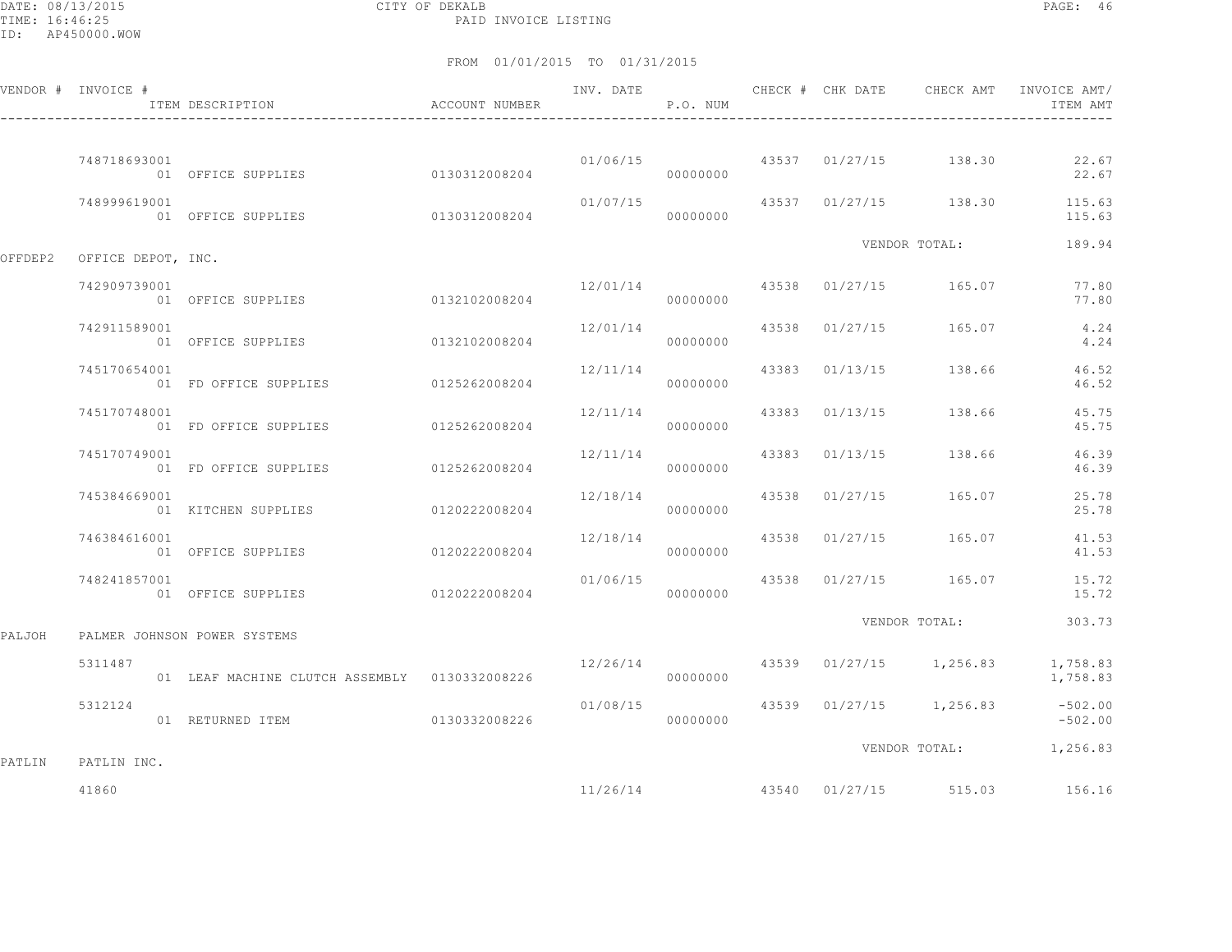DATE: 08/13/2015 CITY OF DEKALB PAGE: 46 PAID INVOICE LISTING

|        | VENDOR # INVOICE #         | ITEM DESCRIPTION                              | <b>ACCOUNT NUMBER</b> | INV. DATE | P.O. NUM |  | CHECK # CHK DATE CHECK AMT             | INVOICE AMT/<br>ITEM AMT                          |
|--------|----------------------------|-----------------------------------------------|-----------------------|-----------|----------|--|----------------------------------------|---------------------------------------------------|
|        | 748718693001               | 01 OFFICE SUPPLIES 0130312008204              |                       |           | 00000000 |  | 01/06/15 43537 01/27/15 138.30         | 22.67<br>22.67                                    |
|        | 748999619001               | 01 OFFICE SUPPLIES 0130312008204              |                       |           | 00000000 |  |                                        | $01/07/15$ 43537 01/27/15 138.30 115.63<br>115.63 |
|        | OFFDEP2 OFFICE DEPOT, INC. |                                               |                       |           |          |  | VENDOR TOTAL:                          | 189.94                                            |
|        | 742909739001               | 01 OFFICE SUPPLIES                            | 0132102008204         | 12/01/14  |          |  | 43538 01/27/15 165.07                  | 77.80<br>77.80                                    |
|        | 742911589001               | 01 OFFICE SUPPLIES                            | 0132102008204         | 12/01/14  | 00000000 |  | 43538 01/27/15 165.07                  | 4.24<br>4.24                                      |
|        | 745170654001               | 01 FD OFFICE SUPPLIES 0125262008204           |                       | 12/11/14  | 00000000 |  | 43383 01/13/15 138.66                  | 46.52<br>46.52                                    |
|        | 745170748001               | 01 FD OFFICE SUPPLIES 0125262008204           |                       | 12/11/14  | 00000000 |  | 43383 01/13/15 138.66                  | 45.75<br>45.75                                    |
|        | 745170749001               | 01 FD OFFICE SUPPLIES 0125262008204           |                       | 12/11/14  | 00000000 |  | 43383 01/13/15 138.66                  | 46.39<br>46.39                                    |
|        | 745384669001               | 01 KITCHEN SUPPLIES 0120222008204             |                       | 12/18/14  | 00000000 |  | 43538 01/27/15 165.07                  | 25.78<br>25.78                                    |
|        | 746384616001               | 01 OFFICE SUPPLIES                            | 0120222008204         | 12/18/14  | 00000000 |  | 43538 01/27/15 165.07                  | 41.53<br>41.53                                    |
|        | 748241857001               | 01 OFFICE SUPPLIES 0120222008204              |                       |           | 00000000 |  | $01/06/15$ $43538$ $01/27/15$ $165.07$ | 15.72<br>15.72                                    |
| PALJOH |                            | PALMER JOHNSON POWER SYSTEMS                  |                       |           |          |  | VENDOR TOTAL:                          | 303.73                                            |
|        | 5311487                    | 01 LEAF MACHINE CLUTCH ASSEMBLY 0130332008226 |                       | 12/26/14  | 00000000 |  | 43539 01/27/15 1,256.83                | 1,758.83<br>1,758.83                              |
|        | 5312124                    | 01 RETURNED ITEM 0130332008226                |                       | 01/08/15  | 00000000 |  |                                        | 43539 01/27/15 1,256.83 -502.00<br>$-502.00$      |
| PATLIN | PATLIN INC.                |                                               |                       |           |          |  |                                        | VENDOR TOTAL: 1,256.83                            |
|        | 41860                      |                                               |                       |           | 11/26/14 |  | 43540 01/27/15 515.03                  | 156.16                                            |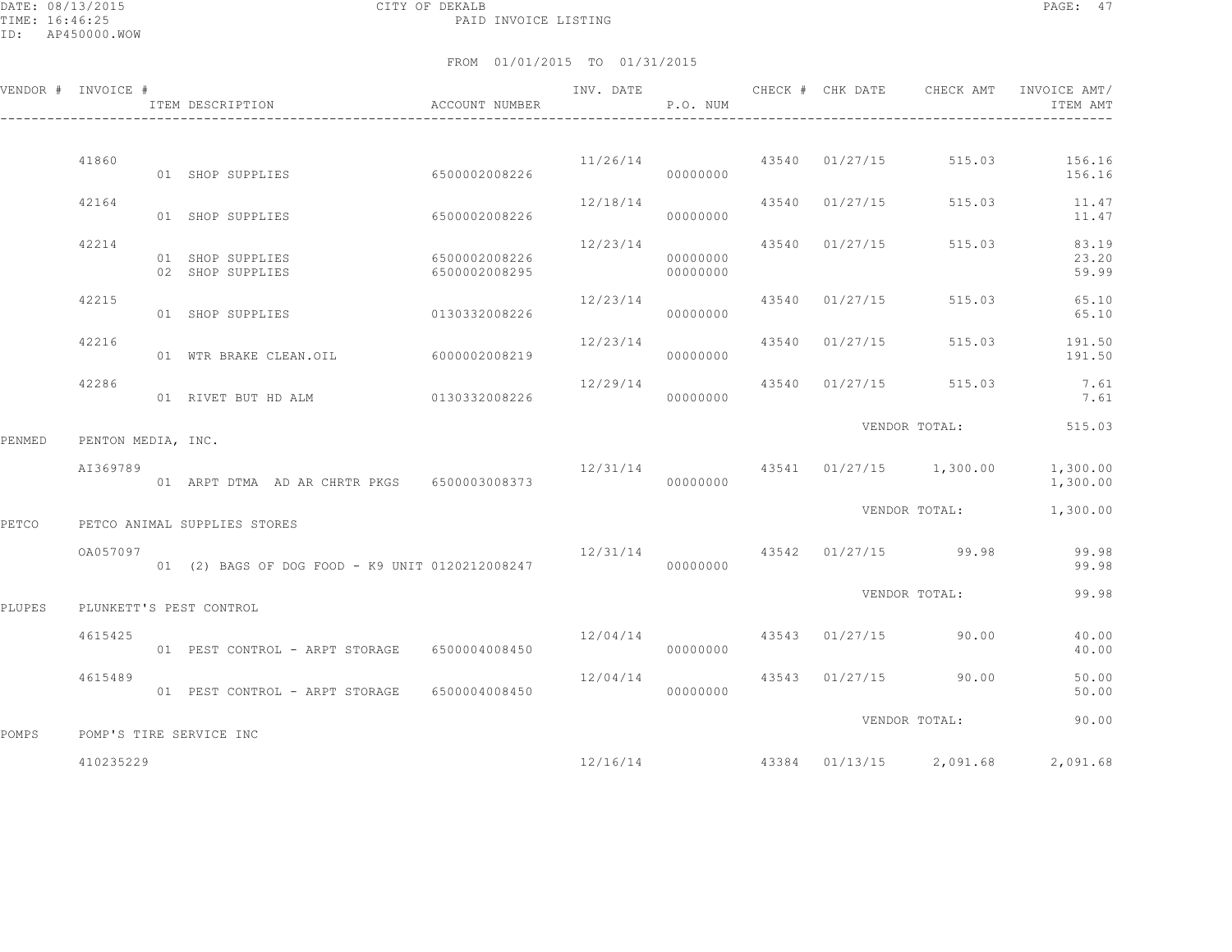DATE: 08/13/2015 CITY OF DEKALB PAGE: 47 PAID INVOICE LISTING

|        | VENDOR # INVOICE # | ITEM DESCRIPTION                                | ACCOUNT NUMBER                 | INV. DATE                 | P.O. NUM             | CHECK # CHK DATE | CHECK AMT                           | INVOICE AMT/<br>ITEM AMT                                  |
|--------|--------------------|-------------------------------------------------|--------------------------------|---------------------------|----------------------|------------------|-------------------------------------|-----------------------------------------------------------|
|        |                    |                                                 |                                |                           |                      |                  |                                     |                                                           |
|        | 41860              | 01 SHOP SUPPLIES                                | 6500002008226                  |                           | 00000000             |                  |                                     | $11/26/14$ $43540$ $01/27/15$ $515.03$ $156.16$<br>156.16 |
|        | 42164              | 01 SHOP SUPPLIES                                | 6500002008226                  | 12/18/14                  | 00000000             | 43540 01/27/15   |                                     | 515.03 11.47<br>11.47                                     |
|        | 42214              | 01 SHOP SUPPLIES<br>02 SHOP SUPPLIES            | 6500002008226<br>6500002008295 | 12/23/14                  | 00000000<br>00000000 | 43540 01/27/15   | 515.03                              | 83.19<br>23.20<br>59.99                                   |
|        | 42215              | 0130332008226<br>01 SHOP SUPPLIES               |                                | 12/23/14                  | 00000000             | 43540 01/27/15   | 515.03                              | 65.10<br>65.10                                            |
|        | 42216              | 01 WTR BRAKE CLEAN.OIL                          | 6000002008219                  | $12/23/14$ 43540 01/27/15 | 00000000             |                  | 515.03                              | 191.50<br>191.50                                          |
|        | 42286              | 01 RIVET BUT HD ALM 0130332008226               |                                | 12/29/14                  | 00000000             |                  | 43540 01/27/15 515.03               | 7.61<br>7.61                                              |
| PENMED | PENTON MEDIA, INC. |                                                 |                                |                           |                      |                  | VENDOR TOTAL:                       | 515.03                                                    |
|        | AI369789           | 01 ARPT DTMA AD AR CHRTR PKGS 6500003008373     |                                |                           | 00000000             |                  | 12/31/14 43541 01/27/15 1,300.00    | 1,300.00<br>1,300.00                                      |
| PETCO  |                    | PETCO ANIMAL SUPPLIES STORES                    |                                |                           |                      |                  | VENDOR TOTAL:                       | 1,300.00                                                  |
|        | OA057097           | 01 (2) BAGS OF DOG FOOD - K9 UNIT 0120212008247 |                                |                           | 00000000             |                  | $12/31/14$ $43542$ $01/27/15$ 99.98 | 99.98<br>99.98                                            |
| PLUPES |                    | PLUNKETT'S PEST CONTROL                         |                                |                           |                      |                  | VENDOR TOTAL:                       | 99.98                                                     |
|        | 4615425            | 01 PEST CONTROL - ARPT STORAGE 6500004008450    |                                |                           | 00000000             |                  | $12/04/14$ $43543$ $01/27/15$ 90.00 | 40.00<br>40.00                                            |
|        | 4615489            | 01 PEST CONTROL - ARPT STORAGE 6500004008450    |                                | 12/04/14                  | 00000000             |                  | 43543 01/27/15 90.00                | 50.00<br>50.00                                            |
| POMPS  |                    | POMP'S TIRE SERVICE INC                         |                                |                           |                      |                  | VENDOR TOTAL:                       | 90.00                                                     |
|        | 410235229          |                                                 |                                |                           |                      |                  |                                     | $12/16/14$ $43384$ $01/13/15$ $2,091.68$ $2,091.68$       |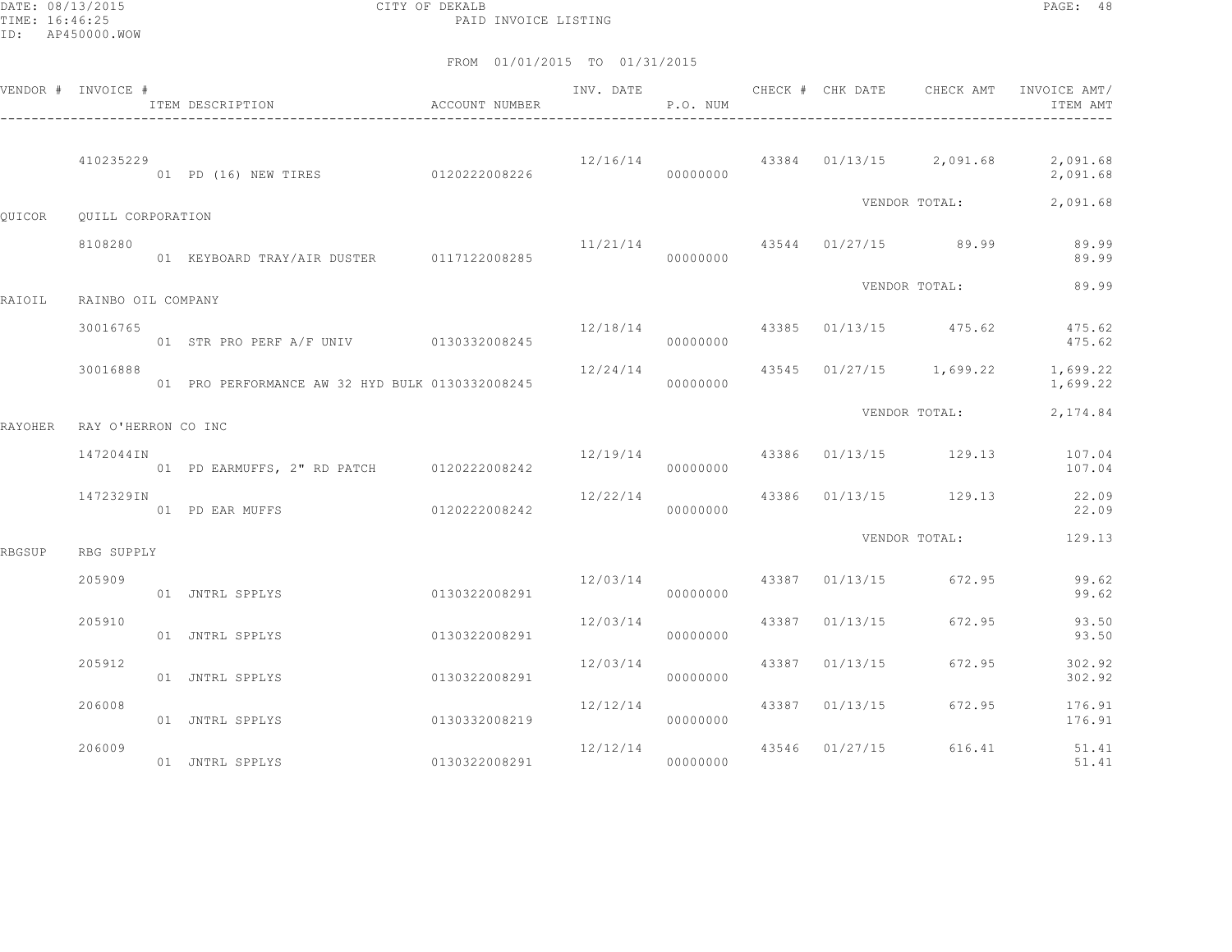DATE: 08/13/2015 CITY OF DEKALB PAGE: 48 PAID INVOICE LISTING

|                | VENDOR # INVOICE #  | ITEM DESCRIPTION<br>$\hfill$<br>ACCOUNT NUMBER  |               | INV. DATE                            | P.O. NUM |                | CHECK # CHK DATE CHECK AMT          | INVOICE AMT/<br>ITEM AMT                                |
|----------------|---------------------|-------------------------------------------------|---------------|--------------------------------------|----------|----------------|-------------------------------------|---------------------------------------------------------|
|                | 410235229           | 01 PD (16) NEW TIRES 0120222008226              |               |                                      | 00000000 |                |                                     | $12/16/14$ 43384 01/13/15 2,091.68 2,091.68<br>2,091.68 |
| OUICOR         | QUILL CORPORATION   |                                                 |               |                                      |          |                | VENDOR TOTAL:                       | 2,091.68                                                |
|                | 8108280             | 01 KEYBOARD TRAY/AIR DUSTER 0117122008285       |               | 00000000                             |          |                | $11/21/14$ $43544$ $01/27/15$ 89.99 | 89.99<br>89.99                                          |
| RAIOIL         | RAINBO OIL COMPANY  |                                                 |               |                                      |          |                | VENDOR TOTAL:                       | 89.99                                                   |
|                | 30016765            | 01 STR PRO PERF A/F UNIV 0130332008245          |               |                                      | 00000000 |                | 12/18/14 43385 01/13/15 475.62      | 475.62<br>475.62                                        |
|                | 30016888            | 01 PRO PERFORMANCE AW 32 HYD BULK 0130332008245 |               | 12/24/14                             | 00000000 |                |                                     | 43545 01/27/15 1,699.22 1,699.22<br>1,699.22            |
| <b>RAYOHER</b> | RAY O'HERRON CO INC |                                                 |               |                                      |          |                | VENDOR TOTAL:                       | 2,174.84                                                |
|                | 1472044IN           | 01 PD EARMUFFS, 2" RD PATCH 0120222008242       |               |                                      | 00000000 |                |                                     | 12/19/14 43386 01/13/15 129.13 107.04<br>107.04         |
|                | 1472329IN           | 01 PD EAR MUFFS                                 | 0120222008242 | 12/22/14                             | 00000000 |                | 43386 01/13/15 129.13               | 22.09<br>22.09                                          |
| RBGSUP         | RBG SUPPLY          |                                                 |               |                                      |          |                | VENDOR TOTAL:                       | 129.13                                                  |
|                | 205909              | 01 JNTRL SPPLYS                                 | 0130322008291 | $12/03/14$ $43387$ $01/13/15$ 672.95 | 00000000 |                |                                     | 99.62<br>99.62                                          |
|                | 205910              | 01 JNTRL SPPLYS                                 | 0130322008291 | 12/03/14                             | 00000000 | 43387 01/13/15 | 672.95                              | 93.50<br>93.50                                          |
|                | 205912              | 01 JNTRL SPPLYS                                 | 0130322008291 | 12/03/14                             | 00000000 | 43387 01/13/15 | 672.95                              | 302.92<br>302.92                                        |
|                | 206008              | 01 JNTRL SPPLYS                                 | 0130332008219 | 12/12/14<br>000000000                |          | 43387 01/13/15 | 672.95                              | 176.91<br>176.91                                        |
|                | 206009              | 01 JNTRL SPPLYS                                 | 0130322008291 | 12/12/14 43546 01/27/15<br>00000000  |          |                | 616.41                              | 51.41<br>51.41                                          |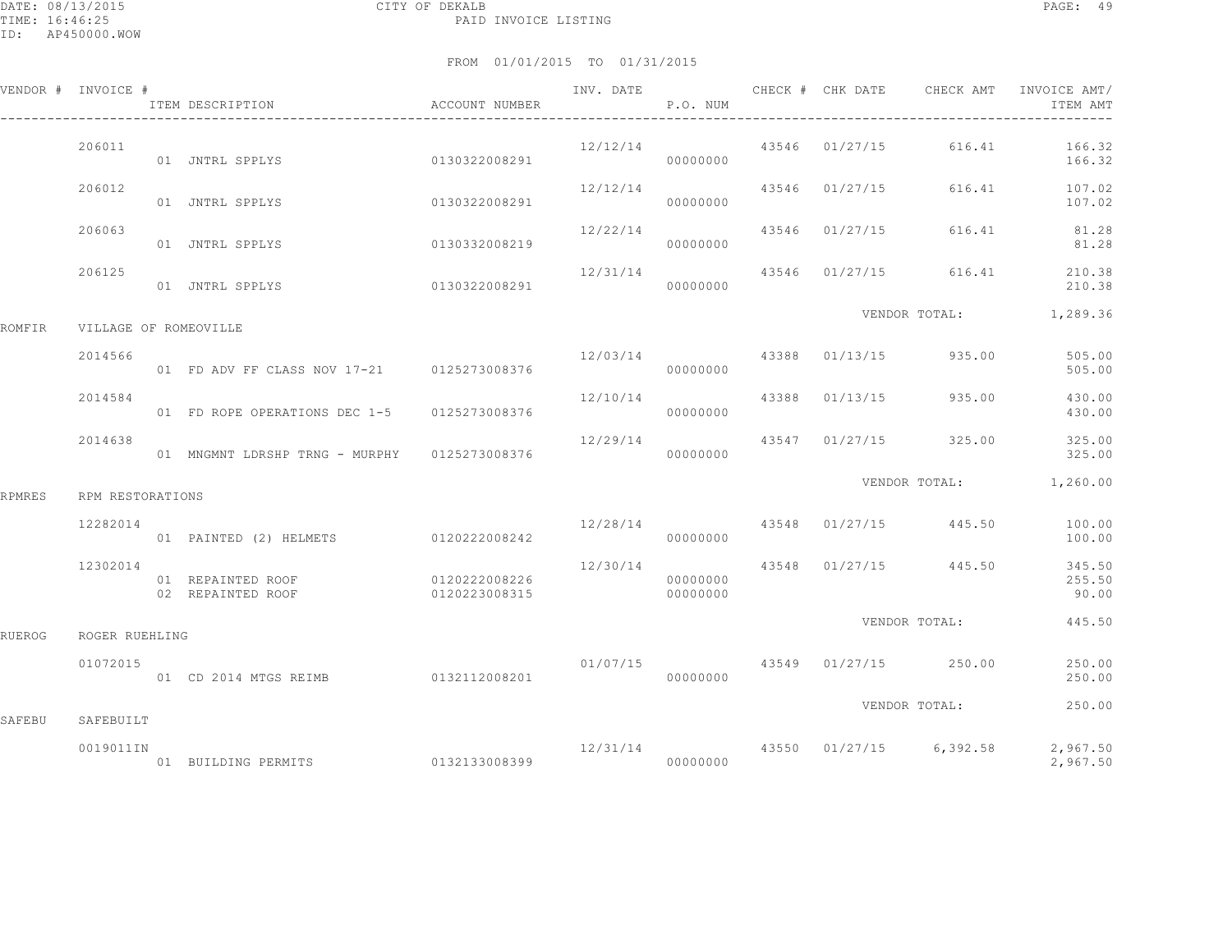|               | VENDOR # INVOICE #    | ITEM DESCRIPTION                             | ACCOUNT NUMBER                 |                           | P.O. NUM             |                |                                        | INV. DATE 6 CHECK # CHK DATE CHECK AMT INVOICE AMT/<br>ITEM AMT |
|---------------|-----------------------|----------------------------------------------|--------------------------------|---------------------------|----------------------|----------------|----------------------------------------|-----------------------------------------------------------------|
|               | 206011                | 01 JNTRL SPPLYS 0130322008291                |                                | 12/12/14                  | 00000000             | 43546 01/27/15 |                                        | 616.41 166.32<br>166.32                                         |
|               | 206012                | 01 JNTRL SPPLYS                              | 0130322008291                  | 12/12/14                  | 00000000             | 43546 01/27/15 |                                        | 616.41 107.02<br>107.02                                         |
|               | 206063                | 01 JNTRL SPPLYS                              | 0130332008219                  | $12/22/14$ 43546 01/27/15 | 00000000             |                |                                        | 616.41 81.28<br>81.28                                           |
|               | 206125                | 01 JNTRL SPPLYS                              | 0130322008291                  | 12/31/14                  | 00000000             | 43546 01/27/15 |                                        | 616.41 210.38<br>210.38                                         |
| ROMFIR        | VILLAGE OF ROMEOVILLE |                                              |                                |                           |                      |                |                                        | VENDOR TOTAL: 1,289.36                                          |
|               | 2014566               | 01 FD ADV FF CLASS NOV 17-21 0125273008376   |                                |                           | 00000000             |                | $12/03/14$ 43388 01/13/15 935.00       | 505.00<br>505.00                                                |
|               | 2014584               | 01 FD ROPE OPERATIONS DEC 1-5 0125273008376  |                                | $12/10/14$ 43388 01/13/15 | 00000000             |                | 935.00                                 | 430.00<br>430.00                                                |
|               | 2014638               | 01 MNGMNT LDRSHP TRNG - MURPHY 0125273008376 |                                | 12/29/14                  | 00000000             |                | 43547 01/27/15 325.00                  | 325.00<br>325.00                                                |
| <b>RPMRES</b> | RPM RESTORATIONS      |                                              |                                |                           |                      |                | VENDOR TOTAL:                          | 1,260.00                                                        |
|               | 12282014              | 01 PAINTED (2) HELMETS 0120222008242         |                                |                           | 00000000             |                | 12/28/14 43548 01/27/15 445.50         | 100.00<br>100.00                                                |
|               | 12302014              | 01 REPAINTED ROOF<br>02 REPAINTED ROOF       | 0120222008226<br>0120223008315 |                           | 00000000<br>00000000 |                | 12/30/14 43548 01/27/15 445.50         | 345.50<br>255.50<br>90.00                                       |
| <b>RUEROG</b> | ROGER RUEHLING        |                                              |                                |                           |                      |                | VENDOR TOTAL:                          | 445.50                                                          |
|               | 01072015              | $01$ CD 2014 MTGS REIMB $0132112008201$      |                                |                           | 00000000             |                | $01/07/15$ $43549$ $01/27/15$ $250.00$ | 250.00<br>250.00                                                |
| SAFEBU        | SAFEBUILT             |                                              |                                |                           |                      |                | VENDOR TOTAL:                          | 250.00                                                          |
|               | 0019011IN             |                                              |                                |                           |                      |                |                                        | $12/31/14$ $43550$ $01/27/15$ $6,392.58$ $2,967.50$<br>2,967.50 |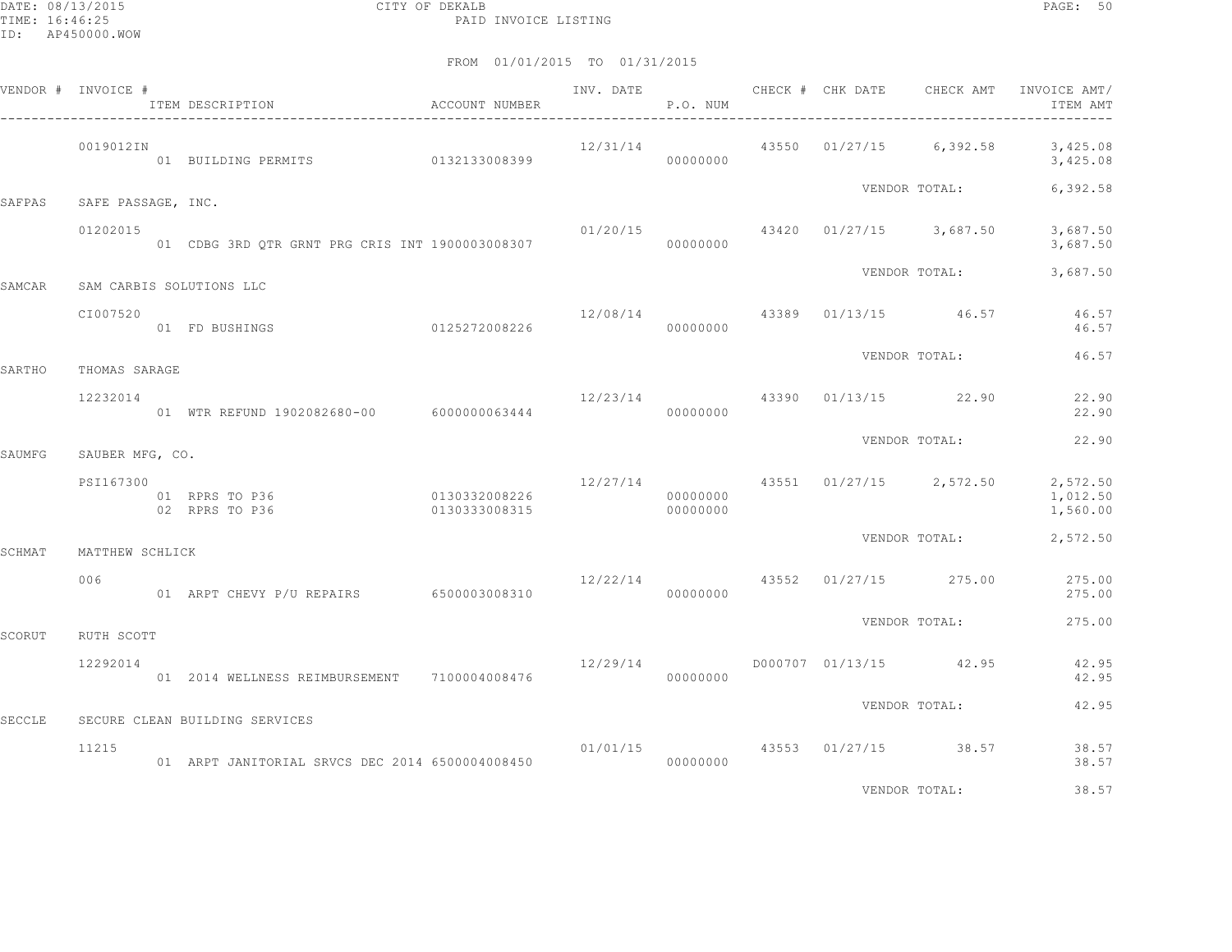|        | VENDOR # INVOICE # | ACCOUNT NUMBER<br>ITEM DESCRIPTION              |                                |          | P.O. NUM             |  |                                                                                 | ITEM AMT                                                                    |
|--------|--------------------|-------------------------------------------------|--------------------------------|----------|----------------------|--|---------------------------------------------------------------------------------|-----------------------------------------------------------------------------|
|        | 0019012IN          | 01 BUILDING PERMITS 0132133008399               |                                |          | 00000000             |  |                                                                                 | $12/31/14$ 43550 01/27/15 6,392.58 3,425.08<br>3,425.08                     |
| SAFPAS | SAFE PASSAGE, INC. |                                                 |                                |          |                      |  | VENDOR TOTAL:                                                                   | 6,392.58                                                                    |
|        | 01202015           |                                                 |                                |          |                      |  | $01/20/15$ $43420$ $01/27/15$ $3,687.50$                                        | 3,687.50<br>3,687.50                                                        |
| SAMCAR |                    | SAM CARBIS SOLUTIONS LLC                        |                                |          |                      |  |                                                                                 | VENDOR TOTAL: 3,687.50                                                      |
|        | CI007520           | 01 FD BUSHINGS                                  | 0125272008226                  |          | 00000000             |  | $12/08/14$ $43389$ $01/13/15$ $46.57$                                           | 46.57<br>46.57                                                              |
| SARTHO | THOMAS SARAGE      |                                                 |                                |          |                      |  | VENDOR TOTAL:                                                                   | 46.57                                                                       |
|        | 12232014           | 01 WTR REFUND 1902082680-00 6000000063444       |                                | 12/23/14 | 00000000             |  | 43390 01/13/15 22.90                                                            | 22.90<br>22.90                                                              |
| SAUMFG | SAUBER MFG, CO.    |                                                 |                                |          |                      |  | VENDOR TOTAL:                                                                   | 22.90                                                                       |
|        | PSI167300          | 01 RPRS TO P36<br>02 RPRS TO P36                | 0130332008226<br>0130333008315 |          | 00000000<br>00000000 |  |                                                                                 | $12/27/14$ $43551$ $01/27/15$ $2,572.50$ $2,572.50$<br>1,012.50<br>1,560.00 |
| SCHMAT | MATTHEW SCHLICK    |                                                 |                                |          |                      |  | VENDOR TOTAL:                                                                   | 2,572.50                                                                    |
|        | 006                | 01 ARPT CHEVY P/U REPAIRS 6500003008310         |                                |          | 00000000             |  | 12/22/14 43552 01/27/15 275.00                                                  | 275.00<br>275.00                                                            |
| SCORUT | RUTH SCOTT         |                                                 |                                |          |                      |  | VENDOR TOTAL:                                                                   | 275.00                                                                      |
|        | 12292014           | 01  2014  WELLNESS REIMBURSEMENT  7100004008476 |                                |          |                      |  | $12/29/14$ D000707 01/13/15 42.95                                               | 42.95<br>42.95                                                              |
| SECCLE |                    | SECURE CLEAN BUILDING SERVICES                  |                                |          |                      |  | VENDOR TOTAL:                                                                   | 42.95                                                                       |
|        | 11215              | 01 ARPT JANITORIAL SRVCS DEC 2014 6500004008450 |                                |          | 00000000             |  | $01/01/15$ 43553 01/27/15 38.57                                                 | 38.57<br>38.57                                                              |
|        |                    |                                                 |                                |          |                      |  | the contract of the contract of the contract of the contract of the contract of | .                                                                           |

VENDOR TOTAL: 38.57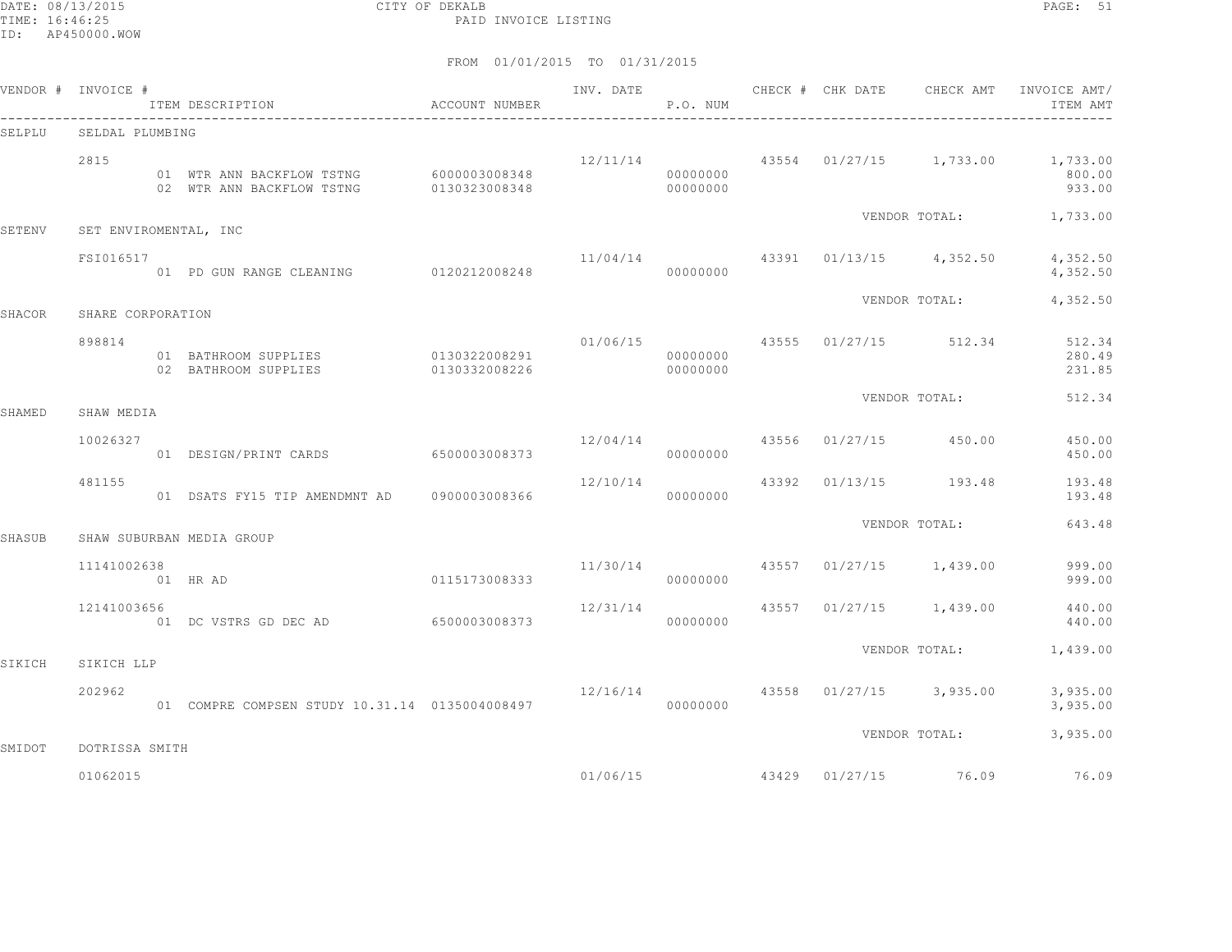DATE: 08/13/2015 CITY OF DEKALB PAGE: 51 PAID INVOICE LISTING

|        | VENDOR # INVOICE #    | ITEM DESCRIPTION                                                                              | ACCOUNT NUMBER                 |                                | P.O. NUM             |  | INV. DATE 6 19 CHECK # CHK DATE 6 CHECK AMT | INVOICE AMT/<br>ITEM AMT                                                |
|--------|-----------------------|-----------------------------------------------------------------------------------------------|--------------------------------|--------------------------------|----------------------|--|---------------------------------------------|-------------------------------------------------------------------------|
| SELPLU | SELDAL PLUMBING       |                                                                                               |                                |                                |                      |  |                                             |                                                                         |
|        | 2815                  | 01 WTR ANN BACKFLOW TSTNG 6000003008348<br>02 WTR ANN BACKFLOW TSTNG 0130323008348 0000000000 |                                |                                | 00000000             |  |                                             | $12/11/14$ $43554$ $01/27/15$ $1,733.00$ $1,733.00$<br>800.00<br>933.00 |
| SETENV | SET ENVIROMENTAL, INC |                                                                                               |                                |                                |                      |  |                                             | VENDOR TOTAL: 1,733.00                                                  |
|        | FSI016517             | 01 PD GUN RANGE CLEANING 0120212008248                                                        |                                |                                | 00000000             |  |                                             | $11/04/14$ $43391$ $01/13/15$ $4,352.50$ $4,352.50$<br>4,352.50         |
| SHACOR | SHARE CORPORATION     |                                                                                               |                                |                                |                      |  | VENDOR TOTAL:                               | 4,352.50                                                                |
|        | 898814                | 01 BATHROOM SUPPLIES<br>02 BATHROOM SUPPLIES                                                  | 0130322008291<br>0130332008226 |                                | 00000000<br>00000000 |  | $01/06/15$ $43555$ $01/27/15$ $512.34$      | 512.34<br>280.49<br>231.85                                              |
|        |                       |                                                                                               |                                |                                |                      |  | VENDOR TOTAL:                               | 512.34                                                                  |
| SHAMED | SHAW MEDIA            |                                                                                               |                                |                                |                      |  |                                             |                                                                         |
|        | 10026327              | 01 DESIGN/PRINT CARDS 6500003008373                                                           |                                | 12/04/14 43556 01/27/15 450.00 | 00000000             |  |                                             | 450.00<br>450.00                                                        |
|        | 481155                | 01 DSATS FY15 TIP AMENDMNT AD 0900003008366                                                   |                                |                                | 00000000             |  | $12/10/14$ $43392$ $01/13/15$ $193.48$      | 193.48<br>193.48                                                        |
| SHASUB |                       | SHAW SUBURBAN MEDIA GROUP                                                                     |                                |                                |                      |  | VENDOR TOTAL:                               | 643.48                                                                  |
|        | 11141002638           | 01 HR AD                                                                                      | 0115173008333                  | 11/30/14                       | 00000000             |  | 43557 01/27/15 1,439.00                     | 999.00<br>999.00                                                        |
|        | 12141003656           | 01 DC VSTRS GD DEC AD                                                                         | 6500003008373                  | 12/31/14                       | 00000000             |  | 43557 01/27/15 1,439.00                     | 440.00<br>440.00                                                        |
| SIKICH | SIKICH LLP            |                                                                                               |                                |                                |                      |  | VENDOR TOTAL:                               | 1,439.00                                                                |
|        | 202962                | 01 COMPRE COMPSEN STUDY 10.31.14 0135004008497                                                |                                |                                | 00000000             |  | $12/16/14$ $43558$ $01/27/15$ $3,935.00$    | 3,935.00<br>3,935.00                                                    |
| SMIDOT | DOTRISSA SMITH        |                                                                                               |                                |                                |                      |  | VENDOR TOTAL:                               | 3,935.00                                                                |
|        |                       |                                                                                               |                                |                                |                      |  |                                             |                                                                         |
|        | 01062015              |                                                                                               |                                |                                |                      |  |                                             | $01/06/15$ $43429$ $01/27/15$ $76.09$ $76.09$                           |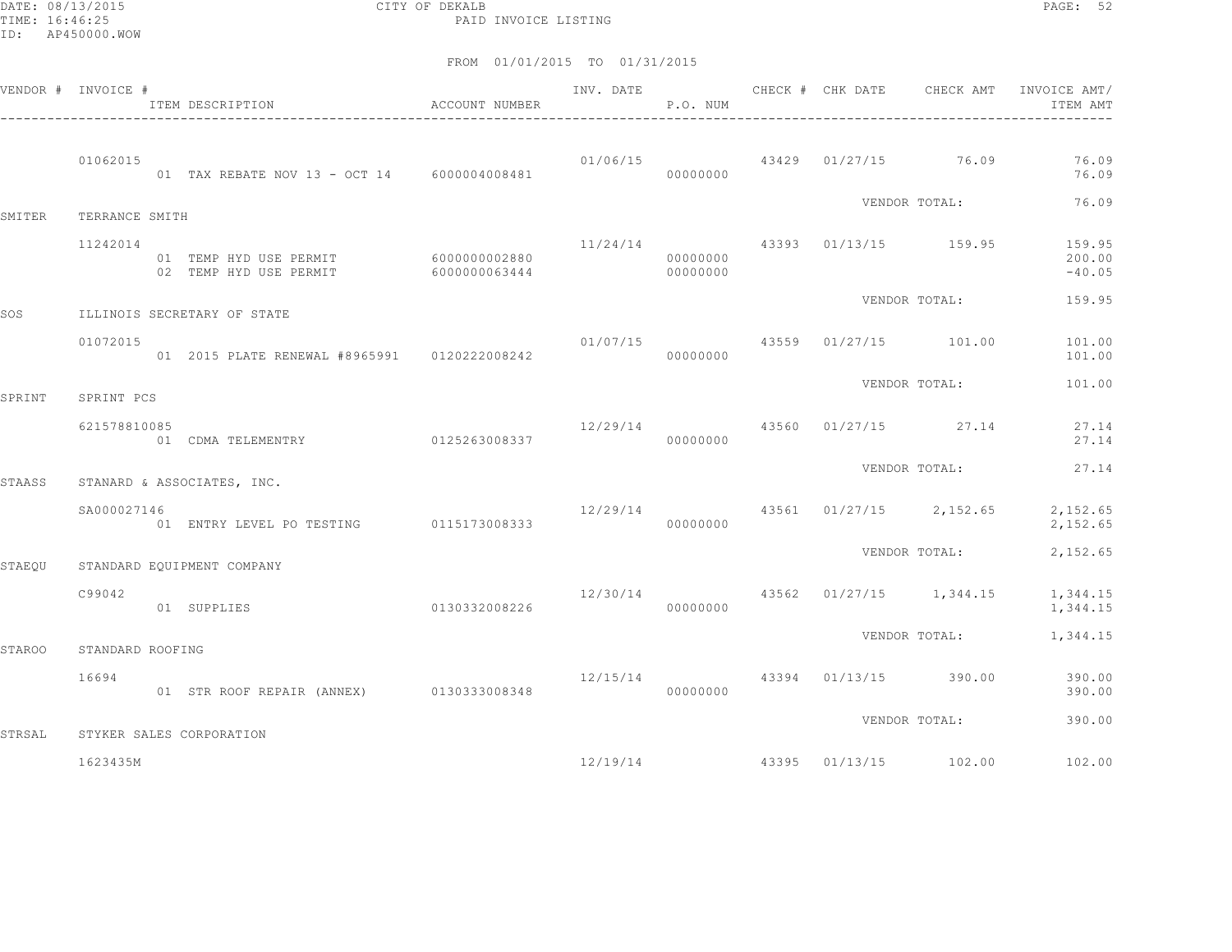DATE: 08/13/2015 CITY OF DEKALB PAGE: 52 PAID INVOICE LISTING

|        | VENDOR # INVOICE # | ITEM DESCRIPTION                                               | ACCOUNT NUMBER | INV. DATE | P.O. NUM             |  | CHECK # CHK DATE CHECK AMT               | INVOICE AMT/<br>ITEM AMT     |
|--------|--------------------|----------------------------------------------------------------|----------------|-----------|----------------------|--|------------------------------------------|------------------------------|
|        | 01062015           | 01 TAX REBATE NOV 13 - OCT 14 6000004008481                    |                |           | 00000000             |  | $01/06/15$ $43429$ $01/27/15$ $76.09$    | 76.09<br>76.09               |
| SMITER | TERRANCE SMITH     |                                                                |                |           |                      |  | VENDOR TOTAL:                            | 76.09                        |
|        | 11242014           | 01 TEMP HYD USE PERMIT 6000000002880<br>02 TEMP HYD USE PERMIT | 6000000063444  |           | 00000000<br>00000000 |  | $11/24/14$ 43393 01/13/15 159.95         | 159.95<br>200.00<br>$-40.05$ |
| SOS    |                    | ILLINOIS SECRETARY OF STATE                                    |                |           |                      |  | VENDOR TOTAL:                            | 159.95                       |
|        | 01072015           | 01 2015 PLATE RENEWAL #8965991 0120222008242                   |                |           | 00000000             |  | $01/07/15$ 43559 01/27/15 101.00         | 101.00<br>101.00             |
| SPRINT | SPRINT PCS         |                                                                |                |           |                      |  | VENDOR TOTAL:                            | 101.00                       |
|        | 621578810085       | 01 CDMA TELEMENTRY 0125263008337                               |                | 12/29/14  | 00000000             |  | 43560 01/27/15 27.14                     | 27.14<br>27.14               |
| STAASS |                    | STANARD & ASSOCIATES, INC.                                     |                |           |                      |  | VENDOR TOTAL:                            | 27.14                        |
|        | SA000027146        | 01 ENTRY LEVEL PO TESTING 0115173008333                        |                |           | 00000000             |  | $12/29/14$ $43561$ $01/27/15$ $2,152.65$ | 2,152.65<br>2,152.65         |
| STAEOU |                    | STANDARD EQUIPMENT COMPANY                                     |                |           |                      |  | VENDOR TOTAL:                            | 2,152.65                     |
|        | C99042             | 0130332008226<br>01 SUPPLIES                                   |                |           | 00000000             |  | $12/30/14$ $43562$ $01/27/15$ $1,344.15$ | 1,344.15<br>1,344.15         |
| STAROO | STANDARD ROOFING   |                                                                |                |           |                      |  | VENDOR TOTAL:                            | 1,344.15                     |
|        | 16694              | 01 STR ROOF REPAIR (ANNEX)                                     | 0130333008348  |           | 00000000             |  | $12/15/14$ $43394$ $01/13/15$ $390.00$   | 390.00<br>390.00             |
| STRSAL |                    | STYKER SALES CORPORATION                                       |                |           |                      |  | VENDOR TOTAL:                            | 390.00                       |
|        | 1623435M           |                                                                |                |           | 12/19/14             |  | 43395 01/13/15 102.00                    | 102.00                       |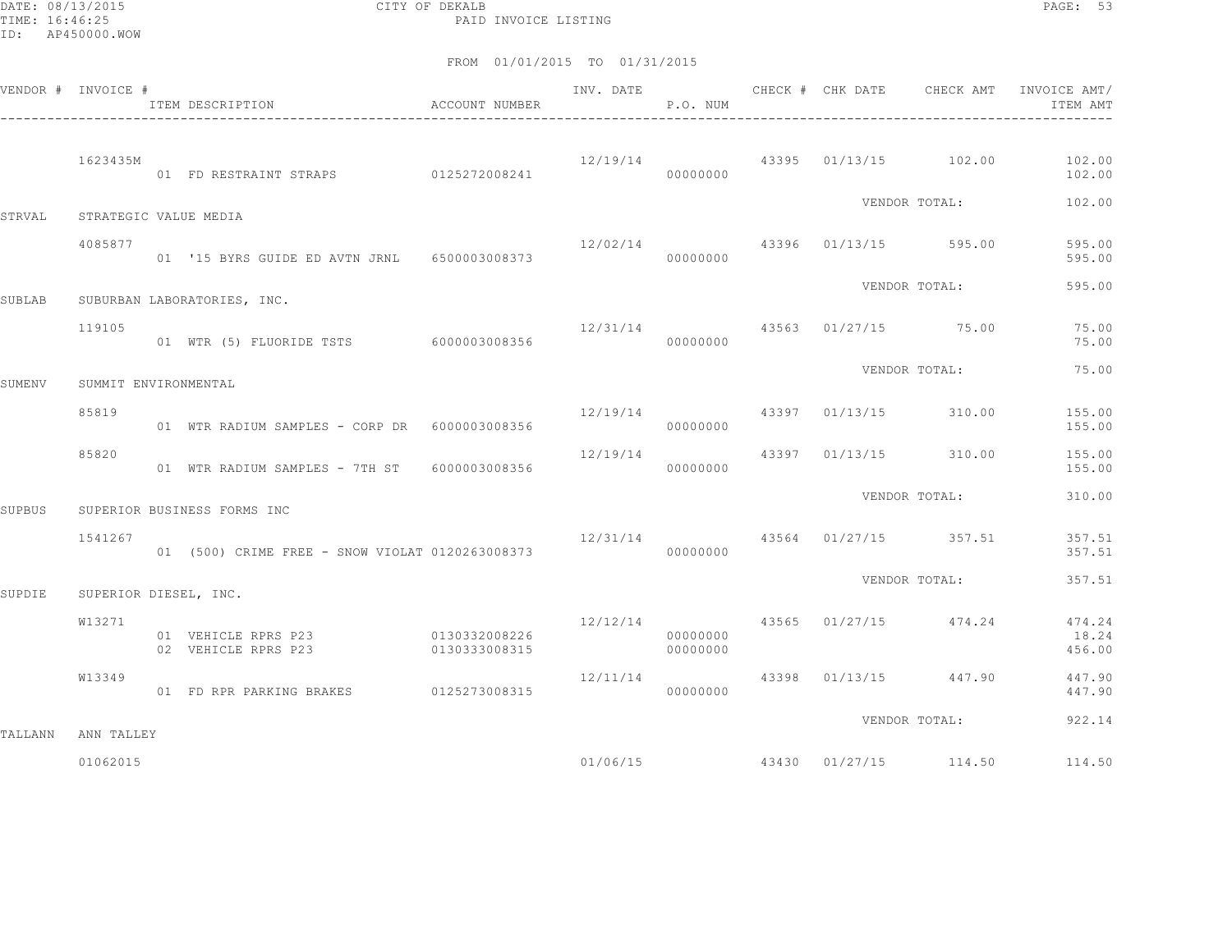DATE: 08/13/2015 CITY OF DEKALB PAGE: 53 PAID INVOICE LISTING

|         | VENDOR # INVOICE #    | ACCOUNT NUMBER<br>ITEM DESCRIPTION                       |               | INV. DATE                           | P.O. NUM             |  |                                        | CHECK # CHK DATE 6 CHECK AMT INVOICE AMT<br>ITEM AMT |
|---------|-----------------------|----------------------------------------------------------|---------------|-------------------------------------|----------------------|--|----------------------------------------|------------------------------------------------------|
|         | 1623435M              | 01 FD RESTRAINT STRAPS 0125272008241                     |               |                                     | 00000000             |  |                                        | $12/19/14$ 43395 01/13/15 102.00 102.00<br>102.00    |
| STRVAL  |                       |                                                          |               |                                     |                      |  | VENDOR TOTAL:                          | 102.00                                               |
|         | STRATEGIC VALUE MEDIA |                                                          |               |                                     |                      |  |                                        |                                                      |
|         | 4085877               | 01 '15 BYRS GUIDE ED AVTN JRNL 6500003008373             |               |                                     | 00000000             |  | 12/02/14 43396 01/13/15 595.00         | 595.00<br>595.00                                     |
| SUBLAB  |                       | SUBURBAN LABORATORIES, INC.                              |               |                                     |                      |  | VENDOR TOTAL:                          | 595.00                                               |
|         |                       |                                                          |               |                                     |                      |  |                                        |                                                      |
|         | 119105                | 01 WTR (5) FLUORIDE TSTS 6000003008356                   |               | $12/31/14$ $43563$ $01/27/15$ 75.00 | 00000000             |  |                                        | 75.00<br>75.00                                       |
|         |                       |                                                          |               |                                     |                      |  | VENDOR TOTAL:                          | 75.00                                                |
| SUMENV  | SUMMIT ENVIRONMENTAL  |                                                          |               |                                     |                      |  |                                        |                                                      |
|         | 85819                 | 01 WTR RADIUM SAMPLES - CORP DR 6000003008356            |               | 12/19/14 43397 01/13/15 310.00      | 00000000             |  |                                        | 155.00<br>155.00                                     |
|         | 85820                 | 01 WTR RADIUM SAMPLES - 7TH ST 6000003008356             |               |                                     | 00000000             |  | $12/19/14$ 43397 01/13/15 310.00       | 155.00<br>155.00                                     |
| SUPBUS  |                       | SUPERIOR BUSINESS FORMS INC                              |               |                                     |                      |  | VENDOR TOTAL:                          | 310.00                                               |
|         |                       |                                                          |               |                                     |                      |  |                                        |                                                      |
|         | 1541267               | 01 (500) CRIME FREE - SNOW VIOLAT 0120263008373          |               | 000000000                           |                      |  | 12/31/14 43564 01/27/15 357.51         | 357.51<br>357.51                                     |
| SUPDIE  | SUPERIOR DIESEL, INC. |                                                          |               |                                     |                      |  | VENDOR TOTAL:                          | 357.51                                               |
|         |                       |                                                          |               |                                     |                      |  |                                        |                                                      |
|         | W13271                | 01 VEHICLE RPRS P23 0130332008226<br>02 VEHICLE RPRS P23 | 0130333008315 |                                     | 00000000<br>00000000 |  | $12/12/14$ $43565$ $01/27/15$ $474.24$ | 474.24<br>18.24<br>456.00                            |
|         | W13349                |                                                          |               | 12/11/14                            |                      |  | 43398 01/13/15 447.90                  | 447.90                                               |
|         |                       | 01 FD RPR PARKING BRAKES 0125273008315                   |               |                                     | 00000000             |  |                                        | 447.90                                               |
| TALLANN | ANN TALLEY            |                                                          |               |                                     |                      |  | VENDOR TOTAL:                          | 922.14                                               |
|         |                       |                                                          |               |                                     |                      |  |                                        |                                                      |
|         | 01062015              |                                                          |               |                                     | 01/06/15             |  | 43430 01/27/15 114.50                  | 114.50                                               |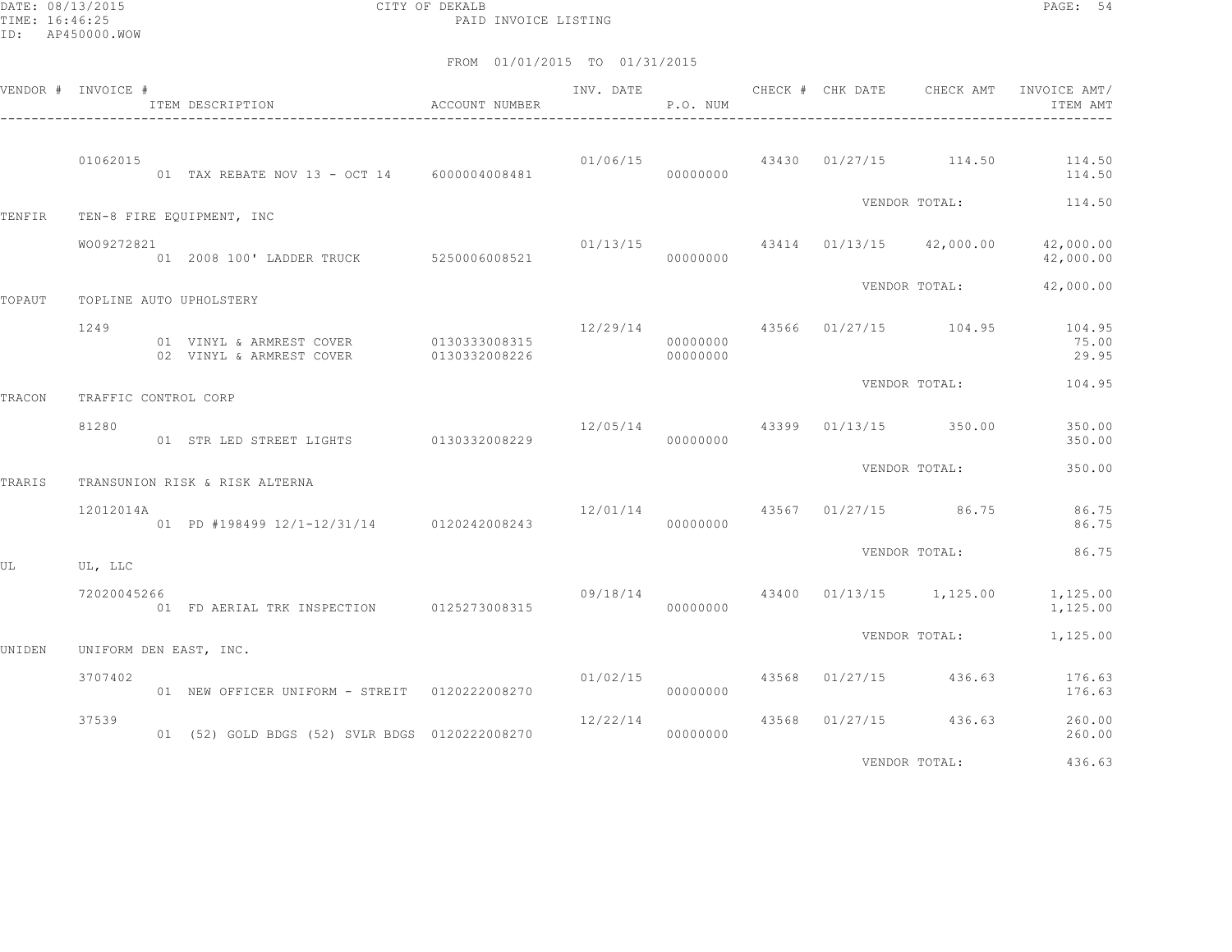DATE: 08/13/2015 CITY OF DEKALB PAGE: 54 PAID INVOICE LISTING

|        | VENDOR # INVOICE #   | ACCOUNT NUMBER<br>ITEM DESCRIPTION                                          |               | INV. DATE                           | P.O. NUM             | CHECK # CHK DATE CHECK AMT |                                           | INVOICE AMT/<br>ITEM AMT                       |
|--------|----------------------|-----------------------------------------------------------------------------|---------------|-------------------------------------|----------------------|----------------------------|-------------------------------------------|------------------------------------------------|
|        | 01062015             | 01 TAX REBATE NOV 13 - OCT 14 6000004008481                                 |               | 01/06/15                            | 00000000             |                            |                                           | 43430 01/27/15 114.50 114.50<br>114.50         |
| TENFIR |                      | TEN-8 FIRE EQUIPMENT, INC                                                   |               |                                     |                      |                            |                                           | VENDOR TOTAL: 114.50                           |
|        | WO09272821           | 01 2008 100' LADDER TRUCK 5250006008521                                     |               | 00000000                            |                      |                            | $01/13/15$ $43414$ $01/13/15$ $42,000.00$ | 42,000.00<br>42,000.00                         |
| TOPAUT |                      | TOPLINE AUTO UPHOLSTERY                                                     |               |                                     |                      |                            | VENDOR TOTAL:                             | 42,000.00                                      |
|        | 1249                 | 01 VINYL & ARMREST COVER 0130333008315<br>02 VINYL & ARMREST COVER          | 0130332008226 | 12/29/14                            | 00000000<br>00000000 |                            |                                           | 43566 01/27/15 104.95 104.95<br>75.00<br>29.95 |
|        | TRAFFIC CONTROL CORP |                                                                             |               |                                     |                      |                            | VENDOR TOTAL:                             | 104.95                                         |
| TRACON | 81280                | 01 STR LED STREET LIGHTS 0130332008229                                      |               | 00000000                            |                      |                            | 12/05/14 43399 01/13/15 350.00            | 350.00<br>350.00                               |
|        |                      |                                                                             |               |                                     |                      |                            | VENDOR TOTAL:                             | 350.00                                         |
| TRARIS | 12012014A            | TRANSUNION RISK & RISK ALTERNA<br>01 PD #198499 12/1-12/31/14 0120242008243 |               | $12/01/14$ $43567$ $01/27/15$ 86.75 | 00000000             |                            |                                           | 86.75<br>86.75                                 |
| UΙ     | UL, LLC              |                                                                             |               |                                     |                      |                            | VENDOR TOTAL:                             | 86.75                                          |
|        | 72020045266          |                                                                             |               |                                     |                      |                            | 09/18/14 43400 01/13/15 1,125.00          | 1,125.00<br>1,125.00                           |
| UNIDEN |                      | UNIFORM DEN EAST, INC.                                                      |               |                                     |                      |                            | VENDOR TOTAL:                             | 1,125.00                                       |
|        | 3707402              | 01 NEW OFFICER UNIFORM - STREIT 0120222008270                               |               |                                     | 00000000             |                            | $01/02/15$ 43568 01/27/15 436.63          | 176.63<br>176.63                               |
|        | 37539                | 01 (52) GOLD BDGS (52) SVLR BDGS 0120222008270                              |               | 12/22/14                            | 00000000             |                            | 43568 01/27/15 436.63                     | 260.00<br>260.00                               |
|        |                      |                                                                             |               |                                     |                      |                            | VENDOR TOTAL:                             | 436.63                                         |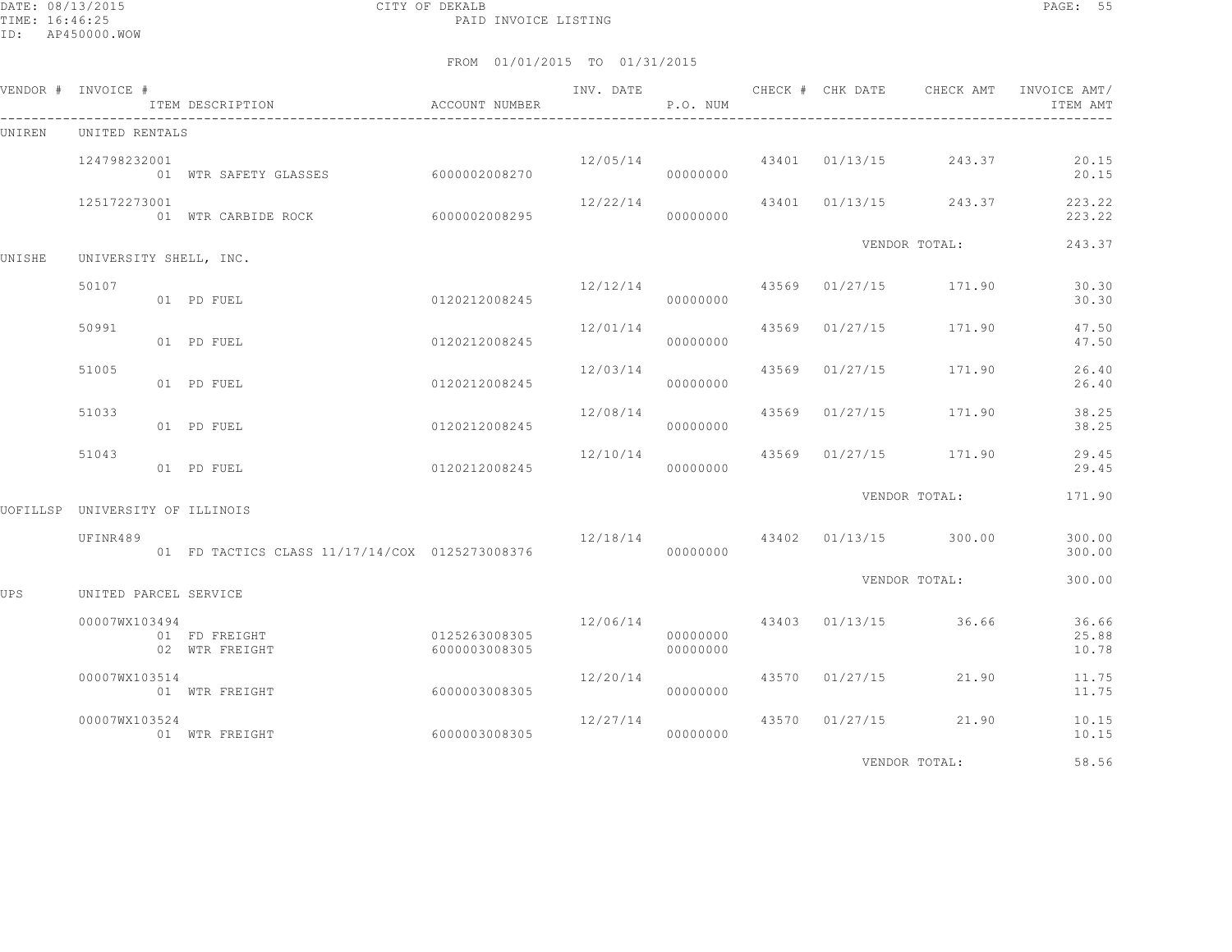DATE: 08/13/2015 CITY OF DEKALB PAGE: 55 PAID INVOICE LISTING

|        | VENDOR # INVOICE #              | ITEM DESCRIPTION                    | ACCOUNT NUMBER                 | INV. DATE | P.O. NUM             | CHECK # CHK DATE | CHECK AMT                              | INVOICE AMT/<br>ITEM AMT |
|--------|---------------------------------|-------------------------------------|--------------------------------|-----------|----------------------|------------------|----------------------------------------|--------------------------|
| UNIREN | UNITED RENTALS                  |                                     |                                |           |                      |                  |                                        |                          |
|        | 124798232001                    | 01 WTR SAFETY GLASSES 6000002008270 |                                |           | 00000000             |                  | $12/05/14$ $43401$ $01/13/15$ $243.37$ | 20.15<br>20.15           |
|        | 125172273001                    | 01 WTR CARBIDE ROCK 6000002008295   |                                | 12/22/14  | 00000000             |                  | 43401 01/13/15 243.37                  | 223.22<br>223.22         |
| UNISHE | UNIVERSITY SHELL, INC.          |                                     |                                |           |                      |                  | VENDOR TOTAL:                          | 243.37                   |
|        | 50107                           | 01 PD FUEL                          | 0120212008245                  |           | 00000000             |                  | $12/12/14$ 43569 01/27/15 171.90       | 30.30<br>30.30           |
|        | 50991                           | 01 PD FUEL                          | 0120212008245                  | 12/01/14  | 00000000             |                  | 43569 01/27/15 171.90                  | 47.50<br>47.50           |
|        | 51005                           | 01 PD FUEL                          | 0120212008245                  | 12/03/14  | 00000000             |                  | 43569 01/27/15 171.90                  | 26.40<br>26.40           |
|        | 51033                           | 01 PD FUEL                          | 0120212008245                  | 12/08/14  | 00000000             |                  | 43569 01/27/15 171.90                  | 38.25<br>38.25           |
|        | 51043                           | 01 PD FUEL                          | 0120212008245                  |           | 00000000             |                  | $12/10/14$ $43569$ $01/27/15$ $171.90$ | 29.45<br>29.45           |
|        | UOFILLSP UNIVERSITY OF ILLINOIS |                                     |                                |           |                      |                  | VENDOR TOTAL:                          | 171.90                   |
|        | UFINR489                        |                                     |                                |           |                      |                  | $12/18/14$ $43402$ $01/13/15$ $300.00$ | 300.00<br>300.00         |
| UPS    | UNITED PARCEL SERVICE           |                                     |                                |           |                      |                  | VENDOR TOTAL:                          | 300.00                   |
|        | 00007WX103494                   | 01 FD FREIGHT<br>02 WTR FREIGHT     | 0125263008305<br>6000003008305 |           | 00000000<br>00000000 |                  | 12/06/14 43403 01/13/15 36.66          | 36.66<br>25.88<br>10.78  |
|        | 00007WX103514                   | 01 WTR FREIGHT                      | 6000003008305                  | 12/20/14  | 00000000             | 43570 01/27/15   | 21.90                                  | 11.75<br>11.75           |
|        | 00007WX103524                   | 01 WTR FREIGHT                      | 60000003008305                 | 12/27/14  | 00000000             |                  | 43570 01/27/15 21.90                   | 10.15<br>10.15           |
|        |                                 |                                     |                                |           |                      |                  | VENDOR TOTAL:                          | 58.56                    |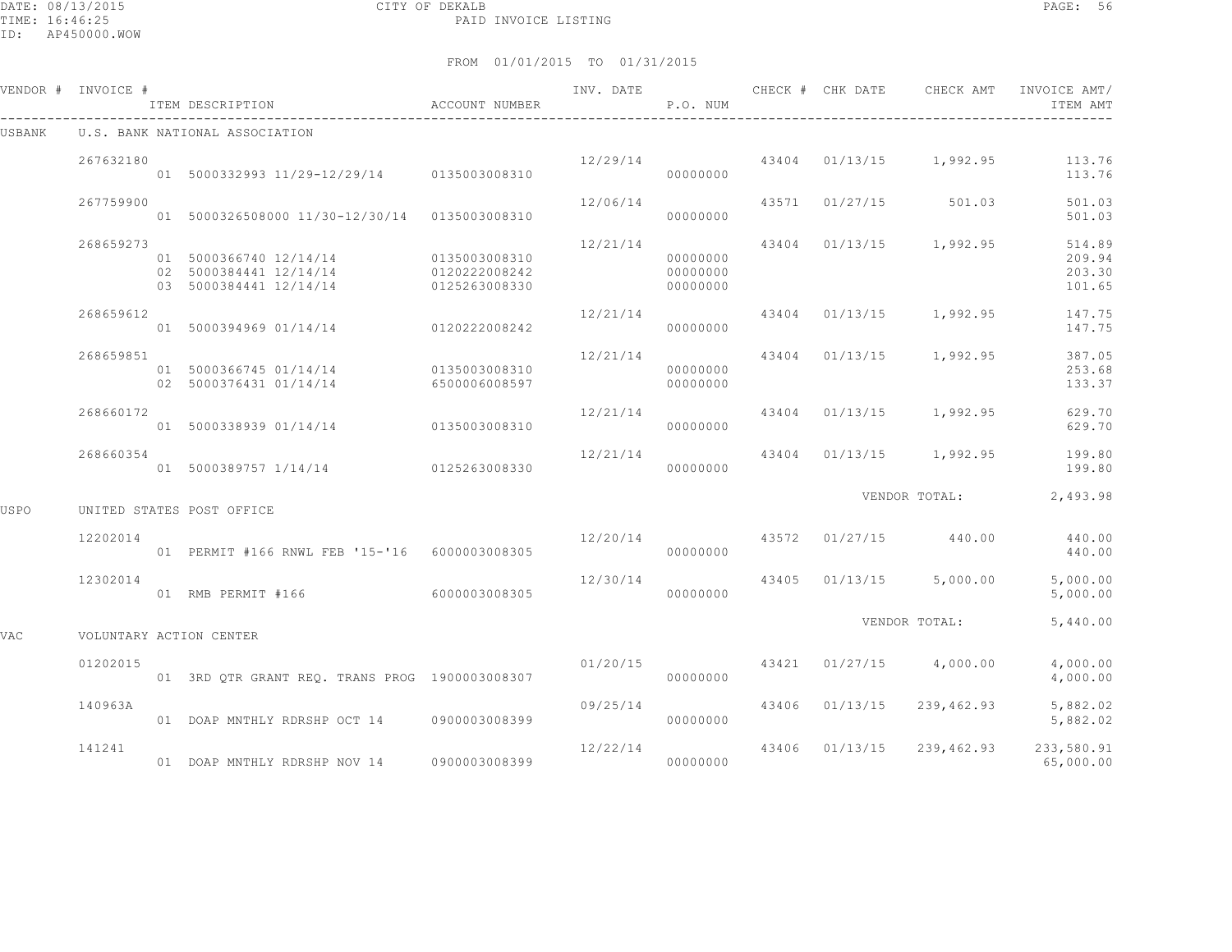DATE: 08/13/2015 CITY OF DEKALB PAGE: 56 PAID INVOICE LISTING

ID: AP450000.WOW

|        | VENDOR # INVOICE # | ITEM DESCRIPTION                                                                         | ACCOUNT NUMBER                 | INV. DATE | P.O. NUM                         | CHECK # CHK DATE | CHECK AMT                              | INVOICE AMT/<br>ITEM AMT             |
|--------|--------------------|------------------------------------------------------------------------------------------|--------------------------------|-----------|----------------------------------|------------------|----------------------------------------|--------------------------------------|
| USBANK |                    | U.S. BANK NATIONAL ASSOCIATION                                                           |                                |           |                                  |                  |                                        |                                      |
|        | 267632180          | 01 5000332993 11/29-12/29/14 0135003008310                                               |                                |           | 00000000                         |                  | $12/29/14$ 43404 01/13/15 1,992.95     | 113.76<br>113.76                     |
|        | 267759900          | 01 5000326508000 11/30-12/30/14 0135003008310                                            |                                | 12/06/14  | 00000000                         |                  | 43571 01/27/15 501.03                  | 501.03<br>501.03                     |
|        | 268659273          | 01 5000366740 12/14/14 0135003008310<br>02 5000384441 12/14/14<br>03 5000384441 12/14/14 | 0120222008242<br>0125263008330 | 12/21/14  | 00000000<br>00000000<br>00000000 |                  | 43404 01/13/15 1,992.95                | 514.89<br>209.94<br>203.30<br>101.65 |
|        | 268659612          | 01 5000394969 01/14/14 0120222008242                                                     |                                | 12/21/14  | 00000000                         |                  | 43404 01/13/15 1,992.95                | 147.75<br>147.75                     |
|        | 268659851          | 01 5000366745 01/14/14 0135003008310<br>02 5000376431 01/14/14                           | 6500006008597                  | 12/21/14  | 00000000<br>00000000             |                  | 43404 01/13/15 1,992.95                | 387.05<br>253.68<br>133.37           |
|        | 268660172          | 01 5000338939 01/14/14 0135003008310                                                     |                                | 12/21/14  | 00000000                         |                  | 43404 01/13/15 1,992.95                | 629.70<br>629.70                     |
|        | 268660354          | 01 5000389757 1/14/14 0125263008330                                                      |                                | 12/21/14  | 00000000                         |                  | 43404 01/13/15 1,992.95                | 199.80<br>199.80                     |
| USPO   |                    | UNITED STATES POST OFFICE                                                                |                                |           |                                  |                  | VENDOR TOTAL:                          | 2,493.98                             |
|        | 12202014           | 01 PERMIT #166 RNWL FEB '15-'16 6000003008305                                            |                                |           | 00000000                         |                  | $12/20/14$ $43572$ $01/27/15$ $440.00$ | 440.00<br>440.00                     |
|        | 12302014           | 01 RMB PERMIT #166                                                                       | 6000003008305                  | 12/30/14  | 00000000                         |                  | 43405 01/13/15 5,000.00                | 5,000.00<br>5,000.00                 |
| VAC    |                    | VOLUNTARY ACTION CENTER                                                                  |                                |           |                                  |                  | VENDOR TOTAL:                          | 5,440.00                             |
|        | 01202015           | 01 3RD OTR GRANT REO. TRANS PROG 1900003008307                                           |                                | 01/20/15  | 00000000                         |                  | 43421 01/27/15 4,000.00                | 4,000.00<br>4,000.00                 |
|        | 140963A            | 01 DOAP MNTHLY RDRSHP OCT 14 0900003008399                                               |                                | 09/25/14  | 00000000                         |                  | 43406 01/13/15 239,462.93              | 5,882.02<br>5,882.02                 |
|        | 141241             | 01 DOAP MNTHLY RDRSHP NOV 14 0900003008399                                               |                                | 12/22/14  | 00000000                         |                  | 43406 01/13/15 239,462.93 233,580.91   | 65,000.00                            |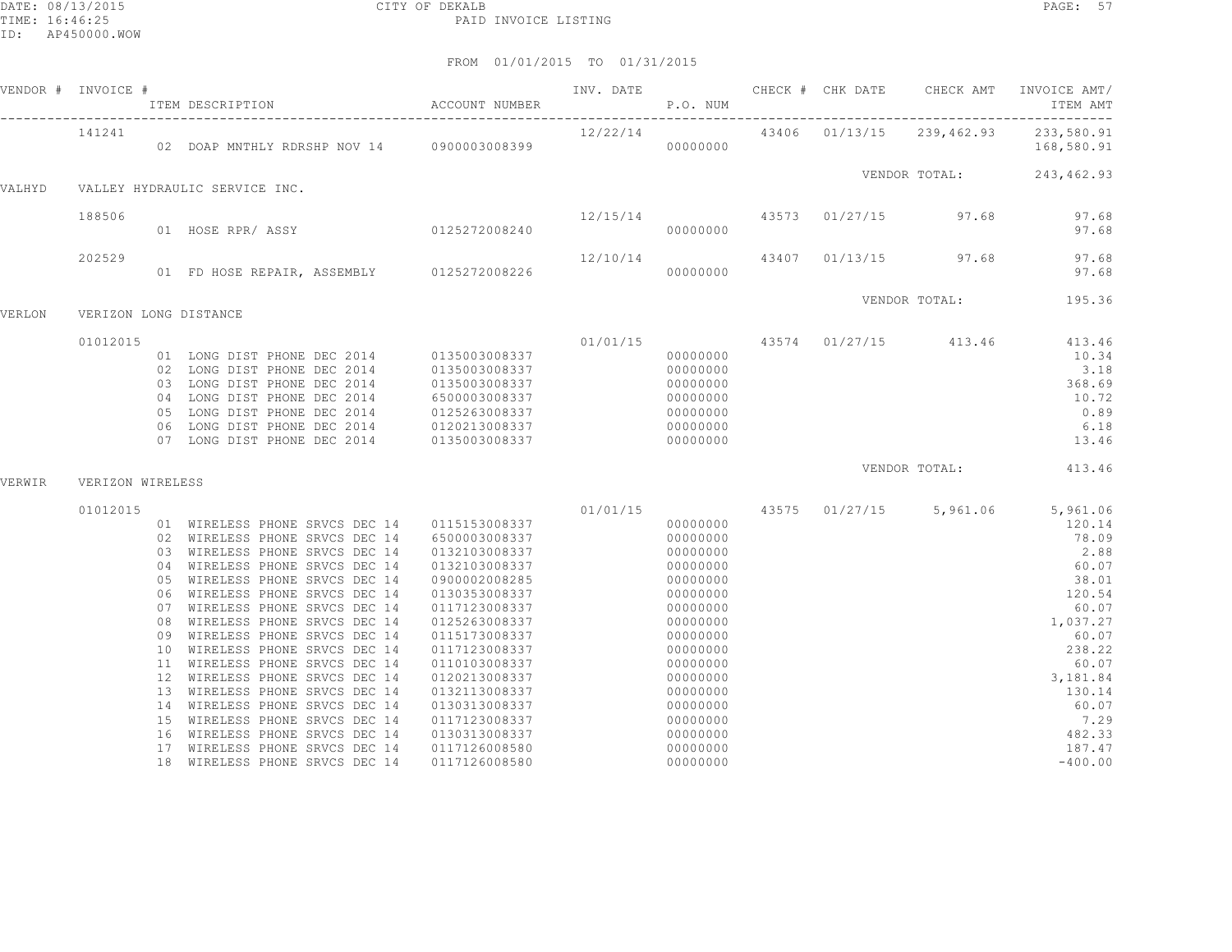|        | VENDOR # INVOICE #    |                                                                                                                                                                                                                                                                                                                                             |               |          |  |                                                                                                                                                                                                                   |
|--------|-----------------------|---------------------------------------------------------------------------------------------------------------------------------------------------------------------------------------------------------------------------------------------------------------------------------------------------------------------------------------------|---------------|----------|--|-------------------------------------------------------------------------------------------------------------------------------------------------------------------------------------------------------------------|
|        | 141241                | 41241 12/22/14 43406 01/13/15 239,462.93 233,580.91<br>168,580.91 168,580.91 000000000 00000000 00000000 168,580.91                                                                                                                                                                                                                         |               |          |  |                                                                                                                                                                                                                   |
| VALHYD |                       | VALLEY HYDRAULIC SERVICE INC.                                                                                                                                                                                                                                                                                                               |               |          |  | VENDOR TOTAL: 243,462.93                                                                                                                                                                                          |
|        | 188506                |                                                                                                                                                                                                                                                                                                                                             |               |          |  |                                                                                                                                                                                                                   |
|        | 202529                | $12/10/14$ 43407 01/13/15 97.68 97.68<br>97.68 97.68 97.68                                                                                                                                                                                                                                                                                  |               |          |  |                                                                                                                                                                                                                   |
|        |                       |                                                                                                                                                                                                                                                                                                                                             |               |          |  | VENDOR TOTAL: 195.36                                                                                                                                                                                              |
| VERLON | VERIZON LONG DISTANCE |                                                                                                                                                                                                                                                                                                                                             |               |          |  |                                                                                                                                                                                                                   |
|        | 01012015              | $\begin{tabular}{cccccccc} 01 & LONG DIST PHONE DEC & 2014 & 0135003008337 & 01/01/15 & 43574 & 01/27/15 & 413.46 & 413.46 \\ 02 & LONG DIST PHONE DEC & 2014 & 0135003008337 & 000000000 & 10.34 \\ 03 & LONG DIST PHONE DEC & 2014 & 0135003008337 & 000000000 & 3.18 \\ 04 & LONG DIST PHONE DEC & 2014 & 6500003008337 & 0000$          |               |          |  |                                                                                                                                                                                                                   |
| VERWIR | VERIZON WIRELESS      |                                                                                                                                                                                                                                                                                                                                             |               |          |  | VENDOR TOTAL: 413.46                                                                                                                                                                                              |
|        | 01012015              | $\begin{tabular}{cccccccc} 01 & WIRELES & \texttt{PRONE} & \texttt{REUESS} & \texttt{PRONE} & \texttt{SVEVSE} & 01/01/15 & 00000000 & 43575 & 01/27/15 & 5,961.06 & 5,961.06 & 5,961.06 & 5,961.06 & 5,961.06 & 5,961.06 & 5,961.06 & 5,961.06 & 5,961.06 & 5,961.06 & 5,961.06 & 5,961.06 & 5,961.06 & $<br>18 WIRELESS PHONE SRVCS DEC 14 | 0117126008580 | 00000000 |  | $\begin{array}{r} 120.14 \\ 78.09 \\ 2.88 \\ 60.07 \\ 38.01 \\ 120.54 \\ 60.07 \\ 1,037.27 \\ 60.07 \\ 238.22 \\ 60.07 \\ 3,181.84 \\ 130.14 \\ 60.07 \\ 7.29 \\ 7.29 \\ 482.33 \\ 187.47 \\ -400.00 \end{array}$ |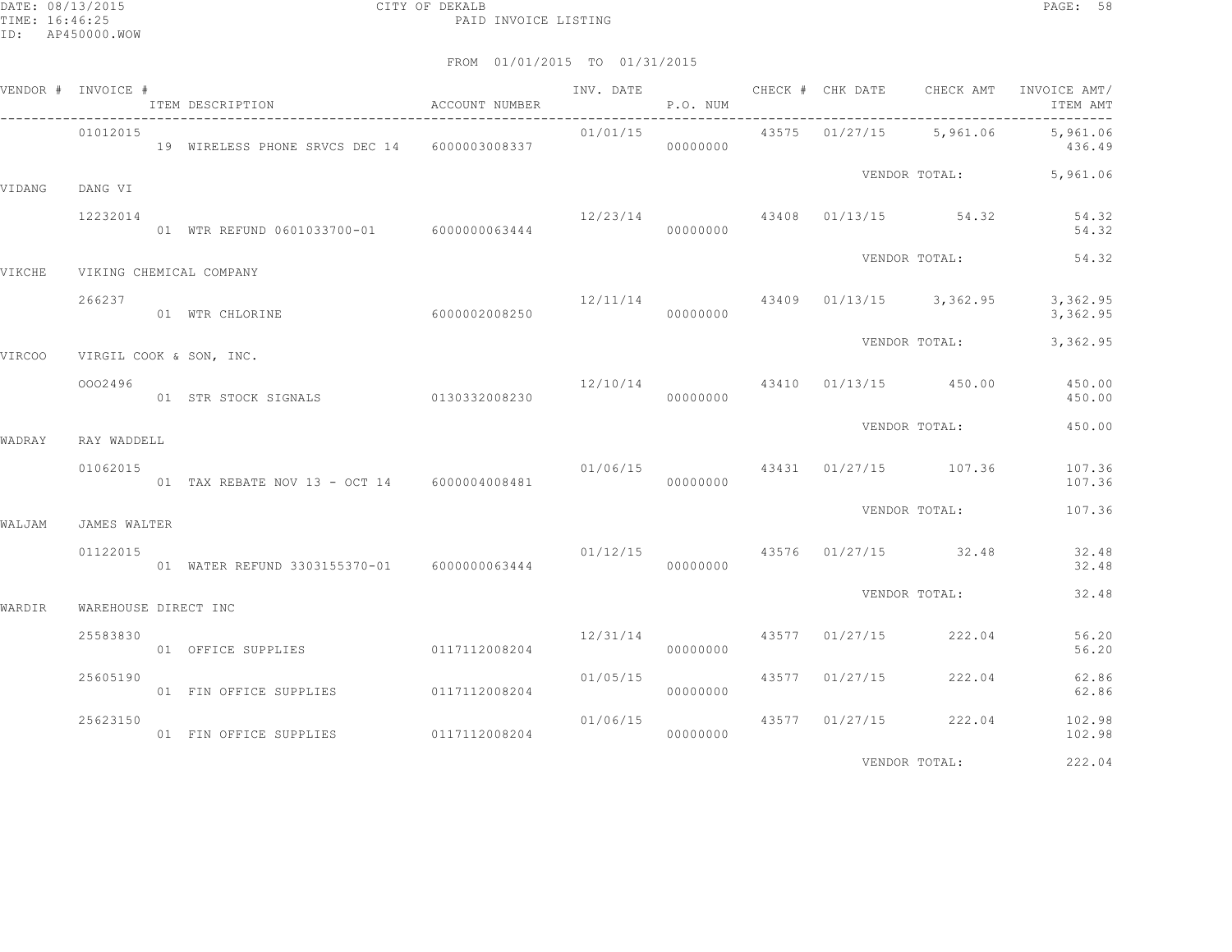|        | VENDOR # INVOICE #   | ITEM DESCRIPTION                             | ACCOUNT NUMBER |          | P.O. NUM |                         |                                          | INV. DATE 6 CHECK # CHK DATE CHECK AMT INVOICE AMT/<br>ITEM AMT |
|--------|----------------------|----------------------------------------------|----------------|----------|----------|-------------------------|------------------------------------------|-----------------------------------------------------------------|
|        | 01012015             | 19 WIRELESS PHONE SRVCS DEC 14 6000003008337 |                | 01/01/15 | 00000000 |                         |                                          | 43575 01/27/15 5,961.06 5,961.06<br>436.49                      |
| VIDANG | DANG VI              |                                              |                |          |          |                         |                                          | VENDOR TOTAL: 5,961.06                                          |
|        | 12232014             | 01 WTR REFUND 0601033700-01 6000000063444    |                |          | 00000000 |                         | $12/23/14$ $43408$ $01/13/15$ $54.32$    | 54.32<br>54.32                                                  |
| VIKCHE |                      | VIKING CHEMICAL COMPANY                      |                |          |          |                         | VENDOR TOTAL:                            | 54.32                                                           |
|        | 266237               | 01 WTR CHLORINE                              | 6000002008250  | 00000000 |          |                         | $12/11/14$ $43409$ $01/13/15$ $3,362.95$ | 3,362.95<br>3,362.95                                            |
| VIRCOO |                      | VIRGIL COOK & SON, INC.                      |                |          |          |                         | VENDOR TOTAL:                            | 3,362.95                                                        |
|        | 0002496              | 01 STR STOCK SIGNALS 0130332008230           |                |          | 00000000 |                         | $12/10/14$ 43410 01/13/15 450.00         | 450.00<br>450.00                                                |
| WADRAY | RAY WADDELL          |                                              |                |          |          |                         | VENDOR TOTAL:                            | 450.00                                                          |
|        | 01062015             | 01 TAX REBATE NOV 13 - OCT 14 6000004008481  |                | 00000000 |          |                         | $01/06/15$ 43431 01/27/15 107.36         | 107.36<br>107.36                                                |
| WALJAM | <b>JAMES WALTER</b>  |                                              |                |          |          |                         | VENDOR TOTAL:                            | 107.36                                                          |
|        | 01122015             | 01 WATER REFUND 3303155370-01 6000000063444  |                |          | 00000000 |                         | $01/12/15$ $43576$ $01/27/15$ $32.48$    | 32.48<br>32.48                                                  |
| WARDIR | WAREHOUSE DIRECT INC |                                              |                |          |          |                         | VENDOR TOTAL:                            | 32.48                                                           |
|        | 25583830             | 01 OFFICE SUPPLIES 0117112008204             |                |          | 00000000 | 12/31/14 43577 01/27/15 | 222.04                                   | 56.20<br>56.20                                                  |
|        | 25605190             | 01 FIN OFFICE SUPPLIES 0117112008204         |                | 01/05/15 | 00000000 | 43577 01/27/15          | 222.04                                   | 62.86<br>62.86                                                  |
|        | 25623150             | 01 FIN OFFICE SUPPLIES 0117112008204         |                | 01/06/15 | 00000000 | 43577 01/27/15          | 222.04                                   | 102.98<br>102.98                                                |
|        |                      |                                              |                |          |          |                         | VENDOR TOTAL:                            | 222.04                                                          |